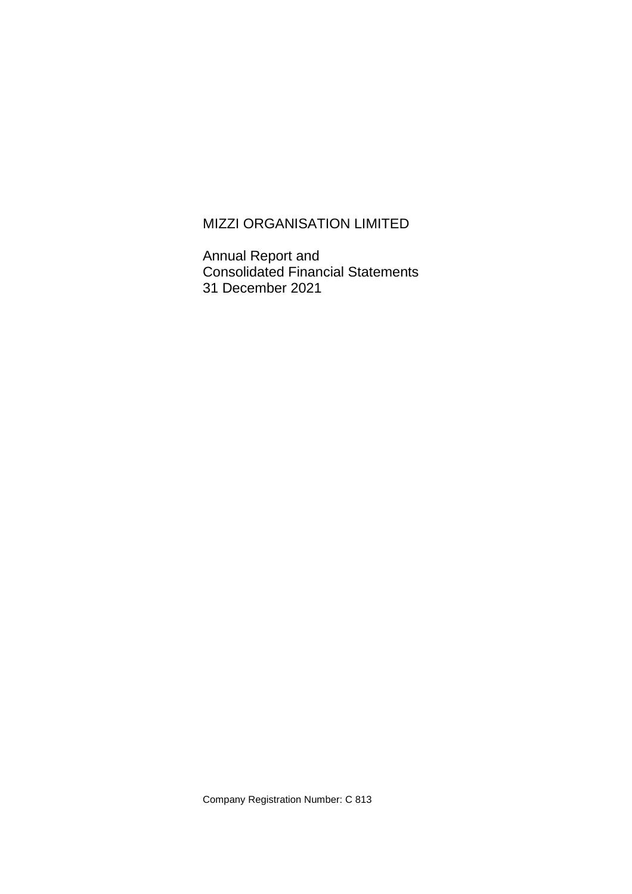# MIZZI ORGANISATION LIMITED

Annual Report and Consolidated Financial Statements 31 December 2021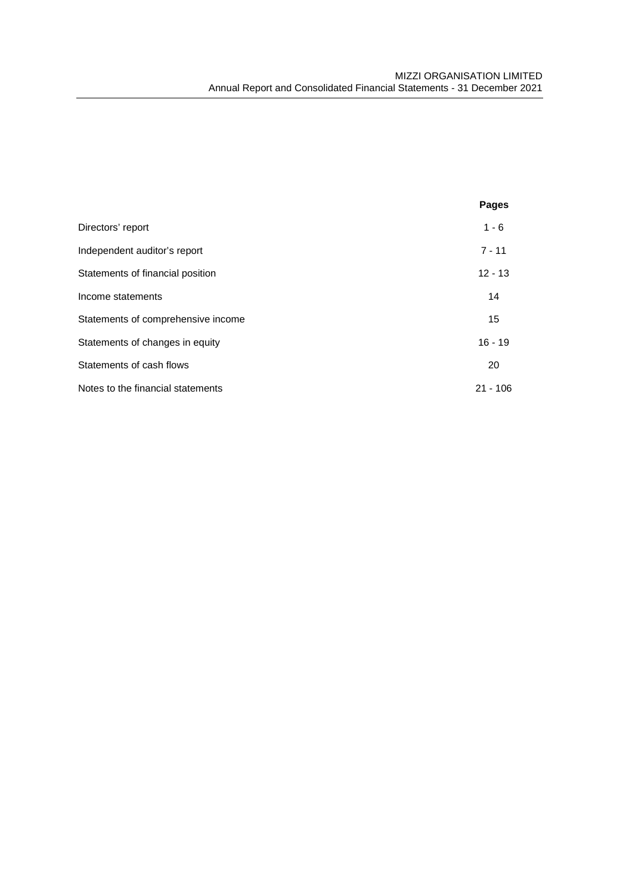|                                    | <b>Pages</b> |
|------------------------------------|--------------|
| Directors' report                  | $1 - 6$      |
| Independent auditor's report       | $7 - 11$     |
| Statements of financial position   | $12 - 13$    |
| Income statements                  | 14           |
| Statements of comprehensive income | 15           |
| Statements of changes in equity    | $16 - 19$    |
| Statements of cash flows           | 20           |
| Notes to the financial statements  | $21 - 106$   |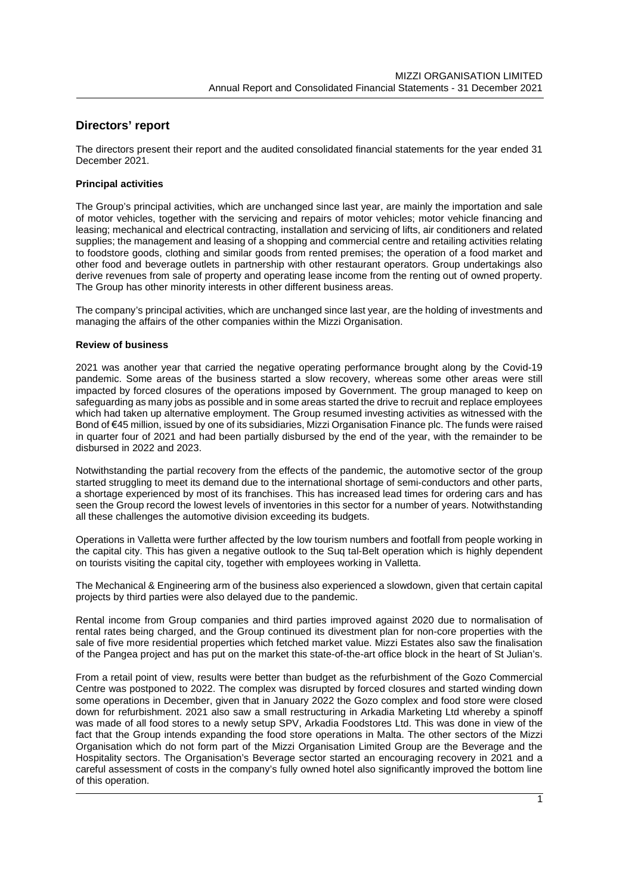### **Directors' report**

The directors present their report and the audited consolidated financial statements for the year ended 31 December 2021.

#### **Principal activities**

The Group's principal activities, which are unchanged since last year, are mainly the importation and sale of motor vehicles, together with the servicing and repairs of motor vehicles; motor vehicle financing and leasing; mechanical and electrical contracting, installation and servicing of lifts, air conditioners and related supplies; the management and leasing of a shopping and commercial centre and retailing activities relating to foodstore goods, clothing and similar goods from rented premises; the operation of a food market and other food and beverage outlets in partnership with other restaurant operators. Group undertakings also derive revenues from sale of property and operating lease income from the renting out of owned property. The Group has other minority interests in other different business areas.

The company's principal activities, which are unchanged since last year, are the holding of investments and managing the affairs of the other companies within the Mizzi Organisation.

#### **Review of business**

2021 was another year that carried the negative operating performance brought along by the Covid-19 pandemic. Some areas of the business started a slow recovery, whereas some other areas were still impacted by forced closures of the operations imposed by Government. The group managed to keep on safeguarding as many jobs as possible and in some areas started the drive to recruit and replace employees which had taken up alternative employment. The Group resumed investing activities as witnessed with the Bond of €45 million, issued by one of its subsidiaries, Mizzi Organisation Finance plc. The funds were raised in quarter four of 2021 and had been partially disbursed by the end of the year, with the remainder to be disbursed in 2022 and 2023.

Notwithstanding the partial recovery from the effects of the pandemic, the automotive sector of the group started struggling to meet its demand due to the international shortage of semi-conductors and other parts, a shortage experienced by most of its franchises. This has increased lead times for ordering cars and has seen the Group record the lowest levels of inventories in this sector for a number of years. Notwithstanding all these challenges the automotive division exceeding its budgets.

Operations in Valletta were further affected by the low tourism numbers and footfall from people working in the capital city. This has given a negative outlook to the Suq tal-Belt operation which is highly dependent on tourists visiting the capital city, together with employees working in Valletta.

The Mechanical & Engineering arm of the business also experienced a slowdown, given that certain capital projects by third parties were also delayed due to the pandemic.

Rental income from Group companies and third parties improved against 2020 due to normalisation of rental rates being charged, and the Group continued its divestment plan for non-core properties with the sale of five more residential properties which fetched market value. Mizzi Estates also saw the finalisation of the Pangea project and has put on the market this state-of-the-art office block in the heart of St Julian's.

From a retail point of view, results were better than budget as the refurbishment of the Gozo Commercial Centre was postponed to 2022. The complex was disrupted by forced closures and started winding down some operations in December, given that in January 2022 the Gozo complex and food store were closed down for refurbishment. 2021 also saw a small restructuring in Arkadia Marketing Ltd whereby a spinoff was made of all food stores to a newly setup SPV, Arkadia Foodstores Ltd. This was done in view of the fact that the Group intends expanding the food store operations in Malta. The other sectors of the Mizzi Organisation which do not form part of the Mizzi Organisation Limited Group are the Beverage and the Hospitality sectors. The Organisation's Beverage sector started an encouraging recovery in 2021 and a careful assessment of costs in the company's fully owned hotel also significantly improved the bottom line of this operation.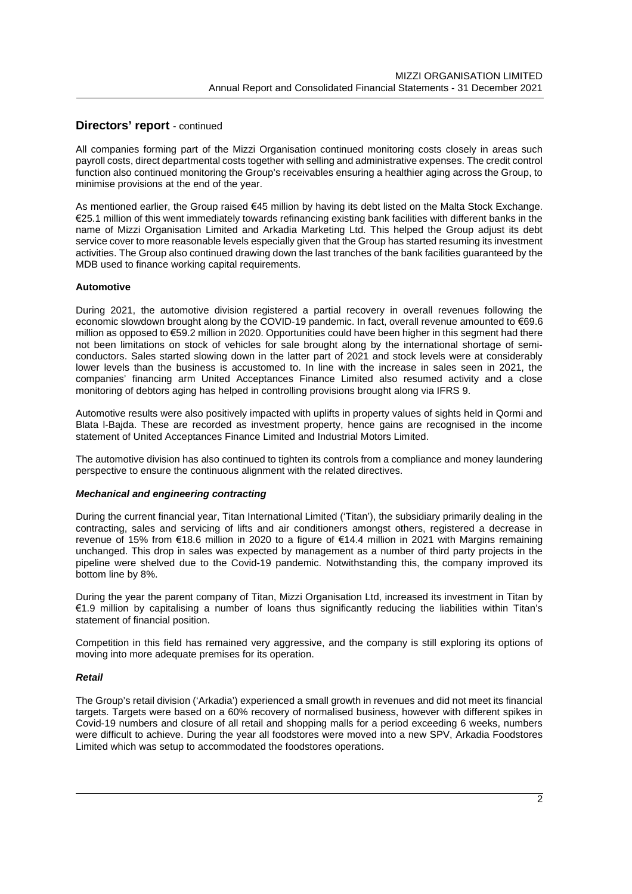All companies forming part of the Mizzi Organisation continued monitoring costs closely in areas such payroll costs, direct departmental costs together with selling and administrative expenses. The credit control function also continued monitoring the Group's receivables ensuring a healthier aging across the Group, to minimise provisions at the end of the year.

As mentioned earlier, the Group raised €45 million by having its debt listed on the Malta Stock Exchange. €25.1 million of this went immediately towards refinancing existing bank facilities with different banks in the name of Mizzi Organisation Limited and Arkadia Marketing Ltd. This helped the Group adjust its debt service cover to more reasonable levels especially given that the Group has started resuming its investment activities. The Group also continued drawing down the last tranches of the bank facilities guaranteed by the MDB used to finance working capital requirements.

#### **Automotive**

During 2021, the automotive division registered a partial recovery in overall revenues following the economic slowdown brought along by the COVID-19 pandemic. In fact, overall revenue amounted to €69.6 million as opposed to €59.2 million in 2020. Opportunities could have been higher in this segment had there not been limitations on stock of vehicles for sale brought along by the international shortage of semiconductors. Sales started slowing down in the latter part of 2021 and stock levels were at considerably lower levels than the business is accustomed to. In line with the increase in sales seen in 2021, the companies' financing arm United Acceptances Finance Limited also resumed activity and a close monitoring of debtors aging has helped in controlling provisions brought along via IFRS 9.

Automotive results were also positively impacted with uplifts in property values of sights held in Qormi and Blata l-Bajda. These are recorded as investment property, hence gains are recognised in the income statement of United Acceptances Finance Limited and Industrial Motors Limited.

The automotive division has also continued to tighten its controls from a compliance and money laundering perspective to ensure the continuous alignment with the related directives.

#### *Mechanical and engineering contracting*

During the current financial year, Titan International Limited ('Titan'), the subsidiary primarily dealing in the contracting, sales and servicing of lifts and air conditioners amongst others, registered a decrease in revenue of 15% from €18.6 million in 2020 to a figure of €14.4 million in 2021 with Margins remaining unchanged. This drop in sales was expected by management as a number of third party projects in the pipeline were shelved due to the Covid-19 pandemic. Notwithstanding this, the company improved its bottom line by 8%.

During the year the parent company of Titan, Mizzi Organisation Ltd, increased its investment in Titan by €1.9 million by capitalising a number of loans thus significantly reducing the liabilities within Titan's statement of financial position.

Competition in this field has remained very aggressive, and the company is still exploring its options of moving into more adequate premises for its operation.

#### *Retail*

The Group's retail division ('Arkadia') experienced a small growth in revenues and did not meet its financial targets. Targets were based on a 60% recovery of normalised business, however with different spikes in Covid-19 numbers and closure of all retail and shopping malls for a period exceeding 6 weeks, numbers were difficult to achieve. During the year all foodstores were moved into a new SPV, Arkadia Foodstores Limited which was setup to accommodated the foodstores operations.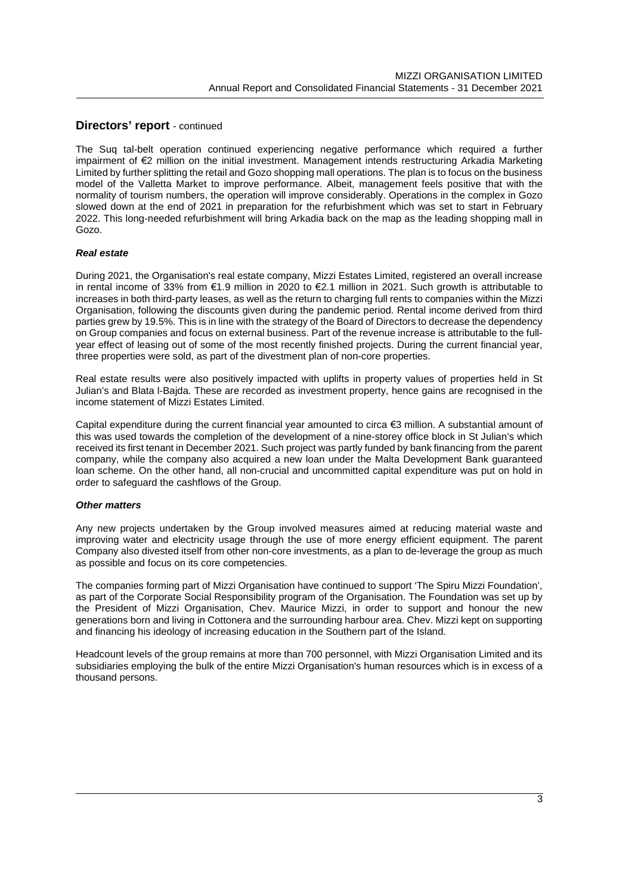The Suq tal-belt operation continued experiencing negative performance which required a further impairment of €2 million on the initial investment. Management intends restructuring Arkadia Marketing Limited by further splitting the retail and Gozo shopping mall operations. The plan is to focus on the business model of the Valletta Market to improve performance. Albeit, management feels positive that with the normality of tourism numbers, the operation will improve considerably. Operations in the complex in Gozo slowed down at the end of 2021 in preparation for the refurbishment which was set to start in February 2022. This long-needed refurbishment will bring Arkadia back on the map as the leading shopping mall in Gozo.

#### *Real estate*

During 2021, the Organisation's real estate company, Mizzi Estates Limited, registered an overall increase in rental income of 33% from €1.9 million in 2020 to €2.1 million in 2021. Such growth is attributable to increases in both third-party leases, as well as the return to charging full rents to companies within the Mizzi Organisation, following the discounts given during the pandemic period. Rental income derived from third parties grew by 19.5%. This is in line with the strategy of the Board of Directors to decrease the dependency on Group companies and focus on external business. Part of the revenue increase is attributable to the fullyear effect of leasing out of some of the most recently finished projects. During the current financial year, three properties were sold, as part of the divestment plan of non-core properties.

Real estate results were also positively impacted with uplifts in property values of properties held in St Julian's and Blata l-Bajda. These are recorded as investment property, hence gains are recognised in the income statement of Mizzi Estates Limited.

Capital expenditure during the current financial year amounted to circa €3 million. A substantial amount of this was used towards the completion of the development of a nine-storey office block in St Julian's which received its first tenant in December 2021. Such project was partly funded by bank financing from the parent company, while the company also acquired a new loan under the Malta Development Bank guaranteed loan scheme. On the other hand, all non-crucial and uncommitted capital expenditure was put on hold in order to safeguard the cashflows of the Group.

#### *Other matters*

Any new projects undertaken by the Group involved measures aimed at reducing material waste and improving water and electricity usage through the use of more energy efficient equipment. The parent Company also divested itself from other non-core investments, as a plan to de-leverage the group as much as possible and focus on its core competencies.

The companies forming part of Mizzi Organisation have continued to support 'The Spiru Mizzi Foundation', as part of the Corporate Social Responsibility program of the Organisation. The Foundation was set up by the President of Mizzi Organisation, Chev. Maurice Mizzi, in order to support and honour the new generations born and living in Cottonera and the surrounding harbour area. Chev. Mizzi kept on supporting and financing his ideology of increasing education in the Southern part of the Island.

Headcount levels of the group remains at more than 700 personnel, with Mizzi Organisation Limited and its subsidiaries employing the bulk of the entire Mizzi Organisation's human resources which is in excess of a thousand persons.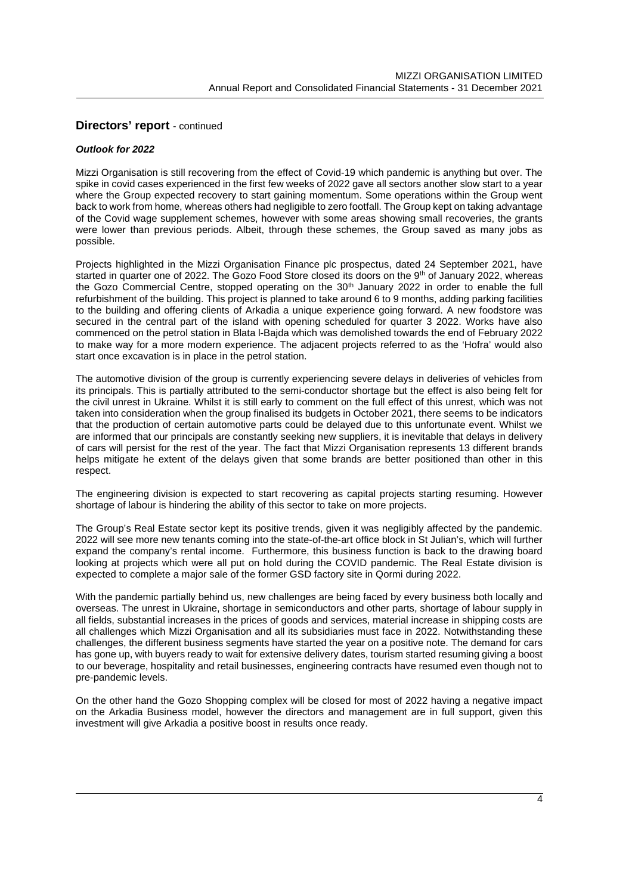#### *Outlook for 2022*

Mizzi Organisation is still recovering from the effect of Covid-19 which pandemic is anything but over. The spike in covid cases experienced in the first few weeks of 2022 gave all sectors another slow start to a year where the Group expected recovery to start gaining momentum. Some operations within the Group went back to work from home, whereas others had negligible to zero footfall. The Group kept on taking advantage of the Covid wage supplement schemes, however with some areas showing small recoveries, the grants were lower than previous periods. Albeit, through these schemes, the Group saved as many jobs as possible.

Projects highlighted in the Mizzi Organisation Finance plc prospectus, dated 24 September 2021, have started in quarter one of 2022. The Gozo Food Store closed its doors on the 9<sup>th</sup> of January 2022, whereas the Gozo Commercial Centre, stopped operating on the 30<sup>th</sup> January 2022 in order to enable the full refurbishment of the building. This project is planned to take around 6 to 9 months, adding parking facilities to the building and offering clients of Arkadia a unique experience going forward. A new foodstore was secured in the central part of the island with opening scheduled for quarter 3 2022. Works have also commenced on the petrol station in Blata l-Bajda which was demolished towards the end of February 2022 to make way for a more modern experience. The adjacent projects referred to as the 'Hofra' would also start once excavation is in place in the petrol station.

The automotive division of the group is currently experiencing severe delays in deliveries of vehicles from its principals. This is partially attributed to the semi-conductor shortage but the effect is also being felt for the civil unrest in Ukraine. Whilst it is still early to comment on the full effect of this unrest, which was not taken into consideration when the group finalised its budgets in October 2021, there seems to be indicators that the production of certain automotive parts could be delayed due to this unfortunate event. Whilst we are informed that our principals are constantly seeking new suppliers, it is inevitable that delays in delivery of cars will persist for the rest of the year. The fact that Mizzi Organisation represents 13 different brands helps mitigate he extent of the delays given that some brands are better positioned than other in this respect.

The engineering division is expected to start recovering as capital projects starting resuming. However shortage of labour is hindering the ability of this sector to take on more projects.

The Group's Real Estate sector kept its positive trends, given it was negligibly affected by the pandemic. 2022 will see more new tenants coming into the state-of-the-art office block in St Julian's, which will further expand the company's rental income. Furthermore, this business function is back to the drawing board looking at projects which were all put on hold during the COVID pandemic. The Real Estate division is expected to complete a major sale of the former GSD factory site in Qormi during 2022.

With the pandemic partially behind us, new challenges are being faced by every business both locally and overseas. The unrest in Ukraine, shortage in semiconductors and other parts, shortage of labour supply in all fields, substantial increases in the prices of goods and services, material increase in shipping costs are all challenges which Mizzi Organisation and all its subsidiaries must face in 2022. Notwithstanding these challenges, the different business segments have started the year on a positive note. The demand for cars has gone up, with buyers ready to wait for extensive delivery dates, tourism started resuming giving a boost to our beverage, hospitality and retail businesses, engineering contracts have resumed even though not to pre-pandemic levels.

On the other hand the Gozo Shopping complex will be closed for most of 2022 having a negative impact on the Arkadia Business model, however the directors and management are in full support, given this investment will give Arkadia a positive boost in results once ready.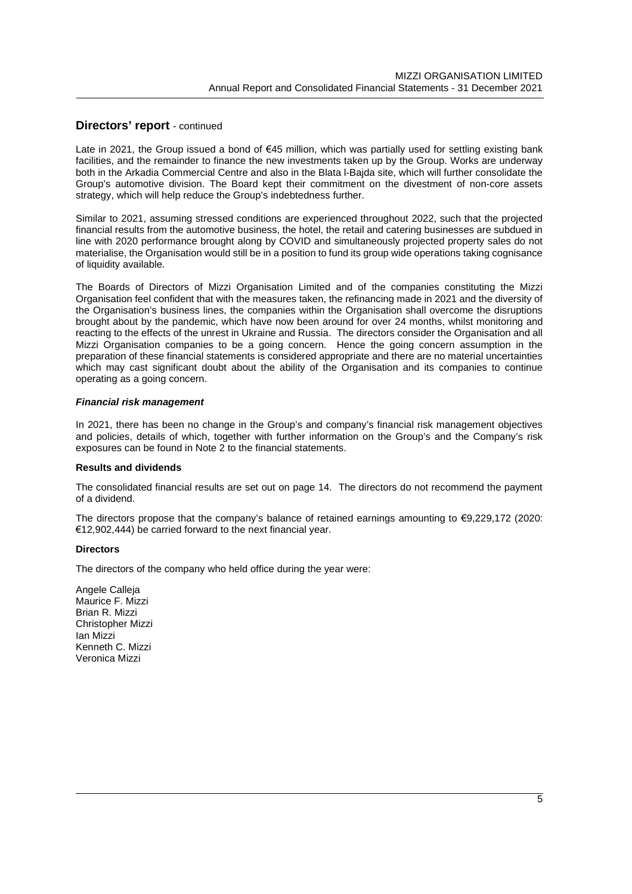Late in 2021, the Group issued a bond of €45 million, which was partially used for settling existing bank facilities, and the remainder to finance the new investments taken up by the Group. Works are underway both in the Arkadia Commercial Centre and also in the Blata l-Bajda site, which will further consolidate the Group's automotive division. The Board kept their commitment on the divestment of non-core assets strategy, which will help reduce the Group's indebtedness further.

Similar to 2021, assuming stressed conditions are experienced throughout 2022, such that the projected financial results from the automotive business, the hotel, the retail and catering businesses are subdued in line with 2020 performance brought along by COVID and simultaneously projected property sales do not materialise, the Organisation would still be in a position to fund its group wide operations taking cognisance of liquidity available.

The Boards of Directors of Mizzi Organisation Limited and of the companies constituting the Mizzi Organisation feel confident that with the measures taken, the refinancing made in 2021 and the diversity of the Organisation's business lines, the companies within the Organisation shall overcome the disruptions brought about by the pandemic, which have now been around for over 24 months, whilst monitoring and reacting to the effects of the unrest in Ukraine and Russia. The directors consider the Organisation and all Mizzi Organisation companies to be a going concern. Hence the going concern assumption in the preparation of these financial statements is considered appropriate and there are no material uncertainties which may cast significant doubt about the ability of the Organisation and its companies to continue operating as a going concern.

#### *Financial risk management*

In 2021, there has been no change in the Group's and company's financial risk management objectives and policies, details of which, together with further information on the Group's and the Company's risk exposures can be found in Note 2 to the financial statements.

#### **Results and dividends**

The consolidated financial results are set out on page 14. The directors do not recommend the payment of a dividend.

The directors propose that the company's balance of retained earnings amounting to €9,229,172 (2020: €12,902,444) be carried forward to the next financial year.

#### **Directors**

The directors of the company who held office during the year were:

Angele Calleja Maurice F. Mizzi Brian R. Mizzi Christopher Mizzi Ian Mizzi Kenneth C. Mizzi Veronica Mizzi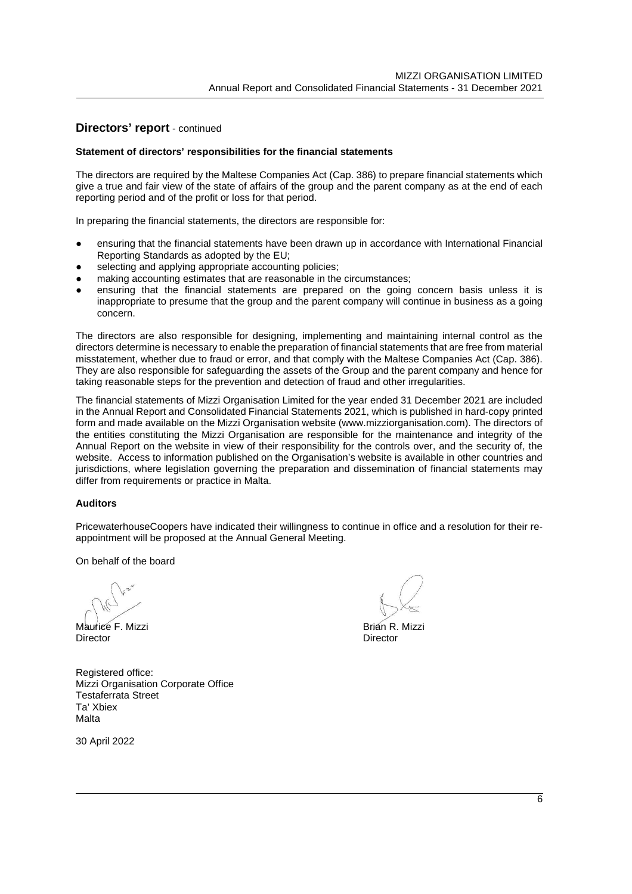#### **Statement of directors' responsibilities for the financial statements**

The directors are required by the Maltese Companies Act (Cap. 386) to prepare financial statements which give a true and fair view of the state of affairs of the group and the parent company as at the end of each reporting period and of the profit or loss for that period.

In preparing the financial statements, the directors are responsible for:

- ensuring that the financial statements have been drawn up in accordance with International Financial Reporting Standards as adopted by the EU;
- selecting and applying appropriate accounting policies;
- making accounting estimates that are reasonable in the circumstances;
- ensuring that the financial statements are prepared on the going concern basis unless it is inappropriate to presume that the group and the parent company will continue in business as a going concern.

The directors are also responsible for designing, implementing and maintaining internal control as the directors determine is necessary to enable the preparation of financial statements that are free from material misstatement, whether due to fraud or error, and that comply with the Maltese Companies Act (Cap. 386). They are also responsible for safeguarding the assets of the Group and the parent company and hence for taking reasonable steps for the prevention and detection of fraud and other irregularities.

The financial statements of Mizzi Organisation Limited for the year ended 31 December 2021 are included in the Annual Report and Consolidated Financial Statements 2021, which is published in hard-copy printed form and made available on the Mizzi Organisation website (www.mizziorganisation.com). The directors of the entities constituting the Mizzi Organisation are responsible for the maintenance and integrity of the Annual Report on the website in view of their responsibility for the controls over, and the security of, the website. Access to information published on the Organisation's website is available in other countries and jurisdictions, where legislation governing the preparation and dissemination of financial statements may differ from requirements or practice in Malta.

#### **Auditors**

PricewaterhouseCoopers have indicated their willingness to continue in office and a resolution for their reappointment will be proposed at the Annual General Meeting.

On behalf of the board

Maurice F. Mizzi **Brian R. Mizzi** Brian R. Mizzi Director Director

Registered office: Mizzi Organisation Corporate Office Testaferrata Street Ta' Xbiex Malta

30 April 2022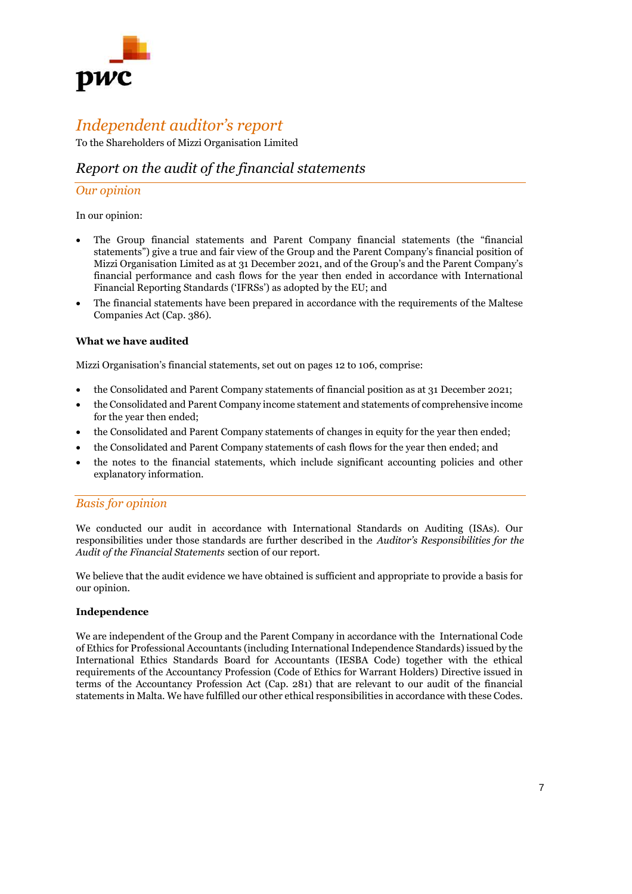

# *Independent auditor's report*

To the Shareholders of Mizzi Organisation Limited

## *Report on the audit of the financial statements*

#### *Our opinion*

In our opinion:

- The Group financial statements and Parent Company financial statements (the "financial statements") give a true and fair view of the Group and the Parent Company's financial position of Mizzi Organisation Limited as at 31 December 2021, and of the Group's and the Parent Company's financial performance and cash flows for the year then ended in accordance with International Financial Reporting Standards ('IFRSs') as adopted by the EU; and
- The financial statements have been prepared in accordance with the requirements of the Maltese Companies Act (Cap. 386).

#### **What we have audited**

Mizzi Organisation's financial statements, set out on pages 12 to 106, comprise:

- the Consolidated and Parent Company statements of financial position as at 31 December 2021;
- the Consolidated and Parent Company income statement and statements of comprehensive income for the year then ended;
- the Consolidated and Parent Company statements of changes in equity for the year then ended;
- the Consolidated and Parent Company statements of cash flows for the year then ended; and
- the notes to the financial statements, which include significant accounting policies and other explanatory information.

#### *Basis for opinion*

We conducted our audit in accordance with International Standards on Auditing (ISAs). Our responsibilities under those standards are further described in the *Auditor's Responsibilities for the Audit of the Financial Statements* section of our report.

We believe that the audit evidence we have obtained is sufficient and appropriate to provide a basis for our opinion.

#### **Independence**

We are independent of the Group and the Parent Company in accordance with the International Code of Ethics for Professional Accountants (including International Independence Standards) issued by the International Ethics Standards Board for Accountants (IESBA Code) together with the ethical requirements of the Accountancy Profession (Code of Ethics for Warrant Holders) Directive issued in terms of the Accountancy Profession Act (Cap. 281) that are relevant to our audit of the financial statements in Malta. We have fulfilled our other ethical responsibilities in accordance with these Codes.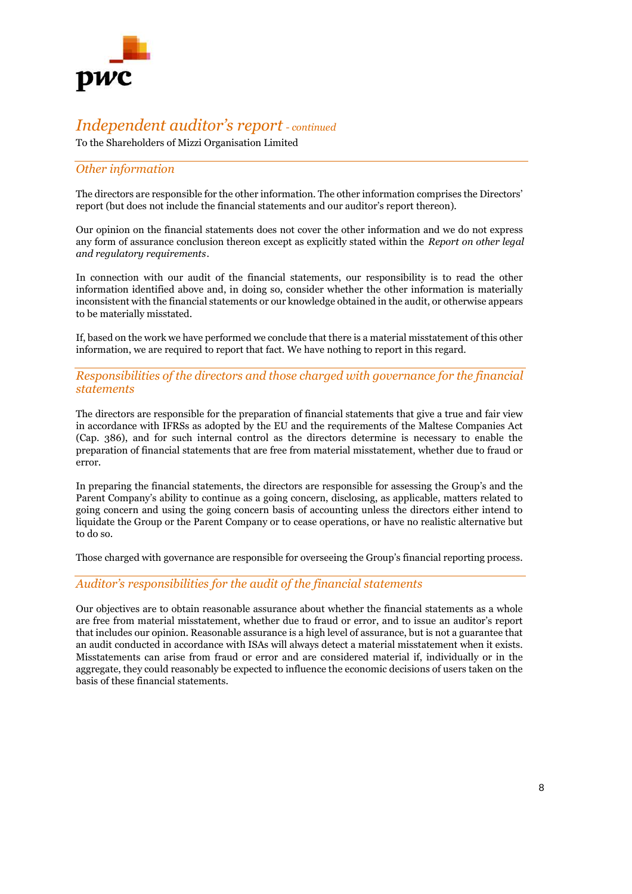

To the Shareholders of Mizzi Organisation Limited

## *Other information*

The directors are responsible for the other information. The other information comprises the Directors' report (but does not include the financial statements and our auditor's report thereon).

Our opinion on the financial statements does not cover the other information and we do not express any form of assurance conclusion thereon except as explicitly stated within the *Report on other legal and regulatory requirements*.

In connection with our audit of the financial statements, our responsibility is to read the other information identified above and, in doing so, consider whether the other information is materially inconsistent with the financial statements or our knowledge obtained in the audit, or otherwise appears to be materially misstated.

If, based on the work we have performed we conclude that there is a material misstatement of this other information, we are required to report that fact. We have nothing to report in this regard.

### *Responsibilities of the directors and those charged with governance for the financial statements*

The directors are responsible for the preparation of financial statements that give a true and fair view in accordance with IFRSs as adopted by the EU and the requirements of the Maltese Companies Act (Cap. 386), and for such internal control as the directors determine is necessary to enable the preparation of financial statements that are free from material misstatement, whether due to fraud or error.

In preparing the financial statements, the directors are responsible for assessing the Group's and the Parent Company's ability to continue as a going concern, disclosing, as applicable, matters related to going concern and using the going concern basis of accounting unless the directors either intend to liquidate the Group or the Parent Company or to cease operations, or have no realistic alternative but to do so.

Those charged with governance are responsible for overseeing the Group's financial reporting process.

#### *Auditor's responsibilities for the audit of the financial statements*

Our objectives are to obtain reasonable assurance about whether the financial statements as a whole are free from material misstatement, whether due to fraud or error, and to issue an auditor's report that includes our opinion. Reasonable assurance is a high level of assurance, but is not a guarantee that an audit conducted in accordance with ISAs will always detect a material misstatement when it exists. Misstatements can arise from fraud or error and are considered material if, individually or in the aggregate, they could reasonably be expected to influence the economic decisions of users taken on the basis of these financial statements.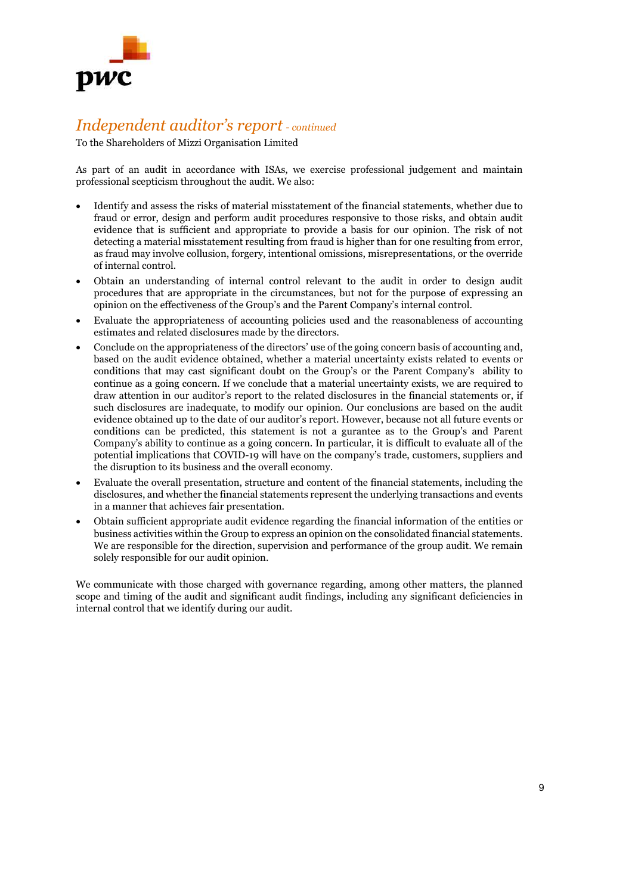

To the Shareholders of Mizzi Organisation Limited

As part of an audit in accordance with ISAs, we exercise professional judgement and maintain professional scepticism throughout the audit. We also:

- Identify and assess the risks of material misstatement of the financial statements, whether due to fraud or error, design and perform audit procedures responsive to those risks, and obtain audit evidence that is sufficient and appropriate to provide a basis for our opinion. The risk of not detecting a material misstatement resulting from fraud is higher than for one resulting from error, as fraud may involve collusion, forgery, intentional omissions, misrepresentations, or the override of internal control.
- Obtain an understanding of internal control relevant to the audit in order to design audit procedures that are appropriate in the circumstances, but not for the purpose of expressing an opinion on the effectiveness of the Group's and the Parent Company's internal control.
- Evaluate the appropriateness of accounting policies used and the reasonableness of accounting estimates and related disclosures made by the directors.
- Conclude on the appropriateness of the directors' use of the going concern basis of accounting and, based on the audit evidence obtained, whether a material uncertainty exists related to events or conditions that may cast significant doubt on the Group's or the Parent Company's ability to continue as a going concern. If we conclude that a material uncertainty exists, we are required to draw attention in our auditor's report to the related disclosures in the financial statements or, if such disclosures are inadequate, to modify our opinion. Our conclusions are based on the audit evidence obtained up to the date of our auditor's report. However, because not all future events or conditions can be predicted, this statement is not a gurantee as to the Group's and Parent Company's ability to continue as a going concern. In particular, it is difficult to evaluate all of the potential implications that COVID-19 will have on the company's trade, customers, suppliers and the disruption to its business and the overall economy.
- Evaluate the overall presentation, structure and content of the financial statements, including the disclosures, and whether the financial statements represent the underlying transactions and events in a manner that achieves fair presentation.
- Obtain sufficient appropriate audit evidence regarding the financial information of the entities or business activities within the Group to express an opinion on the consolidated financial statements. We are responsible for the direction, supervision and performance of the group audit. We remain solely responsible for our audit opinion.

We communicate with those charged with governance regarding, among other matters, the planned scope and timing of the audit and significant audit findings, including any significant deficiencies in internal control that we identify during our audit.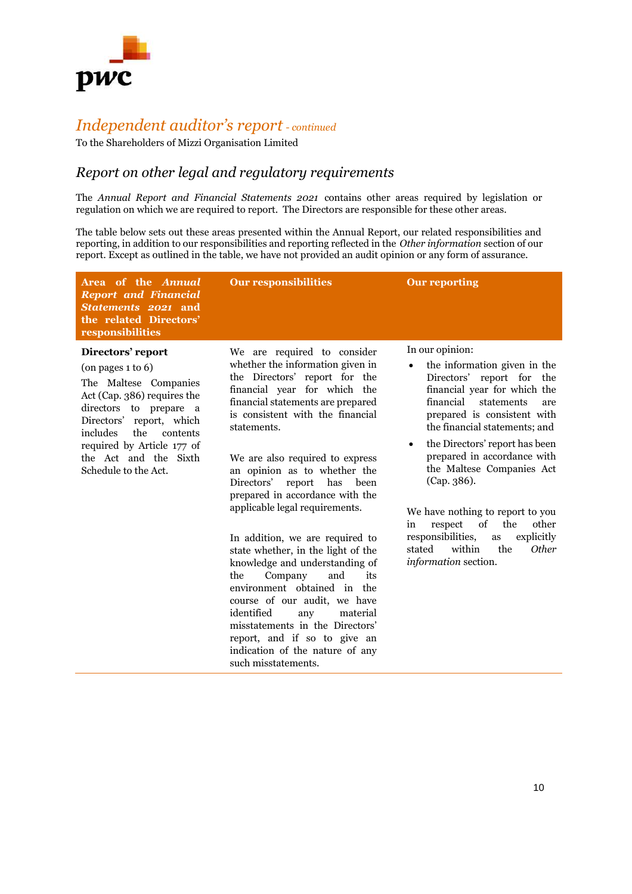

To the Shareholders of Mizzi Organisation Limited

## *Report on other legal and regulatory requirements*

The *Annual Report and Financial Statements 2021* contains other areas required by legislation or regulation on which we are required to report. The Directors are responsible for these other areas.

The table below sets out these areas presented within the Annual Report, our related responsibilities and reporting, in addition to our responsibilities and reporting reflected in the *Other information* section of our report. Except as outlined in the table, we have not provided an audit opinion or any form of assurance.

| Area of the Annual<br><b>Report and Financial</b><br>Statements 2021 and<br>the related Directors'<br>responsibilities                                                                                                                                                      | <b>Our responsibilities</b>                                                                                                                                                                                                                                                                                                                                                                                                                                                                                                                                                                                                                                                                                                                                                     | <b>Our reporting</b>                                                                                                                                                                                                                                                                                                                                                                                                                                                                                                            |
|-----------------------------------------------------------------------------------------------------------------------------------------------------------------------------------------------------------------------------------------------------------------------------|---------------------------------------------------------------------------------------------------------------------------------------------------------------------------------------------------------------------------------------------------------------------------------------------------------------------------------------------------------------------------------------------------------------------------------------------------------------------------------------------------------------------------------------------------------------------------------------------------------------------------------------------------------------------------------------------------------------------------------------------------------------------------------|---------------------------------------------------------------------------------------------------------------------------------------------------------------------------------------------------------------------------------------------------------------------------------------------------------------------------------------------------------------------------------------------------------------------------------------------------------------------------------------------------------------------------------|
| Directors' report<br>$($ on pages 1 to 6 $)$<br>The Maltese Companies<br>Act (Cap. 386) requires the<br>directors to prepare a<br>report, which<br>Directors'<br>includes<br>the<br>contents<br>required by Article 177 of<br>the Act and the Sixth<br>Schedule to the Act. | We are required to consider<br>whether the information given in<br>the Directors' report for the<br>financial year for which the<br>financial statements are prepared<br>is consistent with the financial<br>statements.<br>We are also required to express<br>an opinion as to whether the<br>Directors'<br>has<br>been<br>report<br>prepared in accordance with the<br>applicable legal requirements.<br>In addition, we are required to<br>state whether, in the light of the<br>knowledge and understanding of<br>and<br>Company<br>its<br>the<br>environment obtained in the<br>course of our audit, we have<br>identified<br>material<br>any<br>misstatements in the Directors'<br>report, and if so to give an<br>indication of the nature of any<br>such misstatements. | In our opinion:<br>the information given in the<br>Directors' report for the<br>financial year for which the<br>financial<br>statements<br>are<br>prepared is consistent with<br>the financial statements; and<br>the Directors' report has been<br>$\bullet$<br>prepared in accordance with<br>the Maltese Companies Act<br>(Cap. 386).<br>We have nothing to report to you<br>of<br>the<br>other<br>respect<br>in<br>responsibilities,<br>explicitly<br>as<br>within<br>the<br>stated<br><b>Other</b><br>information section. |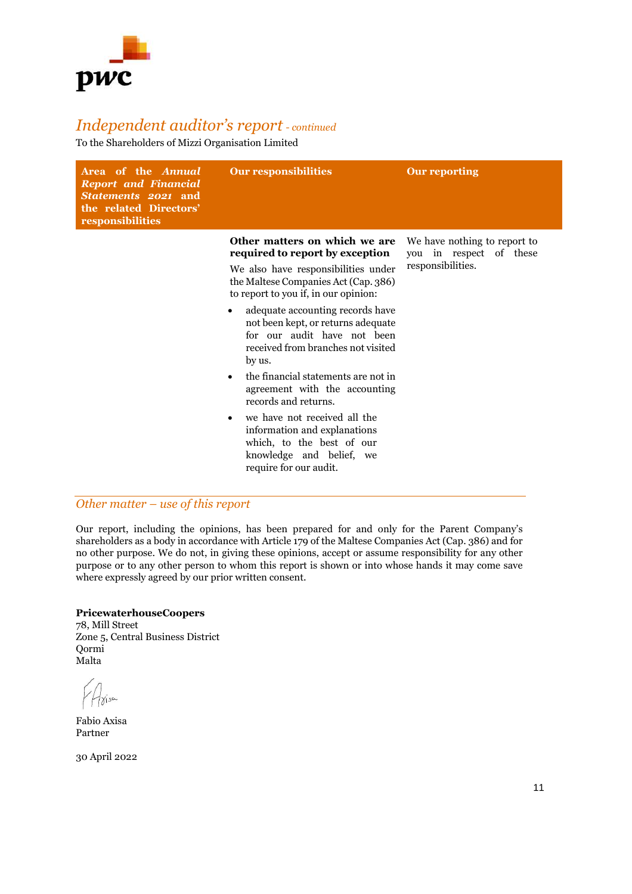

To the Shareholders of Mizzi Organisation Limited

| Area of the <i>Annual</i><br><b>Report and Financial</b><br>Statements 2021 and<br>the related Directors'<br>responsibilities | <b>Our responsibilities</b>                                                                                                                                                                                                                                                                                                                                                                                                                                                                                                                             | <b>Our reporting</b>                                                         |
|-------------------------------------------------------------------------------------------------------------------------------|---------------------------------------------------------------------------------------------------------------------------------------------------------------------------------------------------------------------------------------------------------------------------------------------------------------------------------------------------------------------------------------------------------------------------------------------------------------------------------------------------------------------------------------------------------|------------------------------------------------------------------------------|
|                                                                                                                               | Other matters on which we are<br>required to report by exception<br>We also have responsibilities under<br>the Maltese Companies Act (Cap. 386)<br>to report to you if, in our opinion:<br>adequate accounting records have<br>٠<br>not been kept, or returns adequate<br>for our audit have not been<br>received from branches not visited<br>by us.<br>the financial statements are not in<br>agreement with the accounting<br>records and returns.<br>we have not received all the<br>٠<br>information and explanations<br>which, to the best of our | We have nothing to report to<br>you in respect of these<br>responsibilities. |
|                                                                                                                               | knowledge and belief, we<br>require for our audit.                                                                                                                                                                                                                                                                                                                                                                                                                                                                                                      |                                                                              |

## *Other matter – use of this report*

Our report, including the opinions, has been prepared for and only for the Parent Company's shareholders as a body in accordance with Article 179 of the Maltese Companies Act (Cap. 386) and for no other purpose. We do not, in giving these opinions, accept or assume responsibility for any other purpose or to any other person to whom this report is shown or into whose hands it may come save where expressly agreed by our prior written consent.

#### **PricewaterhouseCoopers**

78, Mill Street Zone 5, Central Business District Qormi Malta

Fabio Axisa Partner

30 April 2022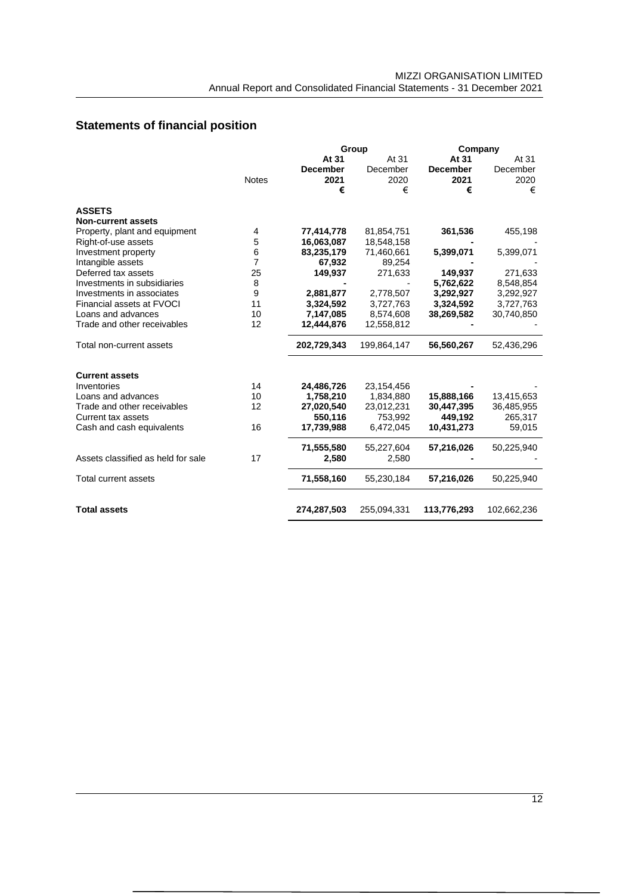# **Statements of financial position**

|                                    |              |                 | Group<br>Company |                 |             |
|------------------------------------|--------------|-----------------|------------------|-----------------|-------------|
|                                    |              | At 31           | At 31            | At 31           | At 31       |
|                                    |              | <b>December</b> | December         | <b>December</b> | December    |
|                                    | <b>Notes</b> | 2021            | 2020             | 2021            | 2020        |
|                                    |              | €               | €                | €               | €           |
| <b>ASSETS</b>                      |              |                 |                  |                 |             |
| <b>Non-current assets</b>          |              |                 |                  |                 |             |
| Property, plant and equipment      | 4            | 77,414,778      | 81,854,751       | 361,536         | 455,198     |
| Right-of-use assets                | 5            | 16,063,087      | 18,548,158       |                 |             |
| Investment property                | 6            | 83,235,179      | 71,460,661       | 5,399,071       | 5,399,071   |
| Intangible assets                  | 7            | 67,932          | 89,254           |                 |             |
| Deferred tax assets                | 25           | 149,937         | 271,633          | 149,937         | 271,633     |
| Investments in subsidiaries        | 8            |                 |                  | 5,762,622       | 8,548,854   |
| Investments in associates          | 9            | 2,881,877       | 2,778,507        | 3,292,927       | 3,292,927   |
| Financial assets at FVOCI          | 11           | 3,324,592       | 3,727,763        | 3,324,592       | 3,727,763   |
| Loans and advances                 | 10           | 7,147,085       | 8,574,608        | 38,269,582      | 30,740,850  |
| Trade and other receivables        | 12           | 12,444,876      | 12,558,812       |                 |             |
| Total non-current assets           |              | 202,729,343     | 199,864,147      | 56,560,267      | 52,436,296  |
| <b>Current assets</b>              |              |                 |                  |                 |             |
| Inventories                        | 14           | 24,486,726      | 23,154,456       |                 |             |
| Loans and advances                 | 10           | 1,758,210       | 1,834,880        | 15,888,166      | 13,415,653  |
| Trade and other receivables        | 12           | 27,020,540      | 23,012,231       | 30,447,395      | 36,485,955  |
| <b>Current tax assets</b>          |              | 550,116         | 753,992          | 449,192         | 265,317     |
| Cash and cash equivalents          | 16           | 17,739,988      | 6,472,045        | 10,431,273      | 59,015      |
|                                    |              | 71,555,580      | 55,227,604       | 57,216,026      | 50,225,940  |
| Assets classified as held for sale | 17           | 2,580           | 2,580            |                 |             |
| Total current assets               |              | 71,558,160      | 55,230,184       | 57,216,026      | 50,225,940  |
| <b>Total assets</b>                |              | 274,287,503     | 255,094,331      | 113,776,293     | 102,662,236 |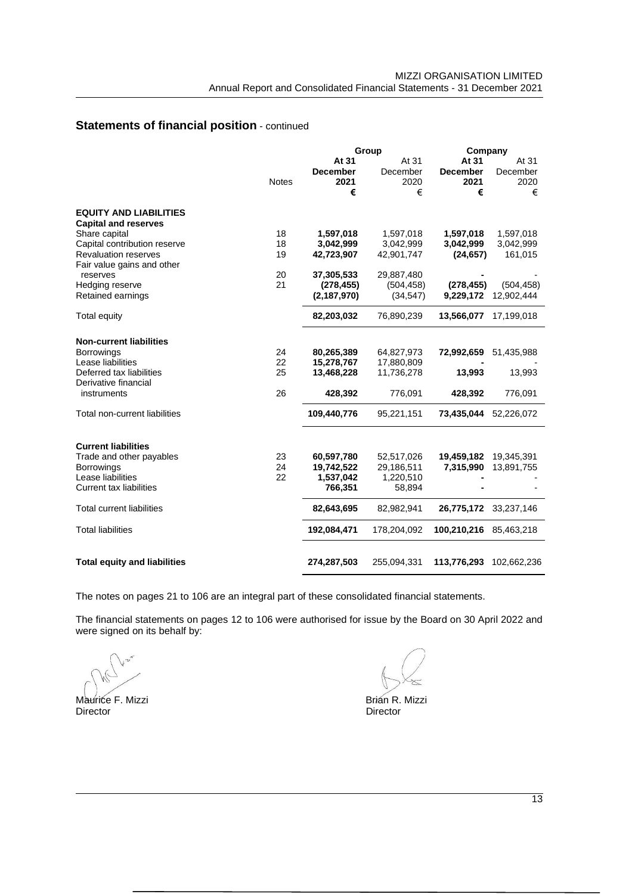## **Statements of financial position** - continued

|                                     |              |                 | Group       |                 | Company     |  |  |  |
|-------------------------------------|--------------|-----------------|-------------|-----------------|-------------|--|--|--|
|                                     |              | At 31           | At 31       | At 31           | At 31       |  |  |  |
|                                     |              | <b>December</b> | December    | <b>December</b> | December    |  |  |  |
|                                     | <b>Notes</b> | 2021            | 2020        | 2021            | 2020        |  |  |  |
|                                     |              | €               | €           | €               | €           |  |  |  |
| <b>EQUITY AND LIABILITIES</b>       |              |                 |             |                 |             |  |  |  |
| <b>Capital and reserves</b>         |              |                 |             |                 |             |  |  |  |
| Share capital                       | 18           | 1,597,018       | 1,597,018   | 1,597,018       | 1,597,018   |  |  |  |
| Capital contribution reserve        | 18           | 3,042,999       | 3,042,999   | 3,042,999       | 3,042,999   |  |  |  |
| <b>Revaluation reserves</b>         | 19           | 42,723,907      | 42,901,747  | (24, 657)       | 161,015     |  |  |  |
| Fair value gains and other          |              |                 |             |                 |             |  |  |  |
| reserves                            | 20           | 37,305,533      | 29,887,480  |                 |             |  |  |  |
| Hedging reserve                     | 21           | (278, 455)      | (504, 458)  | (278, 455)      | (504, 458)  |  |  |  |
| Retained earnings                   |              | (2, 187, 970)   | (34, 547)   | 9,229,172       | 12.902.444  |  |  |  |
|                                     |              |                 |             |                 |             |  |  |  |
| <b>Total equity</b>                 |              | 82,203,032      | 76,890,239  | 13,566,077      | 17,199,018  |  |  |  |
| <b>Non-current liabilities</b>      |              |                 |             |                 |             |  |  |  |
| <b>Borrowings</b>                   | 24           | 80,265,389      | 64,827,973  | 72,992,659      | 51,435,988  |  |  |  |
| Lease liabilities                   | 22           | 15,278,767      | 17,880,809  |                 |             |  |  |  |
| Deferred tax liabilities            | 25           | 13,468,228      | 11,736,278  | 13,993          | 13,993      |  |  |  |
| Derivative financial                |              |                 |             |                 |             |  |  |  |
| instruments                         | 26           | 428,392         | 776,091     | 428,392         | 776,091     |  |  |  |
|                                     |              |                 |             |                 |             |  |  |  |
| Total non-current liabilities       |              | 109,440,776     | 95,221,151  | 73,435,044      | 52,226,072  |  |  |  |
| <b>Current liabilities</b>          |              |                 |             |                 |             |  |  |  |
| Trade and other payables            | 23           | 60,597,780      | 52,517,026  | 19,459,182      | 19,345,391  |  |  |  |
| <b>Borrowings</b>                   | 24           | 19,742,522      | 29,186,511  | 7,315,990       | 13,891,755  |  |  |  |
| Lease liabilities                   | 22           | 1,537,042       | 1,220,510   |                 |             |  |  |  |
| <b>Current tax liabilities</b>      |              | 766,351         | 58,894      |                 |             |  |  |  |
|                                     |              |                 |             |                 |             |  |  |  |
| <b>Total current liabilities</b>    |              | 82,643,695      | 82,982,941  | 26,775,172      | 33,237,146  |  |  |  |
| <b>Total liabilities</b>            |              | 192,084,471     | 178,204,092 | 100,210,216     | 85,463,218  |  |  |  |
| <b>Total equity and liabilities</b> |              | 274,287,503     | 255,094,331 | 113,776,293     | 102,662,236 |  |  |  |
|                                     |              |                 |             |                 |             |  |  |  |

The notes on pages 21 to 106 are an integral part of these consolidated financial statements.

The financial statements on pages 12 to 106 were authorised for issue by the Board on 30 April 2022 and were signed on its behalf by:

Maurice F. Mizzi Brian R. Mizzi Brian R. Mizzi Brian R. Mizzi

Director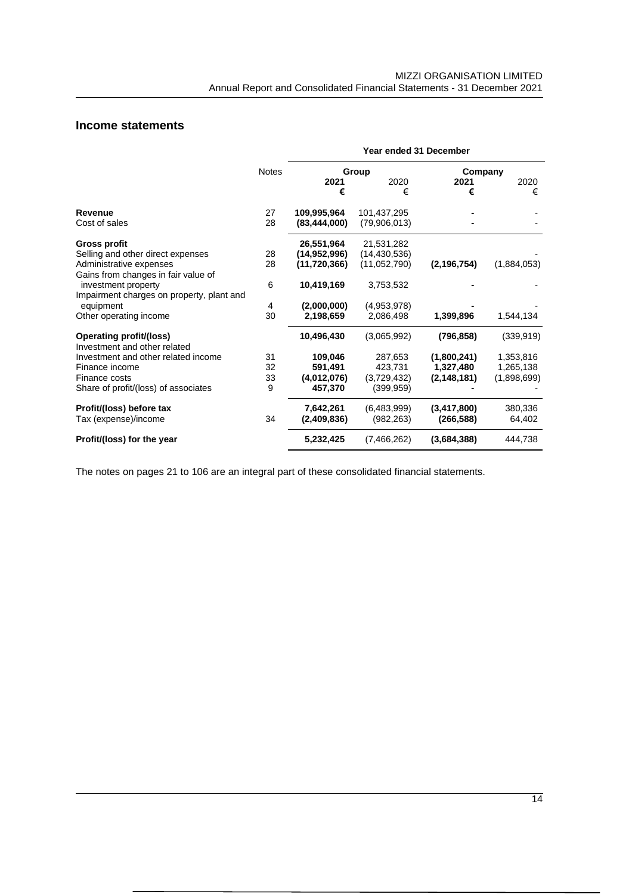## **Income statements**

|                                                                | Year ended 31 December |                |                |               |             |  |  |
|----------------------------------------------------------------|------------------------|----------------|----------------|---------------|-------------|--|--|
|                                                                | <b>Notes</b>           |                | Group          | Company       |             |  |  |
|                                                                |                        | 2021<br>€      | 2020<br>€      | 2021<br>€     | 2020<br>€   |  |  |
| Revenue                                                        | 27                     | 109,995,964    | 101,437,295    |               |             |  |  |
| Cost of sales                                                  | 28                     | (83, 444, 000) | (79,906,013)   |               |             |  |  |
| <b>Gross profit</b>                                            |                        | 26,551,964     | 21,531,282     |               |             |  |  |
| Selling and other direct expenses                              | 28                     | (14,952,996)   | (14, 430, 536) |               |             |  |  |
| Administrative expenses                                        | 28                     | (11, 720, 366) | (11,052,790)   | (2, 196, 754) | (1,884,053) |  |  |
| Gains from changes in fair value of                            |                        |                |                |               |             |  |  |
| investment property                                            | 6                      | 10,419,169     | 3,753,532      |               |             |  |  |
| Impairment charges on property, plant and                      |                        |                |                |               |             |  |  |
| equipment                                                      | 4                      | (2,000,000)    | (4,953,978)    |               |             |  |  |
| Other operating income                                         | 30                     | 2,198,659      | 2,086,498      | 1,399,896     | 1,544,134   |  |  |
| <b>Operating profit/(loss)</b><br>Investment and other related |                        | 10,496,430     | (3,065,992)    | (796,858)     | (339, 919)  |  |  |
| Investment and other related income                            | 31                     | 109,046        | 287.653        | (1,800,241)   | 1,353,816   |  |  |
| Finance income                                                 | 32                     | 591,491        | 423,731        | 1,327,480     | 1,265,138   |  |  |
| Finance costs                                                  | 33                     | (4,012,076)    | (3,729,432)    | (2, 148, 181) | (1,898,699) |  |  |
| Share of profit/(loss) of associates                           | 9                      | 457,370        | (399, 959)     |               |             |  |  |
| Profit/(loss) before tax                                       |                        | 7,642,261      | (6,483,999)    | (3,417,800)   | 380,336     |  |  |
| Tax (expense)/income                                           | 34                     | (2,409,836)    | (982, 263)     | (266,588)     | 64,402      |  |  |
| Profit/(loss) for the year                                     |                        | 5,232,425      | (7,466,262)    | (3,684,388)   | 444,738     |  |  |

The notes on pages 21 to 106 are an integral part of these consolidated financial statements.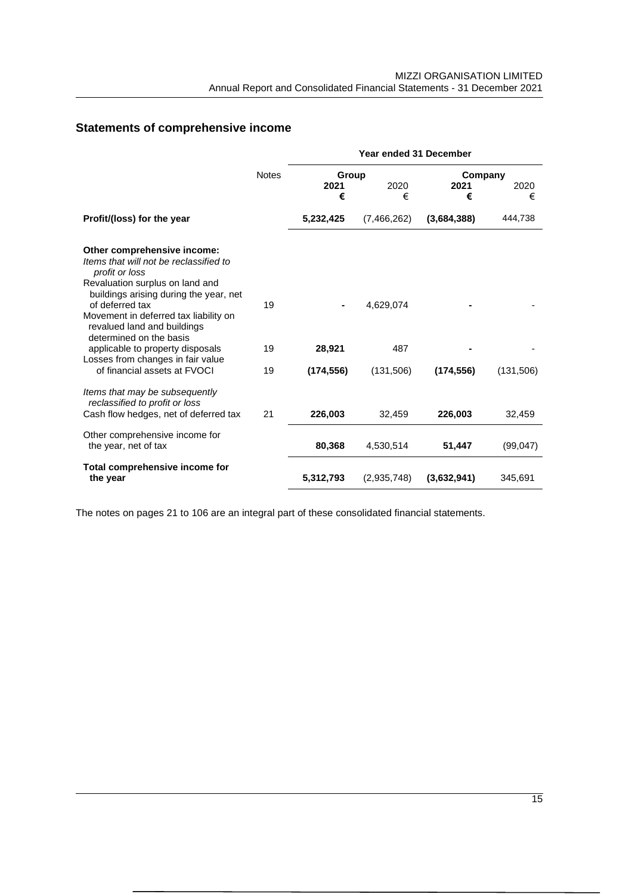# **Statements of comprehensive income**

|                                                                                                 |              | <b>Year ended 31 December</b> |             |             |           |  |  |  |  |
|-------------------------------------------------------------------------------------------------|--------------|-------------------------------|-------------|-------------|-----------|--|--|--|--|
|                                                                                                 | <b>Notes</b> | Group                         | Company     |             |           |  |  |  |  |
|                                                                                                 |              | 2021                          | 2020        | 2021        | 2020      |  |  |  |  |
|                                                                                                 |              | €                             | €           | €           | €         |  |  |  |  |
| Profit/(loss) for the year                                                                      |              | 5,232,425                     | (7,466,262) | (3,684,388) | 444,738   |  |  |  |  |
| Other comprehensive income:<br>Items that will not be reclassified to<br>profit or loss         |              |                               |             |             |           |  |  |  |  |
| Revaluation surplus on land and<br>buildings arising during the year, net<br>of deferred tax    | 19           |                               | 4,629,074   |             |           |  |  |  |  |
| Movement in deferred tax liability on<br>revalued land and buildings<br>determined on the basis |              |                               |             |             |           |  |  |  |  |
| applicable to property disposals<br>Losses from changes in fair value                           | 19           | 28,921                        | 487         |             |           |  |  |  |  |
| of financial assets at FVOCI                                                                    | 19           | (174, 556)                    | (131,506)   | (174, 556)  | (131,506) |  |  |  |  |
| Items that may be subsequently<br>reclassified to profit or loss                                |              |                               |             |             |           |  |  |  |  |
| Cash flow hedges, net of deferred tax                                                           | 21           | 226,003                       | 32,459      | 226,003     | 32,459    |  |  |  |  |
| Other comprehensive income for<br>the year, net of tax                                          |              | 80,368                        | 4,530,514   | 51,447      | (99, 047) |  |  |  |  |
| Total comprehensive income for<br>the year                                                      |              | 5,312,793                     | (2,935,748) | (3,632,941) | 345,691   |  |  |  |  |

The notes on pages 21 to 106 are an integral part of these consolidated financial statements.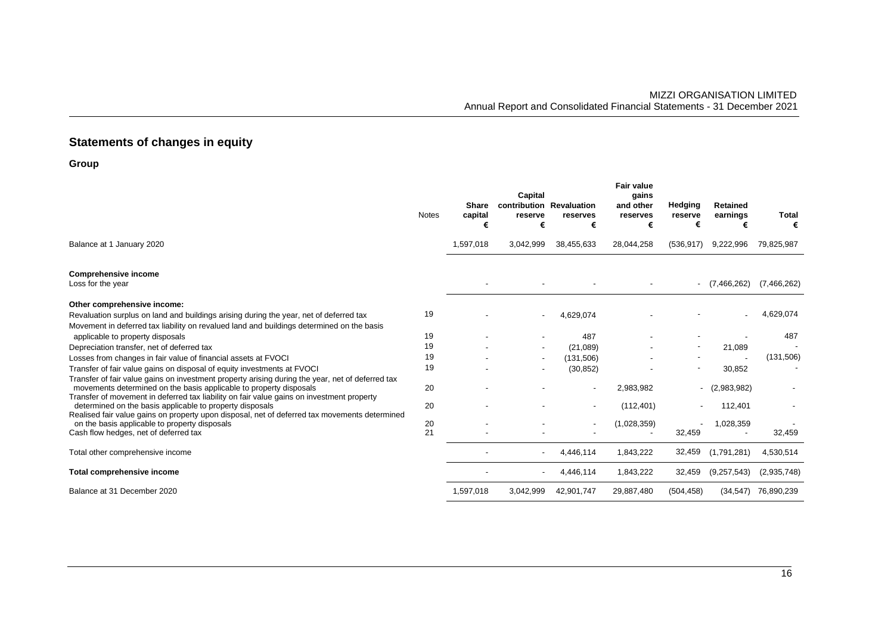# **Statements of changes in equity**

**Group**

|                                                                                                                                                                                                                                                        | <b>Notes</b> | Share<br>capital<br>€ | Capital<br>contribution Revaluation<br>reserve<br>€ | reserves<br>€                         | <b>Fair value</b><br>gains<br>and other<br>reserves<br>€ | Hedging<br>reserve<br>€ | <b>Retained</b><br>earnings<br>€ | Total<br>€  |
|--------------------------------------------------------------------------------------------------------------------------------------------------------------------------------------------------------------------------------------------------------|--------------|-----------------------|-----------------------------------------------------|---------------------------------------|----------------------------------------------------------|-------------------------|----------------------------------|-------------|
| Balance at 1 January 2020                                                                                                                                                                                                                              |              | 1,597,018             | 3,042,999                                           | 38,455,633                            | 28,044,258                                               | (536, 917)              | 9,222,996                        | 79,825,987  |
| <b>Comprehensive income</b><br>Loss for the year                                                                                                                                                                                                       |              |                       |                                                     |                                       |                                                          |                         | $-$ (7,466,262)                  | (7,466,262) |
| Other comprehensive income:<br>Revaluation surplus on land and buildings arising during the year, net of deferred tax<br>Movement in deferred tax liability on revalued land and buildings determined on the basis                                     | 19           |                       |                                                     | 4,629,074                             |                                                          |                         |                                  | 4,629,074   |
| applicable to property disposals                                                                                                                                                                                                                       | 19           |                       |                                                     | 487                                   |                                                          |                         |                                  | 487         |
| Depreciation transfer, net of deferred tax                                                                                                                                                                                                             | 19           |                       |                                                     | (21,089)                              |                                                          |                         | 21,089                           |             |
| Losses from changes in fair value of financial assets at FVOCI                                                                                                                                                                                         | 19           |                       |                                                     | (131,506)                             |                                                          |                         |                                  | (131,506)   |
| Transfer of fair value gains on disposal of equity investments at FVOCI<br>Transfer of fair value gains on investment property arising during the year, net of deferred tax<br>movements determined on the basis applicable to property disposals      | 19<br>20     |                       |                                                     | (30, 852)<br>$\overline{\phantom{a}}$ | 2,983,982                                                |                         | 30,852<br>(2,983,982)            |             |
| Transfer of movement in deferred tax liability on fair value gains on investment property<br>determined on the basis applicable to property disposals<br>Realised fair value gains on property upon disposal, net of deferred tax movements determined | 20           |                       |                                                     |                                       | (112, 401)                                               |                         | 112,401                          |             |
| on the basis applicable to property disposals<br>Cash flow hedges, net of deferred tax                                                                                                                                                                 | 20<br>21     |                       |                                                     |                                       | (1,028,359)                                              | 32,459                  | 1,028,359                        | 32,459      |
| Total other comprehensive income                                                                                                                                                                                                                       |              |                       |                                                     | 4,446,114                             | 1,843,222                                                | 32,459                  | (1,791,281)                      | 4,530,514   |
| Total comprehensive income                                                                                                                                                                                                                             |              |                       |                                                     | 4,446,114                             | 1,843,222                                                | 32,459                  | (9,257,543)                      | (2,935,748) |
| Balance at 31 December 2020                                                                                                                                                                                                                            |              | 1,597,018             | 3,042,999                                           | 42,901,747                            | 29,887,480                                               | (504, 458)              | (34, 547)                        | 76,890,239  |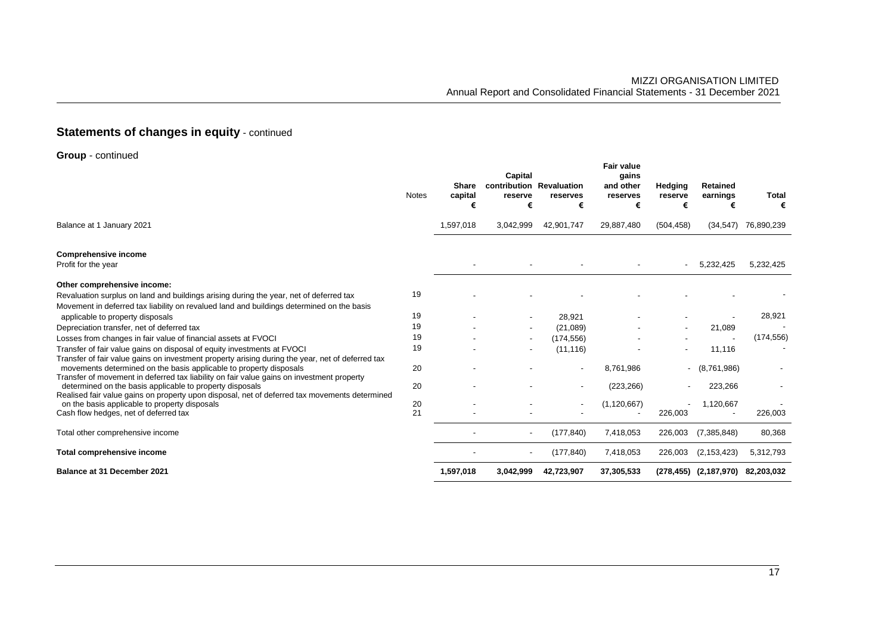# **Statements of changes in equity - continued**

**Group** - continued

|                                                                                                                                                                                                                                                                     | <b>Notes</b> | Share<br>capital<br>€ | Capital<br>contribution Revaluation<br>reserve<br>€ | reserves<br>€            | <b>Fair value</b><br>gains<br>and other<br>reserves<br>€ | Hedging<br>reserve<br>€ | <b>Retained</b><br>earnings<br>€ | <b>Total</b><br>€ |
|---------------------------------------------------------------------------------------------------------------------------------------------------------------------------------------------------------------------------------------------------------------------|--------------|-----------------------|-----------------------------------------------------|--------------------------|----------------------------------------------------------|-------------------------|----------------------------------|-------------------|
| Balance at 1 January 2021                                                                                                                                                                                                                                           |              | 1,597,018             | 3,042,999                                           | 42,901,747               | 29,887,480                                               | (504, 458)              | (34, 547)                        | 76,890,239        |
| <b>Comprehensive income</b><br>Profit for the year                                                                                                                                                                                                                  |              |                       |                                                     |                          |                                                          |                         | 5,232,425                        | 5,232,425         |
| Other comprehensive income:<br>Revaluation surplus on land and buildings arising during the year, net of deferred tax<br>Movement in deferred tax liability on revalued land and buildings determined on the basis                                                  | 19           |                       |                                                     |                          |                                                          |                         |                                  |                   |
| applicable to property disposals                                                                                                                                                                                                                                    | 19           |                       |                                                     | 28,921                   |                                                          |                         |                                  | 28,921            |
| Depreciation transfer, net of deferred tax                                                                                                                                                                                                                          | 19           |                       |                                                     | (21,089)                 |                                                          |                         | 21,089                           |                   |
| Losses from changes in fair value of financial assets at FVOCI                                                                                                                                                                                                      | 19           |                       |                                                     | (174, 556)               |                                                          |                         |                                  | (174, 556)        |
| Transfer of fair value gains on disposal of equity investments at FVOCI                                                                                                                                                                                             | 19           |                       |                                                     | (11, 116)                |                                                          |                         | 11,116                           |                   |
| Transfer of fair value gains on investment property arising during the year, net of deferred tax<br>movements determined on the basis applicable to property disposals<br>Transfer of movement in deferred tax liability on fair value gains on investment property | 20           |                       |                                                     | $\overline{\phantom{a}}$ | 8,761,986                                                |                         | $-$ (8,761,986)                  |                   |
| determined on the basis applicable to property disposals<br>Realised fair value gains on property upon disposal, net of deferred tax movements determined                                                                                                           | 20           |                       |                                                     |                          | (223, 266)                                               |                         | 223,266                          |                   |
| on the basis applicable to property disposals                                                                                                                                                                                                                       | 20           |                       |                                                     | $\overline{\phantom{a}}$ | (1, 120, 667)                                            |                         | 1,120,667                        |                   |
| Cash flow hedges, net of deferred tax                                                                                                                                                                                                                               | 21           |                       |                                                     |                          |                                                          | 226,003                 |                                  | 226,003           |
| Total other comprehensive income                                                                                                                                                                                                                                    |              |                       |                                                     | (177, 840)               | 7,418,053                                                | 226,003                 | (7,385,848)                      | 80,368            |
| Total comprehensive income                                                                                                                                                                                                                                          |              |                       |                                                     | (177, 840)               | 7,418,053                                                | 226,003                 | (2, 153, 423)                    | 5,312,793         |
| <b>Balance at 31 December 2021</b>                                                                                                                                                                                                                                  |              | 1,597,018             | 3,042,999                                           | 42,723,907               | 37,305,533                                               |                         | (278,455) (2,187,970) 82,203,032 |                   |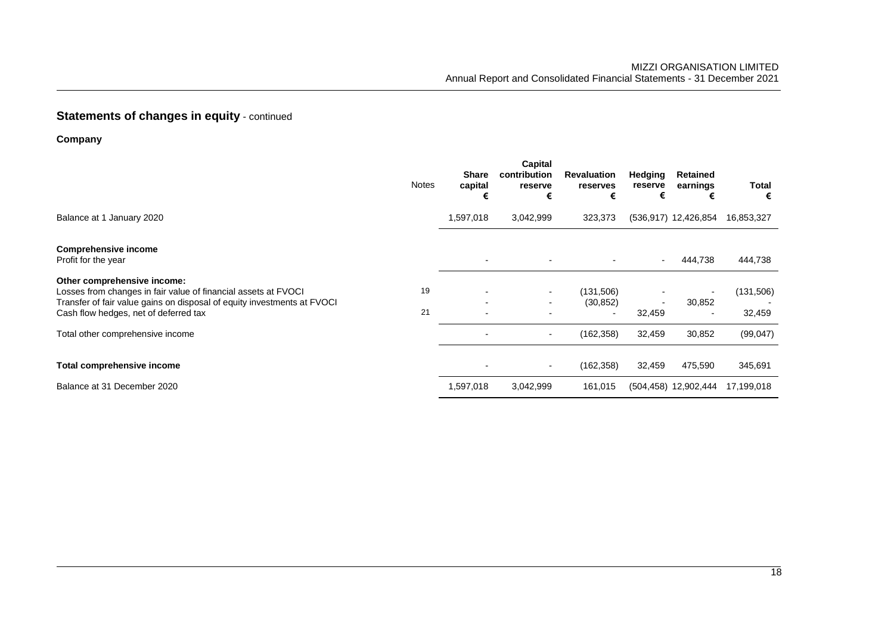# **Statements of changes in equity - continued**

**Company**

|                                                                                                                                                                                                                                                       | <b>Notes</b> | <b>Share</b><br>capital<br>€ | Capital<br>contribution<br>reserve<br>€                      | <b>Revaluation</b><br>reserves<br>€  | <b>Hedging</b><br>reserve<br>€ | Retained<br>earnings | Total<br>€                       |
|-------------------------------------------------------------------------------------------------------------------------------------------------------------------------------------------------------------------------------------------------------|--------------|------------------------------|--------------------------------------------------------------|--------------------------------------|--------------------------------|----------------------|----------------------------------|
| Balance at 1 January 2020                                                                                                                                                                                                                             |              | 1,597,018                    | 3,042,999                                                    | 323,373                              |                                | (536,917) 12,426,854 | 16,853,327                       |
| <b>Comprehensive income</b><br>Profit for the year                                                                                                                                                                                                    |              |                              |                                                              |                                      |                                | 444,738              | 444,738                          |
| Other comprehensive income:<br>Losses from changes in fair value of financial assets at FVOCI<br>Transfer of fair value gains on disposal of equity investments at FVOCI<br>Cash flow hedges, net of deferred tax<br>Total other comprehensive income | 19<br>21     |                              | $\blacksquare$<br>$\blacksquare$<br>$\overline{\phantom{a}}$ | (131,506)<br>(30, 852)<br>(162, 358) | 32,459<br>32,459               | 30,852<br>30,852     | (131,506)<br>32,459<br>(99, 047) |
| Total comprehensive income                                                                                                                                                                                                                            |              |                              | $\overline{\phantom{a}}$                                     | (162, 358)                           | 32,459                         | 475,590              | 345,691                          |
| Balance at 31 December 2020                                                                                                                                                                                                                           |              | 1,597,018                    | 3,042,999                                                    | 161,015                              |                                | (504,458) 12,902,444 | 17,199,018                       |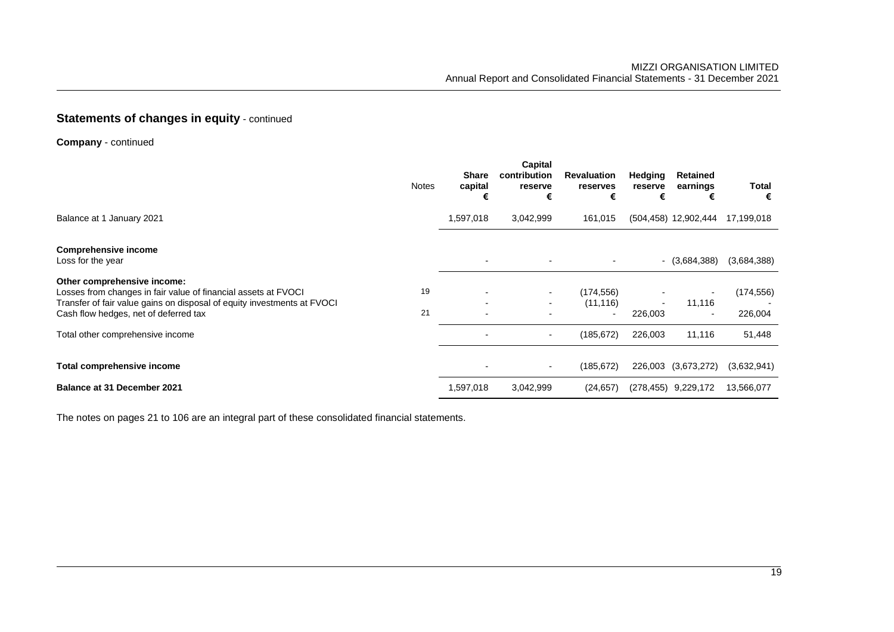## **Statements of changes in equity - continued**

**Company** - continued

|                                                                                                                                                                                                                                                       | <b>Notes</b> | <b>Share</b><br>capital<br>€ | <b>Capital</b><br>contribution<br>reserve<br>€               | <b>Revaluation</b><br>reserves<br>€   | <b>Hedging</b><br>reserve<br>€ | <b>Retained</b><br>earnings<br>€             | Total<br>€                      |
|-------------------------------------------------------------------------------------------------------------------------------------------------------------------------------------------------------------------------------------------------------|--------------|------------------------------|--------------------------------------------------------------|---------------------------------------|--------------------------------|----------------------------------------------|---------------------------------|
| Balance at 1 January 2021                                                                                                                                                                                                                             |              | 1,597,018                    | 3,042,999                                                    | 161,015                               |                                | (504,458) 12,902,444                         | 17,199,018                      |
| <b>Comprehensive income</b><br>Loss for the year                                                                                                                                                                                                      |              |                              |                                                              |                                       |                                | $ (3,684,388)$                               | (3,684,388)                     |
| Other comprehensive income:<br>Losses from changes in fair value of financial assets at FVOCI<br>Transfer of fair value gains on disposal of equity investments at FVOCI<br>Cash flow hedges, net of deferred tax<br>Total other comprehensive income | 19<br>21     |                              | $\blacksquare$<br>$\overline{\phantom{0}}$<br>$\blacksquare$ | (174, 556)<br>(11, 116)<br>(185, 672) | 226,003<br>226,003             | 11,116<br>$\overline{\phantom{0}}$<br>11,116 | (174, 556)<br>226,004<br>51,448 |
| Total comprehensive income<br><b>Balance at 31 December 2021</b>                                                                                                                                                                                      |              | 1,597,018                    | $\blacksquare$<br>3,042,999                                  | (185, 672)<br>(24, 657)               | 226,003<br>(278, 455)          | (3,673,272)<br>9,229,172                     | (3,632,941)<br>13,566,077       |

The notes on pages 21 to 106 are an integral part of these consolidated financial statements.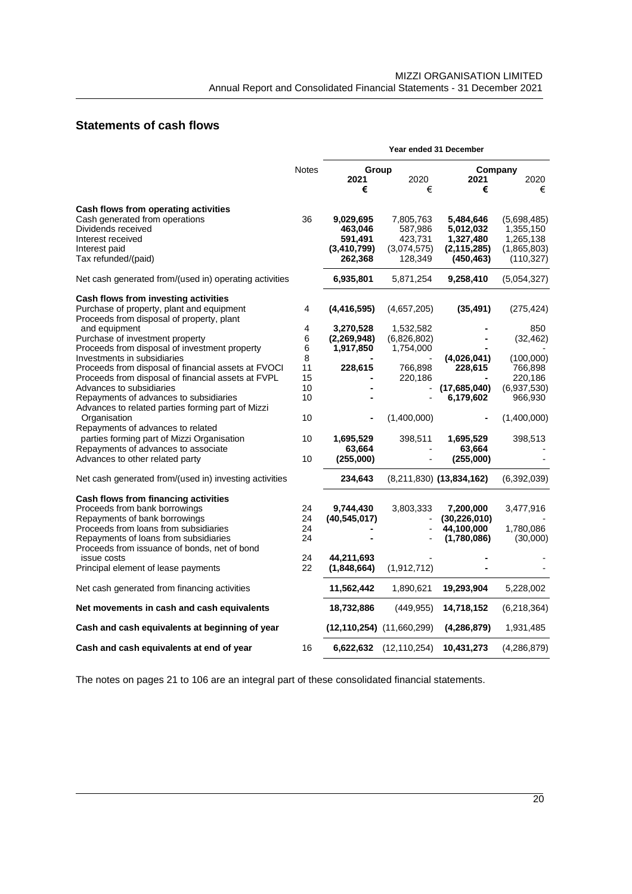## **Statements of cash flows**

|                                                                                        |              | Year ended 31 December            |                            |                            |             |  |  |
|----------------------------------------------------------------------------------------|--------------|-----------------------------------|----------------------------|----------------------------|-------------|--|--|
|                                                                                        | <b>Notes</b> | Group                             |                            |                            | Company     |  |  |
|                                                                                        |              | 2021<br>€                         | 2020<br>€                  | 2021<br>€                  | 2020<br>€   |  |  |
| Cash flows from operating activities                                                   |              |                                   |                            |                            |             |  |  |
| Cash generated from operations                                                         | 36           | 9,029,695                         | 7,805,763                  | 5,484,646                  | (5,698,485) |  |  |
| Dividends received                                                                     |              | 463,046                           | 587,986                    | 5,012,032                  | 1,355,150   |  |  |
| Interest received                                                                      |              | 591,491                           | 423,731                    | 1,327,480                  | 1,265,138   |  |  |
| Interest paid                                                                          |              | (3,410,799)                       | (3,074,575)                | (2, 115, 285)              | (1,865,803) |  |  |
| Tax refunded/(paid)                                                                    |              | 262,368                           | 128,349                    | (450, 463)                 | (110, 327)  |  |  |
| Net cash generated from/(used in) operating activities                                 |              | 6,935,801                         | 5,871,254                  | 9,258,410                  | (5,054,327) |  |  |
| Cash flows from investing activities                                                   |              |                                   |                            |                            |             |  |  |
| Purchase of property, plant and equipment<br>Proceeds from disposal of property, plant | 4            | (4, 416, 595)                     | (4,657,205)                | (35, 491)                  | (275, 424)  |  |  |
| and equipment                                                                          | 4            | 3,270,528                         | 1,532,582                  |                            | 850         |  |  |
| Purchase of investment property                                                        | 6            | (2,269,948)                       | (6,826,802)                |                            | (32, 462)   |  |  |
| Proceeds from disposal of investment property                                          | 6            | 1,917,850                         | 1,754,000                  |                            |             |  |  |
| Investments in subsidiaries                                                            | 8            |                                   |                            | (4,026,041)                | (100,000)   |  |  |
| Proceeds from disposal of financial assets at FVOCI                                    | 11           | 228,615                           | 766,898                    | 228,615                    | 766,898     |  |  |
| Proceeds from disposal of financial assets at FVPL                                     | 15           |                                   | 220,186                    |                            | 220,186     |  |  |
| Advances to subsidiaries                                                               | 10           |                                   |                            | (17,685,040)               | (6,937,530) |  |  |
| Repayments of advances to subsidiaries                                                 | 10           |                                   |                            | 6,179,602                  | 966,930     |  |  |
| Advances to related parties forming part of Mizzi                                      |              |                                   |                            |                            |             |  |  |
| Organisation                                                                           | 10           |                                   | (1,400,000)                |                            | (1,400,000) |  |  |
| Repayments of advances to related                                                      |              |                                   |                            |                            |             |  |  |
| parties forming part of Mizzi Organisation                                             | 10           | 1,695,529                         | 398,511                    | 1,695,529                  | 398,513     |  |  |
| Repayments of advances to associate                                                    |              | 63,664                            |                            | 63,664                     |             |  |  |
| Advances to other related party                                                        | 10           | (255,000)                         |                            | (255,000)                  |             |  |  |
| Net cash generated from/(used in) investing activities                                 |              | 234,643                           |                            | $(8,211,830)$ (13,834,162) | (6,392,039) |  |  |
| Cash flows from financing activities                                                   |              |                                   |                            |                            |             |  |  |
| Proceeds from bank borrowings                                                          | 24           | 9,744,430                         | 3,803,333                  | 7,200,000                  | 3,477,916   |  |  |
| Repayments of bank borrowings                                                          | 24           | (40, 545, 017)                    |                            | (30, 226, 010)             |             |  |  |
| Proceeds from loans from subsidiaries                                                  | 24           |                                   |                            | 44,100,000                 | 1,780,086   |  |  |
| Repayments of loans from subsidiaries                                                  | 24           |                                   |                            | (1,780,086)                | (30,000)    |  |  |
| Proceeds from issuance of bonds, net of bond                                           |              |                                   |                            |                            |             |  |  |
| issue costs                                                                            | 24           | 44,211,693                        |                            |                            |             |  |  |
| Principal element of lease payments                                                    | 22           | (1,848,664)                       | (1,912,712)                |                            |             |  |  |
| Net cash generated from financing activities                                           |              | 11,562,442                        | 1,890,621                  | 19,293,904                 | 5,228,002   |  |  |
| Net movements in cash and cash equivalents                                             |              | 18,732,886                        | (449, 955)                 | 14,718,152                 | (6,218,364) |  |  |
| Cash and cash equivalents at beginning of year                                         |              | $(12, 110, 254)$ $(11, 660, 299)$ |                            | (4, 286, 879)              | 1,931,485   |  |  |
| Cash and cash equivalents at end of year                                               | 16           |                                   | $6,622,632$ $(12,110,254)$ | 10,431,273                 | (4,286,879) |  |  |

The notes on pages 21 to 106 are an integral part of these consolidated financial statements.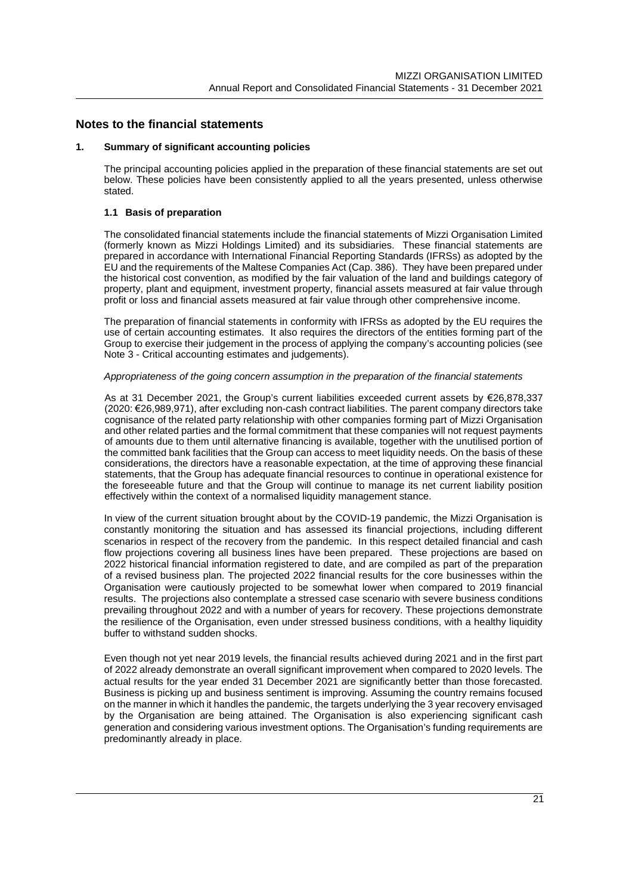#### **Notes to the financial statements**

#### **1. Summary of significant accounting policies**

The principal accounting policies applied in the preparation of these financial statements are set out below. These policies have been consistently applied to all the years presented, unless otherwise stated.

#### **1.1 Basis of preparation**

The consolidated financial statements include the financial statements of Mizzi Organisation Limited (formerly known as Mizzi Holdings Limited) and its subsidiaries. These financial statements are prepared in accordance with International Financial Reporting Standards (IFRSs) as adopted by the EU and the requirements of the Maltese Companies Act (Cap. 386). They have been prepared under the historical cost convention, as modified by the fair valuation of the land and buildings category of property, plant and equipment, investment property, financial assets measured at fair value through profit or loss and financial assets measured at fair value through other comprehensive income.

The preparation of financial statements in conformity with IFRSs as adopted by the EU requires the use of certain accounting estimates. It also requires the directors of the entities forming part of the Group to exercise their judgement in the process of applying the company's accounting policies (see Note 3 - Critical accounting estimates and judgements).

#### *Appropriateness of the going concern assumption in the preparation of the financial statements*

As at 31 December 2021, the Group's current liabilities exceeded current assets by €26,878,337 (2020: €26,989,971), after excluding non-cash contract liabilities. The parent company directors take cognisance of the related party relationship with other companies forming part of Mizzi Organisation and other related parties and the formal commitment that these companies will not request payments of amounts due to them until alternative financing is available, together with the unutilised portion of the committed bank facilities that the Group can access to meet liquidity needs. On the basis of these considerations, the directors have a reasonable expectation, at the time of approving these financial statements, that the Group has adequate financial resources to continue in operational existence for the foreseeable future and that the Group will continue to manage its net current liability position effectively within the context of a normalised liquidity management stance.

In view of the current situation brought about by the COVID-19 pandemic, the Mizzi Organisation is constantly monitoring the situation and has assessed its financial projections, including different scenarios in respect of the recovery from the pandemic. In this respect detailed financial and cash flow projections covering all business lines have been prepared. These projections are based on 2022 historical financial information registered to date, and are compiled as part of the preparation of a revised business plan. The projected 2022 financial results for the core businesses within the Organisation were cautiously projected to be somewhat lower when compared to 2019 financial results. The projections also contemplate a stressed case scenario with severe business conditions prevailing throughout 2022 and with a number of years for recovery. These projections demonstrate the resilience of the Organisation, even under stressed business conditions, with a healthy liquidity buffer to withstand sudden shocks.

Even though not yet near 2019 levels, the financial results achieved during 2021 and in the first part of 2022 already demonstrate an overall significant improvement when compared to 2020 levels. The actual results for the year ended 31 December 2021 are significantly better than those forecasted. Business is picking up and business sentiment is improving. Assuming the country remains focused on the manner in which it handles the pandemic, the targets underlying the 3 year recovery envisaged by the Organisation are being attained. The Organisation is also experiencing significant cash generation and considering various investment options. The Organisation's funding requirements are predominantly already in place.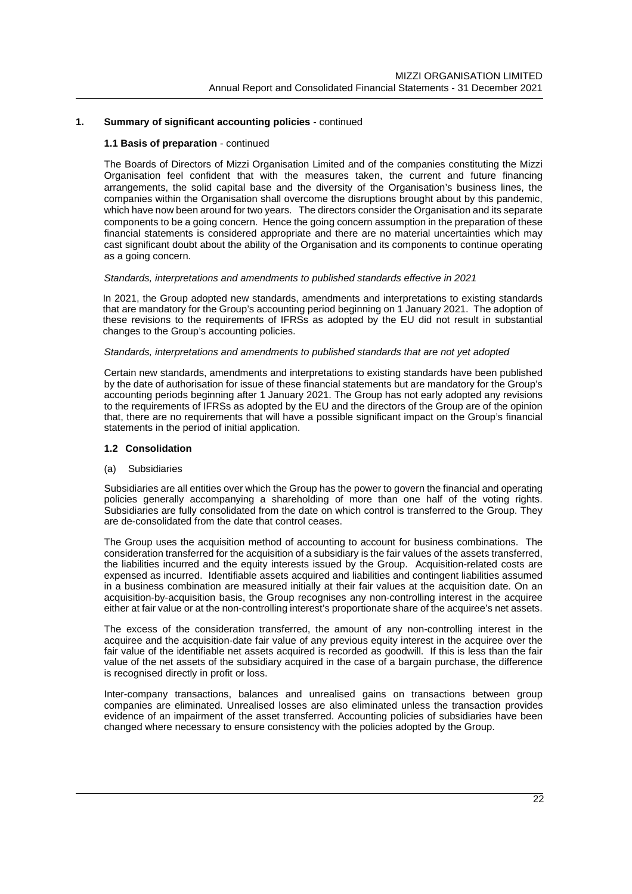#### **1.1 Basis of preparation** - continued

The Boards of Directors of Mizzi Organisation Limited and of the companies constituting the Mizzi Organisation feel confident that with the measures taken, the current and future financing arrangements, the solid capital base and the diversity of the Organisation's business lines, the companies within the Organisation shall overcome the disruptions brought about by this pandemic, which have now been around for two years. The directors consider the Organisation and its separate components to be a going concern. Hence the going concern assumption in the preparation of these financial statements is considered appropriate and there are no material uncertainties which may cast significant doubt about the ability of the Organisation and its components to continue operating as a going concern.

#### *Standards, interpretations and amendments to published standards effective in 2021*

In 2021, the Group adopted new standards, amendments and interpretations to existing standards that are mandatory for the Group's accounting period beginning on 1 January 2021. The adoption of these revisions to the requirements of IFRSs as adopted by the EU did not result in substantial changes to the Group's accounting policies.

#### *Standards, interpretations and amendments to published standards that are not yet adopted*

Certain new standards, amendments and interpretations to existing standards have been published by the date of authorisation for issue of these financial statements but are mandatory for the Group's accounting periods beginning after 1 January 2021. The Group has not early adopted any revisions to the requirements of IFRSs as adopted by the EU and the directors of the Group are of the opinion that, there are no requirements that will have a possible significant impact on the Group's financial statements in the period of initial application.

#### **1.2 Consolidation**

#### (a) Subsidiaries

Subsidiaries are all entities over which the Group has the power to govern the financial and operating policies generally accompanying a shareholding of more than one half of the voting rights. Subsidiaries are fully consolidated from the date on which control is transferred to the Group. They are de-consolidated from the date that control ceases.

The Group uses the acquisition method of accounting to account for business combinations. The consideration transferred for the acquisition of a subsidiary is the fair values of the assets transferred, the liabilities incurred and the equity interests issued by the Group. Acquisition-related costs are expensed as incurred. Identifiable assets acquired and liabilities and contingent liabilities assumed in a business combination are measured initially at their fair values at the acquisition date. On an acquisition-by-acquisition basis, the Group recognises any non-controlling interest in the acquiree either at fair value or at the non-controlling interest's proportionate share of the acquiree's net assets.

The excess of the consideration transferred, the amount of any non-controlling interest in the acquiree and the acquisition-date fair value of any previous equity interest in the acquiree over the fair value of the identifiable net assets acquired is recorded as goodwill. If this is less than the fair value of the net assets of the subsidiary acquired in the case of a bargain purchase, the difference is recognised directly in profit or loss.

Inter-company transactions, balances and unrealised gains on transactions between group companies are eliminated. Unrealised losses are also eliminated unless the transaction provides evidence of an impairment of the asset transferred. Accounting policies of subsidiaries have been changed where necessary to ensure consistency with the policies adopted by the Group.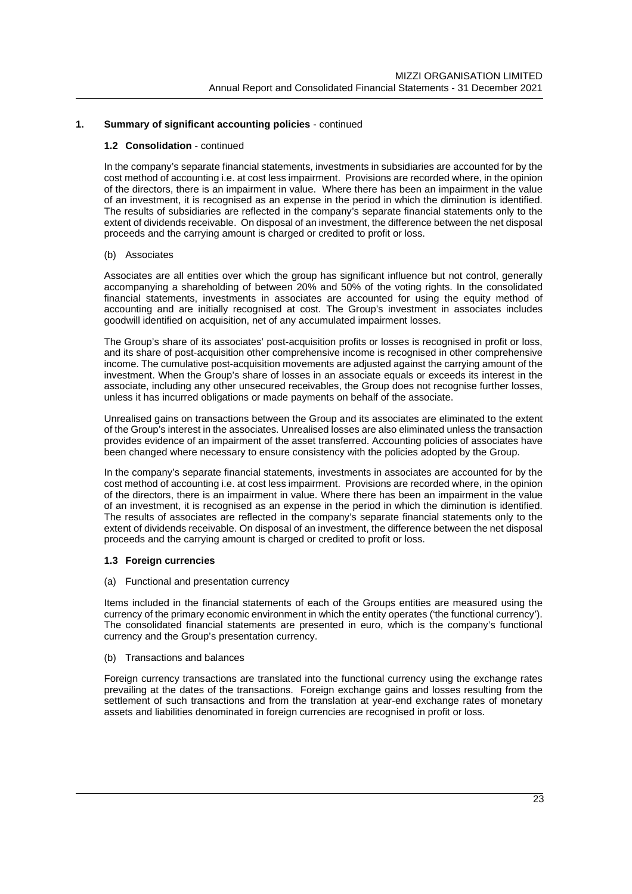#### **1.2 Consolidation** - continued

In the company's separate financial statements, investments in subsidiaries are accounted for by the cost method of accounting i.e. at cost less impairment. Provisions are recorded where, in the opinion of the directors, there is an impairment in value. Where there has been an impairment in the value of an investment, it is recognised as an expense in the period in which the diminution is identified. The results of subsidiaries are reflected in the company's separate financial statements only to the extent of dividends receivable. On disposal of an investment, the difference between the net disposal proceeds and the carrying amount is charged or credited to profit or loss.

#### (b) Associates

Associates are all entities over which the group has significant influence but not control, generally accompanying a shareholding of between 20% and 50% of the voting rights. In the consolidated financial statements, investments in associates are accounted for using the equity method of accounting and are initially recognised at cost. The Group's investment in associates includes goodwill identified on acquisition, net of any accumulated impairment losses.

The Group's share of its associates' post-acquisition profits or losses is recognised in profit or loss, and its share of post-acquisition other comprehensive income is recognised in other comprehensive income. The cumulative post-acquisition movements are adjusted against the carrying amount of the investment. When the Group's share of losses in an associate equals or exceeds its interest in the associate, including any other unsecured receivables, the Group does not recognise further losses, unless it has incurred obligations or made payments on behalf of the associate.

Unrealised gains on transactions between the Group and its associates are eliminated to the extent of the Group's interest in the associates. Unrealised losses are also eliminated unless the transaction provides evidence of an impairment of the asset transferred. Accounting policies of associates have been changed where necessary to ensure consistency with the policies adopted by the Group.

In the company's separate financial statements, investments in associates are accounted for by the cost method of accounting i.e. at cost less impairment. Provisions are recorded where, in the opinion of the directors, there is an impairment in value. Where there has been an impairment in the value of an investment, it is recognised as an expense in the period in which the diminution is identified. The results of associates are reflected in the company's separate financial statements only to the extent of dividends receivable. On disposal of an investment, the difference between the net disposal proceeds and the carrying amount is charged or credited to profit or loss.

#### **1.3 Foreign currencies**

#### (a) Functional and presentation currency

Items included in the financial statements of each of the Groups entities are measured using the currency of the primary economic environment in which the entity operates ('the functional currency'). The consolidated financial statements are presented in euro, which is the company's functional currency and the Group's presentation currency.

(b) Transactions and balances

Foreign currency transactions are translated into the functional currency using the exchange rates prevailing at the dates of the transactions. Foreign exchange gains and losses resulting from the settlement of such transactions and from the translation at year-end exchange rates of monetary assets and liabilities denominated in foreign currencies are recognised in profit or loss.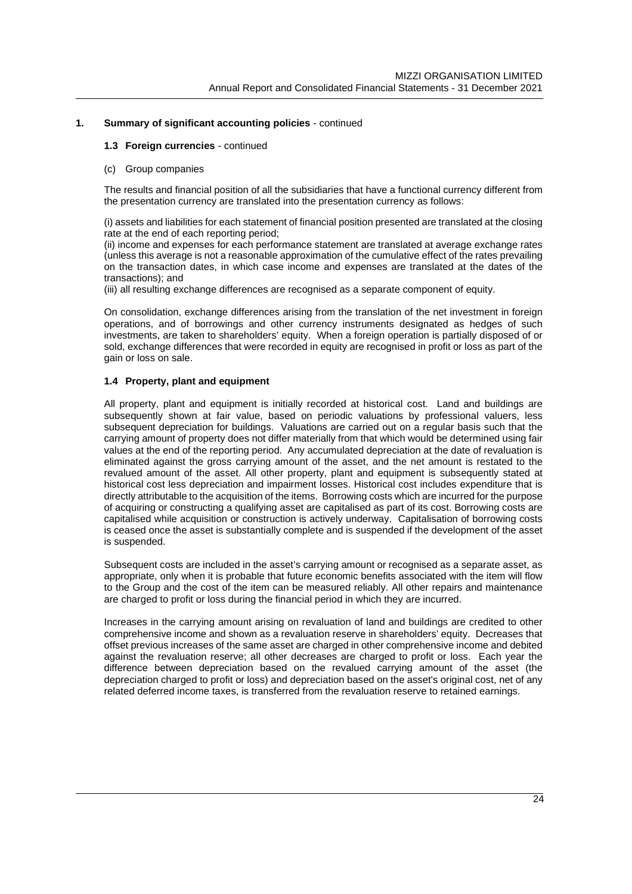#### **1.3 Foreign currencies** - continued

(c) Group companies

The results and financial position of all the subsidiaries that have a functional currency different from the presentation currency are translated into the presentation currency as follows:

(i) assets and liabilities for each statement of financial position presented are translated at the closing rate at the end of each reporting period;

(ii) income and expenses for each performance statement are translated at average exchange rates (unless this average is not a reasonable approximation of the cumulative effect of the rates prevailing on the transaction dates, in which case income and expenses are translated at the dates of the transactions); and

(iii) all resulting exchange differences are recognised as a separate component of equity.

On consolidation, exchange differences arising from the translation of the net investment in foreign operations, and of borrowings and other currency instruments designated as hedges of such investments, are taken to shareholders' equity. When a foreign operation is partially disposed of or sold, exchange differences that were recorded in equity are recognised in profit or loss as part of the gain or loss on sale.

#### **1.4 Property, plant and equipment**

All property, plant and equipment is initially recorded at historical cost. Land and buildings are subsequently shown at fair value, based on periodic valuations by professional valuers, less subsequent depreciation for buildings. Valuations are carried out on a regular basis such that the carrying amount of property does not differ materially from that which would be determined using fair values at the end of the reporting period. Any accumulated depreciation at the date of revaluation is eliminated against the gross carrying amount of the asset, and the net amount is restated to the revalued amount of the asset. All other property, plant and equipment is subsequently stated at historical cost less depreciation and impairment losses. Historical cost includes expenditure that is directly attributable to the acquisition of the items. Borrowing costs which are incurred for the purpose of acquiring or constructing a qualifying asset are capitalised as part of its cost. Borrowing costs are capitalised while acquisition or construction is actively underway. Capitalisation of borrowing costs is ceased once the asset is substantially complete and is suspended if the development of the asset is suspended.

Subsequent costs are included in the asset's carrying amount or recognised as a separate asset, as appropriate, only when it is probable that future economic benefits associated with the item will flow to the Group and the cost of the item can be measured reliably. All other repairs and maintenance are charged to profit or loss during the financial period in which they are incurred.

Increases in the carrying amount arising on revaluation of land and buildings are credited to other comprehensive income and shown as a revaluation reserve in shareholders' equity. Decreases that offset previous increases of the same asset are charged in other comprehensive income and debited against the revaluation reserve; all other decreases are charged to profit or loss. Each year the difference between depreciation based on the revalued carrying amount of the asset (the depreciation charged to profit or loss) and depreciation based on the asset's original cost, net of any related deferred income taxes, is transferred from the revaluation reserve to retained earnings.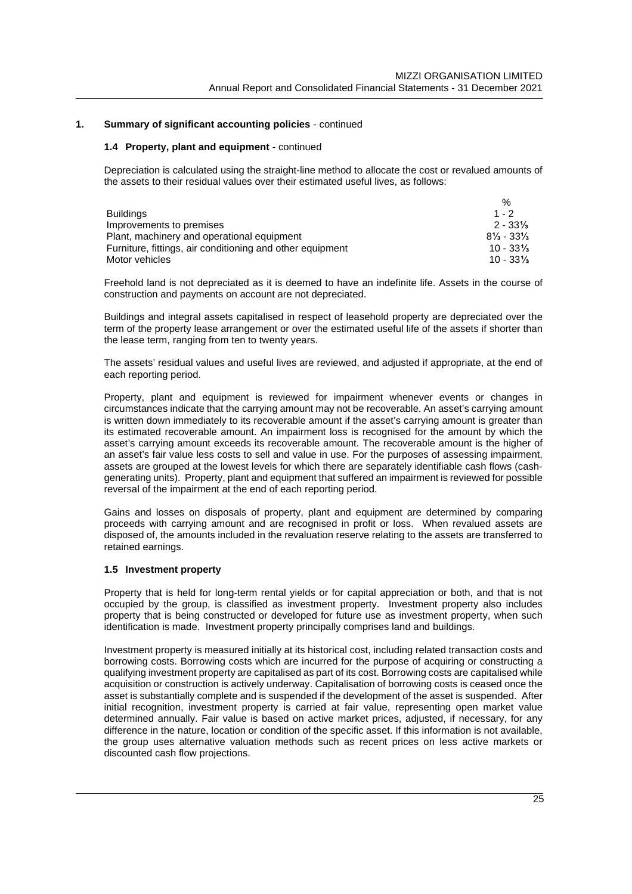#### **1.4 Property, plant and equipment** - continued

Depreciation is calculated using the straight-line method to allocate the cost or revalued amounts of the assets to their residual values over their estimated useful lives, as follows:

|                                                           | $\%$                                            |
|-----------------------------------------------------------|-------------------------------------------------|
| <b>Buildings</b>                                          | $1 - 2$                                         |
| Improvements to premises                                  | $2 - 33\%$                                      |
| Plant, machinery and operational equipment                | $8\frac{1}{3}$ - 33 <sup>1</sup> / <sub>3</sub> |
| Furniture, fittings, air conditioning and other equipment | $10 - 33\%$                                     |
| Motor vehicles                                            | $10 - 33\frac{1}{3}$                            |

Freehold land is not depreciated as it is deemed to have an indefinite life. Assets in the course of construction and payments on account are not depreciated.

Buildings and integral assets capitalised in respect of leasehold property are depreciated over the term of the property lease arrangement or over the estimated useful life of the assets if shorter than the lease term, ranging from ten to twenty years.

The assets' residual values and useful lives are reviewed, and adjusted if appropriate, at the end of each reporting period.

Property, plant and equipment is reviewed for impairment whenever events or changes in circumstances indicate that the carrying amount may not be recoverable. An asset's carrying amount is written down immediately to its recoverable amount if the asset's carrying amount is greater than its estimated recoverable amount. An impairment loss is recognised for the amount by which the asset's carrying amount exceeds its recoverable amount. The recoverable amount is the higher of an asset's fair value less costs to sell and value in use. For the purposes of assessing impairment, assets are grouped at the lowest levels for which there are separately identifiable cash flows (cashgenerating units). Property, plant and equipment that suffered an impairment is reviewed for possible reversal of the impairment at the end of each reporting period.

Gains and losses on disposals of property, plant and equipment are determined by comparing proceeds with carrying amount and are recognised in profit or loss. When revalued assets are disposed of, the amounts included in the revaluation reserve relating to the assets are transferred to retained earnings.

#### **1.5 Investment property**

Property that is held for long-term rental yields or for capital appreciation or both, and that is not occupied by the group, is classified as investment property. Investment property also includes property that is being constructed or developed for future use as investment property, when such identification is made. Investment property principally comprises land and buildings.

Investment property is measured initially at its historical cost, including related transaction costs and borrowing costs. Borrowing costs which are incurred for the purpose of acquiring or constructing a qualifying investment property are capitalised as part of its cost. Borrowing costs are capitalised while acquisition or construction is actively underway. Capitalisation of borrowing costs is ceased once the asset is substantially complete and is suspended if the development of the asset is suspended. After initial recognition, investment property is carried at fair value, representing open market value determined annually. Fair value is based on active market prices, adjusted, if necessary, for any difference in the nature, location or condition of the specific asset. If this information is not available, the group uses alternative valuation methods such as recent prices on less active markets or discounted cash flow projections.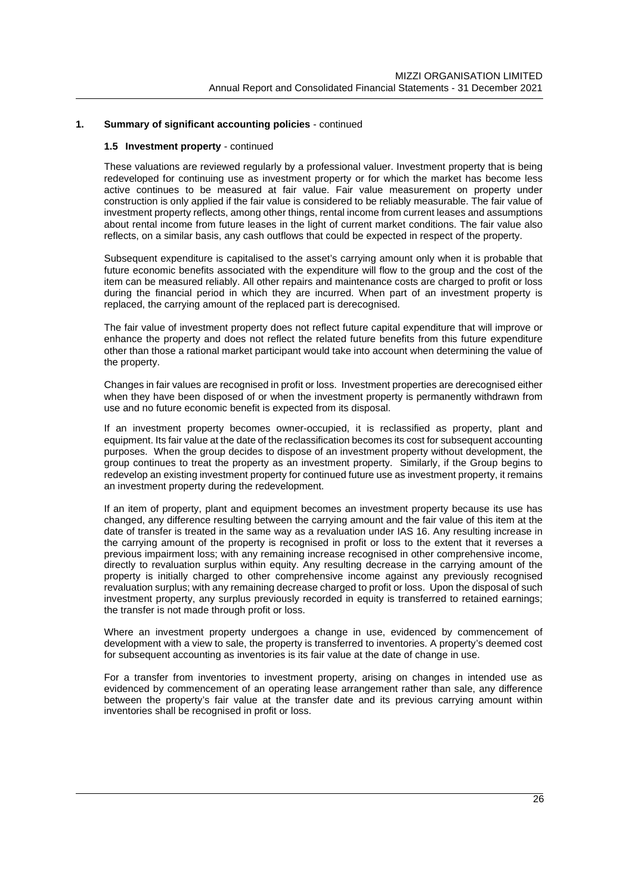#### **1.5 Investment property** - continued

These valuations are reviewed regularly by a professional valuer. Investment property that is being redeveloped for continuing use as investment property or for which the market has become less active continues to be measured at fair value. Fair value measurement on property under construction is only applied if the fair value is considered to be reliably measurable. The fair value of investment property reflects, among other things, rental income from current leases and assumptions about rental income from future leases in the light of current market conditions. The fair value also reflects, on a similar basis, any cash outflows that could be expected in respect of the property.

Subsequent expenditure is capitalised to the asset's carrying amount only when it is probable that future economic benefits associated with the expenditure will flow to the group and the cost of the item can be measured reliably. All other repairs and maintenance costs are charged to profit or loss during the financial period in which they are incurred. When part of an investment property is replaced, the carrying amount of the replaced part is derecognised.

The fair value of investment property does not reflect future capital expenditure that will improve or enhance the property and does not reflect the related future benefits from this future expenditure other than those a rational market participant would take into account when determining the value of the property.

Changes in fair values are recognised in profit or loss. Investment properties are derecognised either when they have been disposed of or when the investment property is permanently withdrawn from use and no future economic benefit is expected from its disposal.

If an investment property becomes owner-occupied, it is reclassified as property, plant and equipment. Its fair value at the date of the reclassification becomes its cost for subsequent accounting purposes. When the group decides to dispose of an investment property without development, the group continues to treat the property as an investment property. Similarly, if the Group begins to redevelop an existing investment property for continued future use as investment property, it remains an investment property during the redevelopment.

If an item of property, plant and equipment becomes an investment property because its use has changed, any difference resulting between the carrying amount and the fair value of this item at the date of transfer is treated in the same way as a revaluation under IAS 16. Any resulting increase in the carrying amount of the property is recognised in profit or loss to the extent that it reverses a previous impairment loss; with any remaining increase recognised in other comprehensive income, directly to revaluation surplus within equity. Any resulting decrease in the carrying amount of the property is initially charged to other comprehensive income against any previously recognised revaluation surplus; with any remaining decrease charged to profit or loss. Upon the disposal of such investment property, any surplus previously recorded in equity is transferred to retained earnings; the transfer is not made through profit or loss.

Where an investment property undergoes a change in use, evidenced by commencement of development with a view to sale, the property is transferred to inventories. A property's deemed cost for subsequent accounting as inventories is its fair value at the date of change in use.

For a transfer from inventories to investment property, arising on changes in intended use as evidenced by commencement of an operating lease arrangement rather than sale, any difference between the property's fair value at the transfer date and its previous carrying amount within inventories shall be recognised in profit or loss.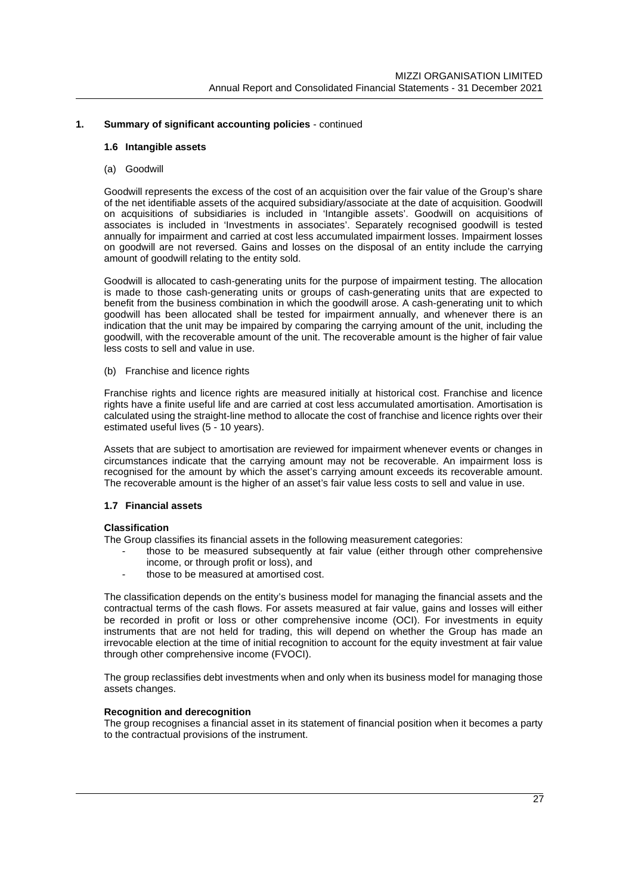#### **1.6 Intangible assets**

(a) Goodwill

Goodwill represents the excess of the cost of an acquisition over the fair value of the Group's share of the net identifiable assets of the acquired subsidiary/associate at the date of acquisition. Goodwill on acquisitions of subsidiaries is included in 'Intangible assets'. Goodwill on acquisitions of associates is included in 'Investments in associates'. Separately recognised goodwill is tested annually for impairment and carried at cost less accumulated impairment losses. Impairment losses on goodwill are not reversed. Gains and losses on the disposal of an entity include the carrying amount of goodwill relating to the entity sold.

Goodwill is allocated to cash-generating units for the purpose of impairment testing. The allocation is made to those cash-generating units or groups of cash-generating units that are expected to benefit from the business combination in which the goodwill arose. A cash-generating unit to which goodwill has been allocated shall be tested for impairment annually, and whenever there is an indication that the unit may be impaired by comparing the carrying amount of the unit, including the goodwill, with the recoverable amount of the unit. The recoverable amount is the higher of fair value less costs to sell and value in use.

(b) Franchise and licence rights

Franchise rights and licence rights are measured initially at historical cost. Franchise and licence rights have a finite useful life and are carried at cost less accumulated amortisation. Amortisation is calculated using the straight-line method to allocate the cost of franchise and licence rights over their estimated useful lives (5 - 10 years).

Assets that are subject to amortisation are reviewed for impairment whenever events or changes in circumstances indicate that the carrying amount may not be recoverable. An impairment loss is recognised for the amount by which the asset's carrying amount exceeds its recoverable amount. The recoverable amount is the higher of an asset's fair value less costs to sell and value in use.

#### **1.7 Financial assets**

#### **Classification**

The Group classifies its financial assets in the following measurement categories:

- those to be measured subsequently at fair value (either through other comprehensive income, or through profit or loss), and
- those to be measured at amortised cost.

The classification depends on the entity's business model for managing the financial assets and the contractual terms of the cash flows. For assets measured at fair value, gains and losses will either be recorded in profit or loss or other comprehensive income (OCI). For investments in equity instruments that are not held for trading, this will depend on whether the Group has made an irrevocable election at the time of initial recognition to account for the equity investment at fair value through other comprehensive income (FVOCI).

The group reclassifies debt investments when and only when its business model for managing those assets changes.

#### **Recognition and derecognition**

The group recognises a financial asset in its statement of financial position when it becomes a party to the contractual provisions of the instrument.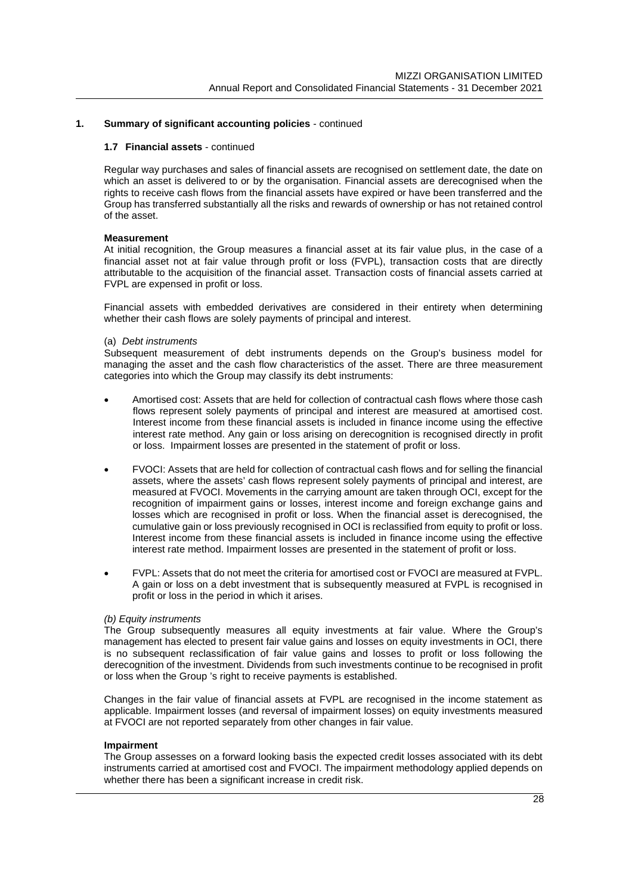#### **1.7 Financial assets** - continued

Regular way purchases and sales of financial assets are recognised on settlement date, the date on which an asset is delivered to or by the organisation. Financial assets are derecognised when the rights to receive cash flows from the financial assets have expired or have been transferred and the Group has transferred substantially all the risks and rewards of ownership or has not retained control of the asset.

#### **Measurement**

At initial recognition, the Group measures a financial asset at its fair value plus, in the case of a financial asset not at fair value through profit or loss (FVPL), transaction costs that are directly attributable to the acquisition of the financial asset. Transaction costs of financial assets carried at FVPL are expensed in profit or loss.

Financial assets with embedded derivatives are considered in their entirety when determining whether their cash flows are solely payments of principal and interest.

#### (a) *Debt instruments*

Subsequent measurement of debt instruments depends on the Group's business model for managing the asset and the cash flow characteristics of the asset. There are three measurement categories into which the Group may classify its debt instruments:

- Amortised cost: Assets that are held for collection of contractual cash flows where those cash flows represent solely payments of principal and interest are measured at amortised cost. Interest income from these financial assets is included in finance income using the effective interest rate method. Any gain or loss arising on derecognition is recognised directly in profit or loss. Impairment losses are presented in the statement of profit or loss.
- FVOCI: Assets that are held for collection of contractual cash flows and for selling the financial assets, where the assets' cash flows represent solely payments of principal and interest, are measured at FVOCI. Movements in the carrying amount are taken through OCI, except for the recognition of impairment gains or losses, interest income and foreign exchange gains and losses which are recognised in profit or loss. When the financial asset is derecognised, the cumulative gain or loss previously recognised in OCI is reclassified from equity to profit or loss. Interest income from these financial assets is included in finance income using the effective interest rate method. Impairment losses are presented in the statement of profit or loss.
- FVPL: Assets that do not meet the criteria for amortised cost or FVOCI are measured at FVPL. A gain or loss on a debt investment that is subsequently measured at FVPL is recognised in profit or loss in the period in which it arises.

#### *(b) Equity instruments*

The Group subsequently measures all equity investments at fair value. Where the Group's management has elected to present fair value gains and losses on equity investments in OCI, there is no subsequent reclassification of fair value gains and losses to profit or loss following the derecognition of the investment. Dividends from such investments continue to be recognised in profit or loss when the Group 's right to receive payments is established.

Changes in the fair value of financial assets at FVPL are recognised in the income statement as applicable. Impairment losses (and reversal of impairment losses) on equity investments measured at FVOCI are not reported separately from other changes in fair value.

#### **Impairment**

The Group assesses on a forward looking basis the expected credit losses associated with its debt instruments carried at amortised cost and FVOCI. The impairment methodology applied depends on whether there has been a significant increase in credit risk.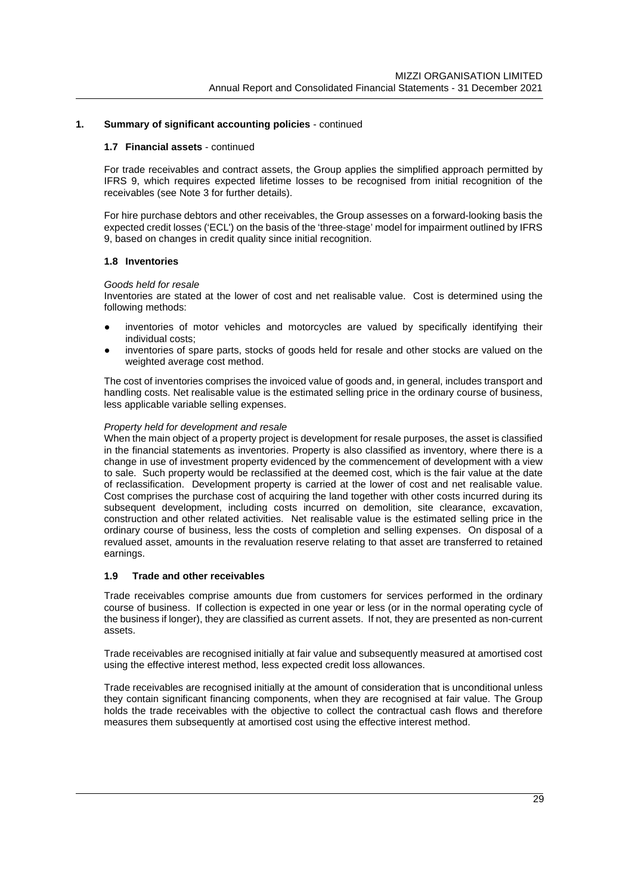#### **1.7 Financial assets** - continued

For trade receivables and contract assets, the Group applies the simplified approach permitted by IFRS 9, which requires expected lifetime losses to be recognised from initial recognition of the receivables (see Note 3 for further details).

For hire purchase debtors and other receivables, the Group assesses on a forward-looking basis the expected credit losses ('ECL') on the basis of the 'three-stage' model for impairment outlined by IFRS 9, based on changes in credit quality since initial recognition.

#### **1.8 Inventories**

#### *Goods held for resale*

Inventories are stated at the lower of cost and net realisable value. Cost is determined using the following methods:

- inventories of motor vehicles and motorcycles are valued by specifically identifying their individual costs;
- inventories of spare parts, stocks of goods held for resale and other stocks are valued on the weighted average cost method.

The cost of inventories comprises the invoiced value of goods and, in general, includes transport and handling costs. Net realisable value is the estimated selling price in the ordinary course of business, less applicable variable selling expenses.

#### *Property held for development and resale*

When the main object of a property project is development for resale purposes, the asset is classified in the financial statements as inventories. Property is also classified as inventory, where there is a change in use of investment property evidenced by the commencement of development with a view to sale. Such property would be reclassified at the deemed cost, which is the fair value at the date of reclassification. Development property is carried at the lower of cost and net realisable value. Cost comprises the purchase cost of acquiring the land together with other costs incurred during its subsequent development, including costs incurred on demolition, site clearance, excavation, construction and other related activities. Net realisable value is the estimated selling price in the ordinary course of business, less the costs of completion and selling expenses. On disposal of a revalued asset, amounts in the revaluation reserve relating to that asset are transferred to retained earnings.

#### **1.9 Trade and other receivables**

Trade receivables comprise amounts due from customers for services performed in the ordinary course of business. If collection is expected in one year or less (or in the normal operating cycle of the business if longer), they are classified as current assets. If not, they are presented as non-current assets.

Trade receivables are recognised initially at fair value and subsequently measured at amortised cost using the effective interest method, less expected credit loss allowances.

Trade receivables are recognised initially at the amount of consideration that is unconditional unless they contain significant financing components, when they are recognised at fair value. The Group holds the trade receivables with the objective to collect the contractual cash flows and therefore measures them subsequently at amortised cost using the effective interest method.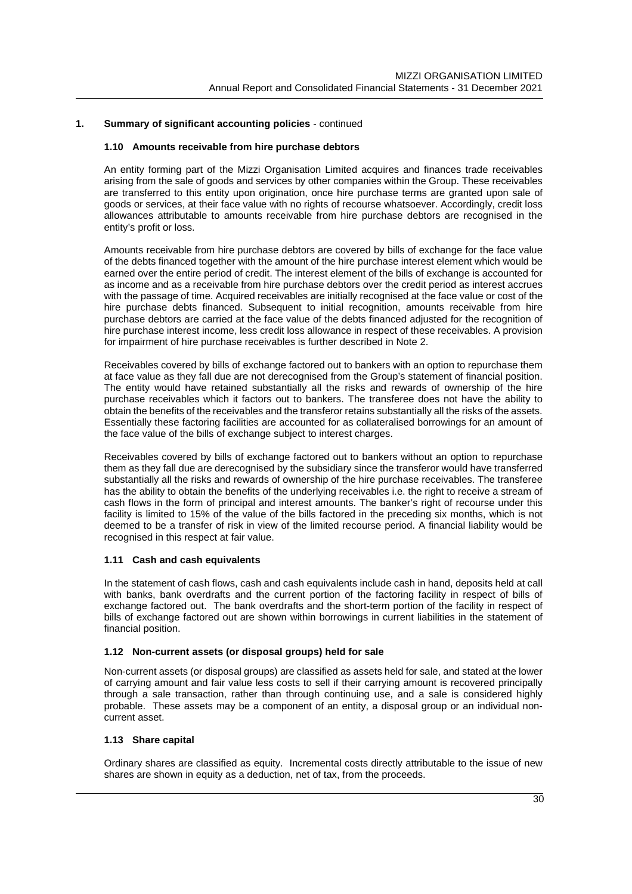#### **1.10 Amounts receivable from hire purchase debtors**

An entity forming part of the Mizzi Organisation Limited acquires and finances trade receivables arising from the sale of goods and services by other companies within the Group. These receivables are transferred to this entity upon origination, once hire purchase terms are granted upon sale of goods or services, at their face value with no rights of recourse whatsoever. Accordingly, credit loss allowances attributable to amounts receivable from hire purchase debtors are recognised in the entity's profit or loss.

Amounts receivable from hire purchase debtors are covered by bills of exchange for the face value of the debts financed together with the amount of the hire purchase interest element which would be earned over the entire period of credit. The interest element of the bills of exchange is accounted for as income and as a receivable from hire purchase debtors over the credit period as interest accrues with the passage of time. Acquired receivables are initially recognised at the face value or cost of the hire purchase debts financed. Subsequent to initial recognition, amounts receivable from hire purchase debtors are carried at the face value of the debts financed adjusted for the recognition of hire purchase interest income, less credit loss allowance in respect of these receivables. A provision for impairment of hire purchase receivables is further described in Note 2.

Receivables covered by bills of exchange factored out to bankers with an option to repurchase them at face value as they fall due are not derecognised from the Group's statement of financial position. The entity would have retained substantially all the risks and rewards of ownership of the hire purchase receivables which it factors out to bankers. The transferee does not have the ability to obtain the benefits of the receivables and the transferor retains substantially all the risks of the assets. Essentially these factoring facilities are accounted for as collateralised borrowings for an amount of the face value of the bills of exchange subject to interest charges.

Receivables covered by bills of exchange factored out to bankers without an option to repurchase them as they fall due are derecognised by the subsidiary since the transferor would have transferred substantially all the risks and rewards of ownership of the hire purchase receivables. The transferee has the ability to obtain the benefits of the underlying receivables i.e. the right to receive a stream of cash flows in the form of principal and interest amounts. The banker's right of recourse under this facility is limited to 15% of the value of the bills factored in the preceding six months, which is not deemed to be a transfer of risk in view of the limited recourse period. A financial liability would be recognised in this respect at fair value.

#### **1.11 Cash and cash equivalents**

In the statement of cash flows, cash and cash equivalents include cash in hand, deposits held at call with banks, bank overdrafts and the current portion of the factoring facility in respect of bills of exchange factored out. The bank overdrafts and the short-term portion of the facility in respect of bills of exchange factored out are shown within borrowings in current liabilities in the statement of financial position.

#### **1.12 Non-current assets (or disposal groups) held for sale**

Non-current assets (or disposal groups) are classified as assets held for sale, and stated at the lower of carrying amount and fair value less costs to sell if their carrying amount is recovered principally through a sale transaction, rather than through continuing use, and a sale is considered highly probable. These assets may be a component of an entity, a disposal group or an individual noncurrent asset.

#### **1.13 Share capital**

Ordinary shares are classified as equity. Incremental costs directly attributable to the issue of new shares are shown in equity as a deduction, net of tax, from the proceeds.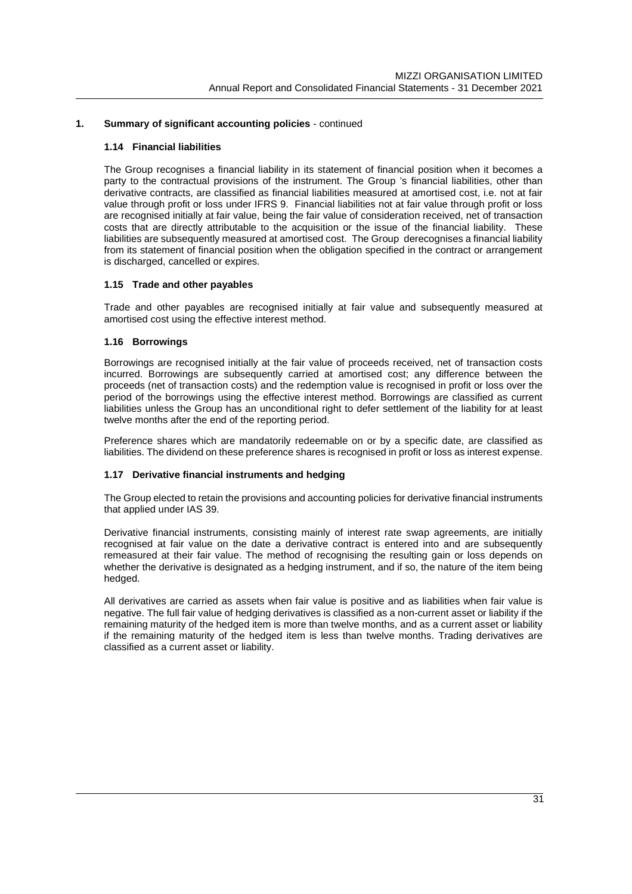#### **1.14 Financial liabilities**

The Group recognises a financial liability in its statement of financial position when it becomes a party to the contractual provisions of the instrument. The Group 's financial liabilities, other than derivative contracts, are classified as financial liabilities measured at amortised cost, i.e. not at fair value through profit or loss under IFRS 9. Financial liabilities not at fair value through profit or loss are recognised initially at fair value, being the fair value of consideration received, net of transaction costs that are directly attributable to the acquisition or the issue of the financial liability. These liabilities are subsequently measured at amortised cost. The Group derecognises a financial liability from its statement of financial position when the obligation specified in the contract or arrangement is discharged, cancelled or expires.

#### **1.15 Trade and other payables**

Trade and other payables are recognised initially at fair value and subsequently measured at amortised cost using the effective interest method.

#### **1.16 Borrowings**

Borrowings are recognised initially at the fair value of proceeds received, net of transaction costs incurred. Borrowings are subsequently carried at amortised cost; any difference between the proceeds (net of transaction costs) and the redemption value is recognised in profit or loss over the period of the borrowings using the effective interest method. Borrowings are classified as current liabilities unless the Group has an unconditional right to defer settlement of the liability for at least twelve months after the end of the reporting period.

Preference shares which are mandatorily redeemable on or by a specific date, are classified as liabilities. The dividend on these preference shares is recognised in profit or loss as interest expense.

#### **1.17 Derivative financial instruments and hedging**

The Group elected to retain the provisions and accounting policies for derivative financial instruments that applied under IAS 39.

Derivative financial instruments, consisting mainly of interest rate swap agreements, are initially recognised at fair value on the date a derivative contract is entered into and are subsequently remeasured at their fair value. The method of recognising the resulting gain or loss depends on whether the derivative is designated as a hedging instrument, and if so, the nature of the item being hedged.

All derivatives are carried as assets when fair value is positive and as liabilities when fair value is negative. The full fair value of hedging derivatives is classified as a non-current asset or liability if the remaining maturity of the hedged item is more than twelve months, and as a current asset or liability if the remaining maturity of the hedged item is less than twelve months. Trading derivatives are classified as a current asset or liability.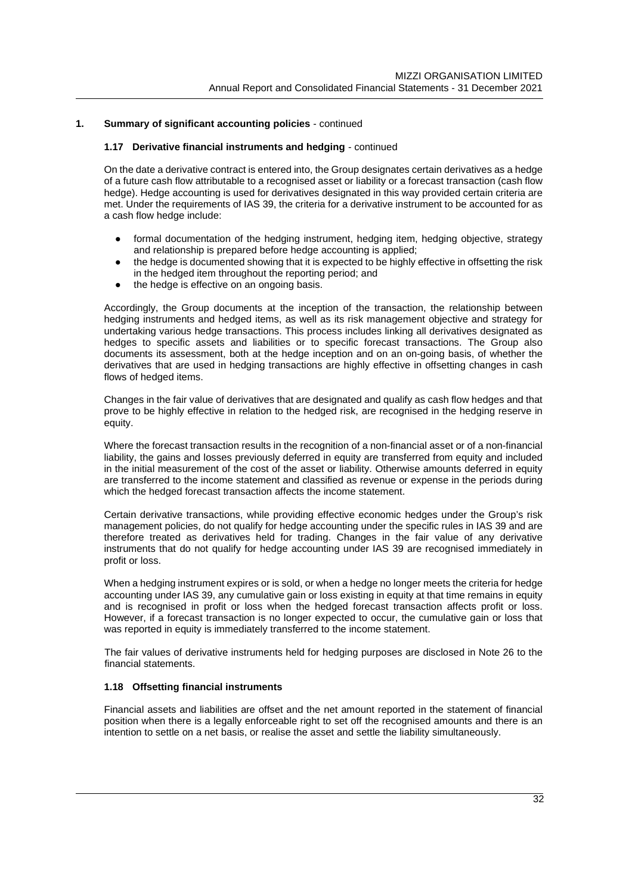#### **1.17 Derivative financial instruments and hedging** - continued

On the date a derivative contract is entered into, the Group designates certain derivatives as a hedge of a future cash flow attributable to a recognised asset or liability or a forecast transaction (cash flow hedge). Hedge accounting is used for derivatives designated in this way provided certain criteria are met. Under the requirements of IAS 39, the criteria for a derivative instrument to be accounted for as a cash flow hedge include:

- formal documentation of the hedging instrument, hedging item, hedging objective, strategy and relationship is prepared before hedge accounting is applied;
- the hedge is documented showing that it is expected to be highly effective in offsetting the risk in the hedged item throughout the reporting period; and
- the hedge is effective on an ongoing basis.

Accordingly, the Group documents at the inception of the transaction, the relationship between hedging instruments and hedged items, as well as its risk management objective and strategy for undertaking various hedge transactions. This process includes linking all derivatives designated as hedges to specific assets and liabilities or to specific forecast transactions. The Group also documents its assessment, both at the hedge inception and on an on-going basis, of whether the derivatives that are used in hedging transactions are highly effective in offsetting changes in cash flows of hedged items.

Changes in the fair value of derivatives that are designated and qualify as cash flow hedges and that prove to be highly effective in relation to the hedged risk, are recognised in the hedging reserve in equity.

Where the forecast transaction results in the recognition of a non-financial asset or of a non-financial liability, the gains and losses previously deferred in equity are transferred from equity and included in the initial measurement of the cost of the asset or liability. Otherwise amounts deferred in equity are transferred to the income statement and classified as revenue or expense in the periods during which the hedged forecast transaction affects the income statement.

Certain derivative transactions, while providing effective economic hedges under the Group's risk management policies, do not qualify for hedge accounting under the specific rules in IAS 39 and are therefore treated as derivatives held for trading. Changes in the fair value of any derivative instruments that do not qualify for hedge accounting under IAS 39 are recognised immediately in profit or loss.

When a hedging instrument expires or is sold, or when a hedge no longer meets the criteria for hedge accounting under IAS 39, any cumulative gain or loss existing in equity at that time remains in equity and is recognised in profit or loss when the hedged forecast transaction affects profit or loss. However, if a forecast transaction is no longer expected to occur, the cumulative gain or loss that was reported in equity is immediately transferred to the income statement.

The fair values of derivative instruments held for hedging purposes are disclosed in Note 26 to the financial statements.

#### **1.18 Offsetting financial instruments**

Financial assets and liabilities are offset and the net amount reported in the statement of financial position when there is a legally enforceable right to set off the recognised amounts and there is an intention to settle on a net basis, or realise the asset and settle the liability simultaneously.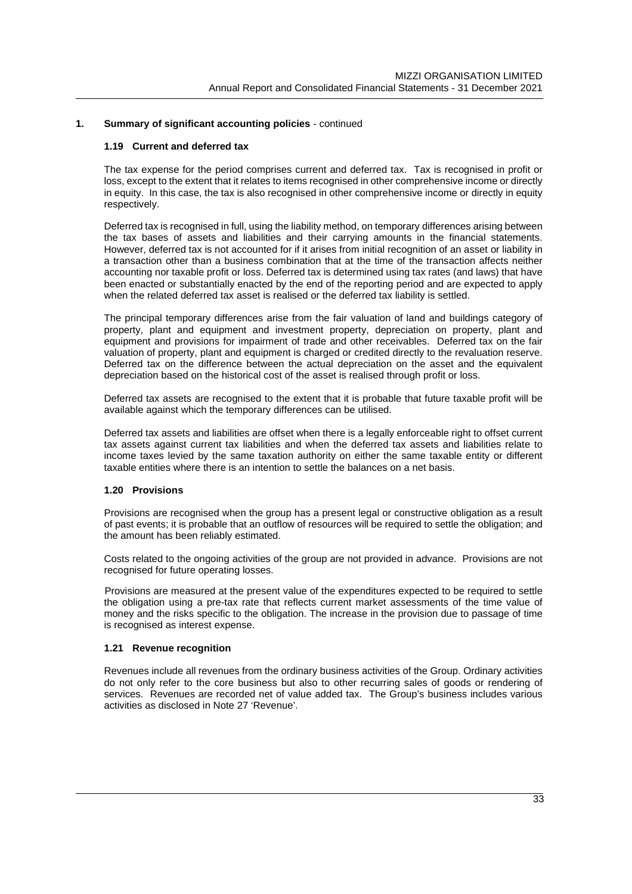#### **1.19 Current and deferred tax**

The tax expense for the period comprises current and deferred tax. Tax is recognised in profit or loss, except to the extent that it relates to items recognised in other comprehensive income or directly in equity. In this case, the tax is also recognised in other comprehensive income or directly in equity respectively.

Deferred tax is recognised in full, using the liability method, on temporary differences arising between the tax bases of assets and liabilities and their carrying amounts in the financial statements. However, deferred tax is not accounted for if it arises from initial recognition of an asset or liability in a transaction other than a business combination that at the time of the transaction affects neither accounting nor taxable profit or loss. Deferred tax is determined using tax rates (and laws) that have been enacted or substantially enacted by the end of the reporting period and are expected to apply when the related deferred tax asset is realised or the deferred tax liability is settled.

The principal temporary differences arise from the fair valuation of land and buildings category of property, plant and equipment and investment property, depreciation on property, plant and equipment and provisions for impairment of trade and other receivables. Deferred tax on the fair valuation of property, plant and equipment is charged or credited directly to the revaluation reserve. Deferred tax on the difference between the actual depreciation on the asset and the equivalent depreciation based on the historical cost of the asset is realised through profit or loss.

Deferred tax assets are recognised to the extent that it is probable that future taxable profit will be available against which the temporary differences can be utilised.

Deferred tax assets and liabilities are offset when there is a legally enforceable right to offset current tax assets against current tax liabilities and when the deferred tax assets and liabilities relate to income taxes levied by the same taxation authority on either the same taxable entity or different taxable entities where there is an intention to settle the balances on a net basis.

#### **1.20 Provisions**

Provisions are recognised when the group has a present legal or constructive obligation as a result of past events; it is probable that an outflow of resources will be required to settle the obligation; and the amount has been reliably estimated.

Costs related to the ongoing activities of the group are not provided in advance. Provisions are not recognised for future operating losses.

Provisions are measured at the present value of the expenditures expected to be required to settle the obligation using a pre-tax rate that reflects current market assessments of the time value of money and the risks specific to the obligation. The increase in the provision due to passage of time is recognised as interest expense.

#### **1.21 Revenue recognition**

Revenues include all revenues from the ordinary business activities of the Group. Ordinary activities do not only refer to the core business but also to other recurring sales of goods or rendering of services. Revenues are recorded net of value added tax. The Group's business includes various activities as disclosed in Note 27 'Revenue'.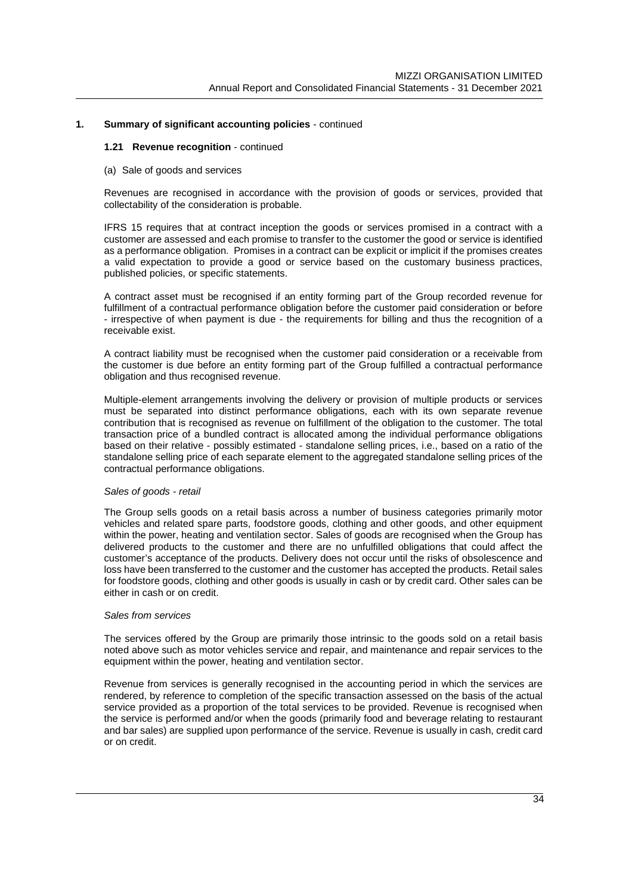#### **1.21 Revenue recognition** - continued

#### (a) Sale of goods and services

Revenues are recognised in accordance with the provision of goods or services, provided that collectability of the consideration is probable.

IFRS 15 requires that at contract inception the goods or services promised in a contract with a customer are assessed and each promise to transfer to the customer the good or service is identified as a performance obligation. Promises in a contract can be explicit or implicit if the promises creates a valid expectation to provide a good or service based on the customary business practices, published policies, or specific statements.

A contract asset must be recognised if an entity forming part of the Group recorded revenue for fulfillment of a contractual performance obligation before the customer paid consideration or before - irrespective of when payment is due - the requirements for billing and thus the recognition of a receivable exist.

A contract liability must be recognised when the customer paid consideration or a receivable from the customer is due before an entity forming part of the Group fulfilled a contractual performance obligation and thus recognised revenue.

Multiple-element arrangements involving the delivery or provision of multiple products or services must be separated into distinct performance obligations, each with its own separate revenue contribution that is recognised as revenue on fulfillment of the obligation to the customer. The total transaction price of a bundled contract is allocated among the individual performance obligations based on their relative - possibly estimated - standalone selling prices, i.e., based on a ratio of the standalone selling price of each separate element to the aggregated standalone selling prices of the contractual performance obligations.

#### *Sales of goods - retail*

The Group sells goods on a retail basis across a number of business categories primarily motor vehicles and related spare parts, foodstore goods, clothing and other goods, and other equipment within the power, heating and ventilation sector. Sales of goods are recognised when the Group has delivered products to the customer and there are no unfulfilled obligations that could affect the customer's acceptance of the products. Delivery does not occur until the risks of obsolescence and loss have been transferred to the customer and the customer has accepted the products. Retail sales for foodstore goods, clothing and other goods is usually in cash or by credit card. Other sales can be either in cash or on credit.

#### *Sales from services*

The services offered by the Group are primarily those intrinsic to the goods sold on a retail basis noted above such as motor vehicles service and repair, and maintenance and repair services to the equipment within the power, heating and ventilation sector.

Revenue from services is generally recognised in the accounting period in which the services are rendered, by reference to completion of the specific transaction assessed on the basis of the actual service provided as a proportion of the total services to be provided. Revenue is recognised when the service is performed and/or when the goods (primarily food and beverage relating to restaurant and bar sales) are supplied upon performance of the service. Revenue is usually in cash, credit card or on credit.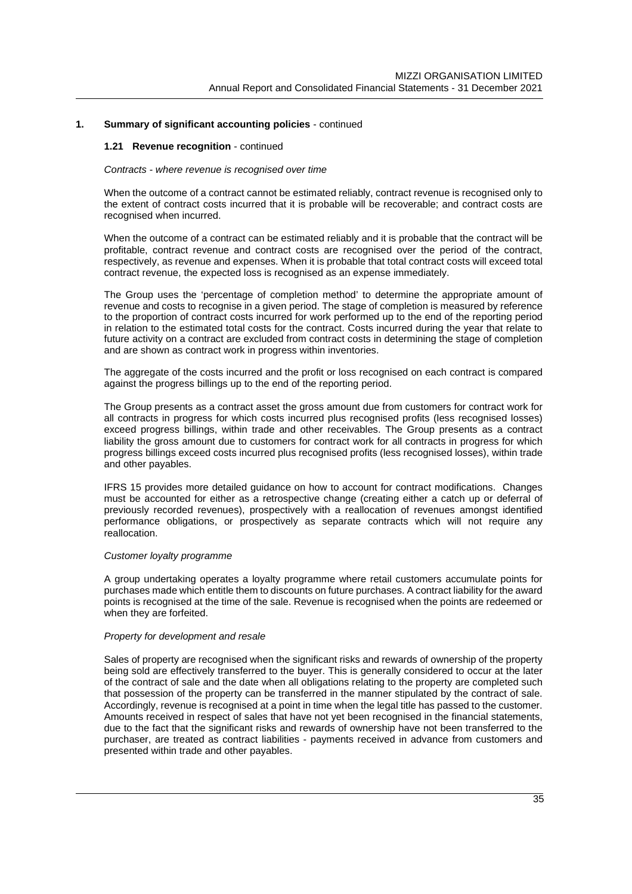#### **1.21 Revenue recognition** - continued

#### *Contracts - where revenue is recognised over time*

When the outcome of a contract cannot be estimated reliably, contract revenue is recognised only to the extent of contract costs incurred that it is probable will be recoverable; and contract costs are recognised when incurred.

When the outcome of a contract can be estimated reliably and it is probable that the contract will be profitable, contract revenue and contract costs are recognised over the period of the contract, respectively, as revenue and expenses. When it is probable that total contract costs will exceed total contract revenue, the expected loss is recognised as an expense immediately.

The Group uses the 'percentage of completion method' to determine the appropriate amount of revenue and costs to recognise in a given period. The stage of completion is measured by reference to the proportion of contract costs incurred for work performed up to the end of the reporting period in relation to the estimated total costs for the contract. Costs incurred during the year that relate to future activity on a contract are excluded from contract costs in determining the stage of completion and are shown as contract work in progress within inventories.

The aggregate of the costs incurred and the profit or loss recognised on each contract is compared against the progress billings up to the end of the reporting period.

The Group presents as a contract asset the gross amount due from customers for contract work for all contracts in progress for which costs incurred plus recognised profits (less recognised losses) exceed progress billings, within trade and other receivables. The Group presents as a contract liability the gross amount due to customers for contract work for all contracts in progress for which progress billings exceed costs incurred plus recognised profits (less recognised losses), within trade and other payables.

IFRS 15 provides more detailed guidance on how to account for contract modifications. Changes must be accounted for either as a retrospective change (creating either a catch up or deferral of previously recorded revenues), prospectively with a reallocation of revenues amongst identified performance obligations, or prospectively as separate contracts which will not require any reallocation.

#### *Customer loyalty programme*

A group undertaking operates a loyalty programme where retail customers accumulate points for purchases made which entitle them to discounts on future purchases. A contract liability for the award points is recognised at the time of the sale. Revenue is recognised when the points are redeemed or when they are forfeited.

#### *Property for development and resale*

Sales of property are recognised when the significant risks and rewards of ownership of the property being sold are effectively transferred to the buyer. This is generally considered to occur at the later of the contract of sale and the date when all obligations relating to the property are completed such that possession of the property can be transferred in the manner stipulated by the contract of sale. Accordingly, revenue is recognised at a point in time when the legal title has passed to the customer. Amounts received in respect of sales that have not yet been recognised in the financial statements, due to the fact that the significant risks and rewards of ownership have not been transferred to the purchaser, are treated as contract liabilities - payments received in advance from customers and presented within trade and other payables.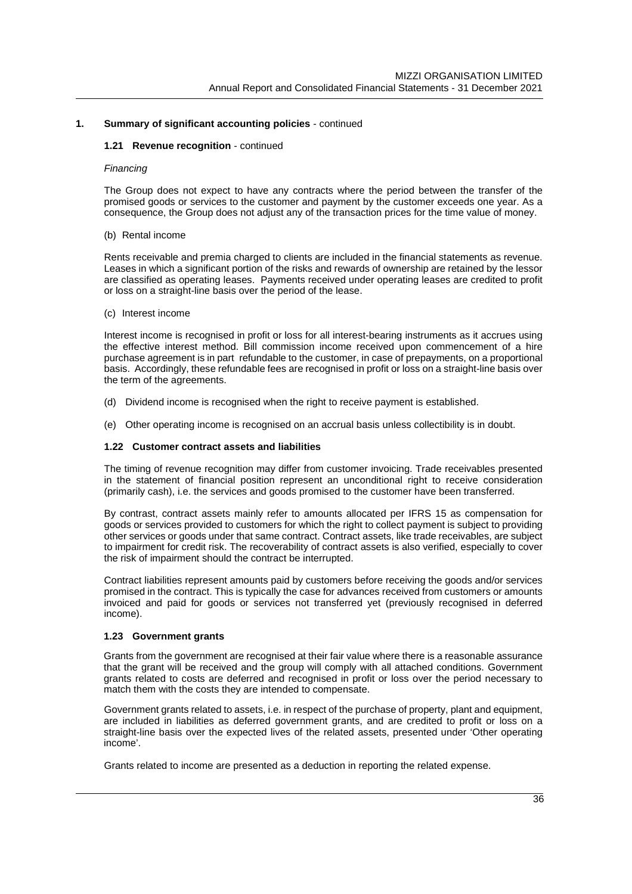### **1.21 Revenue recognition** - continued

#### *Financing*

The Group does not expect to have any contracts where the period between the transfer of the promised goods or services to the customer and payment by the customer exceeds one year. As a consequence, the Group does not adjust any of the transaction prices for the time value of money.

#### (b) Rental income

Rents receivable and premia charged to clients are included in the financial statements as revenue. Leases in which a significant portion of the risks and rewards of ownership are retained by the lessor are classified as operating leases. Payments received under operating leases are credited to profit or loss on a straight-line basis over the period of the lease.

#### (c) Interest income

Interest income is recognised in profit or loss for all interest-bearing instruments as it accrues using the effective interest method. Bill commission income received upon commencement of a hire purchase agreement is in part refundable to the customer, in case of prepayments, on a proportional basis. Accordingly, these refundable fees are recognised in profit or loss on a straight-line basis over the term of the agreements.

- (d) Dividend income is recognised when the right to receive payment is established.
- (e) Other operating income is recognised on an accrual basis unless collectibility is in doubt.

## **1.22 Customer contract assets and liabilities**

The timing of revenue recognition may differ from customer invoicing. Trade receivables presented in the statement of financial position represent an unconditional right to receive consideration (primarily cash), i.e. the services and goods promised to the customer have been transferred.

By contrast, contract assets mainly refer to amounts allocated per IFRS 15 as compensation for goods or services provided to customers for which the right to collect payment is subject to providing other services or goods under that same contract. Contract assets, like trade receivables, are subject to impairment for credit risk. The recoverability of contract assets is also verified, especially to cover the risk of impairment should the contract be interrupted.

Contract liabilities represent amounts paid by customers before receiving the goods and/or services promised in the contract. This is typically the case for advances received from customers or amounts invoiced and paid for goods or services not transferred yet (previously recognised in deferred income).

#### **1.23 Government grants**

Grants from the government are recognised at their fair value where there is a reasonable assurance that the grant will be received and the group will comply with all attached conditions. Government grants related to costs are deferred and recognised in profit or loss over the period necessary to match them with the costs they are intended to compensate.

Government grants related to assets, i.e. in respect of the purchase of property, plant and equipment, are included in liabilities as deferred government grants, and are credited to profit or loss on a straight-line basis over the expected lives of the related assets, presented under 'Other operating income'.

Grants related to income are presented as a deduction in reporting the related expense.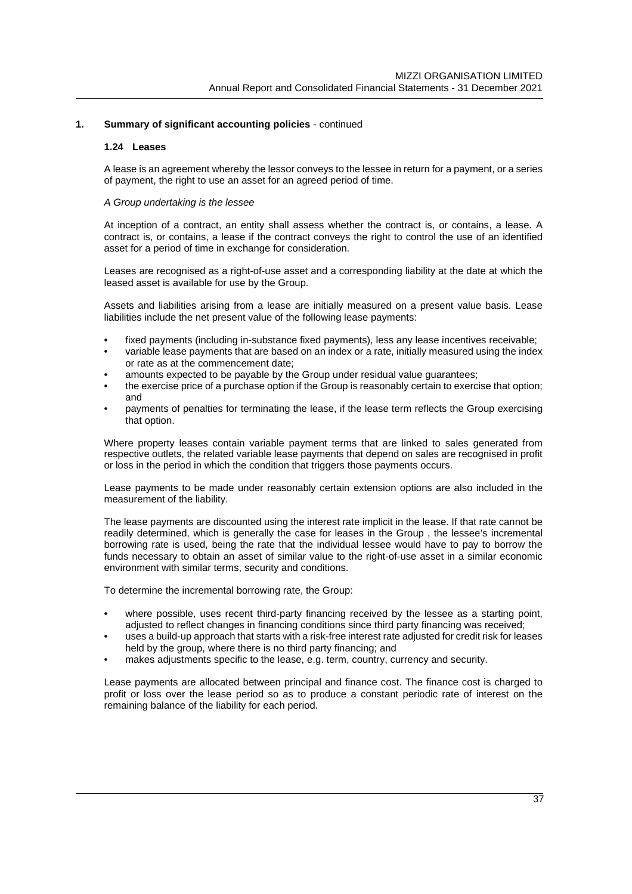# **1.24 Leases**

A lease is an agreement whereby the lessor conveys to the lessee in return for a payment, or a series of payment, the right to use an asset for an agreed period of time.

## *A Group undertaking is the lessee*

At inception of a contract, an entity shall assess whether the contract is, or contains, a lease. A contract is, or contains, a lease if the contract conveys the right to control the use of an identified asset for a period of time in exchange for consideration.

Leases are recognised as a right-of-use asset and a corresponding liability at the date at which the leased asset is available for use by the Group.

Assets and liabilities arising from a lease are initially measured on a present value basis. Lease liabilities include the net present value of the following lease payments:

- fixed payments (including in-substance fixed payments), less any lease incentives receivable;
- variable lease payments that are based on an index or a rate, initially measured using the index or rate as at the commencement date;
- amounts expected to be payable by the Group under residual value guarantees;
- the exercise price of a purchase option if the Group is reasonably certain to exercise that option; and
- payments of penalties for terminating the lease, if the lease term reflects the Group exercising that option.

Where property leases contain variable payment terms that are linked to sales generated from respective outlets, the related variable lease payments that depend on sales are recognised in profit or loss in the period in which the condition that triggers those payments occurs.

Lease payments to be made under reasonably certain extension options are also included in the measurement of the liability.

The lease payments are discounted using the interest rate implicit in the lease. If that rate cannot be readily determined, which is generally the case for leases in the Group , the lessee's incremental borrowing rate is used, being the rate that the individual lessee would have to pay to borrow the funds necessary to obtain an asset of similar value to the right-of-use asset in a similar economic environment with similar terms, security and conditions.

To determine the incremental borrowing rate, the Group:

- where possible, uses recent third-party financing received by the lessee as a starting point, adjusted to reflect changes in financing conditions since third party financing was received;
- uses a build-up approach that starts with a risk-free interest rate adjusted for credit risk for leases held by the group, where there is no third party financing; and
- makes adjustments specific to the lease, e.g. term, country, currency and security.

Lease payments are allocated between principal and finance cost. The finance cost is charged to profit or loss over the lease period so as to produce a constant periodic rate of interest on the remaining balance of the liability for each period.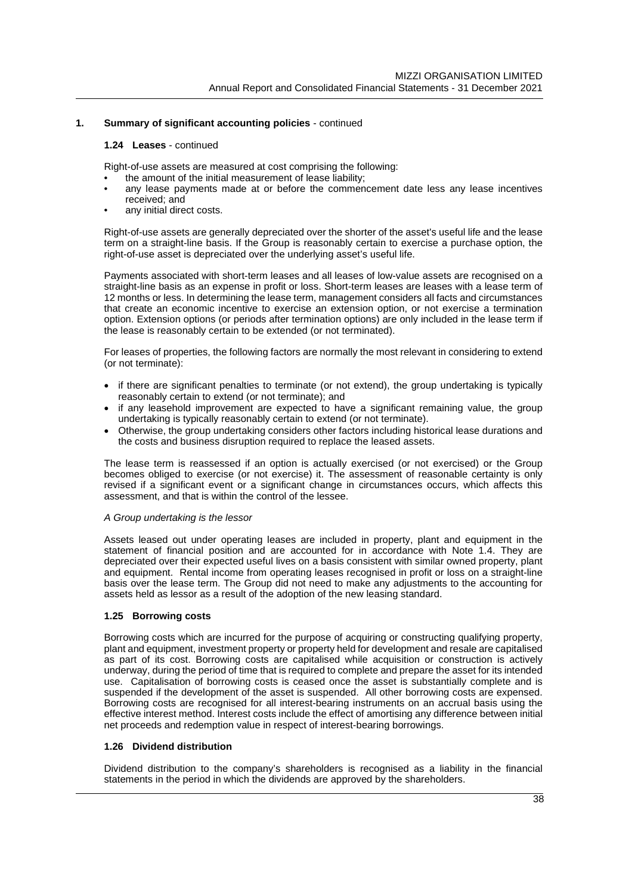#### **1.24 Leases** - continued

Right-of-use assets are measured at cost comprising the following:

- the amount of the initial measurement of lease liability;
- any lease payments made at or before the commencement date less any lease incentives received; and
- any initial direct costs.

Right-of-use assets are generally depreciated over the shorter of the asset's useful life and the lease term on a straight-line basis. If the Group is reasonably certain to exercise a purchase option, the right-of-use asset is depreciated over the underlying asset's useful life.

Payments associated with short-term leases and all leases of low-value assets are recognised on a straight-line basis as an expense in profit or loss. Short-term leases are leases with a lease term of 12 months or less. In determining the lease term, management considers all facts and circumstances that create an economic incentive to exercise an extension option, or not exercise a termination option. Extension options (or periods after termination options) are only included in the lease term if the lease is reasonably certain to be extended (or not terminated).

For leases of properties, the following factors are normally the most relevant in considering to extend (or not terminate):

- if there are significant penalties to terminate (or not extend), the group undertaking is typically reasonably certain to extend (or not terminate); and
- if any leasehold improvement are expected to have a significant remaining value, the group undertaking is typically reasonably certain to extend (or not terminate).
- Otherwise, the group undertaking considers other factors including historical lease durations and the costs and business disruption required to replace the leased assets.

The lease term is reassessed if an option is actually exercised (or not exercised) or the Group becomes obliged to exercise (or not exercise) it. The assessment of reasonable certainty is only revised if a significant event or a significant change in circumstances occurs, which affects this assessment, and that is within the control of the lessee.

#### *A Group undertaking is the lessor*

Assets leased out under operating leases are included in property, plant and equipment in the statement of financial position and are accounted for in accordance with Note 1.4. They are depreciated over their expected useful lives on a basis consistent with similar owned property, plant and equipment. Rental income from operating leases recognised in profit or loss on a straight-line basis over the lease term. The Group did not need to make any adjustments to the accounting for assets held as lessor as a result of the adoption of the new leasing standard.

# **1.25 Borrowing costs**

Borrowing costs which are incurred for the purpose of acquiring or constructing qualifying property, plant and equipment, investment property or property held for development and resale are capitalised as part of its cost. Borrowing costs are capitalised while acquisition or construction is actively underway, during the period of time that is required to complete and prepare the asset for its intended use. Capitalisation of borrowing costs is ceased once the asset is substantially complete and is suspended if the development of the asset is suspended. All other borrowing costs are expensed. Borrowing costs are recognised for all interest-bearing instruments on an accrual basis using the effective interest method. Interest costs include the effect of amortising any difference between initial net proceeds and redemption value in respect of interest-bearing borrowings.

# **1.26 Dividend distribution**

Dividend distribution to the company's shareholders is recognised as a liability in the financial statements in the period in which the dividends are approved by the shareholders.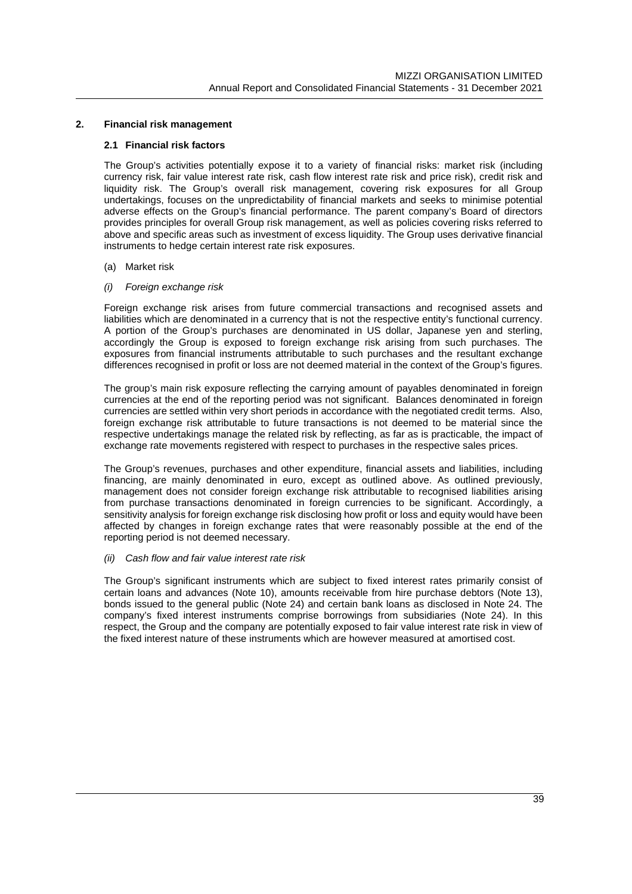# **2. Financial risk management**

# **2.1 Financial risk factors**

The Group's activities potentially expose it to a variety of financial risks: market risk (including currency risk, fair value interest rate risk, cash flow interest rate risk and price risk), credit risk and liquidity risk. The Group's overall risk management, covering risk exposures for all Group undertakings, focuses on the unpredictability of financial markets and seeks to minimise potential adverse effects on the Group's financial performance. The parent company's Board of directors provides principles for overall Group risk management, as well as policies covering risks referred to above and specific areas such as investment of excess liquidity. The Group uses derivative financial instruments to hedge certain interest rate risk exposures.

# (a) Market risk

*(i) Foreign exchange risk*

Foreign exchange risk arises from future commercial transactions and recognised assets and liabilities which are denominated in a currency that is not the respective entity's functional currency. A portion of the Group's purchases are denominated in US dollar, Japanese yen and sterling, accordingly the Group is exposed to foreign exchange risk arising from such purchases. The exposures from financial instruments attributable to such purchases and the resultant exchange differences recognised in profit or loss are not deemed material in the context of the Group's figures.

The group's main risk exposure reflecting the carrying amount of payables denominated in foreign currencies at the end of the reporting period was not significant. Balances denominated in foreign currencies are settled within very short periods in accordance with the negotiated credit terms. Also, foreign exchange risk attributable to future transactions is not deemed to be material since the respective undertakings manage the related risk by reflecting, as far as is practicable, the impact of exchange rate movements registered with respect to purchases in the respective sales prices.

The Group's revenues, purchases and other expenditure, financial assets and liabilities, including financing, are mainly denominated in euro, except as outlined above. As outlined previously, management does not consider foreign exchange risk attributable to recognised liabilities arising from purchase transactions denominated in foreign currencies to be significant. Accordingly, a sensitivity analysis for foreign exchange risk disclosing how profit or loss and equity would have been affected by changes in foreign exchange rates that were reasonably possible at the end of the reporting period is not deemed necessary.

#### *(ii) Cash flow and fair value interest rate risk*

The Group's significant instruments which are subject to fixed interest rates primarily consist of certain loans and advances (Note 10), amounts receivable from hire purchase debtors (Note 13), bonds issued to the general public (Note 24) and certain bank loans as disclosed in Note 24. The company's fixed interest instruments comprise borrowings from subsidiaries (Note 24). In this respect, the Group and the company are potentially exposed to fair value interest rate risk in view of the fixed interest nature of these instruments which are however measured at amortised cost.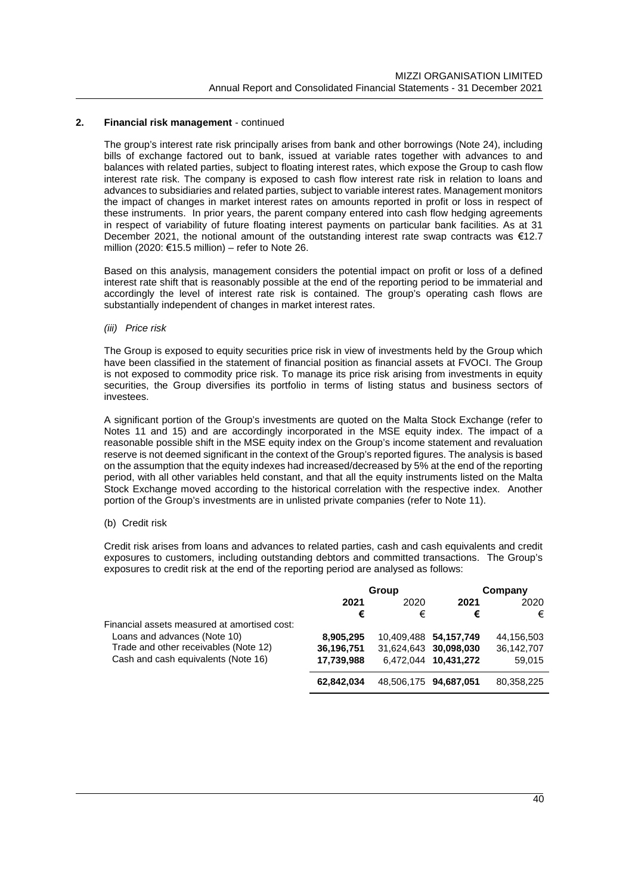The group's interest rate risk principally arises from bank and other borrowings (Note 24), including bills of exchange factored out to bank, issued at variable rates together with advances to and balances with related parties, subject to floating interest rates, which expose the Group to cash flow interest rate risk. The company is exposed to cash flow interest rate risk in relation to loans and advances to subsidiaries and related parties, subject to variable interest rates. Management monitors the impact of changes in market interest rates on amounts reported in profit or loss in respect of these instruments. In prior years, the parent company entered into cash flow hedging agreements in respect of variability of future floating interest payments on particular bank facilities. As at 31 December 2021, the notional amount of the outstanding interest rate swap contracts was €12.7 million (2020: €15.5 million) – refer to Note 26.

Based on this analysis, management considers the potential impact on profit or loss of a defined interest rate shift that is reasonably possible at the end of the reporting period to be immaterial and accordingly the level of interest rate risk is contained. The group's operating cash flows are substantially independent of changes in market interest rates.

#### *(iii) Price risk*

The Group is exposed to equity securities price risk in view of investments held by the Group which have been classified in the statement of financial position as financial assets at FVOCI. The Group is not exposed to commodity price risk. To manage its price risk arising from investments in equity securities, the Group diversifies its portfolio in terms of listing status and business sectors of investees.

A significant portion of the Group's investments are quoted on the Malta Stock Exchange (refer to Notes 11 and 15) and are accordingly incorporated in the MSE equity index. The impact of a reasonable possible shift in the MSE equity index on the Group's income statement and revaluation reserve is not deemed significant in the context of the Group's reported figures. The analysis is based on the assumption that the equity indexes had increased/decreased by 5% at the end of the reporting period, with all other variables held constant, and that all the equity instruments listed on the Malta Stock Exchange moved according to the historical correlation with the respective index. Another portion of the Group's investments are in unlisted private companies (refer to Note 11).

#### (b) Credit risk

Credit risk arises from loans and advances to related parties, cash and cash equivalents and credit exposures to customers, including outstanding debtors and committed transactions. The Group's exposures to credit risk at the end of the reporting period are analysed as follows:

|                                              |              | Group                 |                       | Company    |  |  |  |  |  |  |  |  |  |  |      |  |
|----------------------------------------------|--------------|-----------------------|-----------------------|------------|--|--|--|--|--|--|--|--|--|--|------|--|
|                                              | 2021<br>2020 |                       |                       |            |  |  |  |  |  |  |  |  |  |  | 2021 |  |
|                                              | €            | €                     | €                     | €          |  |  |  |  |  |  |  |  |  |  |      |  |
| Financial assets measured at amortised cost: |              |                       |                       |            |  |  |  |  |  |  |  |  |  |  |      |  |
| Loans and advances (Note 10)                 | 8,905,295    |                       | 10,409,488 54,157,749 | 44,156,503 |  |  |  |  |  |  |  |  |  |  |      |  |
| Trade and other receivables (Note 12)        | 36,196,751   |                       | 31,624,643 30,098,030 | 36,142,707 |  |  |  |  |  |  |  |  |  |  |      |  |
| Cash and cash equivalents (Note 16)          | 17,739,988   |                       | 6,472,044 10,431,272  | 59,015     |  |  |  |  |  |  |  |  |  |  |      |  |
|                                              | 62.842.034   | 48,506,175 94,687,051 |                       | 80,358,225 |  |  |  |  |  |  |  |  |  |  |      |  |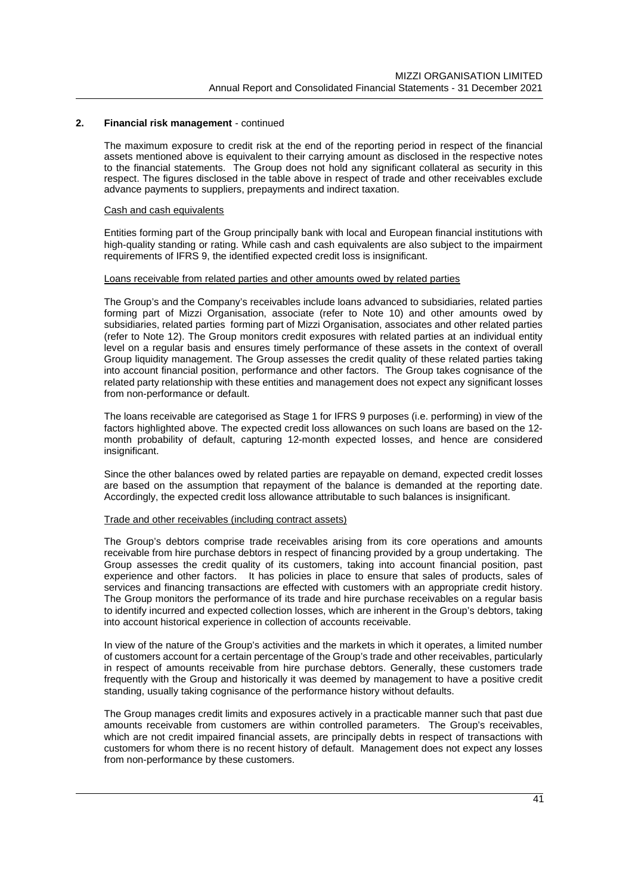The maximum exposure to credit risk at the end of the reporting period in respect of the financial assets mentioned above is equivalent to their carrying amount as disclosed in the respective notes to the financial statements. The Group does not hold any significant collateral as security in this respect. The figures disclosed in the table above in respect of trade and other receivables exclude advance payments to suppliers, prepayments and indirect taxation.

#### Cash and cash equivalents

Entities forming part of the Group principally bank with local and European financial institutions with high-quality standing or rating. While cash and cash equivalents are also subject to the impairment requirements of IFRS 9, the identified expected credit loss is insignificant.

# Loans receivable from related parties and other amounts owed by related parties

The Group's and the Company's receivables include loans advanced to subsidiaries, related parties forming part of Mizzi Organisation, associate (refer to Note 10) and other amounts owed by subsidiaries, related parties forming part of Mizzi Organisation, associates and other related parties (refer to Note 12). The Group monitors credit exposures with related parties at an individual entity level on a regular basis and ensures timely performance of these assets in the context of overall Group liquidity management. The Group assesses the credit quality of these related parties taking into account financial position, performance and other factors. The Group takes cognisance of the related party relationship with these entities and management does not expect any significant losses from non-performance or default.

The loans receivable are categorised as Stage 1 for IFRS 9 purposes (i.e. performing) in view of the factors highlighted above. The expected credit loss allowances on such loans are based on the 12 month probability of default, capturing 12-month expected losses, and hence are considered insignificant.

Since the other balances owed by related parties are repayable on demand, expected credit losses are based on the assumption that repayment of the balance is demanded at the reporting date. Accordingly, the expected credit loss allowance attributable to such balances is insignificant.

#### Trade and other receivables (including contract assets)

The Group's debtors comprise trade receivables arising from its core operations and amounts receivable from hire purchase debtors in respect of financing provided by a group undertaking. The Group assesses the credit quality of its customers, taking into account financial position, past experience and other factors. It has policies in place to ensure that sales of products, sales of services and financing transactions are effected with customers with an appropriate credit history. The Group monitors the performance of its trade and hire purchase receivables on a regular basis to identify incurred and expected collection losses, which are inherent in the Group's debtors, taking into account historical experience in collection of accounts receivable.

In view of the nature of the Group's activities and the markets in which it operates, a limited number of customers account for a certain percentage of the Group's trade and other receivables, particularly in respect of amounts receivable from hire purchase debtors. Generally, these customers trade frequently with the Group and historically it was deemed by management to have a positive credit standing, usually taking cognisance of the performance history without defaults.

The Group manages credit limits and exposures actively in a practicable manner such that past due amounts receivable from customers are within controlled parameters. The Group's receivables, which are not credit impaired financial assets, are principally debts in respect of transactions with customers for whom there is no recent history of default. Management does not expect any losses from non-performance by these customers.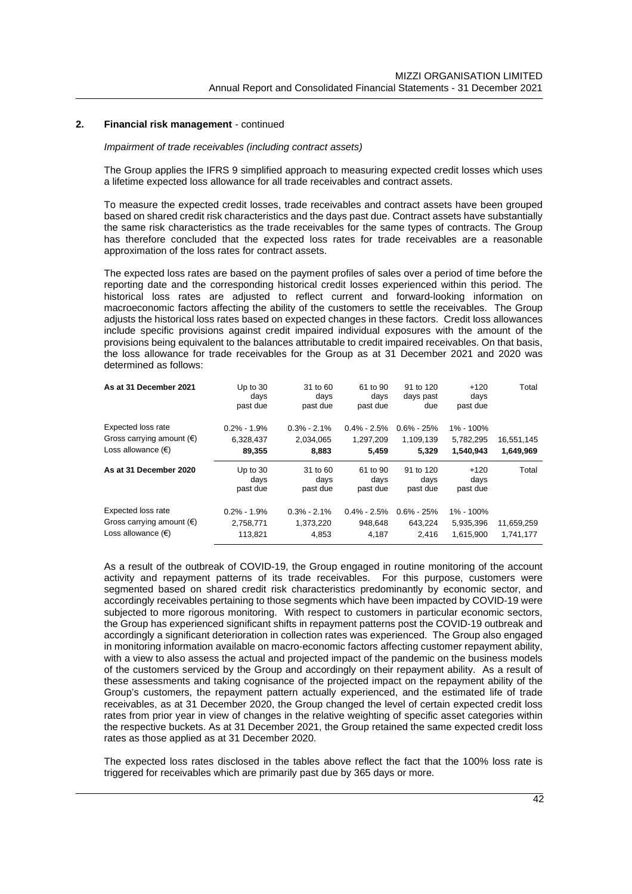### *Impairment of trade receivables (including contract assets)*

The Group applies the IFRS 9 simplified approach to measuring expected credit losses which uses a lifetime expected loss allowance for all trade receivables and contract assets.

To measure the expected credit losses, trade receivables and contract assets have been grouped based on shared credit risk characteristics and the days past due. Contract assets have substantially the same risk characteristics as the trade receivables for the same types of contracts. The Group has therefore concluded that the expected loss rates for trade receivables are a reasonable approximation of the loss rates for contract assets.

The expected loss rates are based on the payment profiles of sales over a period of time before the reporting date and the corresponding historical credit losses experienced within this period. The historical loss rates are adjusted to reflect current and forward-looking information on macroeconomic factors affecting the ability of the customers to settle the receivables. The Group adjusts the historical loss rates based on expected changes in these factors. Credit loss allowances include specific provisions against credit impaired individual exposures with the amount of the provisions being equivalent to the balances attributable to credit impaired receivables. On that basis, the loss allowance for trade receivables for the Group as at 31 December 2021 and 2020 was determined as follows:

| As at 31 December 2021             | Up to $30$<br>days<br>past due | 31 to 60<br>days<br>past due | 61 to 90<br>days<br>past due | 91 to 120<br>days past<br>due | $+120$<br>days<br>past due | Total      |
|------------------------------------|--------------------------------|------------------------------|------------------------------|-------------------------------|----------------------------|------------|
| Expected loss rate                 | $0.2\% - 1.9\%$                | $0.3\% - 2.1\%$              | $0.4\% - 2.5\%$              | $0.6\% - 25\%$                | 1% - 100%                  |            |
| Gross carrying amount $(\epsilon)$ | 6,328,437                      | 2,034,065                    | 1,297,209                    | 1,109,139                     | 5,782,295                  | 16,551,145 |
| Loss allowance $(\epsilon)$        | 89,355                         | 8.883                        | 5.459                        | 5.329                         | 1.540.943                  | 1.649.969  |
| As at 31 December 2020             | Up to $30$<br>days<br>past due | 31 to 60<br>days<br>past due | 61 to 90<br>days<br>past due | 91 to 120<br>days<br>past due | $+120$<br>days<br>past due | Total      |
| Expected loss rate                 |                                |                              |                              |                               |                            |            |

As a result of the outbreak of COVID-19, the Group engaged in routine monitoring of the account activity and repayment patterns of its trade receivables. For this purpose, customers were segmented based on shared credit risk characteristics predominantly by economic sector, and accordingly receivables pertaining to those segments which have been impacted by COVID-19 were subjected to more rigorous monitoring. With respect to customers in particular economic sectors, the Group has experienced significant shifts in repayment patterns post the COVID-19 outbreak and accordingly a significant deterioration in collection rates was experienced. The Group also engaged in monitoring information available on macro-economic factors affecting customer repayment ability, with a view to also assess the actual and projected impact of the pandemic on the business models of the customers serviced by the Group and accordingly on their repayment ability. As a result of these assessments and taking cognisance of the projected impact on the repayment ability of the Group's customers, the repayment pattern actually experienced, and the estimated life of trade receivables, as at 31 December 2020, the Group changed the level of certain expected credit loss rates from prior year in view of changes in the relative weighting of specific asset categories within the respective buckets. As at 31 December 2021, the Group retained the same expected credit loss rates as those applied as at 31 December 2020.

The expected loss rates disclosed in the tables above reflect the fact that the 100% loss rate is triggered for receivables which are primarily past due by 365 days or more.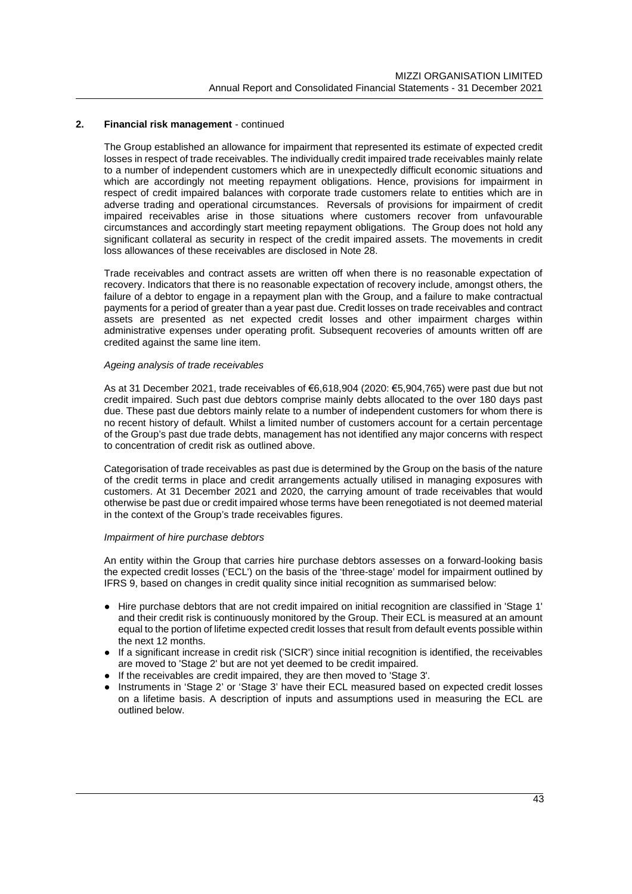The Group established an allowance for impairment that represented its estimate of expected credit losses in respect of trade receivables. The individually credit impaired trade receivables mainly relate to a number of independent customers which are in unexpectedly difficult economic situations and which are accordingly not meeting repayment obligations. Hence, provisions for impairment in respect of credit impaired balances with corporate trade customers relate to entities which are in adverse trading and operational circumstances. Reversals of provisions for impairment of credit impaired receivables arise in those situations where customers recover from unfavourable circumstances and accordingly start meeting repayment obligations. The Group does not hold any significant collateral as security in respect of the credit impaired assets. The movements in credit loss allowances of these receivables are disclosed in Note 28.

Trade receivables and contract assets are written off when there is no reasonable expectation of recovery. Indicators that there is no reasonable expectation of recovery include, amongst others, the failure of a debtor to engage in a repayment plan with the Group, and a failure to make contractual payments for a period of greater than a year past due. Credit losses on trade receivables and contract assets are presented as net expected credit losses and other impairment charges within administrative expenses under operating profit. Subsequent recoveries of amounts written off are credited against the same line item.

# *Ageing analysis of trade receivables*

As at 31 December 2021, trade receivables of €6,618,904 (2020: €5,904,765) were past due but not credit impaired. Such past due debtors comprise mainly debts allocated to the over 180 days past due. These past due debtors mainly relate to a number of independent customers for whom there is no recent history of default. Whilst a limited number of customers account for a certain percentage of the Group's past due trade debts, management has not identified any major concerns with respect to concentration of credit risk as outlined above.

Categorisation of trade receivables as past due is determined by the Group on the basis of the nature of the credit terms in place and credit arrangements actually utilised in managing exposures with customers. At 31 December 2021 and 2020, the carrying amount of trade receivables that would otherwise be past due or credit impaired whose terms have been renegotiated is not deemed material in the context of the Group's trade receivables figures.

#### *Impairment of hire purchase debtors*

An entity within the Group that carries hire purchase debtors assesses on a forward-looking basis the expected credit losses ('ECL') on the basis of the 'three-stage' model for impairment outlined by IFRS 9, based on changes in credit quality since initial recognition as summarised below:

- Hire purchase debtors that are not credit impaired on initial recognition are classified in 'Stage 1' and their credit risk is continuously monitored by the Group. Their ECL is measured at an amount equal to the portion of lifetime expected credit losses that result from default events possible within the next 12 months.
- If a significant increase in credit risk ('SICR') since initial recognition is identified, the receivables are moved to 'Stage 2' but are not yet deemed to be credit impaired.
- If the receivables are credit impaired, they are then moved to 'Stage 3'.
- Instruments in 'Stage 2' or 'Stage 3' have their ECL measured based on expected credit losses on a lifetime basis. A description of inputs and assumptions used in measuring the ECL are outlined below.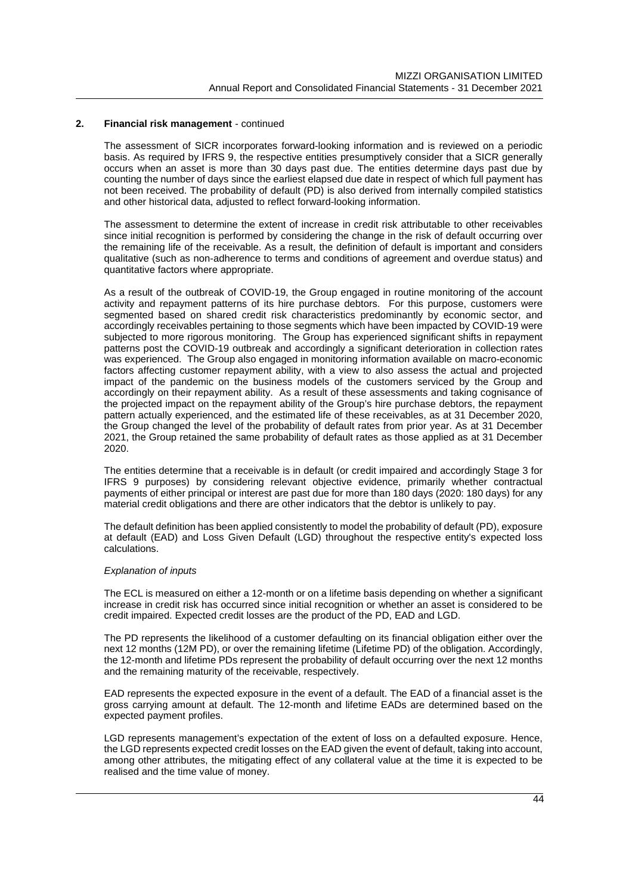The assessment of SICR incorporates forward-looking information and is reviewed on a periodic basis. As required by IFRS 9, the respective entities presumptively consider that a SICR generally occurs when an asset is more than 30 days past due. The entities determine days past due by counting the number of days since the earliest elapsed due date in respect of which full payment has not been received. The probability of default (PD) is also derived from internally compiled statistics and other historical data, adjusted to reflect forward-looking information.

The assessment to determine the extent of increase in credit risk attributable to other receivables since initial recognition is performed by considering the change in the risk of default occurring over the remaining life of the receivable. As a result, the definition of default is important and considers qualitative (such as non-adherence to terms and conditions of agreement and overdue status) and quantitative factors where appropriate.

As a result of the outbreak of COVID-19, the Group engaged in routine monitoring of the account activity and repayment patterns of its hire purchase debtors. For this purpose, customers were segmented based on shared credit risk characteristics predominantly by economic sector, and accordingly receivables pertaining to those segments which have been impacted by COVID-19 were subjected to more rigorous monitoring. The Group has experienced significant shifts in repayment patterns post the COVID-19 outbreak and accordingly a significant deterioration in collection rates was experienced. The Group also engaged in monitoring information available on macro-economic factors affecting customer repayment ability, with a view to also assess the actual and projected impact of the pandemic on the business models of the customers serviced by the Group and accordingly on their repayment ability. As a result of these assessments and taking cognisance of the projected impact on the repayment ability of the Group's hire purchase debtors, the repayment pattern actually experienced, and the estimated life of these receivables, as at 31 December 2020, the Group changed the level of the probability of default rates from prior year. As at 31 December 2021, the Group retained the same probability of default rates as those applied as at 31 December 2020.

The entities determine that a receivable is in default (or credit impaired and accordingly Stage 3 for IFRS 9 purposes) by considering relevant objective evidence, primarily whether contractual payments of either principal or interest are past due for more than 180 days (2020: 180 days) for any material credit obligations and there are other indicators that the debtor is unlikely to pay.

The default definition has been applied consistently to model the probability of default (PD), exposure at default (EAD) and Loss Given Default (LGD) throughout the respective entity's expected loss calculations.

#### *Explanation of inputs*

The ECL is measured on either a 12-month or on a lifetime basis depending on whether a significant increase in credit risk has occurred since initial recognition or whether an asset is considered to be credit impaired. Expected credit losses are the product of the PD, EAD and LGD.

The PD represents the likelihood of a customer defaulting on its financial obligation either over the next 12 months (12M PD), or over the remaining lifetime (Lifetime PD) of the obligation. Accordingly, the 12-month and lifetime PDs represent the probability of default occurring over the next 12 months and the remaining maturity of the receivable, respectively.

EAD represents the expected exposure in the event of a default. The EAD of a financial asset is the gross carrying amount at default. The 12-month and lifetime EADs are determined based on the expected payment profiles.

LGD represents management's expectation of the extent of loss on a defaulted exposure. Hence, the LGD represents expected credit losses on the EAD given the event of default, taking into account, among other attributes, the mitigating effect of any collateral value at the time it is expected to be realised and the time value of money.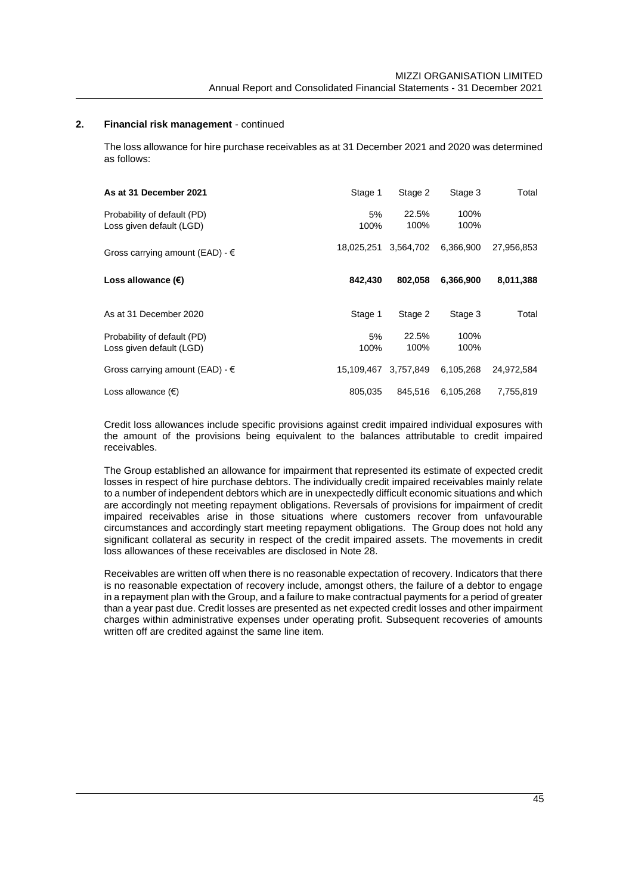The loss allowance for hire purchase receivables as at 31 December 2021 and 2020 was determined as follows:

| As at 31 December 2021                                  | Stage 1    | Stage 2       | Stage 3      | Total      |
|---------------------------------------------------------|------------|---------------|--------------|------------|
| Probability of default (PD)<br>Loss given default (LGD) | 5%<br>100% | 22.5%<br>100% | 100%<br>100% |            |
| Gross carrying amount (EAD) - $\in$                     | 18.025.251 | 3,564,702     | 6,366,900    | 27,956,853 |
| Loss allowance $(\epsilon)$                             | 842.430    | 802.058       | 6,366,900    | 8,011,388  |
|                                                         |            |               |              |            |
| As at 31 December 2020                                  | Stage 1    | Stage 2       | Stage 3      | Total      |
| Probability of default (PD)<br>Loss given default (LGD) | 5%<br>100% | 22.5%<br>100% | 100%<br>100% |            |
| Gross carrying amount (EAD) - $\epsilon$                | 15.109.467 | 3.757.849     | 6.105.268    | 24.972.584 |

Credit loss allowances include specific provisions against credit impaired individual exposures with the amount of the provisions being equivalent to the balances attributable to credit impaired receivables.

The Group established an allowance for impairment that represented its estimate of expected credit losses in respect of hire purchase debtors. The individually credit impaired receivables mainly relate to a number of independent debtors which are in unexpectedly difficult economic situations and which are accordingly not meeting repayment obligations. Reversals of provisions for impairment of credit impaired receivables arise in those situations where customers recover from unfavourable circumstances and accordingly start meeting repayment obligations. The Group does not hold any significant collateral as security in respect of the credit impaired assets. The movements in credit loss allowances of these receivables are disclosed in Note 28.

Receivables are written off when there is no reasonable expectation of recovery. Indicators that there is no reasonable expectation of recovery include, amongst others, the failure of a debtor to engage in a repayment plan with the Group, and a failure to make contractual payments for a period of greater than a year past due. Credit losses are presented as net expected credit losses and other impairment charges within administrative expenses under operating profit. Subsequent recoveries of amounts written off are credited against the same line item.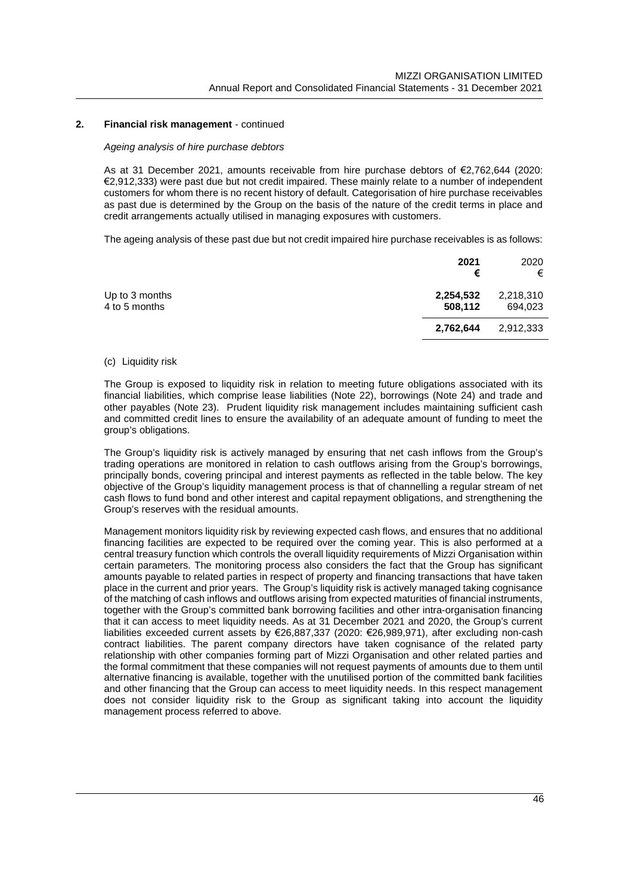#### *Ageing analysis of hire purchase debtors*

As at 31 December 2021, amounts receivable from hire purchase debtors of €2,762,644 (2020: €2,912,333) were past due but not credit impaired. These mainly relate to a number of independent customers for whom there is no recent history of default. Categorisation of hire purchase receivables as past due is determined by the Group on the basis of the nature of the credit terms in place and credit arrangements actually utilised in managing exposures with customers.

The ageing analysis of these past due but not credit impaired hire purchase receivables is as follows:

|                                 | 2021<br>€            | 2020<br>€            |
|---------------------------------|----------------------|----------------------|
| Up to 3 months<br>4 to 5 months | 2,254,532<br>508,112 | 2,218,310<br>694,023 |
|                                 | 2,762,644            | 2,912,333            |

#### (c) Liquidity risk

The Group is exposed to liquidity risk in relation to meeting future obligations associated with its financial liabilities, which comprise lease liabilities (Note 22), borrowings (Note 24) and trade and other payables (Note 23). Prudent liquidity risk management includes maintaining sufficient cash and committed credit lines to ensure the availability of an adequate amount of funding to meet the group's obligations.

The Group's liquidity risk is actively managed by ensuring that net cash inflows from the Group's trading operations are monitored in relation to cash outflows arising from the Group's borrowings, principally bonds, covering principal and interest payments as reflected in the table below. The key objective of the Group's liquidity management process is that of channelling a regular stream of net cash flows to fund bond and other interest and capital repayment obligations, and strengthening the Group's reserves with the residual amounts.

Management monitors liquidity risk by reviewing expected cash flows, and ensures that no additional financing facilities are expected to be required over the coming year. This is also performed at a central treasury function which controls the overall liquidity requirements of Mizzi Organisation within certain parameters. The monitoring process also considers the fact that the Group has significant amounts payable to related parties in respect of property and financing transactions that have taken place in the current and prior years. The Group's liquidity risk is actively managed taking cognisance of the matching of cash inflows and outflows arising from expected maturities of financial instruments, together with the Group's committed bank borrowing facilities and other intra-organisation financing that it can access to meet liquidity needs. As at 31 December 2021 and 2020, the Group's current liabilities exceeded current assets by €26,887,337 (2020: €26,989,971), after excluding non-cash contract liabilities. The parent company directors have taken cognisance of the related party relationship with other companies forming part of Mizzi Organisation and other related parties and the formal commitment that these companies will not request payments of amounts due to them until alternative financing is available, together with the unutilised portion of the committed bank facilities and other financing that the Group can access to meet liquidity needs. In this respect management does not consider liquidity risk to the Group as significant taking into account the liquidity management process referred to above.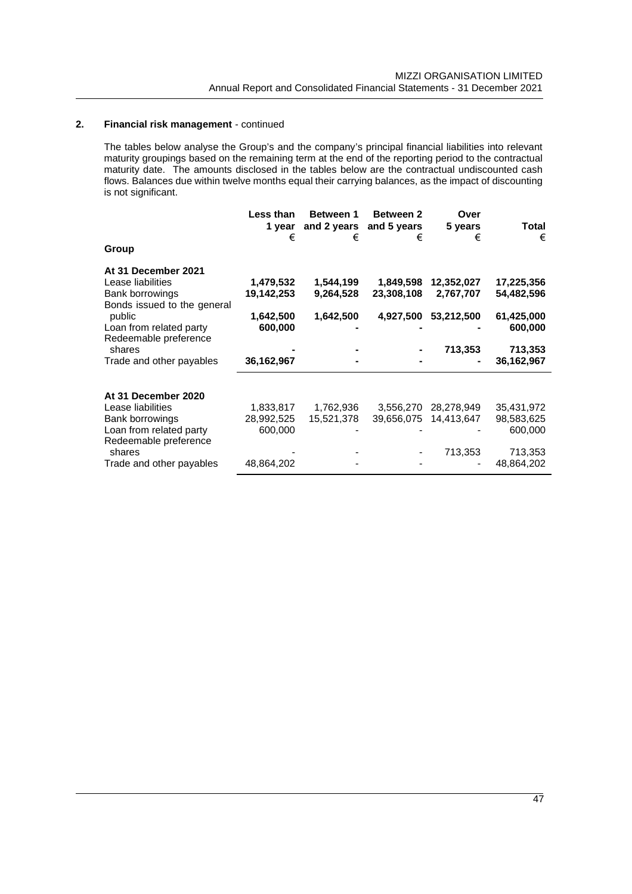The tables below analyse the Group's and the company's principal financial liabilities into relevant maturity groupings based on the remaining term at the end of the reporting period to the contractual maturity date. The amounts disclosed in the tables below are the contractual undiscounted cash flows. Balances due within twelve months equal their carrying balances, as the impact of discounting is not significant.

|                                                                                            | Less than<br>1 vear<br>€ | <b>Between 1</b><br>and 2 years<br>€ | <b>Between 2</b><br>and 5 years<br>€ | Over<br>5 years<br>€    | Total<br>€               |
|--------------------------------------------------------------------------------------------|--------------------------|--------------------------------------|--------------------------------------|-------------------------|--------------------------|
| Group                                                                                      |                          |                                      |                                      |                         |                          |
| At 31 December 2021<br>Lease liabilities<br>Bank borrowings<br>Bonds issued to the general | 1,479,532<br>19,142,253  | 1,544,199<br>9,264,528               | 1,849,598<br>23,308,108              | 12,352,027<br>2,767,707 | 17,225,356<br>54,482,596 |
| public<br>Loan from related party<br>Redeemable preference                                 | 1,642,500<br>600,000     | 1,642,500                            | 4,927,500                            | 53,212,500              | 61,425,000<br>600,000    |
| shares<br>Trade and other payables                                                         | 36, 162, 967             |                                      |                                      | 713,353                 | 713,353<br>36,162,967    |
| At 31 December 2020                                                                        |                          |                                      |                                      |                         |                          |
| Lease liabilities                                                                          | 1,833,817                | 1,762,936                            | 3,556,270                            | 28,278,949              | 35,431,972               |
| Bank borrowings<br>Loan from related party<br>Redeemable preference                        | 28,992,525<br>600,000    | 15,521,378                           | 39,656,075                           | 14,413,647              | 98,583,625<br>600,000    |
| shares<br>Trade and other payables                                                         | 48,864,202               |                                      |                                      | 713,353                 | 713,353<br>48,864,202    |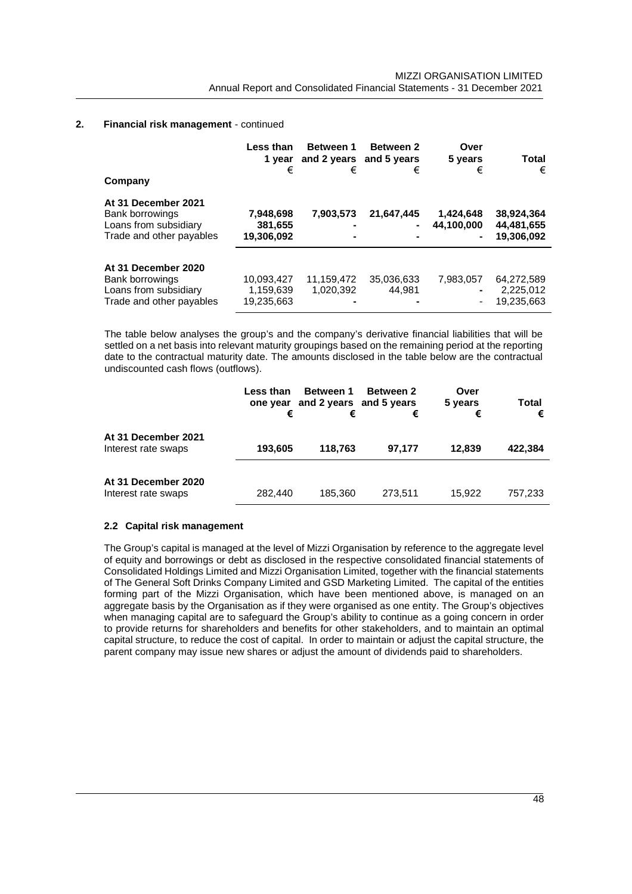| Company                                                                                            | Less than<br>1 vear<br>€              | Between 1<br>and 2 years and 5 years<br>€ | <b>Between 2</b><br>€ | Over<br>5 years<br>€             | Total<br>€                             |
|----------------------------------------------------------------------------------------------------|---------------------------------------|-------------------------------------------|-----------------------|----------------------------------|----------------------------------------|
| At 31 December 2021<br><b>Bank borrowings</b><br>Loans from subsidiary<br>Trade and other payables | 7,948,698<br>381,655<br>19,306,092    | 7.903.573<br>-                            | 21,647,445<br>۰       | 1.424.648<br>44,100,000<br>۰     | 38,924,364<br>44,481,655<br>19,306,092 |
| At 31 December 2020<br>Bank borrowings<br>Loans from subsidiary<br>Trade and other payables        | 10,093,427<br>1,159,639<br>19,235,663 | 11,159,472<br>1,020,392                   | 35,036,633<br>44.981  | 7.983.057<br>۰<br>$\overline{a}$ | 64,272,589<br>2,225,012<br>19,235,663  |

The table below analyses the group's and the company's derivative financial liabilities that will be settled on a net basis into relevant maturity groupings based on the remaining period at the reporting date to the contractual maturity date. The amounts disclosed in the table below are the contractual undiscounted cash flows (outflows).

|                                            | Less than<br>one year<br>€ | <b>Between 1</b><br>and 2 years and 5 years<br>€ | <b>Between 2</b><br>€ | Over<br>5 years<br>€ | Total<br>€ |
|--------------------------------------------|----------------------------|--------------------------------------------------|-----------------------|----------------------|------------|
| At 31 December 2021<br>Interest rate swaps | 193,605                    | 118.763                                          | 97.177                | 12.839               | 422,384    |
| At 31 December 2020<br>Interest rate swaps | 282,440                    | 185.360                                          | 273,511               | 15.922               | 757.233    |

# **2.2 Capital risk management**

The Group's capital is managed at the level of Mizzi Organisation by reference to the aggregate level of equity and borrowings or debt as disclosed in the respective consolidated financial statements of Consolidated Holdings Limited and Mizzi Organisation Limited, together with the financial statements of The General Soft Drinks Company Limited and GSD Marketing Limited. The capital of the entities forming part of the Mizzi Organisation, which have been mentioned above, is managed on an aggregate basis by the Organisation as if they were organised as one entity. The Group's objectives when managing capital are to safeguard the Group's ability to continue as a going concern in order to provide returns for shareholders and benefits for other stakeholders, and to maintain an optimal capital structure, to reduce the cost of capital. In order to maintain or adjust the capital structure, the parent company may issue new shares or adjust the amount of dividends paid to shareholders.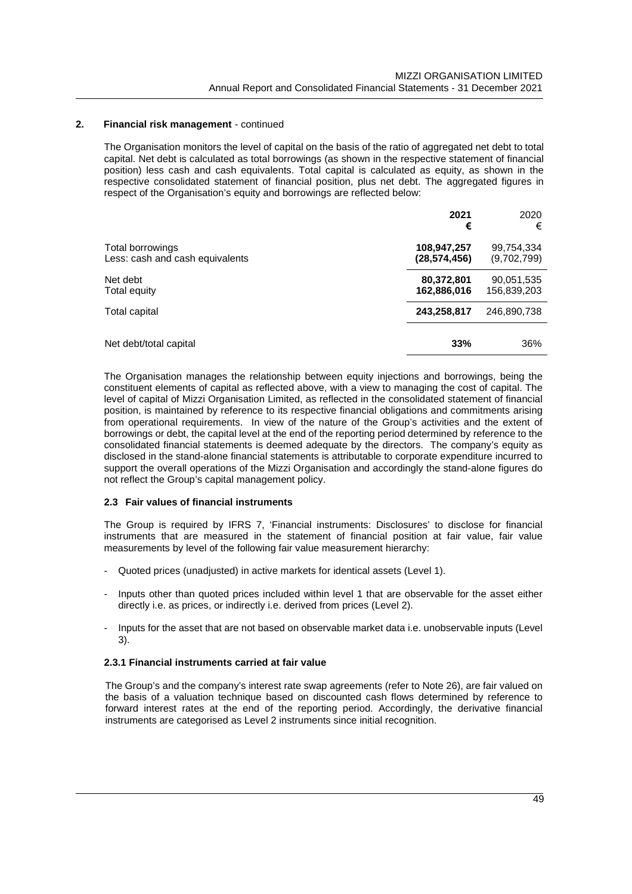The Organisation monitors the level of capital on the basis of the ratio of aggregated net debt to total capital. Net debt is calculated as total borrowings (as shown in the respective statement of financial position) less cash and cash equivalents. Total capital is calculated as equity, as shown in the respective consolidated statement of financial position, plus net debt. The aggregated figures in respect of the Organisation's equity and borrowings are reflected below:

|                                                     | 2021<br>€                   | 2020<br>€                 |
|-----------------------------------------------------|-----------------------------|---------------------------|
| Total borrowings<br>Less: cash and cash equivalents | 108,947,257<br>(28.574.456) | 99,754,334<br>(9,702,799) |
| Net debt<br>Total equity                            | 80,372,801<br>162,886,016   | 90,051,535<br>156,839,203 |
| Total capital                                       | 243,258,817                 | 246,890,738               |
| Net debt/total capital                              | 33%                         | 36%                       |

The Organisation manages the relationship between equity injections and borrowings, being the constituent elements of capital as reflected above, with a view to managing the cost of capital. The level of capital of Mizzi Organisation Limited, as reflected in the consolidated statement of financial position, is maintained by reference to its respective financial obligations and commitments arising from operational requirements. In view of the nature of the Group's activities and the extent of borrowings or debt, the capital level at the end of the reporting period determined by reference to the consolidated financial statements is deemed adequate by the directors. The company's equity as disclosed in the stand-alone financial statements is attributable to corporate expenditure incurred to support the overall operations of the Mizzi Organisation and accordingly the stand-alone figures do not reflect the Group's capital management policy.

# **2.3 Fair values of financial instruments**

The Group is required by IFRS 7, 'Financial instruments: Disclosures' to disclose for financial instruments that are measured in the statement of financial position at fair value, fair value measurements by level of the following fair value measurement hierarchy:

- Quoted prices (unadjusted) in active markets for identical assets (Level 1).
- Inputs other than quoted prices included within level 1 that are observable for the asset either directly i.e. as prices, or indirectly i.e. derived from prices (Level 2).
- Inputs for the asset that are not based on observable market data i.e. unobservable inputs (Level 3).

# **2.3.1 Financial instruments carried at fair value**

The Group's and the company's interest rate swap agreements (refer to Note 26), are fair valued on the basis of a valuation technique based on discounted cash flows determined by reference to forward interest rates at the end of the reporting period. Accordingly, the derivative financial instruments are categorised as Level 2 instruments since initial recognition.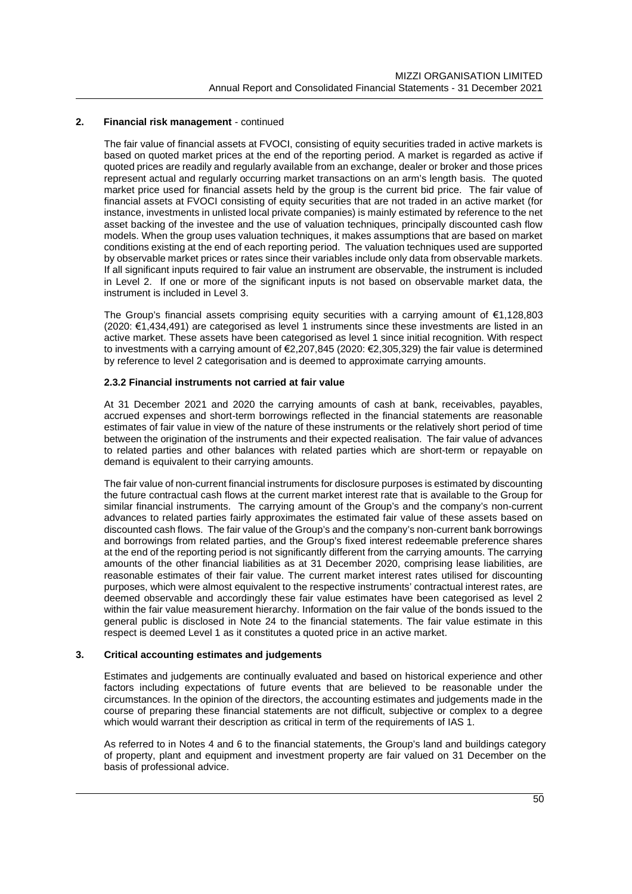The fair value of financial assets at FVOCI, consisting of equity securities traded in active markets is based on quoted market prices at the end of the reporting period. A market is regarded as active if quoted prices are readily and regularly available from an exchange, dealer or broker and those prices represent actual and regularly occurring market transactions on an arm's length basis. The quoted market price used for financial assets held by the group is the current bid price. The fair value of financial assets at FVOCI consisting of equity securities that are not traded in an active market (for instance, investments in unlisted local private companies) is mainly estimated by reference to the net asset backing of the investee and the use of valuation techniques, principally discounted cash flow models. When the group uses valuation techniques, it makes assumptions that are based on market conditions existing at the end of each reporting period. The valuation techniques used are supported by observable market prices or rates since their variables include only data from observable markets. If all significant inputs required to fair value an instrument are observable, the instrument is included in Level 2. If one or more of the significant inputs is not based on observable market data, the instrument is included in Level 3.

The Group's financial assets comprising equity securities with a carrying amount of €1,128,803 (2020: €1,434,491) are categorised as level 1 instruments since these investments are listed in an active market. These assets have been categorised as level 1 since initial recognition. With respect to investments with a carrying amount of €2,207,845 (2020: €2,305,329) the fair value is determined by reference to level 2 categorisation and is deemed to approximate carrying amounts.

# **2.3.2 Financial instruments not carried at fair value**

At 31 December 2021 and 2020 the carrying amounts of cash at bank, receivables, payables, accrued expenses and short-term borrowings reflected in the financial statements are reasonable estimates of fair value in view of the nature of these instruments or the relatively short period of time between the origination of the instruments and their expected realisation. The fair value of advances to related parties and other balances with related parties which are short-term or repayable on demand is equivalent to their carrying amounts.

The fair value of non-current financial instruments for disclosure purposes is estimated by discounting the future contractual cash flows at the current market interest rate that is available to the Group for similar financial instruments. The carrying amount of the Group's and the company's non-current advances to related parties fairly approximates the estimated fair value of these assets based on discounted cash flows. The fair value of the Group's and the company's non-current bank borrowings and borrowings from related parties, and the Group's fixed interest redeemable preference shares at the end of the reporting period is not significantly different from the carrying amounts. The carrying amounts of the other financial liabilities as at 31 December 2020, comprising lease liabilities, are reasonable estimates of their fair value. The current market interest rates utilised for discounting purposes, which were almost equivalent to the respective instruments' contractual interest rates, are deemed observable and accordingly these fair value estimates have been categorised as level 2 within the fair value measurement hierarchy. Information on the fair value of the bonds issued to the general public is disclosed in Note 24 to the financial statements. The fair value estimate in this respect is deemed Level 1 as it constitutes a quoted price in an active market.

## **3. Critical accounting estimates and judgements**

Estimates and judgements are continually evaluated and based on historical experience and other factors including expectations of future events that are believed to be reasonable under the circumstances. In the opinion of the directors, the accounting estimates and judgements made in the course of preparing these financial statements are not difficult, subjective or complex to a degree which would warrant their description as critical in term of the requirements of IAS 1.

As referred to in Notes 4 and 6 to the financial statements, the Group's land and buildings category of property, plant and equipment and investment property are fair valued on 31 December on the basis of professional advice.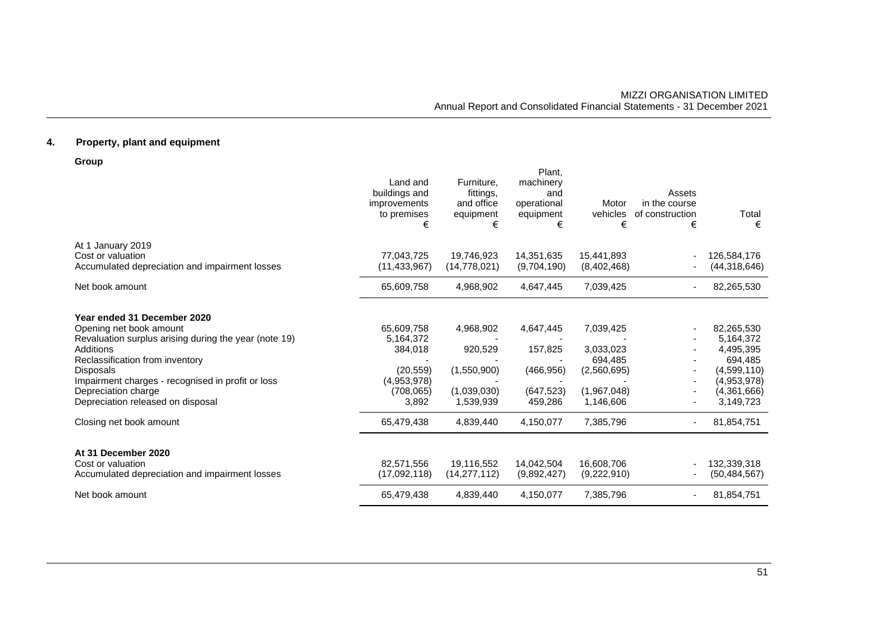# **4. Property, plant and equipment**

**Group**

|                                                       | Land and<br>buildings and<br>improvements<br>to premises<br>€ | Furniture,<br>fittings,<br>and office<br>equipment<br>€ | Plant,<br>machinery<br>and<br>operational<br>equipment<br>€ | Motor<br>vehicles<br>€ | Assets<br>in the course<br>of construction<br>€ | Total<br>€     |
|-------------------------------------------------------|---------------------------------------------------------------|---------------------------------------------------------|-------------------------------------------------------------|------------------------|-------------------------------------------------|----------------|
| At 1 January 2019                                     |                                                               |                                                         |                                                             |                        |                                                 |                |
| Cost or valuation                                     | 77,043,725                                                    | 19,746,923                                              | 14,351,635                                                  | 15,441,893             |                                                 | 126,584,176    |
| Accumulated depreciation and impairment losses        | (11, 433, 967)                                                | (14, 778, 021)                                          | (9,704,190)                                                 | (8,402,468)            |                                                 | (44,318,646)   |
| Net book amount                                       | 65,609,758                                                    | 4,968,902                                               | 4,647,445                                                   | 7,039,425              |                                                 | 82,265,530     |
| Year ended 31 December 2020                           |                                                               |                                                         |                                                             |                        |                                                 |                |
| Opening net book amount                               | 65,609,758                                                    | 4,968,902                                               | 4,647,445                                                   | 7,039,425              |                                                 | 82,265,530     |
| Revaluation surplus arising during the year (note 19) | 5,164,372                                                     |                                                         |                                                             |                        |                                                 | 5,164,372      |
| Additions                                             | 384,018                                                       | 920,529                                                 | 157,825                                                     | 3,033,023              |                                                 | 4,495,395      |
| Reclassification from inventory                       |                                                               |                                                         |                                                             | 694.485                |                                                 | 694,485        |
| <b>Disposals</b>                                      | (20, 559)                                                     | (1,550,900)                                             | (466, 956)                                                  | (2,560,695)            |                                                 | (4,599,110)    |
| Impairment charges - recognised in profit or loss     | (4,953,978)                                                   |                                                         |                                                             |                        |                                                 | (4,953,978)    |
| Depreciation charge                                   | (708, 065)                                                    | (1,039,030)                                             | (647, 523)                                                  | (1,967,048)            |                                                 | (4,361,666)    |
| Depreciation released on disposal                     | 3,892                                                         | 1,539,939                                               | 459,286                                                     | 1,146,606              |                                                 | 3,149,723      |
| Closing net book amount                               | 65,479,438                                                    | 4,839,440                                               | 4,150,077                                                   | 7,385,796              |                                                 | 81,854,751     |
| At 31 December 2020                                   |                                                               |                                                         |                                                             |                        |                                                 |                |
| Cost or valuation                                     | 82,571,556                                                    | 19,116,552                                              | 14,042,504                                                  | 16,608,706             |                                                 | 132,339,318    |
| Accumulated depreciation and impairment losses        | (17,092,118)                                                  | (14, 277, 112)                                          | (9,892,427)                                                 | (9,222,910)            |                                                 | (50, 484, 567) |
| Net book amount                                       | 65,479,438                                                    | 4,839,440                                               | 4,150,077                                                   | 7,385,796              | ۰.                                              | 81,854,751     |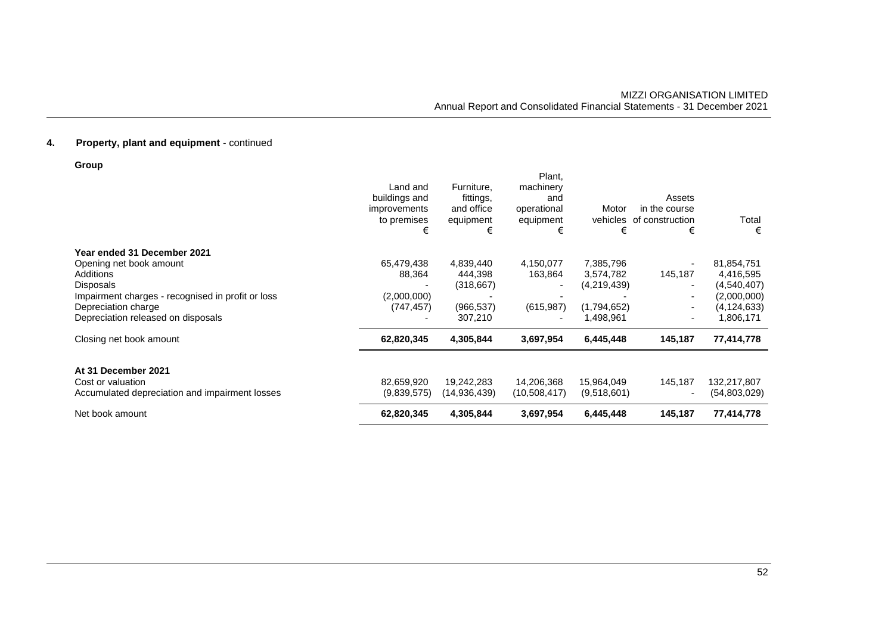| Group                                             |                                                                      |                                                         |                                                             |                        |                                                 |               |
|---------------------------------------------------|----------------------------------------------------------------------|---------------------------------------------------------|-------------------------------------------------------------|------------------------|-------------------------------------------------|---------------|
|                                                   | Land and<br>buildings and<br><i>improvements</i><br>to premises<br>€ | Furniture,<br>fittings,<br>and office<br>equipment<br>€ | Plant,<br>machinery<br>and<br>operational<br>equipment<br>€ | Motor<br>vehicles<br>€ | Assets<br>in the course<br>of construction<br>€ | Total<br>€    |
| Year ended 31 December 2021                       |                                                                      |                                                         |                                                             |                        |                                                 |               |
| Opening net book amount                           | 65,479,438                                                           | 4,839,440                                               | 4,150,077                                                   | 7,385,796              |                                                 | 81,854,751    |
| Additions                                         | 88,364                                                               | 444,398                                                 | 163,864                                                     | 3,574,782              | 145,187                                         | 4,416,595     |
| Disposals                                         |                                                                      | (318, 667)                                              |                                                             | (4,219,439)            |                                                 | (4,540,407)   |
| Impairment charges - recognised in profit or loss | (2,000,000)                                                          |                                                         |                                                             |                        |                                                 | (2,000,000)   |
| Depreciation charge                               | (747, 457)                                                           | (966, 537)                                              | (615, 987)                                                  | (1,794,652)            | ۰.                                              | (4, 124, 633) |
| Depreciation released on disposals                |                                                                      | 307,210                                                 |                                                             | 1,498,961              | $\overline{\phantom{0}}$                        | 1,806,171     |
| Closing net book amount                           | 62,820,345                                                           | 4,305,844                                               | 3,697,954                                                   | 6,445,448              | 145,187                                         | 77,414,778    |
| At 31 December 2021                               |                                                                      |                                                         |                                                             |                        |                                                 |               |
| Cost or valuation                                 | 82,659,920                                                           | 19,242,283                                              | 14,206,368                                                  | 15,964,049             | 145,187                                         | 132,217,807   |
| Accumulated depreciation and impairment losses    | (9,839,575)                                                          | (14,936,439)                                            | (10,508,417)                                                | (9,518,601)            |                                                 | (54,803,029)  |
| Net book amount                                   | 62,820,345                                                           | 4,305,844                                               | 3,697,954                                                   | 6,445,448              | 145,187                                         | 77,414,778    |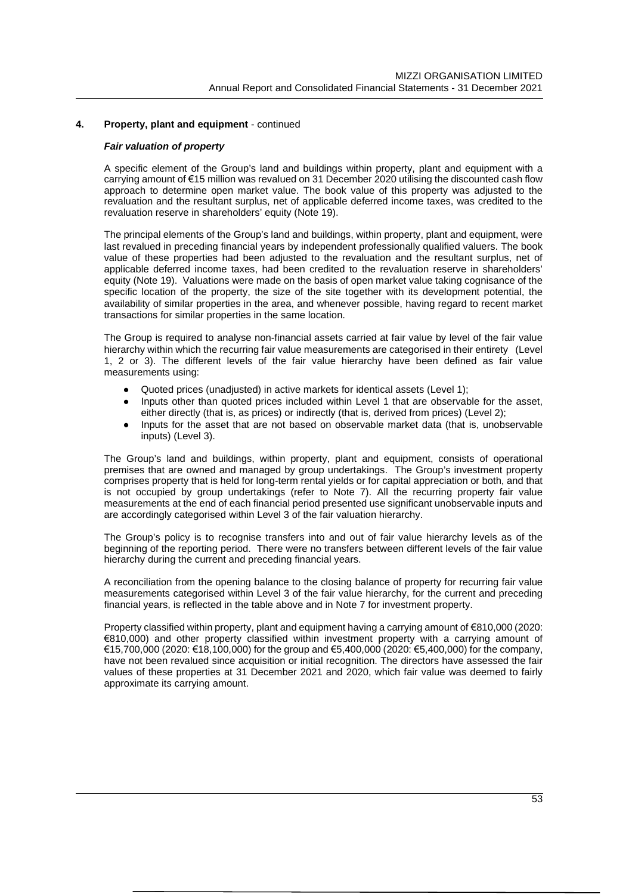# *Fair valuation of property*

A specific element of the Group's land and buildings within property, plant and equipment with a carrying amount of €15 million was revalued on 31 December 2020 utilising the discounted cash flow approach to determine open market value. The book value of this property was adjusted to the revaluation and the resultant surplus, net of applicable deferred income taxes, was credited to the revaluation reserve in shareholders' equity (Note 19).

The principal elements of the Group's land and buildings, within property, plant and equipment, were last revalued in preceding financial years by independent professionally qualified valuers. The book value of these properties had been adjusted to the revaluation and the resultant surplus, net of applicable deferred income taxes, had been credited to the revaluation reserve in shareholders' equity (Note 19). Valuations were made on the basis of open market value taking cognisance of the specific location of the property, the size of the site together with its development potential, the availability of similar properties in the area, and whenever possible, having regard to recent market transactions for similar properties in the same location.

The Group is required to analyse non-financial assets carried at fair value by level of the fair value hierarchy within which the recurring fair value measurements are categorised in their entirety (Level 1, 2 or 3). The different levels of the fair value hierarchy have been defined as fair value measurements using:

- Quoted prices (unadjusted) in active markets for identical assets (Level 1);
- Inputs other than quoted prices included within Level 1 that are observable for the asset, either directly (that is, as prices) or indirectly (that is, derived from prices) (Level 2);
- Inputs for the asset that are not based on observable market data (that is, unobservable inputs) (Level 3).

The Group's land and buildings, within property, plant and equipment, consists of operational premises that are owned and managed by group undertakings. The Group's investment property comprises property that is held for long-term rental yields or for capital appreciation or both, and that is not occupied by group undertakings (refer to Note 7). All the recurring property fair value measurements at the end of each financial period presented use significant unobservable inputs and are accordingly categorised within Level 3 of the fair valuation hierarchy.

The Group's policy is to recognise transfers into and out of fair value hierarchy levels as of the beginning of the reporting period. There were no transfers between different levels of the fair value hierarchy during the current and preceding financial years.

A reconciliation from the opening balance to the closing balance of property for recurring fair value measurements categorised within Level 3 of the fair value hierarchy, for the current and preceding financial years, is reflected in the table above and in Note 7 for investment property.

Property classified within property, plant and equipment having a carrying amount of €810,000 (2020: €810,000) and other property classified within investment property with a carrying amount of  $€15,700,000$  (2020; €18,100,000) for the group and €5,400,000 (2020; €5,400,000) for the company, have not been revalued since acquisition or initial recognition. The directors have assessed the fair values of these properties at 31 December 2021 and 2020, which fair value was deemed to fairly approximate its carrying amount.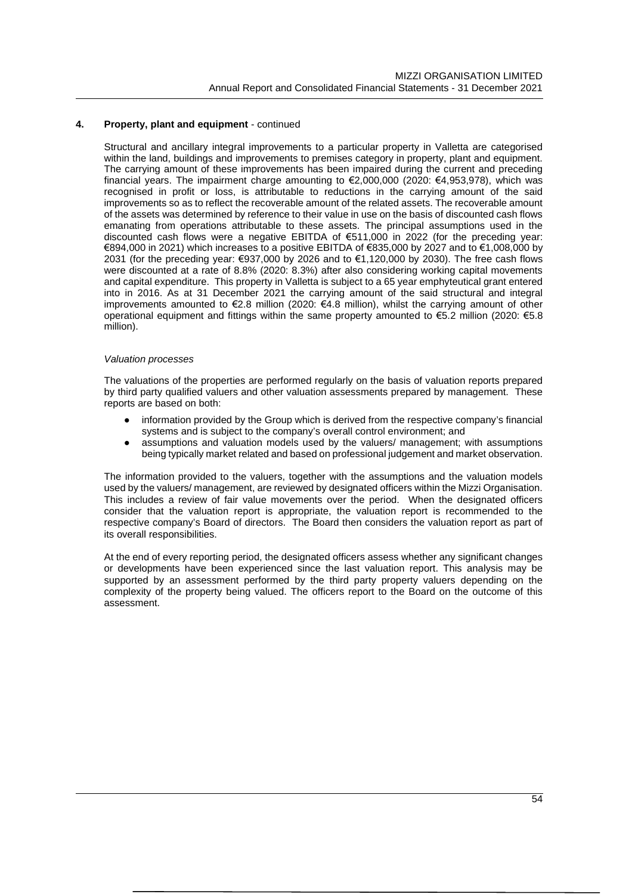Structural and ancillary integral improvements to a particular property in Valletta are categorised within the land, buildings and improvements to premises category in property, plant and equipment. The carrying amount of these improvements has been impaired during the current and preceding financial years. The impairment charge amounting to €2,000,000 (2020: €4,953,978), which was recognised in profit or loss, is attributable to reductions in the carrying amount of the said improvements so as to reflect the recoverable amount of the related assets. The recoverable amount of the assets was determined by reference to their value in use on the basis of discounted cash flows emanating from operations attributable to these assets. The principal assumptions used in the discounted cash flows were a negative EBITDA of €511,000 in 2022 (for the preceding year: €894,000 in 2021) which increases to a positive EBITDA of €835,000 by 2027 and to €1,008,000 by 2031 (for the preceding year: €937,000 by 2026 and to €1,120,000 by 2030). The free cash flows were discounted at a rate of 8.8% (2020: 8.3%) after also considering working capital movements and capital expenditure. This property in Valletta is subject to a 65 year emphyteutical grant entered into in 2016. As at 31 December 2021 the carrying amount of the said structural and integral improvements amounted to  $\epsilon$ 2.8 million (2020:  $\epsilon$ 4.8 million), whilst the carrying amount of other operational equipment and fittings within the same property amounted to €5.2 million (2020: €5.8 million).

#### *Valuation processes*

The valuations of the properties are performed regularly on the basis of valuation reports prepared by third party qualified valuers and other valuation assessments prepared by management. These reports are based on both:

- information provided by the Group which is derived from the respective company's financial systems and is subject to the company's overall control environment; and
- assumptions and valuation models used by the valuers/ management; with assumptions being typically market related and based on professional judgement and market observation.

The information provided to the valuers, together with the assumptions and the valuation models used by the valuers/ management, are reviewed by designated officers within the Mizzi Organisation. This includes a review of fair value movements over the period. When the designated officers consider that the valuation report is appropriate, the valuation report is recommended to the respective company's Board of directors. The Board then considers the valuation report as part of its overall responsibilities.

At the end of every reporting period, the designated officers assess whether any significant changes or developments have been experienced since the last valuation report. This analysis may be supported by an assessment performed by the third party property valuers depending on the complexity of the property being valued. The officers report to the Board on the outcome of this assessment.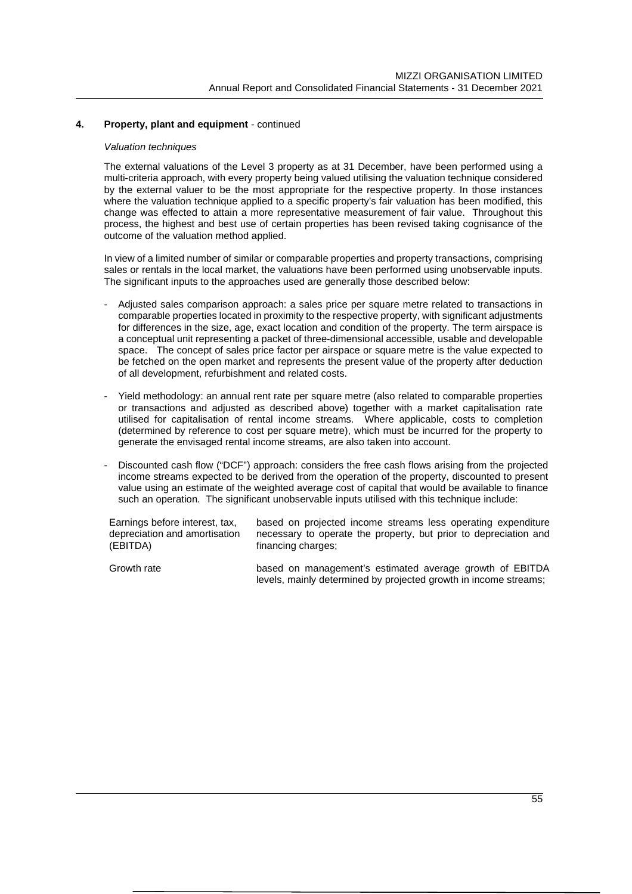### *Valuation techniques*

The external valuations of the Level 3 property as at 31 December, have been performed using a multi-criteria approach, with every property being valued utilising the valuation technique considered by the external valuer to be the most appropriate for the respective property. In those instances where the valuation technique applied to a specific property's fair valuation has been modified, this change was effected to attain a more representative measurement of fair value. Throughout this process, the highest and best use of certain properties has been revised taking cognisance of the outcome of the valuation method applied.

In view of a limited number of similar or comparable properties and property transactions, comprising sales or rentals in the local market, the valuations have been performed using unobservable inputs. The significant inputs to the approaches used are generally those described below:

- Adjusted sales comparison approach: a sales price per square metre related to transactions in comparable properties located in proximity to the respective property, with significant adjustments for differences in the size, age, exact location and condition of the property. The term airspace is a conceptual unit representing a packet of three-dimensional accessible, usable and developable space. The concept of sales price factor per airspace or square metre is the value expected to be fetched on the open market and represents the present value of the property after deduction of all development, refurbishment and related costs.
- Yield methodology: an annual rent rate per square metre (also related to comparable properties or transactions and adjusted as described above) together with a market capitalisation rate utilised for capitalisation of rental income streams. Where applicable, costs to completion (determined by reference to cost per square metre), which must be incurred for the property to generate the envisaged rental income streams, are also taken into account.
- Discounted cash flow ("DCF") approach: considers the free cash flows arising from the projected income streams expected to be derived from the operation of the property, discounted to present value using an estimate of the weighted average cost of capital that would be available to finance such an operation. The significant unobservable inputs utilised with this technique include:

Earnings before interest, tax, depreciation and amortisation (EBITDA) based on projected income streams less operating expenditure necessary to operate the property, but prior to depreciation and financing charges;

Growth rate based on management's estimated average growth of EBITDA levels, mainly determined by projected growth in income streams;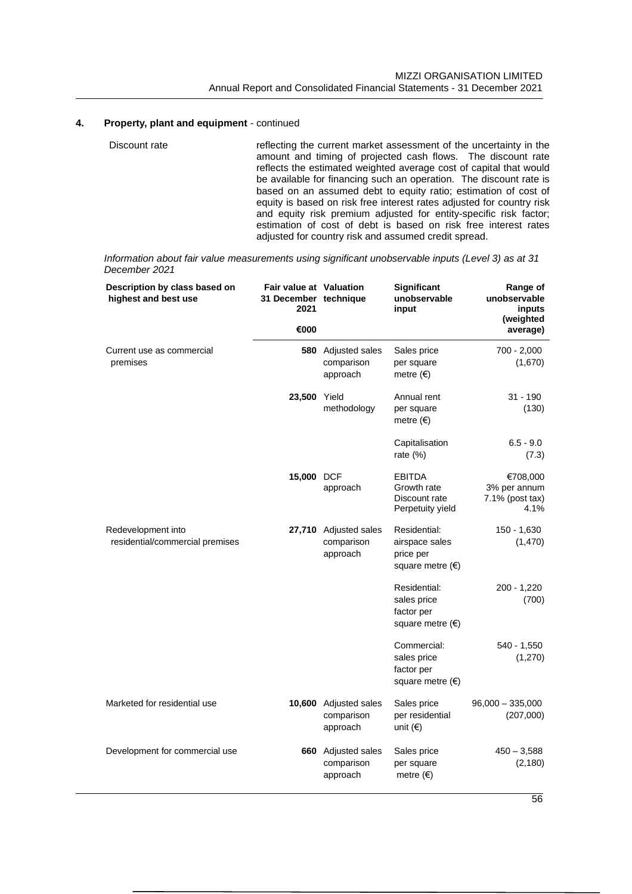Discount rate reflecting the current market assessment of the uncertainty in the amount and timing of projected cash flows. The discount rate reflects the estimated weighted average cost of capital that would be available for financing such an operation. The discount rate is based on an assumed debt to equity ratio; estimation of cost of equity is based on risk free interest rates adjusted for country risk and equity risk premium adjusted for entity-specific risk factor; estimation of cost of debt is based on risk free interest rates adjusted for country risk and assumed credit spread.

*Information about fair value measurements using significant unobservable inputs (Level 3) as at 31 December 2021*

| Description by class based on<br>highest and best use | <b>Fair value at Valuation</b><br>31 December technique<br>2021<br>€000 |                                                 | Significant<br>unobservable<br>input                                     | Range of<br>unobservable<br>inputs<br>(weighted<br>average) |
|-------------------------------------------------------|-------------------------------------------------------------------------|-------------------------------------------------|--------------------------------------------------------------------------|-------------------------------------------------------------|
| Current use as commercial<br>premises                 |                                                                         | 580 Adjusted sales<br>comparison<br>approach    | Sales price<br>per square<br>metre $(\epsilon)$                          | $700 - 2,000$<br>(1,670)                                    |
|                                                       | 23,500 Yield                                                            | methodology                                     | Annual rent<br>per square<br>metre $(\epsilon)$                          | $31 - 190$<br>(130)                                         |
|                                                       |                                                                         |                                                 | Capitalisation<br>rate (%)                                               | $6.5 - 9.0$<br>(7.3)                                        |
|                                                       | 15,000 DCF                                                              | approach                                        | <b>EBITDA</b><br>Growth rate<br>Discount rate<br>Perpetuity yield        | €708,000<br>3% per annum<br>7.1% (post tax)<br>4.1%         |
| Redevelopment into<br>residential/commercial premises |                                                                         | 27,710 Adjusted sales<br>comparison<br>approach | Residential:<br>airspace sales<br>price per<br>square metre $(\epsilon)$ | $150 - 1,630$<br>(1,470)                                    |
|                                                       |                                                                         |                                                 | Residential:<br>sales price<br>factor per<br>square metre (€)            | $200 - 1,220$<br>(700)                                      |
|                                                       |                                                                         |                                                 | Commercial:<br>sales price<br>factor per<br>square metre $(\epsilon)$    | $540 - 1,550$<br>(1,270)                                    |
| Marketed for residential use                          |                                                                         | 10,600 Adjusted sales<br>comparison<br>approach | Sales price<br>per residential<br>unit $(\epsilon)$                      | $96,000 - 335,000$<br>(207,000)                             |
| Development for commercial use                        |                                                                         | 660 Adjusted sales<br>comparison<br>approach    | Sales price<br>per square<br>metre $(\epsilon)$                          | $450 - 3,588$<br>(2, 180)                                   |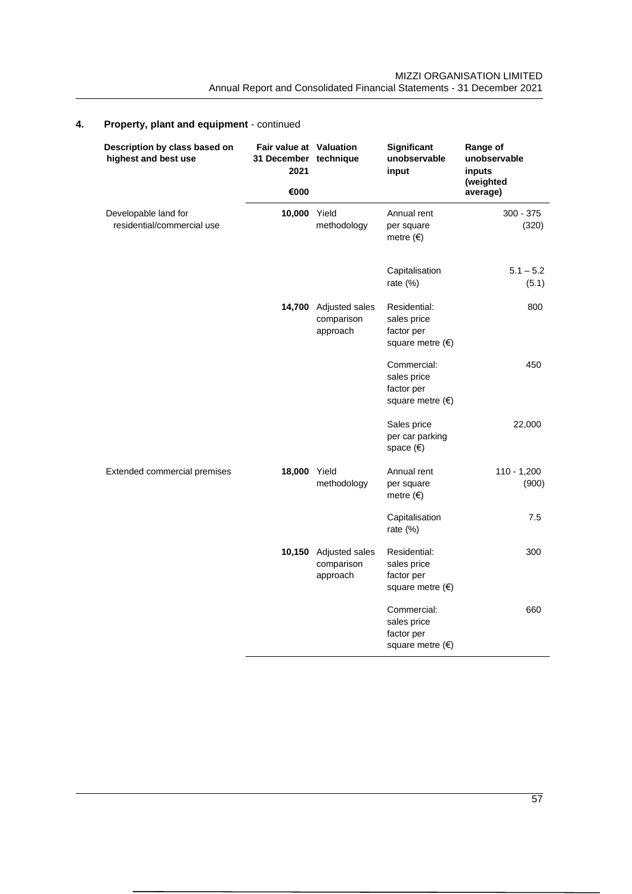| Description by class based on<br>highest and best use | <b>Fair value at Valuation</b><br>31 December technique<br>2021 |                                                 | Significant<br>unobservable<br>input                                  | Range of<br>unobservable<br>inputs |
|-------------------------------------------------------|-----------------------------------------------------------------|-------------------------------------------------|-----------------------------------------------------------------------|------------------------------------|
|                                                       | €000                                                            |                                                 |                                                                       | (weighted<br>average)              |
| Developable land for<br>residential/commercial use    | 10,000 Yield                                                    | methodology                                     | Annual rent<br>per square<br>metre $( \in )$                          | $300 - 375$<br>(320)               |
|                                                       |                                                                 |                                                 | Capitalisation<br>rate (%)                                            | $5.1 - 5.2$<br>(5.1)               |
|                                                       |                                                                 | 14,700 Adjusted sales<br>comparison<br>approach | Residential:<br>sales price<br>factor per<br>square metre $(€)$       | 800                                |
|                                                       |                                                                 |                                                 | Commercial:<br>sales price<br>factor per<br>square metre $(\epsilon)$ | 450                                |
|                                                       |                                                                 |                                                 | Sales price<br>per car parking<br>space $(€)$                         | 22,000                             |
| Extended commercial premises                          | 18,000                                                          | Yield<br>methodology                            | Annual rent<br>per square<br>metre $(\epsilon)$                       | $110 - 1,200$<br>(900)             |
|                                                       |                                                                 |                                                 | Capitalisation<br>rate $(\%)$                                         | 7.5                                |
|                                                       |                                                                 | 10,150 Adjusted sales<br>comparison<br>approach | Residential:<br>sales price<br>factor per<br>square metre $(€)$       | 300                                |
|                                                       |                                                                 |                                                 | Commercial:<br>sales price<br>factor per<br>square metre $(€)$        | 660                                |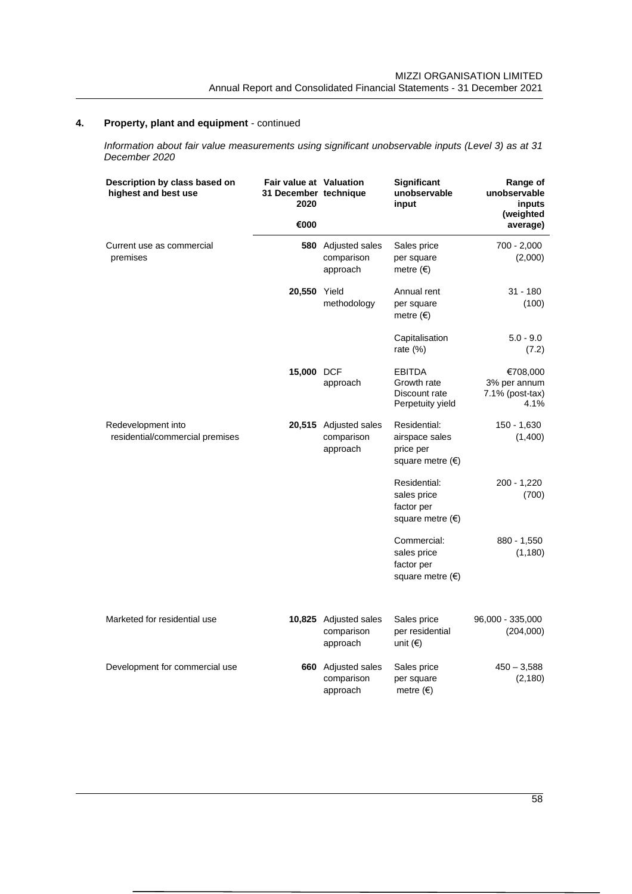*Information about fair value measurements using significant unobservable inputs (Level 3) as at 31 December 2020*

| Description by class based on<br>highest and best use | Fair value at Valuation<br>31 December technique<br>2020<br>€000 |                                                     | Significant<br>unobservable<br>input                                     | Range of<br>unobservable<br>inputs<br>(weighted<br>average) |
|-------------------------------------------------------|------------------------------------------------------------------|-----------------------------------------------------|--------------------------------------------------------------------------|-------------------------------------------------------------|
| Current use as commercial<br>premises                 |                                                                  | 580 Adjusted sales<br>comparison<br>approach        | Sales price<br>per square<br>metre $(\epsilon)$                          | 700 - 2,000<br>(2,000)                                      |
|                                                       | 20,550 Yield                                                     | methodology                                         | Annual rent<br>per square<br>metre $(\epsilon)$                          | $31 - 180$<br>(100)                                         |
|                                                       |                                                                  |                                                     | Capitalisation<br>rate (%)                                               | $5.0 - 9.0$<br>(7.2)                                        |
|                                                       | 15,000 DCF                                                       | approach                                            | <b>EBITDA</b><br>Growth rate<br>Discount rate<br>Perpetuity yield        | €708,000<br>3% per annum<br>$7.1\%$ (post-tax)<br>4.1%      |
| Redevelopment into<br>residential/commercial premises |                                                                  | 20,515 Adjusted sales<br>comparison<br>approach     | Residential:<br>airspace sales<br>price per<br>square metre $(\epsilon)$ | 150 - 1,630<br>(1,400)                                      |
|                                                       |                                                                  |                                                     | Residential:<br>sales price<br>factor per<br>square metre $(\epsilon)$   | $200 - 1,220$<br>(700)                                      |
|                                                       |                                                                  |                                                     | Commercial:<br>sales price<br>factor per<br>square metre $(\epsilon)$    | 880 - 1,550<br>(1, 180)                                     |
| Marketed for residential use                          |                                                                  | 10,825 Adjusted sales<br>comparison<br>approach     | Sales price<br>per residential<br>unit $(€)$                             | 96,000 - 335,000<br>(204,000)                               |
| Development for commercial use                        |                                                                  | <b>660</b> Adjusted sales<br>comparison<br>approach | Sales price<br>per square<br>metre $(\epsilon)$                          | $450 - 3,588$<br>(2, 180)                                   |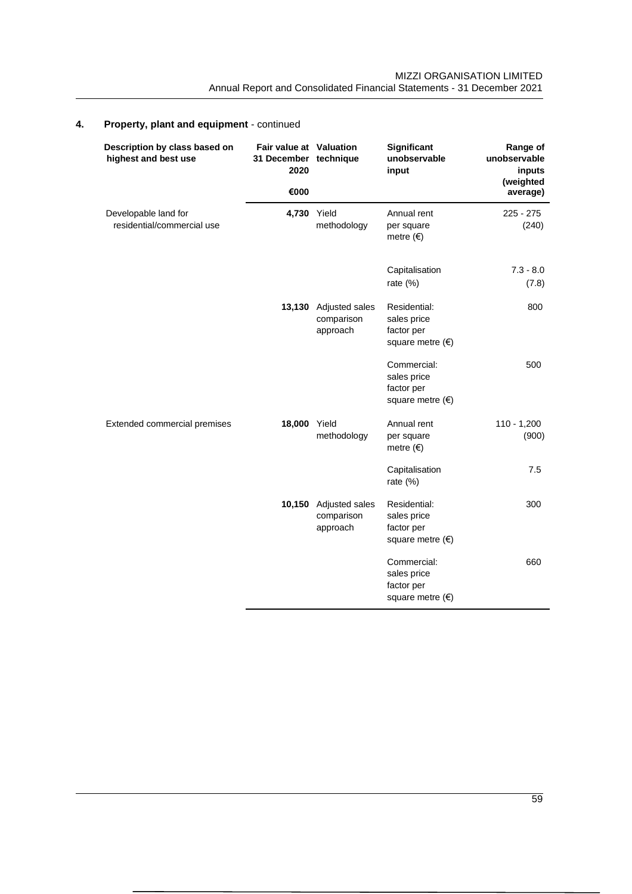| Description by class based on<br>highest and best use | <b>Fair value at Valuation</b><br>31 December technique<br>2020 |                                          | Significant<br>unobservable<br>input                                   | Range of<br>unobservable<br>inputs<br>(weighted |
|-------------------------------------------------------|-----------------------------------------------------------------|------------------------------------------|------------------------------------------------------------------------|-------------------------------------------------|
|                                                       | €000                                                            |                                          |                                                                        | average)                                        |
| Developable land for<br>residential/commercial use    | 4,730 Yield                                                     | methodology                              | Annual rent<br>per square<br>metre $( \in )$                           | 225 - 275<br>(240)                              |
|                                                       |                                                                 |                                          | Capitalisation<br>rate $(\%)$                                          | $7.3 - 8.0$<br>(7.8)                            |
|                                                       | 13,130                                                          | Adjusted sales<br>comparison<br>approach | Residential:<br>sales price<br>factor per<br>square metre $(€)$        | 800                                             |
|                                                       |                                                                 |                                          | Commercial:<br>sales price<br>factor per<br>square metre $(\epsilon)$  | 500                                             |
| Extended commercial premises                          | 18,000                                                          | Yield<br>methodology                     | Annual rent<br>per square<br>metre $( \in )$                           | $110 - 1,200$<br>(900)                          |
|                                                       |                                                                 |                                          | Capitalisation<br>rate $(\%)$                                          | 7.5                                             |
|                                                       | 10,150                                                          | Adjusted sales<br>comparison<br>approach | Residential:<br>sales price<br>factor per<br>square metre $(\epsilon)$ | 300                                             |
|                                                       |                                                                 |                                          | Commercial:<br>sales price<br>factor per<br>square metre $(\epsilon)$  | 660                                             |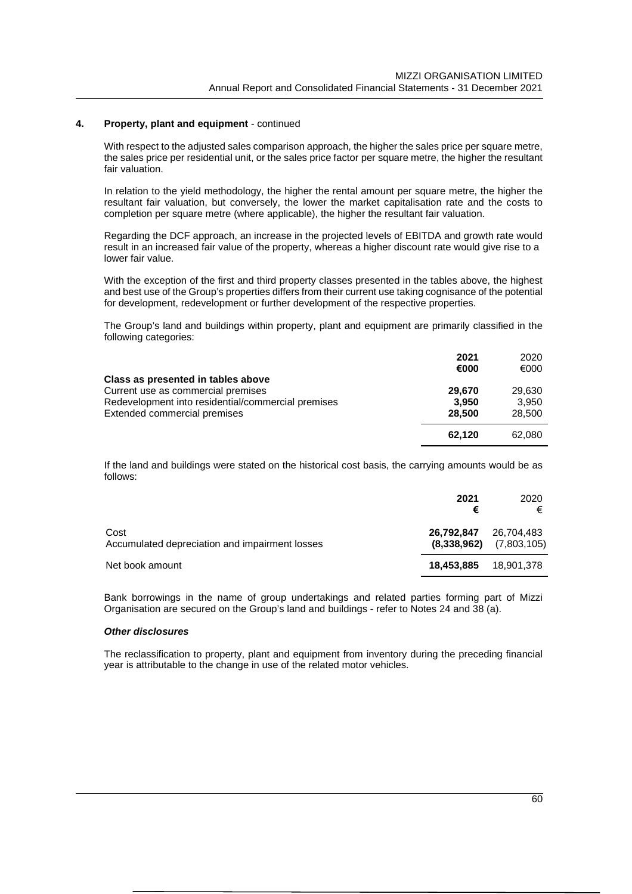With respect to the adjusted sales comparison approach, the higher the sales price per square metre, the sales price per residential unit, or the sales price factor per square metre, the higher the resultant fair valuation.

In relation to the yield methodology, the higher the rental amount per square metre, the higher the resultant fair valuation, but conversely, the lower the market capitalisation rate and the costs to completion per square metre (where applicable), the higher the resultant fair valuation.

Regarding the DCF approach, an increase in the projected levels of EBITDA and growth rate would result in an increased fair value of the property, whereas a higher discount rate would give rise to a lower fair value.

With the exception of the first and third property classes presented in the tables above, the highest and best use of the Group's properties differs from their current use taking cognisance of the potential for development, redevelopment or further development of the respective properties.

The Group's land and buildings within property, plant and equipment are primarily classified in the following categories:

|                                                    | 2021<br>€000 | 2020<br>€000 |
|----------------------------------------------------|--------------|--------------|
| Class as presented in tables above                 |              |              |
| Current use as commercial premises                 | 29,670       | 29,630       |
| Redevelopment into residential/commercial premises | 3.950        | 3.950        |
| Extended commercial premises                       | 28,500       | 28,500       |
|                                                    | 62.120       | 62,080       |

If the land and buildings were stated on the historical cost basis, the carrying amounts would be as follows:

|                                                        | 2021<br>€                 | 2020<br>€                 |
|--------------------------------------------------------|---------------------------|---------------------------|
| Cost<br>Accumulated depreciation and impairment losses | 26,792,847<br>(8,338,962) | 26,704,483<br>(7,803,105) |
| Net book amount                                        | 18,453,885                | 18.901.378                |

Bank borrowings in the name of group undertakings and related parties forming part of Mizzi Organisation are secured on the Group's land and buildings - refer to Notes 24 and 38 (a).

## *Other disclosures*

The reclassification to property, plant and equipment from inventory during the preceding financial year is attributable to the change in use of the related motor vehicles.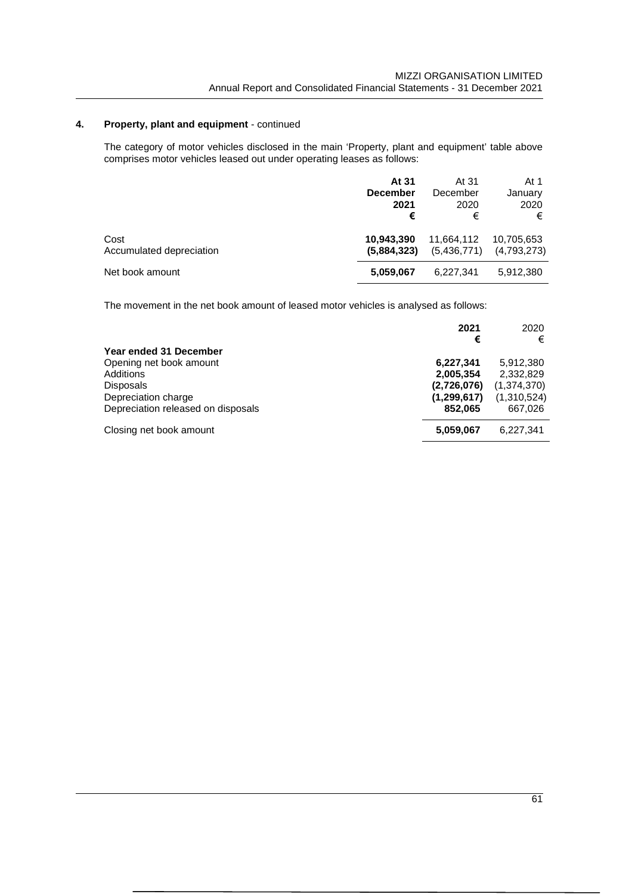The category of motor vehicles disclosed in the main 'Property, plant and equipment' table above comprises motor vehicles leased out under operating leases as follows:

|                          | At 31           | At 31       | At 1        |
|--------------------------|-----------------|-------------|-------------|
|                          | <b>December</b> | December    | January     |
|                          | 2021            | 2020        | 2020        |
|                          | €               | €           | €           |
| Cost                     | 10.943.390      | 11,664,112  | 10,705,653  |
| Accumulated depreciation | (5,884,323)     | (5,436,771) | (4,793,273) |
| Net book amount          | 5,059,067       | 6.227.341   | 5.912.380   |

The movement in the net book amount of leased motor vehicles is analysed as follows:

|                                    | 2021<br>€     | 2020<br>€   |
|------------------------------------|---------------|-------------|
| Year ended 31 December             |               |             |
| Opening net book amount            | 6,227,341     | 5,912,380   |
| Additions                          | 2,005,354     | 2,332,829   |
| <b>Disposals</b>                   | (2,726,076)   | (1,374,370) |
| Depreciation charge                | (1, 299, 617) | (1,310,524) |
| Depreciation released on disposals | 852.065       | 667,026     |
| Closing net book amount            | 5,059,067     | 6.227.341   |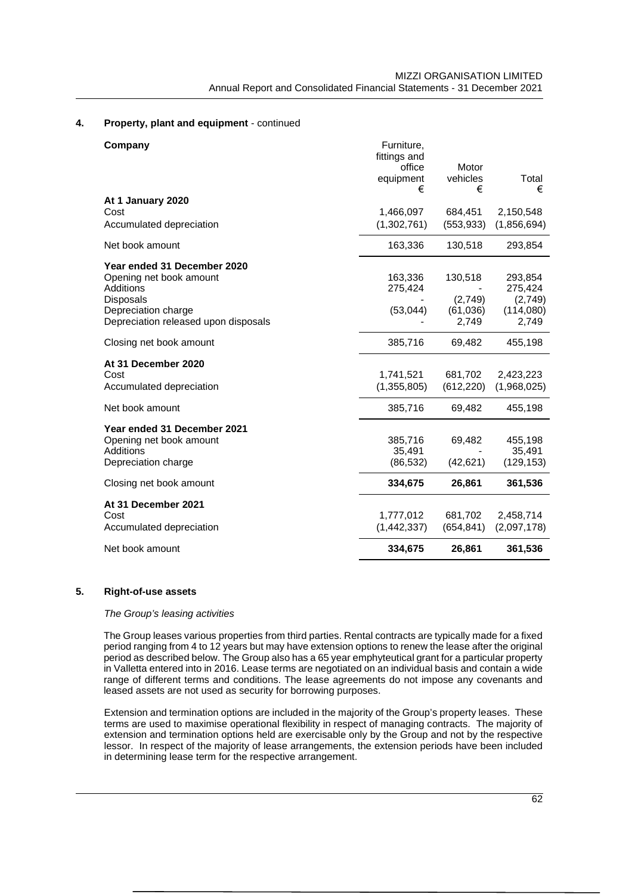| Company                              | Furniture,<br>fittings and |            |             |
|--------------------------------------|----------------------------|------------|-------------|
|                                      | office                     | Motor      |             |
|                                      | equipment                  | vehicles   | Total       |
|                                      | €                          | €          | €           |
| At 1 January 2020                    |                            |            |             |
| Cost                                 | 1,466,097                  | 684,451    | 2,150,548   |
| Accumulated depreciation             | (1,302,761)                | (553, 933) | (1,856,694) |
| Net book amount                      | 163,336                    | 130,518    | 293,854     |
| Year ended 31 December 2020          |                            |            |             |
| Opening net book amount              | 163,336                    | 130,518    | 293,854     |
| Additions                            | 275,424                    |            | 275,424     |
| <b>Disposals</b>                     |                            | (2,749)    | (2,749)     |
| Depreciation charge                  | (53,044)                   | (61,036)   | (114,080)   |
| Depreciation released upon disposals |                            | 2,749      | 2,749       |
| Closing net book amount              | 385,716                    | 69,482     | 455,198     |
| At 31 December 2020                  |                            |            |             |
| Cost                                 | 1,741,521                  | 681,702    | 2,423,223   |
| Accumulated depreciation             | (1,355,805)                | (612, 220) | (1,968,025) |
| Net book amount                      | 385,716                    | 69,482     | 455,198     |
| Year ended 31 December 2021          |                            |            |             |
| Opening net book amount              | 385,716                    | 69,482     | 455,198     |
| Additions                            | 35,491                     |            | 35,491      |
| Depreciation charge                  | (86, 532)                  | (42, 621)  | (129, 153)  |
| Closing net book amount              | 334,675                    | 26,861     | 361,536     |
| At 31 December 2021                  |                            |            |             |
| Cost                                 | 1,777,012                  | 681,702    | 2,458,714   |
| Accumulated depreciation             | (1,442,337)                | (654, 841) | (2,097,178) |
| Net book amount                      | 334,675                    | 26,861     | 361,536     |

#### **5. Right-of-use assets**

#### *The Group's leasing activities*

The Group leases various properties from third parties. Rental contracts are typically made for a fixed period ranging from 4 to 12 years but may have extension options to renew the lease after the original period as described below. The Group also has a 65 year emphyteutical grant for a particular property in Valletta entered into in 2016. Lease terms are negotiated on an individual basis and contain a wide range of different terms and conditions. The lease agreements do not impose any covenants and leased assets are not used as security for borrowing purposes.

Extension and termination options are included in the majority of the Group's property leases. These terms are used to maximise operational flexibility in respect of managing contracts. The majority of extension and termination options held are exercisable only by the Group and not by the respective lessor. In respect of the majority of lease arrangements, the extension periods have been included in determining lease term for the respective arrangement.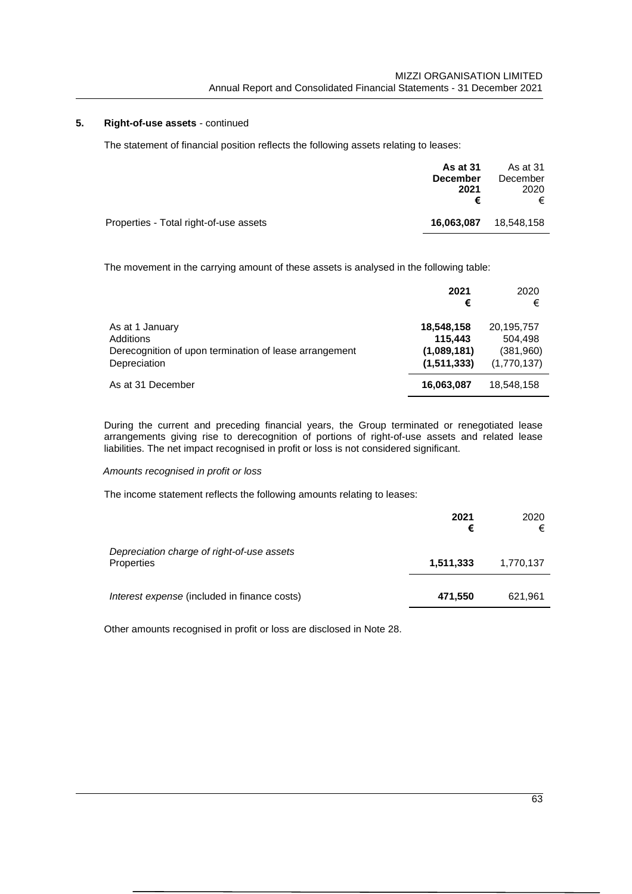# **5. Right-of-use assets** - continued

The statement of financial position reflects the following assets relating to leases:

| <b>As at 31</b><br><b>December</b><br>2021 | As at 31<br>December<br>2020<br>€ |  |
|--------------------------------------------|-----------------------------------|--|
| 16,063,087                                 | 18.548.158                        |  |
|                                            |                                   |  |

The movement in the carrying amount of these assets is analysed in the following table:

|                                                                                                        | 2021<br>€                                           | 2020<br>€                                         |
|--------------------------------------------------------------------------------------------------------|-----------------------------------------------------|---------------------------------------------------|
| As at 1 January<br>Additions<br>Derecognition of upon termination of lease arrangement<br>Depreciation | 18,548,158<br>115.443<br>(1,089,181)<br>(1,511,333) | 20,195,757<br>504,498<br>(381,960)<br>(1,770,137) |
| As at 31 December                                                                                      | 16,063,087                                          | 18,548,158                                        |

During the current and preceding financial years, the Group terminated or renegotiated lease arrangements giving rise to derecognition of portions of right-of-use assets and related lease liabilities. The net impact recognised in profit or loss is not considered significant.

# *Amounts recognised in profit or loss*

The income statement reflects the following amounts relating to leases:

|                                                          | 2021<br>€ | 2020<br>€ |
|----------------------------------------------------------|-----------|-----------|
| Depreciation charge of right-of-use assets<br>Properties | 1,511,333 | 1,770,137 |
| Interest expense (included in finance costs)             | 471,550   | 621,961   |

Other amounts recognised in profit or loss are disclosed in Note 28.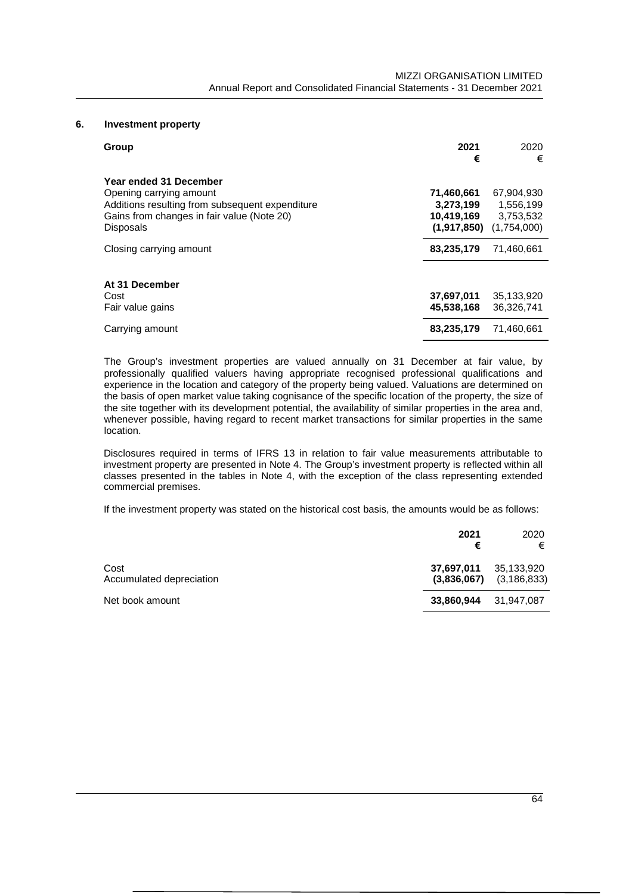# **6. Investment property**

| Group                                                                                                                                                                  | 2021<br>€                                            | 2020<br>€                                           |
|------------------------------------------------------------------------------------------------------------------------------------------------------------------------|------------------------------------------------------|-----------------------------------------------------|
| Year ended 31 December<br>Opening carrying amount<br>Additions resulting from subsequent expenditure<br>Gains from changes in fair value (Note 20)<br><b>Disposals</b> | 71,460,661<br>3,273,199<br>10,419,169<br>(1,917,850) | 67,904,930<br>1,556,199<br>3,753,532<br>(1,754,000) |
| Closing carrying amount                                                                                                                                                | 83,235,179                                           | 71,460,661                                          |
| At 31 December<br>Cost<br>Fair value gains                                                                                                                             | 37,697,011<br>45,538,168                             | 35,133,920<br>36,326,741                            |
| Carrying amount                                                                                                                                                        | 83,235,179                                           | 71,460,661                                          |

The Group's investment properties are valued annually on 31 December at fair value, by professionally qualified valuers having appropriate recognised professional qualifications and experience in the location and category of the property being valued. Valuations are determined on the basis of open market value taking cognisance of the specific location of the property, the size of the site together with its development potential, the availability of similar properties in the area and, whenever possible, having regard to recent market transactions for similar properties in the same location.

Disclosures required in terms of IFRS 13 in relation to fair value measurements attributable to investment property are presented in Note 4. The Group's investment property is reflected within all classes presented in the tables in Note 4, with the exception of the class representing extended commercial premises.

If the investment property was stated on the historical cost basis, the amounts would be as follows:

|                                  | 2021<br>€                 | 2020<br>€                   |
|----------------------------------|---------------------------|-----------------------------|
| Cost<br>Accumulated depreciation | 37,697,011<br>(3,836,067) | 35,133,920<br>(3, 186, 833) |
| Net book amount                  | 33,860,944                | 31,947,087                  |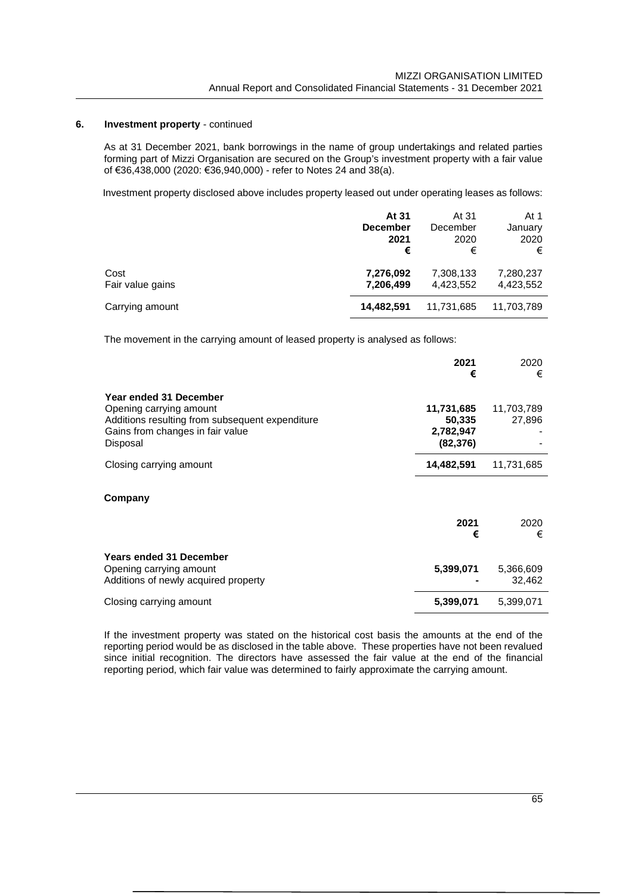# **6. Investment property** - continued

As at 31 December 2021, bank borrowings in the name of group undertakings and related parties forming part of Mizzi Organisation are secured on the Group's investment property with a fair value of €36,438,000 (2020: €36,940,000) - refer to Notes 24 and 38(a).

Investment property disclosed above includes property leased out under operating leases as follows:

|                          | At 31<br><b>December</b><br>2021<br>€ | At 31<br>December<br>2020<br>€ | At 1<br>January<br>2020<br>€ |  |
|--------------------------|---------------------------------------|--------------------------------|------------------------------|--|
| Cost<br>Fair value gains | 7,276,092<br>7,206,499                | 7,308,133<br>4,423,552         | 7,280,237<br>4,423,552       |  |
| Carrying amount          | 14.482.591                            | 11,731,685                     | 11,703,789                   |  |

The movement in the carrying amount of leased property is analysed as follows:

|                                                                                                                                                      | 2021<br>€                                      | 2020<br>€            |
|------------------------------------------------------------------------------------------------------------------------------------------------------|------------------------------------------------|----------------------|
| Year ended 31 December<br>Opening carrying amount<br>Additions resulting from subsequent expenditure<br>Gains from changes in fair value<br>Disposal | 11,731,685<br>50,335<br>2,782,947<br>(82, 376) | 11,703,789<br>27,896 |
| Closing carrying amount                                                                                                                              | 14,482,591                                     | 11,731,685           |
| Company                                                                                                                                              | 2021<br>€                                      | 2020<br>€            |
| <b>Years ended 31 December</b><br>Opening carrying amount<br>Additions of newly acquired property                                                    | 5,399,071                                      | 5,366,609<br>32,462  |
| Closing carrying amount                                                                                                                              | 5,399,071                                      | 5,399,071            |

If the investment property was stated on the historical cost basis the amounts at the end of the reporting period would be as disclosed in the table above. These properties have not been revalued since initial recognition. The directors have assessed the fair value at the end of the financial reporting period, which fair value was determined to fairly approximate the carrying amount.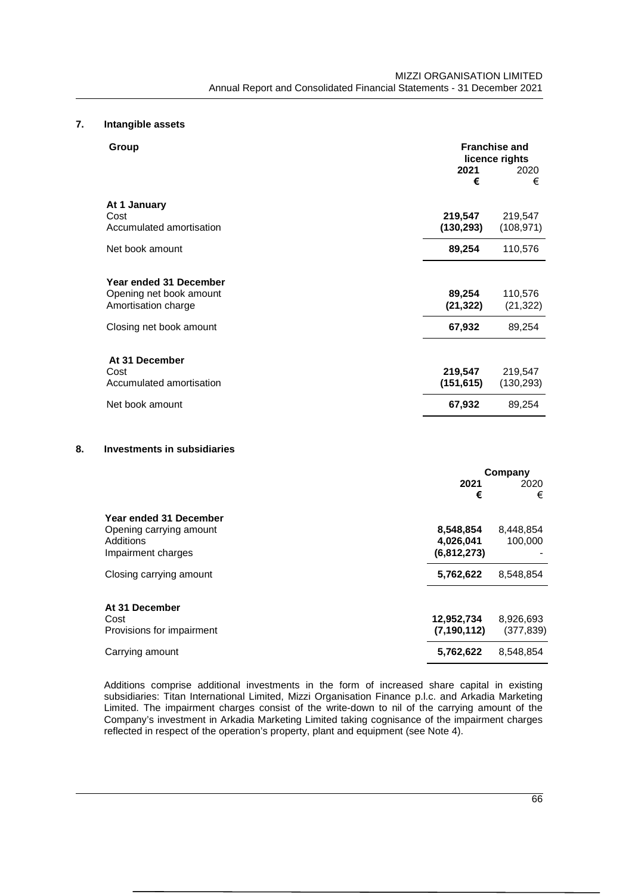# **7. Intangible assets**

| Group                                                                    | <b>Franchise and</b><br>licence rights |                       |
|--------------------------------------------------------------------------|----------------------------------------|-----------------------|
|                                                                          | 2021<br>€                              | 2020<br>€             |
| At 1 January                                                             |                                        |                       |
| Cost<br>Accumulated amortisation                                         | 219,547<br>(130, 293)                  | 219,547<br>(108, 971) |
| Net book amount                                                          | 89,254                                 | 110,576               |
| Year ended 31 December<br>Opening net book amount<br>Amortisation charge | 89,254<br>(21, 322)                    | 110,576<br>(21, 322)  |
| Closing net book amount                                                  | 67,932                                 | 89,254                |
| At 31 December<br>Cost<br>Accumulated amortisation                       | 219,547<br>(151, 615)                  | 219,547<br>(130, 293) |
| Net book amount                                                          | 67,932                                 | 89,254                |

# **8. Investments in subsidiaries**

|                                                                                      | Company                               |                         |  |
|--------------------------------------------------------------------------------------|---------------------------------------|-------------------------|--|
|                                                                                      | 2021<br>€                             | 2020<br>€               |  |
| Year ended 31 December<br>Opening carrying amount<br>Additions<br>Impairment charges | 8,548,854<br>4,026,041<br>(6,812,273) | 8,448,854<br>100,000    |  |
| Closing carrying amount                                                              | 5,762,622                             | 8.548.854               |  |
| At 31 December<br>Cost<br>Provisions for impairment                                  | 12,952,734<br>(7, 190, 112)           | 8,926,693<br>(377, 839) |  |
| Carrying amount                                                                      | 5,762,622                             | 8.548.854               |  |

Additions comprise additional investments in the form of increased share capital in existing subsidiaries: Titan International Limited, Mizzi Organisation Finance p.l.c. and Arkadia Marketing Limited. The impairment charges consist of the write-down to nil of the carrying amount of the Company's investment in Arkadia Marketing Limited taking cognisance of the impairment charges reflected in respect of the operation's property, plant and equipment (see Note 4).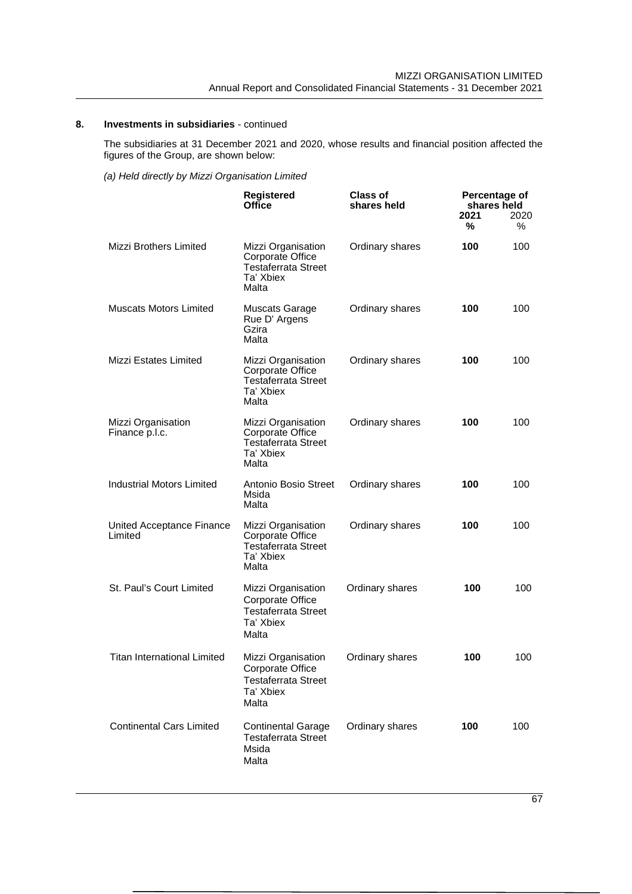# **8. Investments in subsidiaries** - continued

The subsidiaries at 31 December 2021 and 2020, whose results and financial position affected the figures of the Group, are shown below:

*(a) Held directly by Mizzi Organisation Limited*

|                                      | <b>Registered</b><br><b>Office</b>                                                                | <b>Class of</b><br>shares held | Percentage of<br>shares held<br>2021<br>℅ | 2020<br>% |
|--------------------------------------|---------------------------------------------------------------------------------------------------|--------------------------------|-------------------------------------------|-----------|
| <b>Mizzi Brothers Limited</b>        | Mizzi Organisation<br>Corporate Office<br><b>Testaferrata Street</b><br>Ta' Xbiex<br>Malta        | Ordinary shares                | 100                                       | 100       |
| <b>Muscats Motors Limited</b>        | Muscats Garage<br>Rue D' Argens<br>Gzira<br>Malta                                                 | Ordinary shares                | 100                                       | 100       |
| <b>Mizzi Estates Limited</b>         | Mizzi Organisation<br>Corporate Office<br><b>Testaferrata Street</b><br>Ta' Xbiex<br>Malta        | Ordinary shares                | 100                                       | 100       |
| Mizzi Organisation<br>Finance p.l.c. | Mizzi Organisation<br><b>Corporate Office</b><br><b>Testaferrata Street</b><br>Ta' Xbiex<br>Malta | Ordinary shares                | 100                                       | 100       |
| <b>Industrial Motors Limited</b>     | Antonio Bosio Street<br>Msida<br>Malta                                                            | Ordinary shares                | 100                                       | 100       |
| United Acceptance Finance<br>Limited | Mizzi Organisation<br>Corporate Office<br><b>Testaferrata Street</b><br>Ta' Xbiex<br>Malta        | Ordinary shares                | 100                                       | 100       |
| St. Paul's Court Limited             | Mizzi Organisation<br>Corporate Office<br><b>Testaferrata Street</b><br>Ta' Xbiex<br>Malta        | Ordinary shares                | 100                                       | 100       |
| Titan International Limited          | Mizzi Organisation<br>Corporate Office<br><b>Testaferrata Street</b><br>Ta' Xbiex<br>Malta        | Ordinary shares                | 100                                       | 100       |
| <b>Continental Cars Limited</b>      | <b>Continental Garage</b><br><b>Testaferrata Street</b><br>Msida<br>Malta                         | Ordinary shares                | 100                                       | 100       |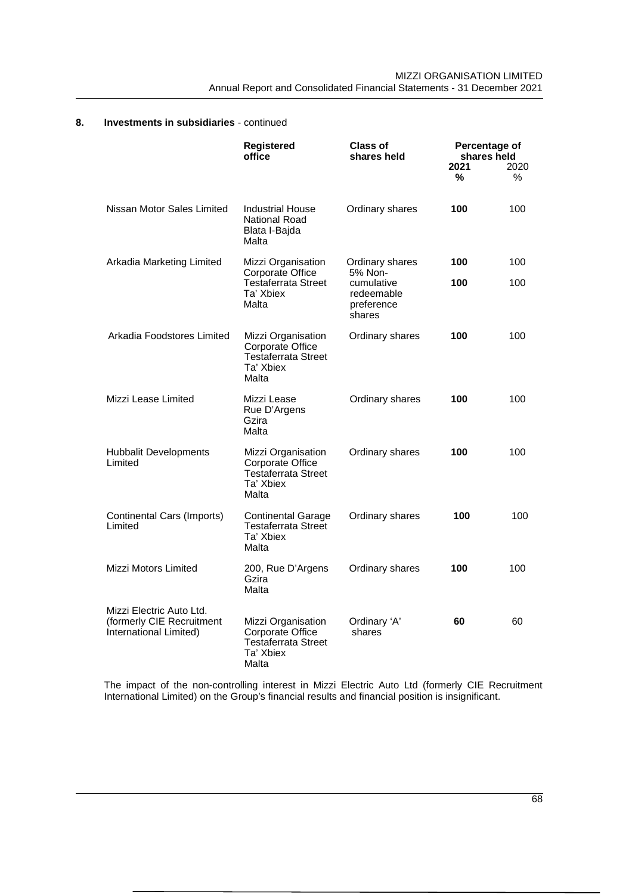|                                                                                 | <b>Registered</b><br>office                                                                | <b>Class of</b><br>shares held                   | 2021<br>℅ | Percentage of<br>shares held<br>2020<br>℅ |
|---------------------------------------------------------------------------------|--------------------------------------------------------------------------------------------|--------------------------------------------------|-----------|-------------------------------------------|
| Nissan Motor Sales Limited                                                      | <b>Industrial House</b><br><b>National Road</b><br>Blata I-Bajda<br>Malta                  | Ordinary shares                                  | 100       | 100                                       |
| Arkadia Marketing Limited                                                       | Mizzi Organisation<br>Corporate Office                                                     | Ordinary shares<br>5% Non-                       | 100       | 100                                       |
|                                                                                 | Testaferrata Street<br>Ta' Xbiex<br>Malta                                                  | cumulative<br>redeemable<br>preference<br>shares | 100       | 100                                       |
| Arkadia Foodstores Limited                                                      | Mizzi Organisation<br>Corporate Office<br><b>Testaferrata Street</b><br>Ta' Xbiex<br>Malta | Ordinary shares                                  | 100       | 100                                       |
| Mizzi Lease Limited                                                             | Mizzi Lease<br>Rue D'Argens<br>Gzira<br>Malta                                              | Ordinary shares                                  | 100       | 100                                       |
| <b>Hubbalit Developments</b><br>Limited                                         | Mizzi Organisation<br>Corporate Office<br><b>Testaferrata Street</b><br>Ta' Xbiex<br>Malta | Ordinary shares                                  | 100       | 100                                       |
| Continental Cars (Imports)<br>Limited                                           | <b>Continental Garage</b><br><b>Testaferrata Street</b><br>Ta' Xbiex<br>Malta              | Ordinary shares                                  | 100       | 100                                       |
| Mizzi Motors Limited                                                            | 200, Rue D'Argens<br>Gzira<br>Malta                                                        | Ordinary shares                                  | 100       | 100                                       |
| Mizzi Electric Auto Ltd.<br>(formerly CIE Recruitment<br>International Limited) | Mizzi Organisation<br>Corporate Office<br>Testaferrata Street<br>Ta' Xbiex<br>Malta        | Ordinary 'A'<br>shares                           | 60        | 60                                        |

# **8. Investments in subsidiaries** - continued

The impact of the non-controlling interest in Mizzi Electric Auto Ltd (formerly CIE Recruitment International Limited) on the Group's financial results and financial position is insignificant.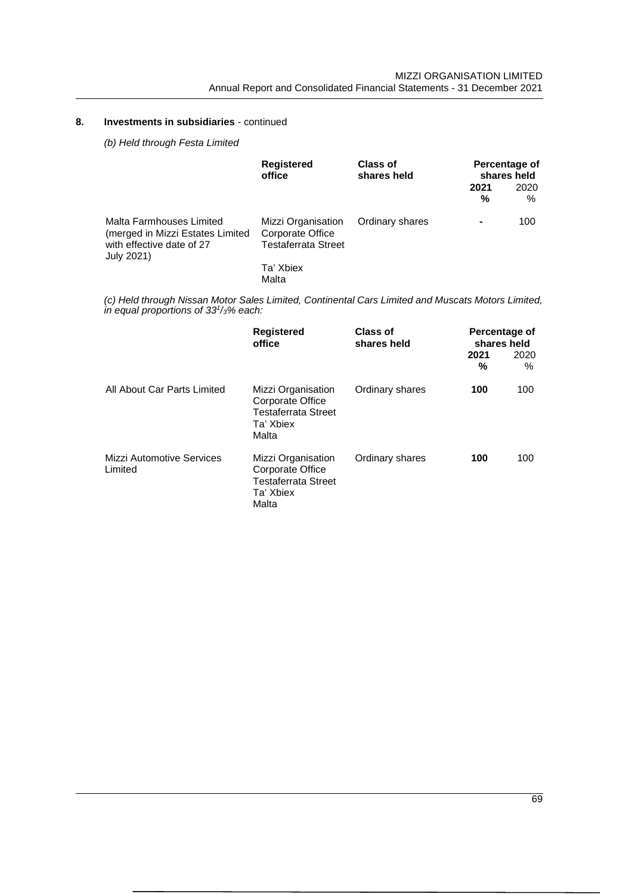# **8. Investments in subsidiaries** - continued

*(b) Held through Festa Limited*

|                                                                                                         | <b>Registered</b><br>office                                          | <b>Class of</b><br>shares held | Percentage of<br>shares held |           |              |
|---------------------------------------------------------------------------------------------------------|----------------------------------------------------------------------|--------------------------------|------------------------------|-----------|--------------|
|                                                                                                         |                                                                      |                                |                              | 2021<br>% | 2020<br>$\%$ |
| Malta Farmhouses Limited<br>(merged in Mizzi Estates Limited<br>with effective date of 27<br>July 2021) | Mizzi Organisation<br>Corporate Office<br><b>Testaferrata Street</b> | Ordinary shares                | ٠                            | 100       |              |
|                                                                                                         | Ta' Xbiex<br>Malta                                                   |                                |                              |           |              |

*(c) Held through Nissan Motor Sales Limited, Continental Cars Limited and Muscats Motors Limited, in equal proportions of 33<sup>1</sup> /3% each:*

|                                      | Registered<br>office                                                                       | <b>Class of</b><br>shares held | Percentage of<br>shares held<br>2021<br>% | 2020<br>$\%$ |
|--------------------------------------|--------------------------------------------------------------------------------------------|--------------------------------|-------------------------------------------|--------------|
| All About Car Parts Limited          | Mizzi Organisation<br>Corporate Office<br><b>Testaferrata Street</b><br>Ta' Xbiex<br>Malta | Ordinary shares                | 100                                       | 100          |
| Mizzi Automotive Services<br>Limited | Mizzi Organisation<br>Corporate Office<br><b>Testaferrata Street</b><br>Ta' Xbiex<br>Malta | Ordinary shares                | 100                                       | 100          |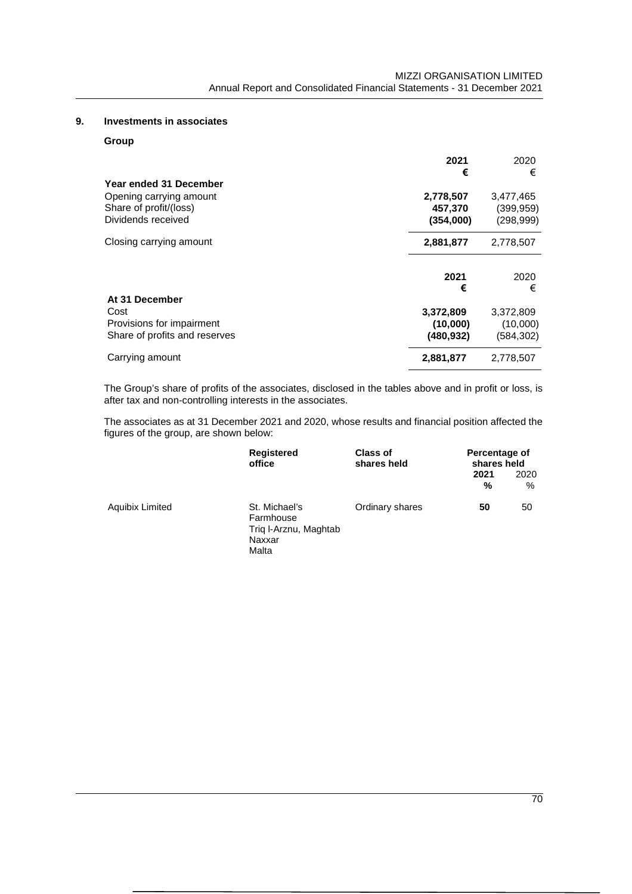# **9. Investments in associates**

## **Group**

| Year ended 31 December                                                  | 2021<br>€                           | 2020<br>€                             |
|-------------------------------------------------------------------------|-------------------------------------|---------------------------------------|
| Opening carrying amount<br>Share of profit/(loss)<br>Dividends received | 2,778,507<br>457,370<br>(354,000)   | 3,477,465<br>(399, 959)<br>(298, 999) |
| Closing carrying amount                                                 | 2,881,877                           | 2,778,507                             |
| At 31 December                                                          | 2021<br>€                           | 2020<br>€                             |
| Cost<br>Provisions for impairment<br>Share of profits and reserves      | 3,372,809<br>(10,000)<br>(480, 932) | 3,372,809<br>(10,000)<br>(584,302)    |
| Carrying amount                                                         | 2,881,877                           | 2,778,507                             |

The Group's share of profits of the associates, disclosed in the tables above and in profit or loss, is after tax and non-controlling interests in the associates.

The associates as at 31 December 2021 and 2020, whose results and financial position affected the figures of the group, are shown below:

|                        | Registered<br>office                                                   | Class of<br>shares held | Percentage of<br>shares held |           |
|------------------------|------------------------------------------------------------------------|-------------------------|------------------------------|-----------|
|                        |                                                                        |                         | 2021<br>%                    | 2020<br>% |
| <b>Aquibix Limited</b> | St. Michael's<br>Farmhouse<br>Trig I-Arznu, Maghtab<br>Naxxar<br>Malta | Ordinary shares         | 50                           | 50        |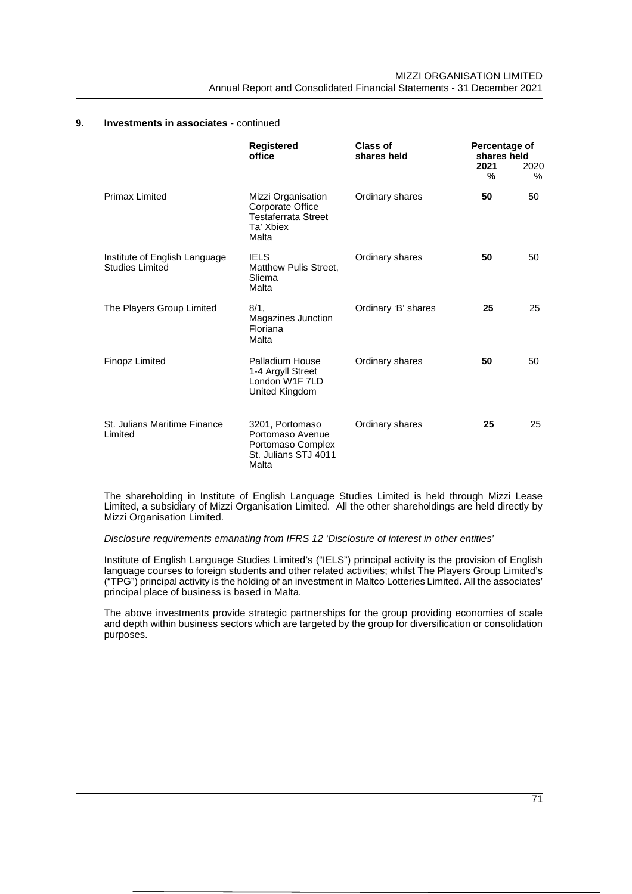|                                                         | <b>Registered</b><br>office                                                                | <b>Class of</b><br>shares held | Percentage of<br>shares held<br>2021<br>% | 2020<br>$\%$ |
|---------------------------------------------------------|--------------------------------------------------------------------------------------------|--------------------------------|-------------------------------------------|--------------|
| <b>Primax Limited</b>                                   | Mizzi Organisation<br>Corporate Office<br><b>Testaferrata Street</b><br>Ta' Xbiex<br>Malta | Ordinary shares                | 50                                        | 50           |
| Institute of English Language<br><b>Studies Limited</b> | <b>IELS</b><br><b>Matthew Pulis Street,</b><br>Sliema<br>Malta                             | Ordinary shares                | 50                                        | 50           |
| The Players Group Limited                               | $8/1$ ,<br>Magazines Junction<br>Floriana<br>Malta                                         | Ordinary 'B' shares            | 25                                        | 25           |
| <b>Finopz Limited</b>                                   | Palladium House<br>1-4 Argyll Street<br>London W1F 7LD<br>United Kingdom                   | Ordinary shares                | 50                                        | 50           |
| St. Julians Maritime Finance<br>Limited                 | 3201, Portomaso<br>Portomaso Avenue<br>Portomaso Complex<br>St. Julians STJ 4011<br>Malta  | Ordinary shares                | 25                                        | 25           |

The shareholding in Institute of English Language Studies Limited is held through Mizzi Lease Limited, a subsidiary of Mizzi Organisation Limited. All the other shareholdings are held directly by Mizzi Organisation Limited.

*Disclosure requirements emanating from IFRS 12 'Disclosure of interest in other entities'*

Institute of English Language Studies Limited's ("IELS") principal activity is the provision of English language courses to foreign students and other related activities; whilst The Players Group Limited's ("TPG") principal activity is the holding of an investment in Maltco Lotteries Limited. All the associates' principal place of business is based in Malta.

The above investments provide strategic partnerships for the group providing economies of scale and depth within business sectors which are targeted by the group for diversification or consolidation purposes.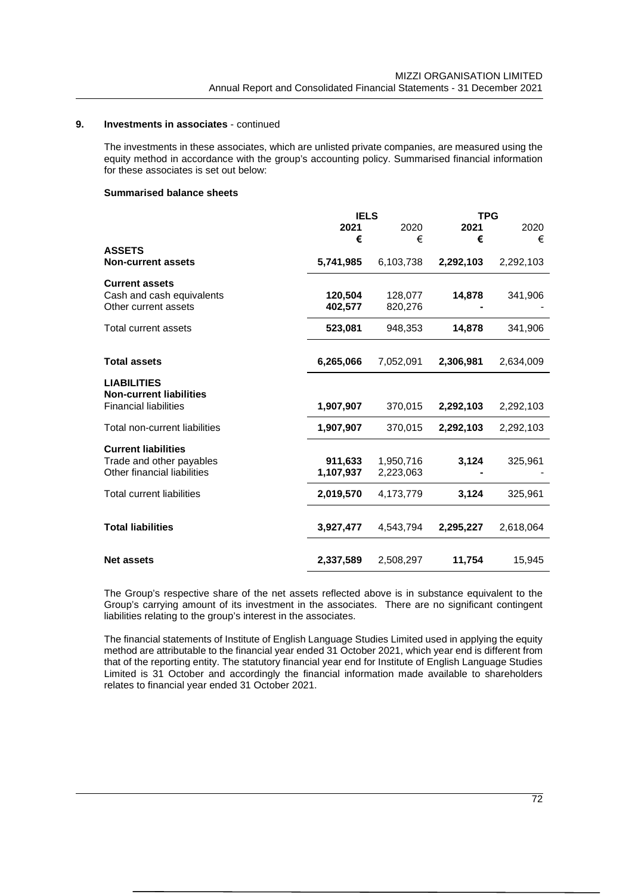The investments in these associates, which are unlisted private companies, are measured using the equity method in accordance with the group's accounting policy. Summarised financial information for these associates is set out below:

#### **Summarised balance sheets**

|           |                                                                                   | <b>TPG</b>                                                                                       |                                                        |
|-----------|-----------------------------------------------------------------------------------|--------------------------------------------------------------------------------------------------|--------------------------------------------------------|
| 2021      | 2020                                                                              | 2021                                                                                             | 2020                                                   |
| €         | €                                                                                 | €                                                                                                | €                                                      |
|           |                                                                                   |                                                                                                  |                                                        |
| 5,741,985 | 6,103,738                                                                         | 2,292,103                                                                                        | 2,292,103                                              |
|           |                                                                                   |                                                                                                  |                                                        |
|           |                                                                                   |                                                                                                  | 341,906                                                |
|           |                                                                                   |                                                                                                  |                                                        |
|           |                                                                                   |                                                                                                  |                                                        |
| 523,081   | 948,353                                                                           | 14,878                                                                                           | 341,906                                                |
|           |                                                                                   |                                                                                                  |                                                        |
|           |                                                                                   |                                                                                                  | 2,634,009                                              |
|           |                                                                                   |                                                                                                  |                                                        |
|           |                                                                                   |                                                                                                  |                                                        |
|           |                                                                                   |                                                                                                  |                                                        |
|           |                                                                                   |                                                                                                  |                                                        |
|           |                                                                                   |                                                                                                  | 2,292,103                                              |
| 1,907,907 | 370,015                                                                           | 2,292,103                                                                                        | 2,292,103                                              |
|           |                                                                                   |                                                                                                  |                                                        |
|           |                                                                                   |                                                                                                  | 325,961                                                |
|           |                                                                                   |                                                                                                  |                                                        |
|           |                                                                                   |                                                                                                  |                                                        |
| 2,019,570 | 4,173,779                                                                         | 3,124                                                                                            | 325,961                                                |
|           |                                                                                   |                                                                                                  |                                                        |
|           |                                                                                   |                                                                                                  |                                                        |
|           |                                                                                   |                                                                                                  | 2,618,064                                              |
|           |                                                                                   |                                                                                                  |                                                        |
| 2,337,589 | 2,508,297                                                                         | 11,754                                                                                           | 15,945                                                 |
|           | 120,504<br>402,577<br>6,265,066<br>1,907,907<br>911,633<br>1,107,937<br>3,927,477 | <b>IELS</b><br>128,077<br>820,276<br>7,052,091<br>370,015<br>1,950,716<br>2,223,063<br>4,543,794 | 14,878<br>2,306,981<br>2,292,103<br>3,124<br>2,295,227 |

The Group's respective share of the net assets reflected above is in substance equivalent to the Group's carrying amount of its investment in the associates. There are no significant contingent liabilities relating to the group's interest in the associates.

The financial statements of Institute of English Language Studies Limited used in applying the equity method are attributable to the financial year ended 31 October 2021, which year end is different from that of the reporting entity. The statutory financial year end for Institute of English Language Studies Limited is 31 October and accordingly the financial information made available to shareholders relates to financial year ended 31 October 2021.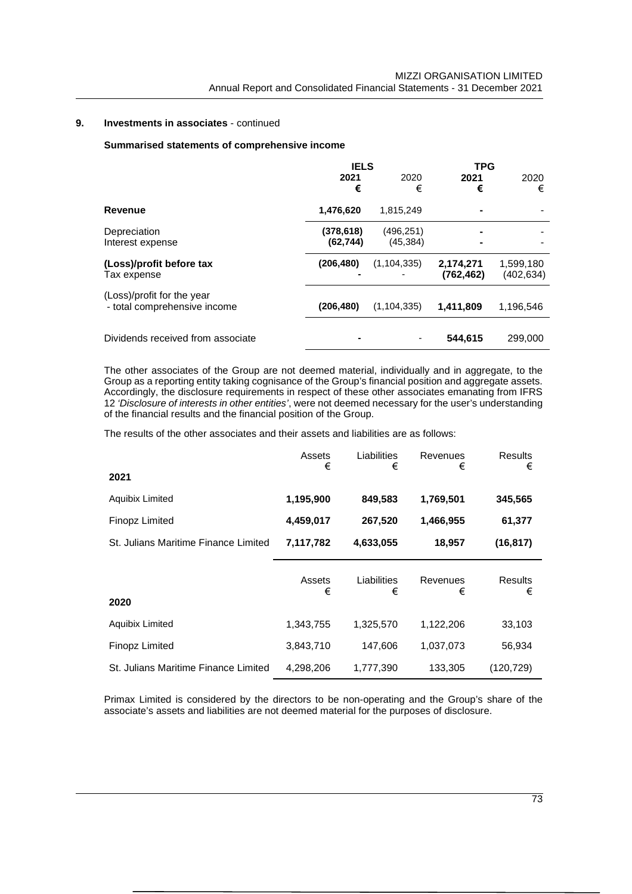### **Summarised statements of comprehensive income**

|                                   | <b>IELS</b> |               | <b>TPG</b> |           |
|-----------------------------------|-------------|---------------|------------|-----------|
|                                   | 2021        | 2020          | 2021       | 2020      |
|                                   | €           | €             | €          | €         |
| Revenue                           | 1,476,620   | 1,815,249     | -          |           |
| Depreciation                      | (378, 618)  | (496, 251)    |            |           |
| Interest expense                  | (62, 744)   | (45, 384)     | -          |           |
| (Loss)/profit before tax          | (206, 480)  | (1, 104, 335) | 2,174,271  | 1,599,180 |
| Tax expense                       |             |               | (762, 462) | (402,634) |
| (Loss)/profit for the year        |             |               |            |           |
| - total comprehensive income      | (206, 480)  | (1, 104, 335) | 1,411,809  | 1,196,546 |
|                                   |             |               |            |           |
| Dividends received from associate |             |               | 544,615    | 299,000   |

The other associates of the Group are not deemed material, individually and in aggregate, to the Group as a reporting entity taking cognisance of the Group's financial position and aggregate assets. Accordingly, the disclosure requirements in respect of these other associates emanating from IFRS 12 *'Disclosure of interests in other entities'*, were not deemed necessary for the user's understanding of the financial results and the financial position of the Group.

The results of the other associates and their assets and liabilities are as follows:

|                                      | Assets<br>€ | Liabilities<br>€ | Revenues<br>€ | <b>Results</b><br>€ |
|--------------------------------------|-------------|------------------|---------------|---------------------|
| 2021                                 |             |                  |               |                     |
| Aquibix Limited                      | 1,195,900   | 849,583          | 1,769,501     | 345,565             |
| <b>Finopz Limited</b>                | 4,459,017   | 267,520          | 1,466,955     | 61,377              |
| St. Julians Maritime Finance Limited | 7,117,782   | 4,633,055        | 18,957        | (16, 817)           |
| 2020                                 | Assets<br>€ | Liabilities<br>€ | Revenues<br>€ | <b>Results</b><br>€ |
| Aquibix Limited                      | 1,343,755   | 1,325,570        | 1,122,206     | 33,103              |
| <b>Finopz Limited</b>                | 3,843,710   | 147,606          | 1,037,073     | 56,934              |
|                                      |             |                  |               |                     |

Primax Limited is considered by the directors to be non-operating and the Group's share of the associate's assets and liabilities are not deemed material for the purposes of disclosure.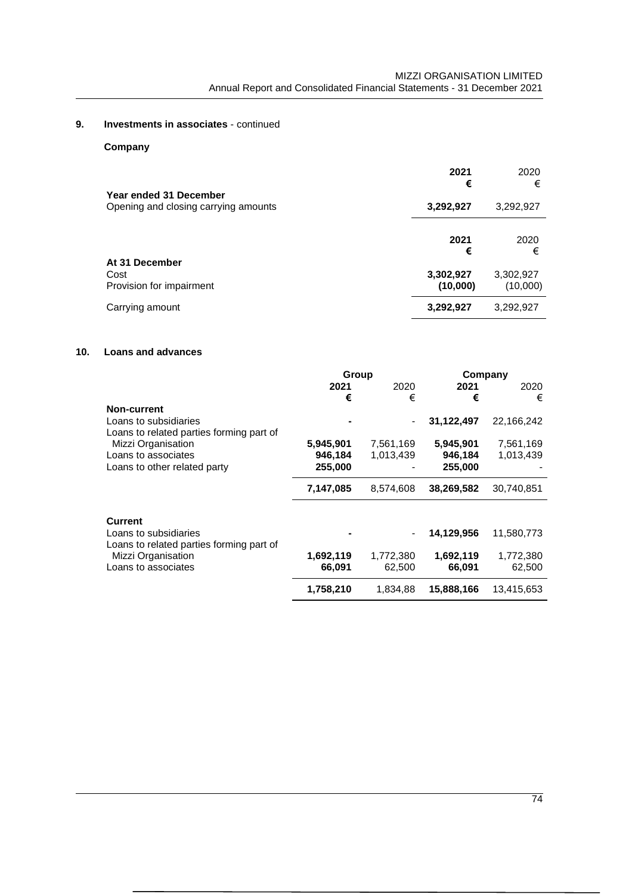**Company**

| Year ended 31 December                             | 2021<br>€             | 2020<br>€             |
|----------------------------------------------------|-----------------------|-----------------------|
| Opening and closing carrying amounts               | 3,292,927             | 3,292,927             |
|                                                    | 2021<br>€             | 2020<br>€             |
| At 31 December<br>Cost<br>Provision for impairment | 3,302,927<br>(10,000) | 3,302,927<br>(10,000) |
| Carrying amount                                    | 3,292,927             | 3,292,927             |

### **10. Loans and advances**

|                                                                   | Group     |           |            | Company    |
|-------------------------------------------------------------------|-----------|-----------|------------|------------|
|                                                                   | 2021      | 2020      | 2021       | 2020       |
|                                                                   | €         | €         | €          | €          |
| Non-current                                                       |           |           |            |            |
| Loans to subsidiaries                                             |           |           | 31,122,497 | 22,166,242 |
| Loans to related parties forming part of                          |           |           |            |            |
| Mizzi Organisation                                                | 5,945,901 | 7,561,169 | 5,945,901  | 7,561,169  |
| Loans to associates                                               | 946,184   | 1,013,439 | 946,184    | 1,013,439  |
| Loans to other related party                                      | 255,000   |           | 255,000    |            |
|                                                                   | 7,147,085 | 8,574,608 | 38,269,582 | 30,740,851 |
| Current                                                           |           |           |            |            |
| Loans to subsidiaries<br>Loans to related parties forming part of |           |           | 14,129,956 | 11,580,773 |
| Mizzi Organisation                                                | 1,692,119 | 1,772,380 | 1,692,119  | 1,772,380  |
| Loans to associates                                               | 66,091    | 62,500    | 66,091     | 62,500     |
|                                                                   | 1,758,210 | 1.834.88  | 15,888,166 | 13,415,653 |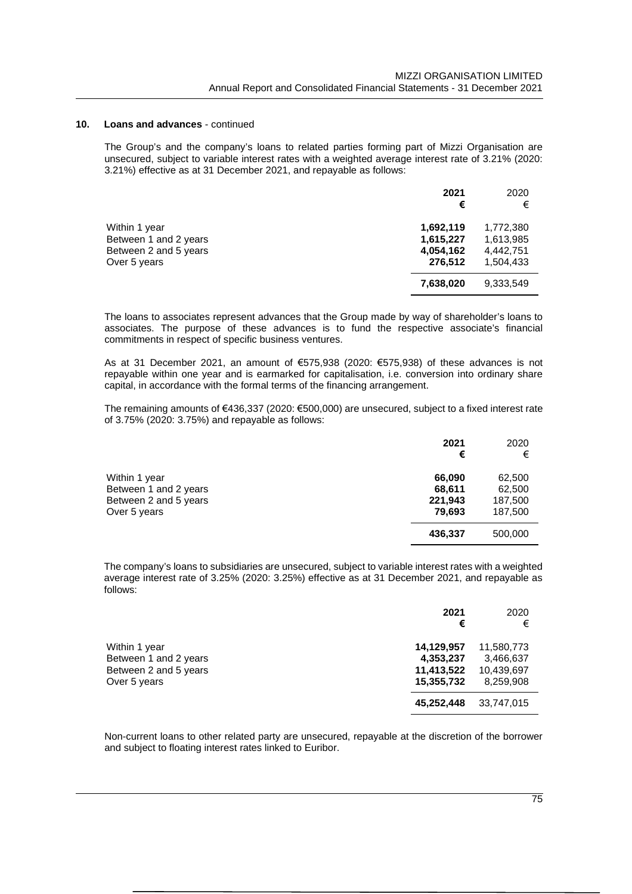#### **10. Loans and advances** - continued

The Group's and the company's loans to related parties forming part of Mizzi Organisation are unsecured, subject to variable interest rates with a weighted average interest rate of 3.21% (2020: 3.21%) effective as at 31 December 2021, and repayable as follows:

|                                                                                 | 2021<br>€                                      | 2020<br>€                                        |
|---------------------------------------------------------------------------------|------------------------------------------------|--------------------------------------------------|
| Within 1 year<br>Between 1 and 2 years<br>Between 2 and 5 years<br>Over 5 years | 1,692,119<br>1,615,227<br>4,054,162<br>276,512 | 1,772,380<br>1,613,985<br>4,442,751<br>1,504,433 |
|                                                                                 | 7,638,020                                      | 9,333,549                                        |

The loans to associates represent advances that the Group made by way of shareholder's loans to associates. The purpose of these advances is to fund the respective associate's financial commitments in respect of specific business ventures.

As at 31 December 2021, an amount of €575,938 (2020: €575,938) of these advances is not repayable within one year and is earmarked for capitalisation, i.e. conversion into ordinary share capital, in accordance with the formal terms of the financing arrangement.

The remaining amounts of €436,337 (2020: €500,000) are unsecured, subject to a fixed interest rate of 3.75% (2020: 3.75%) and repayable as follows:

|                                                                                 | 2021<br>€                             | 2020<br>€                              |
|---------------------------------------------------------------------------------|---------------------------------------|----------------------------------------|
| Within 1 year<br>Between 1 and 2 years<br>Between 2 and 5 years<br>Over 5 years | 66,090<br>68,611<br>221,943<br>79,693 | 62,500<br>62,500<br>187,500<br>187,500 |
|                                                                                 | 436,337                               | 500,000                                |

The company's loans to subsidiaries are unsecured, subject to variable interest rates with a weighted average interest rate of 3.25% (2020: 3.25%) effective as at 31 December 2021, and repayable as follows:

|                                                                                 | 2021<br>€                                           | 2020<br>€                                          |
|---------------------------------------------------------------------------------|-----------------------------------------------------|----------------------------------------------------|
| Within 1 year<br>Between 1 and 2 years<br>Between 2 and 5 years<br>Over 5 years | 14,129,957<br>4,353,237<br>11,413,522<br>15,355,732 | 11,580,773<br>3,466,637<br>10,439,697<br>8.259.908 |
|                                                                                 | 45,252,448                                          | 33,747,015                                         |

Non-current loans to other related party are unsecured, repayable at the discretion of the borrower and subject to floating interest rates linked to Euribor.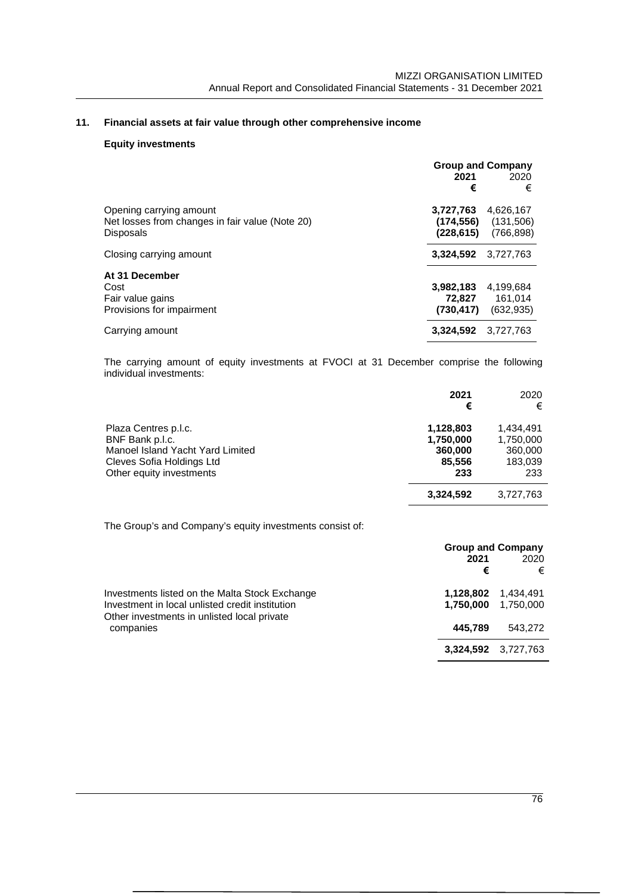# **11. Financial assets at fair value through other comprehensive income**

### **Equity investments**

|                                                                                                | <b>Group and Company</b><br>2021<br>2020<br>€<br>€                          |
|------------------------------------------------------------------------------------------------|-----------------------------------------------------------------------------|
| Opening carrying amount<br>Net losses from changes in fair value (Note 20)<br><b>Disposals</b> | 3,727,763<br>4,626,167<br>(131,506)<br>(174,556)<br>(766, 898)<br>(228,615) |
| Closing carrying amount                                                                        | 3,324,592<br>3.727.763                                                      |
| At 31 December<br>Cost<br>Fair value gains<br>Provisions for impairment                        | 3,982,183<br>4,199,684<br>161,014<br>72.827<br>(730,417)<br>(632, 935)      |
| Carrying amount                                                                                | 3.324.592<br>3.727.763                                                      |

The carrying amount of equity investments at FVOCI at 31 December comprise the following individual investments:

|                                  | 2021<br>€ | 2020<br>€ |
|----------------------------------|-----------|-----------|
| Plaza Centres p.l.c.             | 1,128,803 | 1.434.491 |
| BNF Bank p.l.c.                  | 1,750,000 | 1,750,000 |
| Manoel Island Yacht Yard Limited | 360,000   | 360,000   |
| Cleves Sofia Holdings Ltd        | 85,556    | 183,039   |
| Other equity investments         | 233       | 233       |
|                                  | 3,324,592 | 3,727,763 |

The Group's and Company's equity investments consist of:

|                                                                                                                                                               | <b>Group and Company</b><br>2021<br>€ | 2020<br>€              |
|---------------------------------------------------------------------------------------------------------------------------------------------------------------|---------------------------------------|------------------------|
| Investments listed on the Malta Stock Exchange<br>Investment in local unlisted credit institution<br>Other investments in unlisted local private<br>companies | 1,128,802<br>1,750,000                | 1,434,491<br>1.750.000 |
|                                                                                                                                                               | 445.789                               | 543.272                |
|                                                                                                                                                               |                                       | 3.324.592 3.727.763    |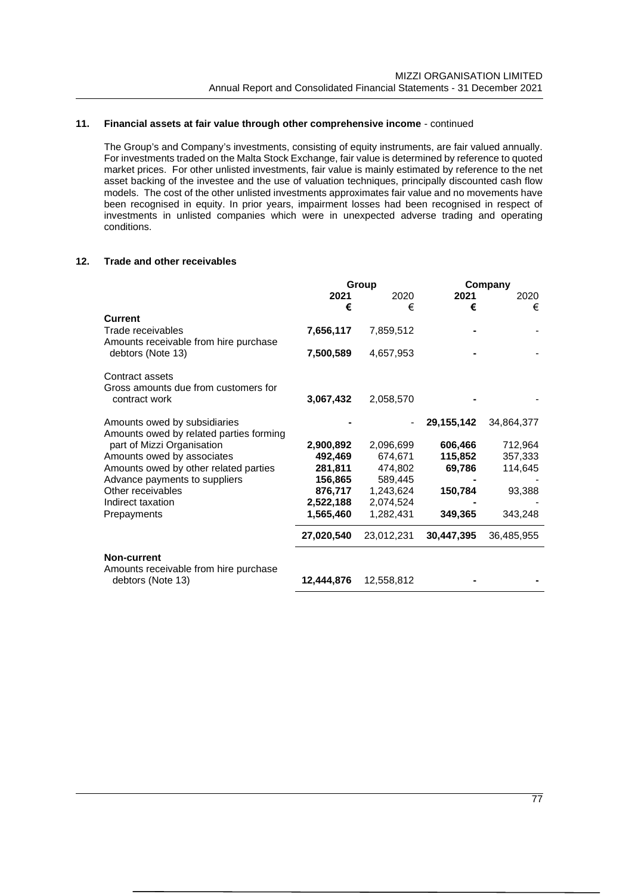### **11. Financial assets at fair value through other comprehensive income** - continued

The Group's and Company's investments, consisting of equity instruments, are fair valued annually. For investments traded on the Malta Stock Exchange, fair value is determined by reference to quoted market prices. For other unlisted investments, fair value is mainly estimated by reference to the net asset backing of the investee and the use of valuation techniques, principally discounted cash flow models. The cost of the other unlisted investments approximates fair value and no movements have been recognised in equity. In prior years, impairment losses had been recognised in respect of investments in unlisted companies which were in unexpected adverse trading and operating conditions.

### **12. Trade and other receivables**

|                                                            | Group      |            | Company    |            |
|------------------------------------------------------------|------------|------------|------------|------------|
|                                                            | 2021       | 2020       | 2021       | 2020       |
|                                                            | €          | €          | €          | €          |
| <b>Current</b>                                             |            |            |            |            |
| Trade receivables                                          | 7,656,117  | 7,859,512  |            |            |
| Amounts receivable from hire purchase                      |            |            |            |            |
| debtors (Note 13)                                          | 7,500,589  | 4,657,953  |            |            |
| Contract assets                                            |            |            |            |            |
| Gross amounts due from customers for                       |            |            |            |            |
| contract work                                              | 3,067,432  | 2,058,570  |            |            |
| Amounts owed by subsidiaries                               |            |            | 29,155,142 | 34,864,377 |
| Amounts owed by related parties forming                    |            |            |            |            |
| part of Mizzi Organisation                                 | 2,900,892  | 2,096,699  | 606,466    | 712,964    |
| Amounts owed by associates                                 | 492,469    | 674,671    | 115,852    | 357,333    |
| Amounts owed by other related parties                      | 281,811    | 474,802    | 69,786     | 114,645    |
| Advance payments to suppliers                              | 156,865    | 589,445    |            |            |
| Other receivables                                          | 876,717    | 1,243,624  | 150,784    | 93,388     |
| Indirect taxation                                          | 2,522,188  | 2,074,524  |            |            |
| Prepayments                                                | 1,565,460  | 1,282,431  | 349,365    | 343,248    |
|                                                            | 27,020,540 | 23,012,231 | 30,447,395 | 36,485,955 |
| <b>Non-current</b>                                         |            |            |            |            |
| Amounts receivable from hire purchase<br>debtors (Note 13) | 12,444,876 | 12,558,812 |            |            |
|                                                            |            |            |            |            |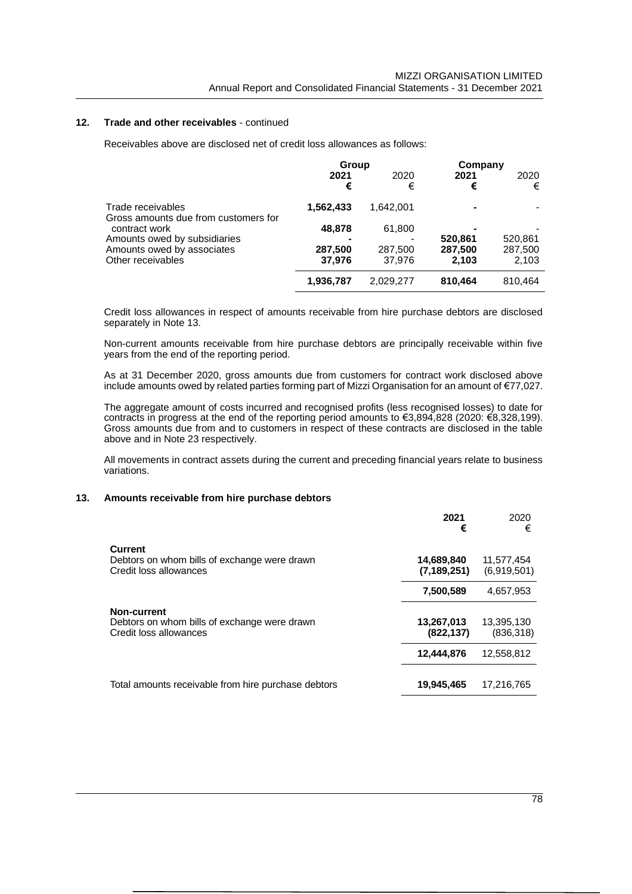#### **12. Trade and other receivables** - continued

Receivables above are disclosed net of credit loss allowances as follows:

|                                                           | Group             |                   | Company          |                  |
|-----------------------------------------------------------|-------------------|-------------------|------------------|------------------|
|                                                           | 2021<br>€         | 2020<br>€         | 2021<br>€        | 2020<br>€        |
| Trade receivables<br>Gross amounts due from customers for | 1,562,433         | 1.642.001         |                  |                  |
| contract work                                             | 48,878            | 61,800            |                  |                  |
| Amounts owed by subsidiaries                              |                   |                   | 520.861          | 520,861          |
| Amounts owed by associates<br>Other receivables           | 287,500<br>37.976 | 287,500<br>37.976 | 287.500<br>2.103 | 287,500<br>2,103 |
|                                                           | 1,936,787         | 2,029,277         | 810.464          | 810.464          |

Credit loss allowances in respect of amounts receivable from hire purchase debtors are disclosed separately in Note 13.

Non-current amounts receivable from hire purchase debtors are principally receivable within five years from the end of the reporting period.

As at 31 December 2020, gross amounts due from customers for contract work disclosed above include amounts owed by related parties forming part of Mizzi Organisation for an amount of €77,027.

The aggregate amount of costs incurred and recognised profits (less recognised losses) to date for contracts in progress at the end of the reporting period amounts to €3,894,828 (2020: €8,328,199). Gross amounts due from and to customers in respect of these contracts are disclosed in the table above and in Note 23 respectively.

All movements in contract assets during the current and preceding financial years relate to business variations.

#### **13. Amounts receivable from hire purchase debtors**

|                                                                                              | 2021<br>€                   | 2020<br>€                 |
|----------------------------------------------------------------------------------------------|-----------------------------|---------------------------|
| <b>Current</b><br>Debtors on whom bills of exchange were drawn<br>Credit loss allowances     | 14,689,840<br>(7, 189, 251) | 11,577,454<br>(6,919,501) |
|                                                                                              | 7,500,589                   | 4.657.953                 |
| <b>Non-current</b><br>Debtors on whom bills of exchange were drawn<br>Credit loss allowances | 13,267,013<br>(822, 137)    | 13,395,130<br>(836, 318)  |
|                                                                                              | 12,444,876                  | 12,558,812                |
| Total amounts receivable from hire purchase debtors                                          | 19,945,465                  | 17.216.765                |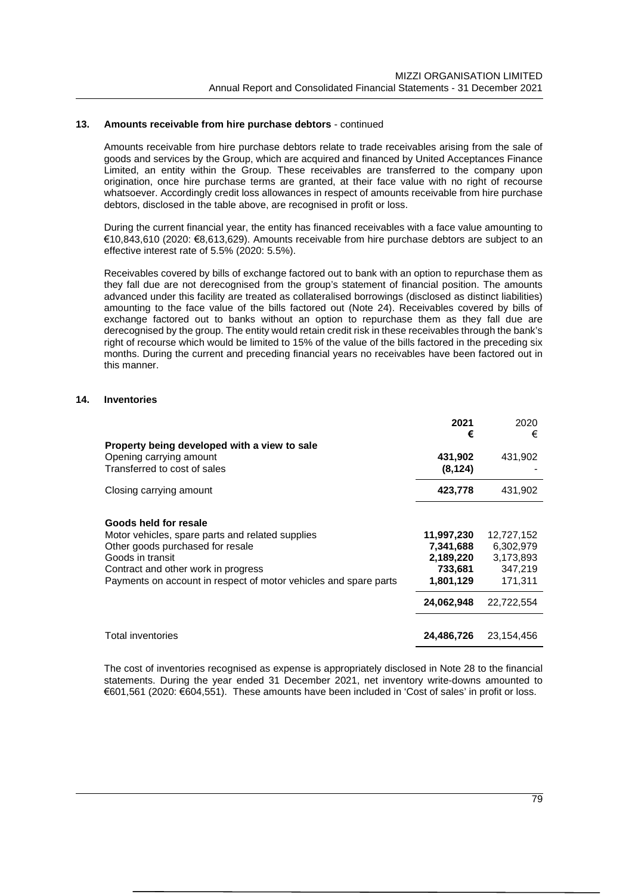#### **13. Amounts receivable from hire purchase debtors** - continued

Amounts receivable from hire purchase debtors relate to trade receivables arising from the sale of goods and services by the Group, which are acquired and financed by United Acceptances Finance Limited, an entity within the Group. These receivables are transferred to the company upon origination, once hire purchase terms are granted, at their face value with no right of recourse whatsoever. Accordingly credit loss allowances in respect of amounts receivable from hire purchase debtors, disclosed in the table above, are recognised in profit or loss.

During the current financial year, the entity has financed receivables with a face value amounting to €10,843,610 (2020: €8,613,629). Amounts receivable from hire purchase debtors are subject to an effective interest rate of 5.5% (2020: 5.5%).

Receivables covered by bills of exchange factored out to bank with an option to repurchase them as they fall due are not derecognised from the group's statement of financial position. The amounts advanced under this facility are treated as collateralised borrowings (disclosed as distinct liabilities) amounting to the face value of the bills factored out (Note 24). Receivables covered by bills of exchange factored out to banks without an option to repurchase them as they fall due are derecognised by the group. The entity would retain credit risk in these receivables through the bank's right of recourse which would be limited to 15% of the value of the bills factored in the preceding six months. During the current and preceding financial years no receivables have been factored out in this manner.

### **14. Inventories**

|                                                                  | 2021       | 2020       |
|------------------------------------------------------------------|------------|------------|
|                                                                  | €          | €          |
| Property being developed with a view to sale                     |            |            |
| Opening carrying amount                                          | 431,902    | 431,902    |
| Transferred to cost of sales                                     | (8, 124)   |            |
| Closing carrying amount                                          | 423,778    | 431,902    |
|                                                                  |            |            |
| Goods held for resale                                            |            |            |
| Motor vehicles, spare parts and related supplies                 | 11,997,230 | 12,727,152 |
| Other goods purchased for resale                                 | 7,341,688  | 6,302,979  |
| Goods in transit                                                 | 2,189,220  | 3,173,893  |
| Contract and other work in progress                              | 733,681    | 347,219    |
| Payments on account in respect of motor vehicles and spare parts | 1,801,129  | 171.311    |
|                                                                  | 24,062,948 | 22.722.554 |
|                                                                  |            |            |
| Total inventories                                                | 24,486,726 | 23,154,456 |

The cost of inventories recognised as expense is appropriately disclosed in Note 28 to the financial statements. During the year ended 31 December 2021, net inventory write-downs amounted to €601,561 (2020: €604,551). These amounts have been included in 'Cost of sales' in profit or loss.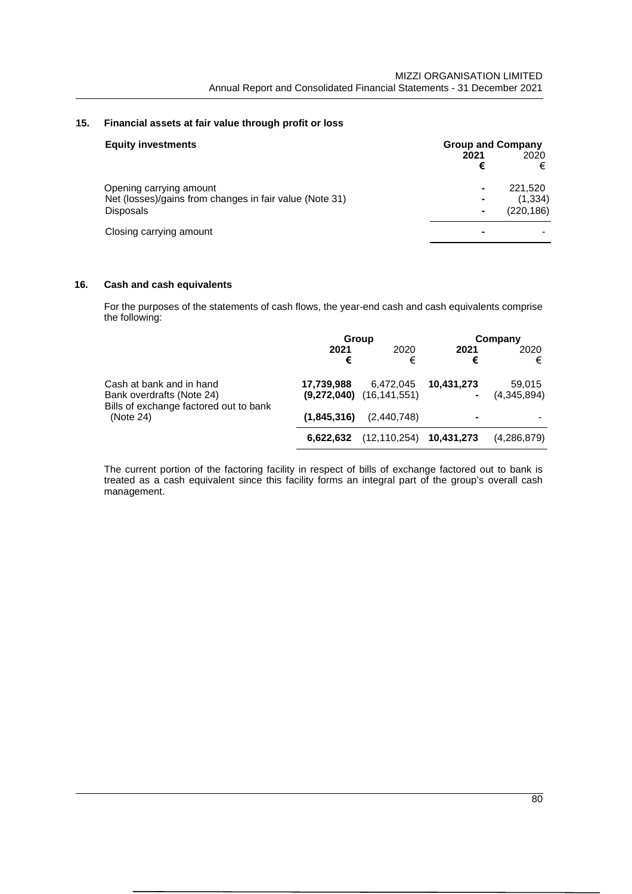# **15. Financial assets at fair value through profit or loss**

| <b>Equity investments</b>                                                          | <b>Group and Company</b> |                     |
|------------------------------------------------------------------------------------|--------------------------|---------------------|
|                                                                                    | 2021<br>€                | 2020<br>€           |
| Opening carrying amount<br>Net (losses)/gains from changes in fair value (Note 31) |                          | 221.520<br>(1, 334) |
| <b>Disposals</b>                                                                   |                          | (220, 186)          |
| Closing carrying amount                                                            |                          |                     |

## **16. Cash and cash equivalents**

For the purposes of the statements of cash flows, the year-end cash and cash equivalents comprise the following:

|                                                                                                 | Group       |                                           |            | Company               |
|-------------------------------------------------------------------------------------------------|-------------|-------------------------------------------|------------|-----------------------|
|                                                                                                 | 2021<br>€   | 2020<br>€                                 | 2021<br>€  | 2020<br>€             |
| Cash at bank and in hand<br>Bank overdrafts (Note 24)<br>Bills of exchange factored out to bank | 17,739,988  | 6,472,045<br>$(9,272,040)$ $(16,141,551)$ | 10.431.273 | 59,015<br>(4,345,894) |
| (Note 24)                                                                                       | (1,845,316) | (2,440,748)                               | -          |                       |
|                                                                                                 | 6.622.632   | (12, 110, 254)                            | 10,431,273 | (4,286,879)           |

The current portion of the factoring facility in respect of bills of exchange factored out to bank is treated as a cash equivalent since this facility forms an integral part of the group's overall cash management.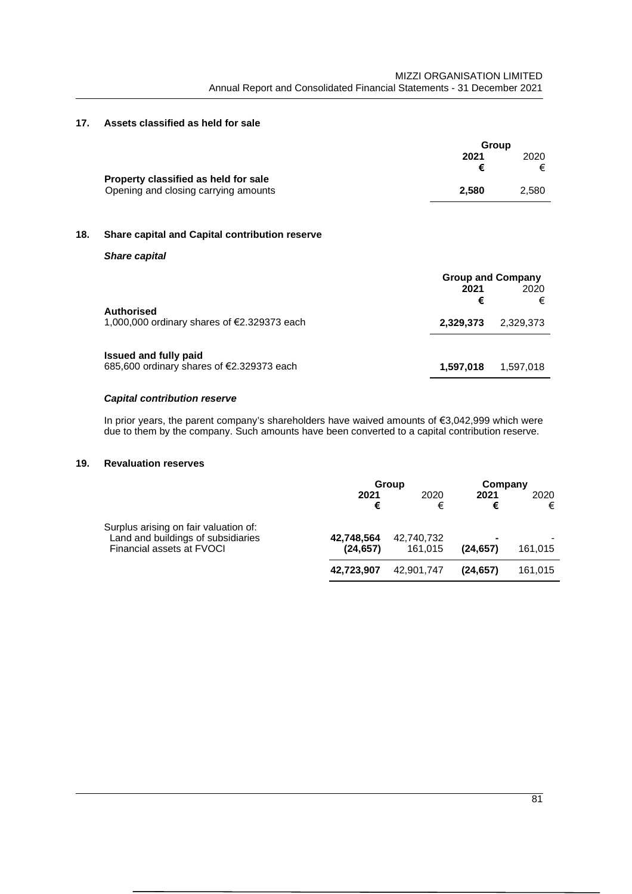## **17. Assets classified as held for sale**

|                                      | Group |       |
|--------------------------------------|-------|-------|
|                                      | 2021  | 2020  |
|                                      |       | €     |
| Property classified as held for sale |       |       |
| Opening and closing carrying amounts | 2.580 | 2.580 |

## **18. Share capital and Capital contribution reserve**

#### *Share capital*

| <b>Authorised</b>                                                         | <b>Group and Company</b><br>2021<br>€ | 2020<br>€ |
|---------------------------------------------------------------------------|---------------------------------------|-----------|
| 1,000,000 ordinary shares of €2.329373 each                               | 2.329.373                             | 2.329.373 |
| <b>Issued and fully paid</b><br>685,600 ordinary shares of €2.329373 each | 1,597,018                             | 1.597.018 |

### *Capital contribution reserve*

In prior years, the parent company's shareholders have waived amounts of €3,042,999 which were due to them by the company. Such amounts have been converted to a capital contribution reserve.

## **19. Revaluation reserves**

|                                                                                                          |                         | Group                 | Company        |           |
|----------------------------------------------------------------------------------------------------------|-------------------------|-----------------------|----------------|-----------|
|                                                                                                          | 2021<br>€               | 2020<br>€             | 2021<br>€      | 2020<br>€ |
| Surplus arising on fair valuation of:<br>Land and buildings of subsidiaries<br>Financial assets at FVOCI | 42.748.564<br>(24, 657) | 42,740,732<br>161.015 | ۰<br>(24, 657) | 161,015   |
|                                                                                                          | 42.723.907              | 42.901.747            | (24.657)       | 161.015   |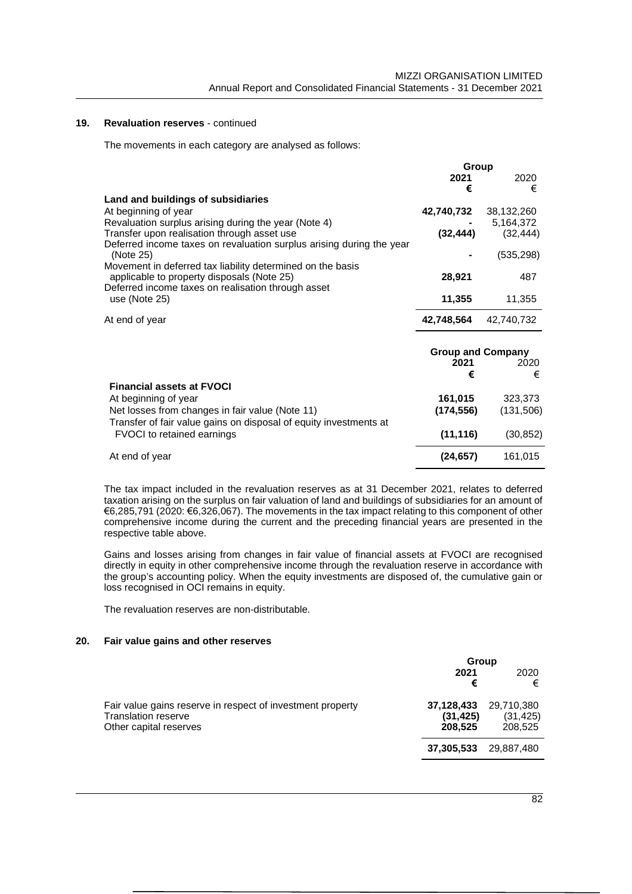**Group**

### **19. Revaluation reserves** - continued

The movements in each category are analysed as follows:

|                                                                      | orog                     |            |
|----------------------------------------------------------------------|--------------------------|------------|
|                                                                      | 2021                     | 2020       |
|                                                                      |                          |            |
|                                                                      | €                        | €          |
| Land and buildings of subsidiaries                                   |                          |            |
|                                                                      |                          |            |
| At beginning of year                                                 | 42,740,732               | 38,132,260 |
| Revaluation surplus arising during the year (Note 4)                 |                          | 5,164,372  |
| Transfer upon realisation through asset use                          | (32, 444)                | (32, 444)  |
|                                                                      |                          |            |
| Deferred income taxes on revaluation surplus arising during the year |                          |            |
| (Note 25)                                                            |                          | (535, 298) |
| Movement in deferred tax liability determined on the basis           |                          |            |
|                                                                      |                          |            |
| applicable to property disposals (Note 25)                           | 28,921                   | 487        |
| Deferred income taxes on realisation through asset                   |                          |            |
| use (Note 25)                                                        | 11,355                   | 11,355     |
|                                                                      |                          |            |
|                                                                      |                          |            |
| At end of year                                                       | 42,748,564               | 42,740,732 |
|                                                                      |                          |            |
|                                                                      |                          |            |
|                                                                      |                          |            |
|                                                                      | <b>Group and Company</b> |            |
|                                                                      | 2021                     | 2020       |
|                                                                      | €                        | €          |
|                                                                      |                          |            |
| <b>Financial assets at FVOCI</b>                                     |                          |            |
| At beginning of year                                                 | 161,015                  | 323,373    |
|                                                                      |                          |            |
| Net losses from changes in fair value (Note 11)                      | (174, 556)               | (131,506)  |
| Transfer of fair value gains on disposal of equity investments at    |                          |            |
|                                                                      |                          |            |
| <b>FVOCI</b> to retained earnings                                    | (11, 116)                | (30, 852)  |
|                                                                      |                          |            |
| At end of year                                                       | (24, 657)                | 161,015    |
|                                                                      |                          |            |

The tax impact included in the revaluation reserves as at 31 December 2021, relates to deferred taxation arising on the surplus on fair valuation of land and buildings of subsidiaries for an amount of €6,285,791 (2020: €6,326,067). The movements in the tax impact relating to this component of other comprehensive income during the current and the preceding financial years are presented in the respective table above.

Gains and losses arising from changes in fair value of financial assets at FVOCI are recognised directly in equity in other comprehensive income through the revaluation reserve in accordance with the group's accounting policy. When the equity investments are disposed of, the cumulative gain or loss recognised in OCI remains in equity.

The revaluation reserves are non-distributable.

#### **20. Fair value gains and other reserves**

|                                                                                                                    | Group                              |                                    |
|--------------------------------------------------------------------------------------------------------------------|------------------------------------|------------------------------------|
|                                                                                                                    | 2021<br>€                          | 2020<br>€                          |
| Fair value gains reserve in respect of investment property<br><b>Translation reserve</b><br>Other capital reserves | 37,128,433<br>(31, 425)<br>208.525 | 29,710,380<br>(31, 425)<br>208.525 |
|                                                                                                                    | 37,305,533                         | 29.887.480                         |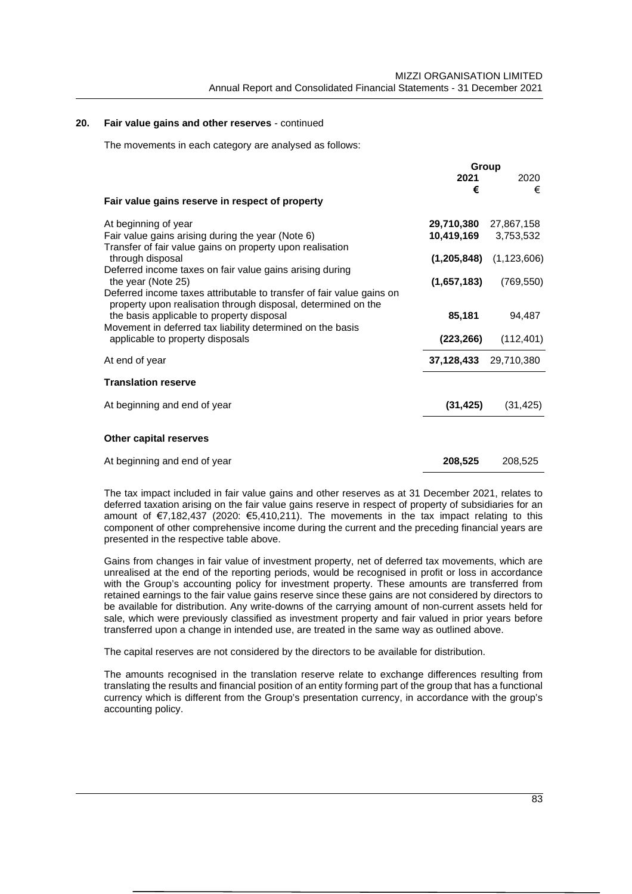### **20. Fair value gains and other reserves** - continued

The movements in each category are analysed as follows:

|                                                                                                                                                                                                                                                   | Group                 |                             |
|---------------------------------------------------------------------------------------------------------------------------------------------------------------------------------------------------------------------------------------------------|-----------------------|-----------------------------|
|                                                                                                                                                                                                                                                   | 2021                  | 2020                        |
|                                                                                                                                                                                                                                                   | €                     | €                           |
| Fair value gains reserve in respect of property                                                                                                                                                                                                   |                       |                             |
| At beginning of year                                                                                                                                                                                                                              | 29,710,380 27,867,158 |                             |
| Fair value gains arising during the year (Note 6)                                                                                                                                                                                                 | 10,419,169 3,753,532  |                             |
| Transfer of fair value gains on property upon realisation<br>through disposal                                                                                                                                                                     |                       | $(1,205,848)$ $(1,123,606)$ |
| Deferred income taxes on fair value gains arising during<br>the year (Note 25)                                                                                                                                                                    | (1,657,183)           | (769, 550)                  |
| Deferred income taxes attributable to transfer of fair value gains on<br>property upon realisation through disposal, determined on the<br>the basis applicable to property disposal<br>Movement in deferred tax liability determined on the basis | 85,181                | 94,487                      |
| applicable to property disposals                                                                                                                                                                                                                  | (223, 266)            | (112, 401)                  |
| At end of year                                                                                                                                                                                                                                    | 37,128,433 29,710,380 |                             |
| <b>Translation reserve</b>                                                                                                                                                                                                                        |                       |                             |
| At beginning and end of year                                                                                                                                                                                                                      | (31, 425)             | (31, 425)                   |
|                                                                                                                                                                                                                                                   |                       |                             |
| Other capital reserves                                                                                                                                                                                                                            |                       |                             |
| At beginning and end of year                                                                                                                                                                                                                      | 208,525               | 208,525                     |

The tax impact included in fair value gains and other reserves as at 31 December 2021, relates to deferred taxation arising on the fair value gains reserve in respect of property of subsidiaries for an amount of  $\epsilon$ 7,182,437 (2020:  $\epsilon$ 5,410,211). The movements in the tax impact relating to this component of other comprehensive income during the current and the preceding financial years are presented in the respective table above.

Gains from changes in fair value of investment property, net of deferred tax movements, which are unrealised at the end of the reporting periods, would be recognised in profit or loss in accordance with the Group's accounting policy for investment property. These amounts are transferred from retained earnings to the fair value gains reserve since these gains are not considered by directors to be available for distribution. Any write-downs of the carrying amount of non-current assets held for sale, which were previously classified as investment property and fair valued in prior years before transferred upon a change in intended use, are treated in the same way as outlined above.

The capital reserves are not considered by the directors to be available for distribution.

The amounts recognised in the translation reserve relate to exchange differences resulting from translating the results and financial position of an entity forming part of the group that has a functional currency which is different from the Group's presentation currency, in accordance with the group's accounting policy.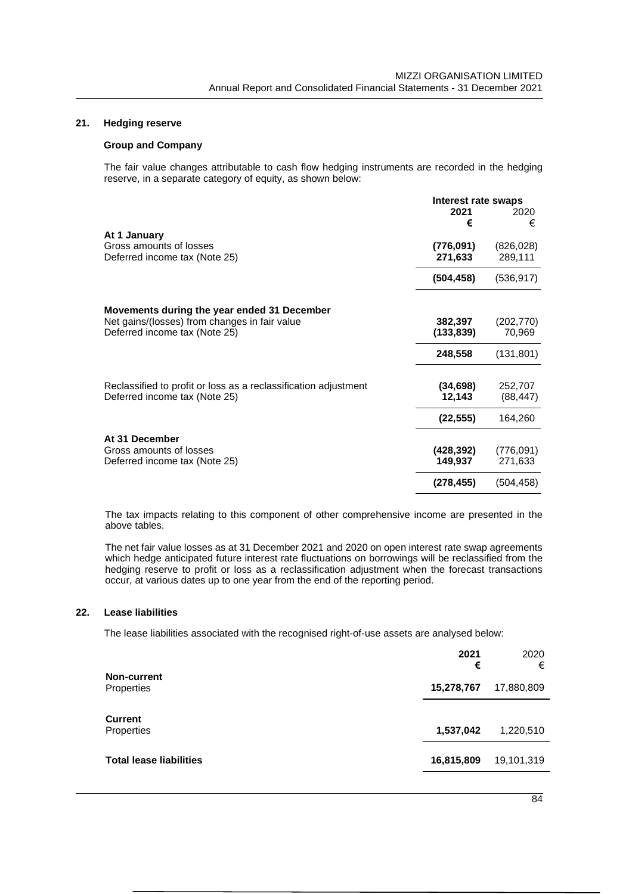## **21. Hedging reserve**

### **Group and Company**

The fair value changes attributable to cash flow hedging instruments are recorded in the hedging reserve, in a separate category of equity, as shown below:

|                                                                 | Interest rate swaps |            |
|-----------------------------------------------------------------|---------------------|------------|
|                                                                 | 2021<br>€           | 2020<br>€  |
| At 1 January                                                    |                     |            |
| Gross amounts of losses                                         | (776, 091)          | (826, 028) |
| Deferred income tax (Note 25)                                   | 271,633             | 289,111    |
|                                                                 | (504, 458)          | (536, 917) |
| Movements during the year ended 31 December                     |                     |            |
| Net gains/(losses) from changes in fair value                   | 382,397             | (202, 770) |
| Deferred income tax (Note 25)                                   | (133, 839)          | 70,969     |
|                                                                 | 248,558             | (131, 801) |
| Reclassified to profit or loss as a reclassification adjustment | (34, 698)           | 252,707    |
| Deferred income tax (Note 25)                                   | 12,143              | (88, 447)  |
|                                                                 | (22, 555)           | 164,260    |
| At 31 December                                                  |                     |            |
| Gross amounts of losses                                         | (428,392)           | (776,091)  |
| Deferred income tax (Note 25)                                   | 149,937             | 271,633    |
|                                                                 | (278, 455)          | (504, 458) |

The tax impacts relating to this component of other comprehensive income are presented in the above tables.

The net fair value losses as at 31 December 2021 and 2020 on open interest rate swap agreements which hedge anticipated future interest rate fluctuations on borrowings will be reclassified from the hedging reserve to profit or loss as a reclassification adjustment when the forecast transactions occur, at various dates up to one year from the end of the reporting period.

### **22. Lease liabilities**

The lease liabilities associated with the recognised right-of-use assets are analysed below:

|                                  | 2021<br>€  | 2020<br>€  |
|----------------------------------|------------|------------|
| <b>Non-current</b><br>Properties | 15,278,767 | 17,880,809 |
| <b>Current</b><br>Properties     | 1,537,042  | 1,220,510  |
| <b>Total lease liabilities</b>   | 16,815,809 | 19,101,319 |
|                                  |            |            |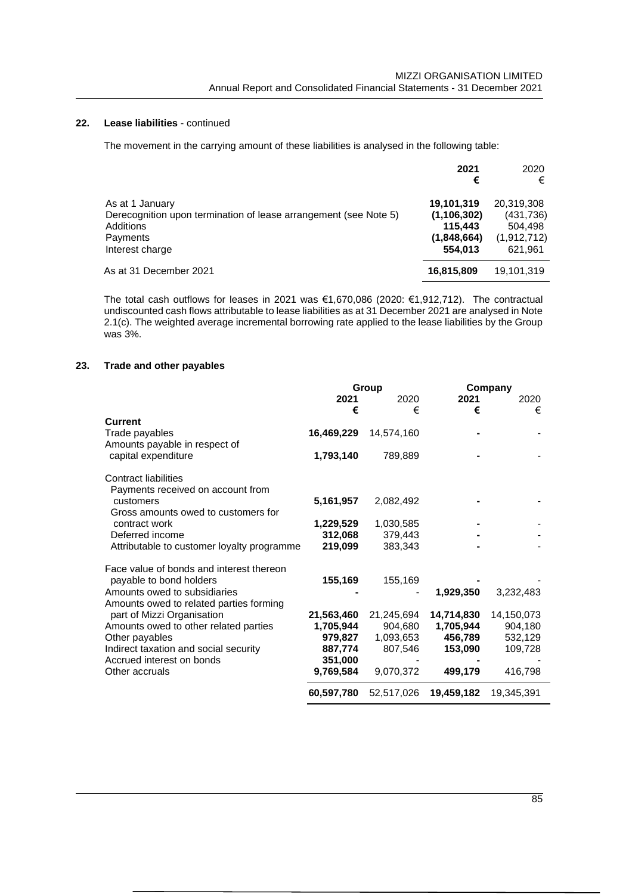## **22. Lease liabilities** - continued

The movement in the carrying amount of these liabilities is analysed in the following table:

|                                                                                                                                 | 2021<br>€                                                        | 2020<br>€                                                     |
|---------------------------------------------------------------------------------------------------------------------------------|------------------------------------------------------------------|---------------------------------------------------------------|
| As at 1 January<br>Derecognition upon termination of lease arrangement (see Note 5)<br>Additions<br>Payments<br>Interest charge | 19,101,319<br>(1, 106, 302)<br>115.443<br>(1,848,664)<br>554.013 | 20,319,308<br>(431, 736)<br>504.498<br>(1,912,712)<br>621,961 |
| As at 31 December 2021                                                                                                          | 16,815,809                                                       | 19,101,319                                                    |

The total cash outflows for leases in 2021 was €1,670,086 (2020: €1,912,712). The contractual undiscounted cash flows attributable to lease liabilities as at 31 December 2021 are analysed in Note 2.1(c). The weighted average incremental borrowing rate applied to the lease liabilities by the Group was 3%.

### **23. Trade and other payables**

|                                            | Group      |            |            | Company    |
|--------------------------------------------|------------|------------|------------|------------|
|                                            | 2021       | 2020       | 2021       | 2020       |
|                                            | €          | €          | €          | €          |
| <b>Current</b>                             |            |            |            |            |
| Trade payables                             | 16,469,229 | 14,574,160 |            |            |
| Amounts payable in respect of              |            |            |            |            |
| capital expenditure                        | 1,793,140  | 789,889    |            |            |
|                                            |            |            |            |            |
| Contract liabilities                       |            |            |            |            |
| Payments received on account from          |            |            |            |            |
| customers                                  | 5,161,957  | 2,082,492  |            |            |
| Gross amounts owed to customers for        |            |            |            |            |
|                                            |            |            |            |            |
| contract work                              | 1,229,529  | 1,030,585  |            |            |
| Deferred income                            | 312,068    | 379,443    |            |            |
| Attributable to customer loyalty programme | 219,099    | 383,343    |            |            |
|                                            |            |            |            |            |
| Face value of bonds and interest thereon   |            |            |            |            |
| payable to bond holders                    | 155,169    | 155,169    |            |            |
| Amounts owed to subsidiaries               |            |            | 1,929,350  | 3,232,483  |
| Amounts owed to related parties forming    |            |            |            |            |
| part of Mizzi Organisation                 | 21,563,460 | 21,245,694 | 14,714,830 | 14,150,073 |
| Amounts owed to other related parties      | 1,705,944  | 904,680    | 1,705,944  | 904,180    |
| Other payables                             | 979,827    | 1,093,653  | 456,789    | 532,129    |
| Indirect taxation and social security      | 887,774    | 807,546    | 153,090    | 109,728    |
| Accrued interest on bonds                  | 351,000    |            |            |            |
| Other accruals                             | 9,769,584  | 9,070,372  | 499,179    | 416,798    |
|                                            | 60,597,780 | 52,517,026 | 19,459,182 | 19,345,391 |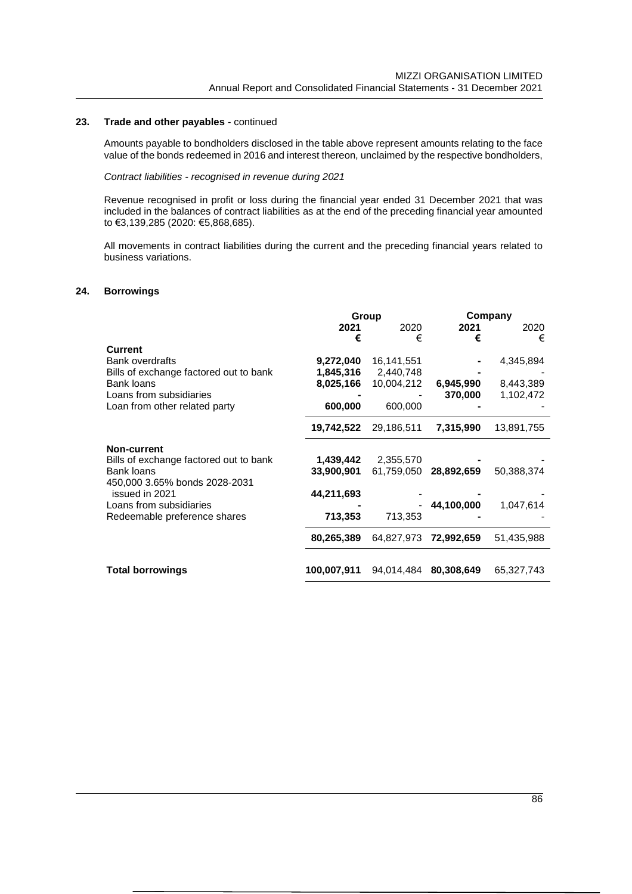#### **23. Trade and other payables** - continued

Amounts payable to bondholders disclosed in the table above represent amounts relating to the face value of the bonds redeemed in 2016 and interest thereon, unclaimed by the respective bondholders,

### *Contract liabilities - recognised in revenue during 2021*

Revenue recognised in profit or loss during the financial year ended 31 December 2021 that was included in the balances of contract liabilities as at the end of the preceding financial year amounted to €3,139,285 (2020: €5,868,685).

All movements in contract liabilities during the current and the preceding financial years related to business variations.

### **24. Borrowings**

|                                                             | Group                  |                         | Company    |            |
|-------------------------------------------------------------|------------------------|-------------------------|------------|------------|
|                                                             | 2021                   | 2020                    | 2021       | 2020       |
|                                                             | €                      | €                       | €          | €          |
| <b>Current</b><br>Bank overdrafts                           | 9,272,040              | 16,141,551              |            | 4,345,894  |
| Bills of exchange factored out to bank<br><b>Bank loans</b> | 1,845,316<br>8,025,166 | 2,440,748<br>10,004,212 | 6,945,990  | 8,443,389  |
| Loans from subsidiaries<br>Loan from other related party    | 600,000                | 600,000                 | 370,000    | 1,102,472  |
|                                                             | 19,742,522             | 29,186,511              | 7,315,990  | 13,891,755 |
| Non-current                                                 |                        |                         |            |            |
| Bills of exchange factored out to bank                      | 1,439,442              | 2,355,570               |            |            |
| Bank loans<br>450,000 3.65% bonds 2028-2031                 | 33,900,901             | 61,759,050              | 28,892,659 | 50,388,374 |
| issued in 2021                                              | 44,211,693             |                         |            |            |
| Loans from subsidiaries                                     |                        |                         | 44,100,000 | 1,047,614  |
| Redeemable preference shares                                | 713,353                | 713,353                 |            |            |
|                                                             | 80,265,389             | 64,827,973              | 72,992,659 | 51,435,988 |
| <b>Total borrowings</b>                                     | 100,007,911            | 94,014,484              | 80,308,649 | 65,327,743 |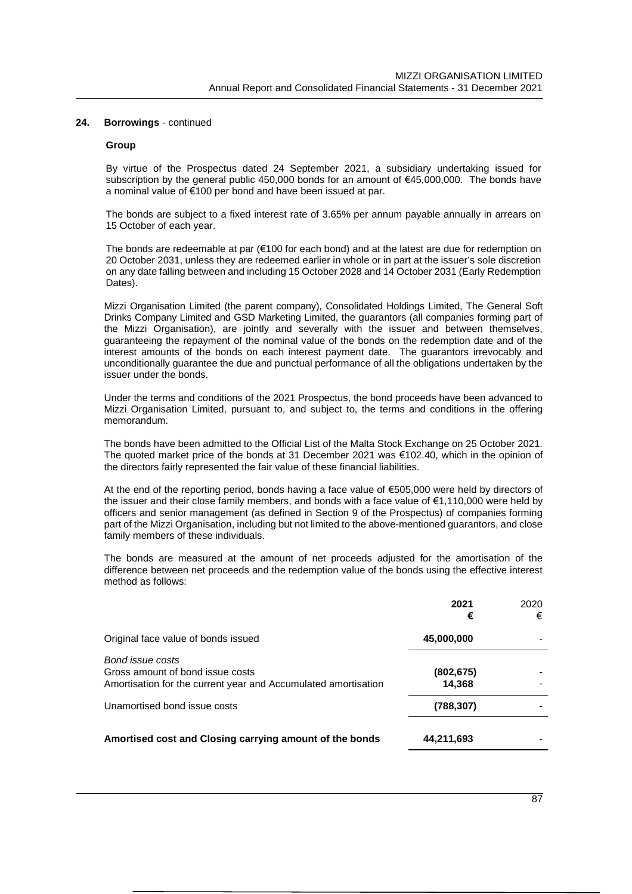#### **Group**

By virtue of the Prospectus dated 24 September 2021, a subsidiary undertaking issued for subscription by the general public 450,000 bonds for an amount of €45,000,000. The bonds have a nominal value of €100 per bond and have been issued at par.

The bonds are subject to a fixed interest rate of 3.65% per annum payable annually in arrears on 15 October of each year.

The bonds are redeemable at par (€100 for each bond) and at the latest are due for redemption on 20 October 2031, unless they are redeemed earlier in whole or in part at the issuer's sole discretion on any date falling between and including 15 October 2028 and 14 October 2031 (Early Redemption Dates).

Mizzi Organisation Limited (the parent company), Consolidated Holdings Limited, The General Soft Drinks Company Limited and GSD Marketing Limited, the guarantors (all companies forming part of the Mizzi Organisation), are jointly and severally with the issuer and between themselves, guaranteeing the repayment of the nominal value of the bonds on the redemption date and of the interest amounts of the bonds on each interest payment date. The guarantors irrevocably and unconditionally guarantee the due and punctual performance of all the obligations undertaken by the issuer under the bonds.

Under the terms and conditions of the 2021 Prospectus, the bond proceeds have been advanced to Mizzi Organisation Limited, pursuant to, and subject to, the terms and conditions in the offering memorandum.

The bonds have been admitted to the Official List of the Malta Stock Exchange on 25 October 2021. The quoted market price of the bonds at 31 December 2021 was €102.40, which in the opinion of the directors fairly represented the fair value of these financial liabilities.

At the end of the reporting period, bonds having a face value of €505,000 were held by directors of the issuer and their close family members, and bonds with a face value of €1,110,000 were held by officers and senior management (as defined in Section 9 of the Prospectus) of companies forming part of the Mizzi Organisation, including but not limited to the above-mentioned guarantors, and close family members of these individuals.

The bonds are measured at the amount of net proceeds adjusted for the amortisation of the difference between net proceeds and the redemption value of the bonds using the effective interest method as follows:

|                                                                                                                        | 2021<br>€           | 2020<br>€ |
|------------------------------------------------------------------------------------------------------------------------|---------------------|-----------|
| Original face value of bonds issued                                                                                    | 45,000,000          |           |
| Bond issue costs<br>Gross amount of bond issue costs<br>Amortisation for the current year and Accumulated amortisation | (802,675)<br>14,368 |           |
| Unamortised bond issue costs                                                                                           | (788, 307)          |           |
| Amortised cost and Closing carrying amount of the bonds                                                                | 44,211,693          |           |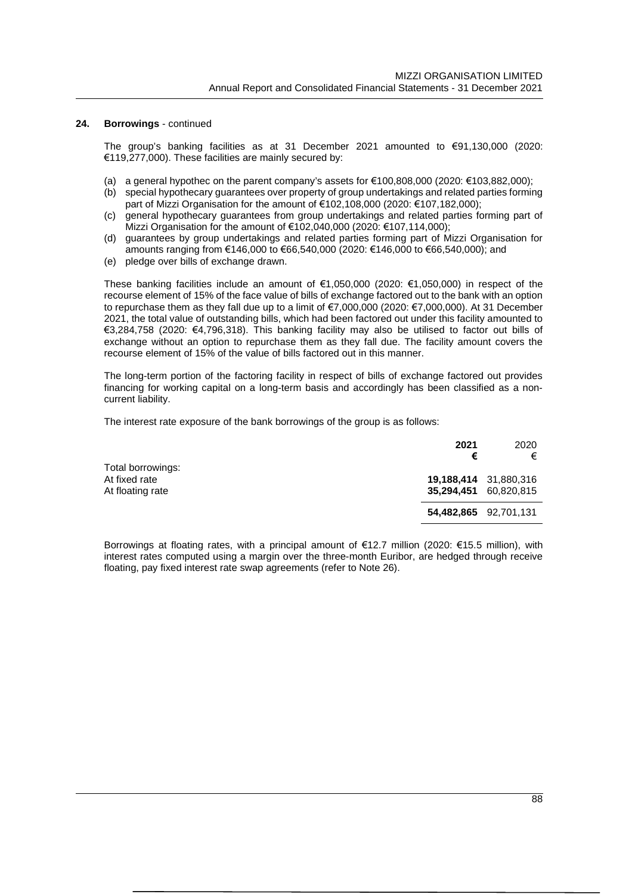The group's banking facilities as at 31 December 2021 amounted to €91,130,000 (2020: €119,277,000). These facilities are mainly secured by:

- (a) a general hypothec on the parent company's assets for  $\epsilon$ 100,808,000 (2020:  $\epsilon$ 103,882,000);
- (b) special hypothecary guarantees over property of group undertakings and related parties forming part of Mizzi Organisation for the amount of €102,108,000 (2020: €107,182,000);
- (c) general hypothecary guarantees from group undertakings and related parties forming part of Mizzi Organisation for the amount of €102,040,000 (2020: €107,114,000);
- (d) guarantees by group undertakings and related parties forming part of Mizzi Organisation for amounts ranging from €146,000 to €66,540,000 (2020: €146,000 to €66,540,000); and
- (e) pledge over bills of exchange drawn.

These banking facilities include an amount of €1,050,000 (2020: €1,050,000) in respect of the recourse element of 15% of the face value of bills of exchange factored out to the bank with an option to repurchase them as they fall due up to a limit of €7,000,000 (2020: €7,000,000). At 31 December 2021, the total value of outstanding bills, which had been factored out under this facility amounted to €3,284,758 (2020: €4,796,318). This banking facility may also be utilised to factor out bills of exchange without an option to repurchase them as they fall due. The facility amount covers the recourse element of 15% of the value of bills factored out in this manner.

The long-term portion of the factoring facility in respect of bills of exchange factored out provides financing for working capital on a long-term basis and accordingly has been classified as a noncurrent liability.

The interest rate exposure of the bank borrowings of the group is as follows:

|                                                        | 2021<br>€                                      | 2020<br>€ |
|--------------------------------------------------------|------------------------------------------------|-----------|
| Total borrowings:<br>At fixed rate<br>At floating rate | 19,188,414 31,880,316<br>35,294,451 60,820,815 |           |
|                                                        | 54,482,865 92,701,131                          |           |

Borrowings at floating rates, with a principal amount of €12.7 million (2020: €15.5 million), with interest rates computed using a margin over the three-month Euribor, are hedged through receive floating, pay fixed interest rate swap agreements (refer to Note 26).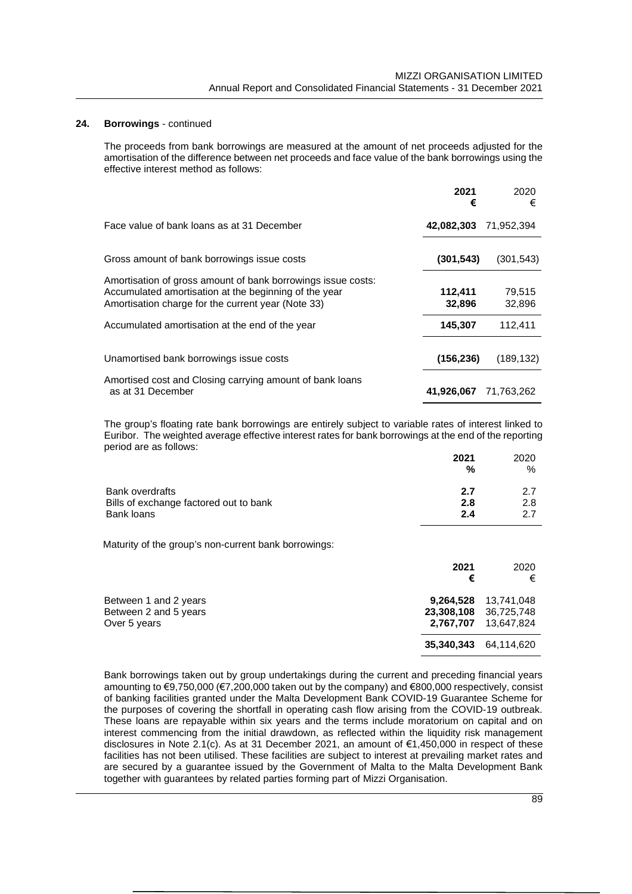The proceeds from bank borrowings are measured at the amount of net proceeds adjusted for the amortisation of the difference between net proceeds and face value of the bank borrowings using the effective interest method as follows:

|                                                                                                                                                                             | 2021<br>€         | 2020<br>€        |
|-----------------------------------------------------------------------------------------------------------------------------------------------------------------------------|-------------------|------------------|
| Face value of bank loans as at 31 December                                                                                                                                  | 42,082,303        | 71,952,394       |
| Gross amount of bank borrowings issue costs                                                                                                                                 | (301, 543)        | (301, 543)       |
| Amortisation of gross amount of bank borrowings issue costs:<br>Accumulated amortisation at the beginning of the year<br>Amortisation charge for the current year (Note 33) | 112,411<br>32,896 | 79,515<br>32,896 |
| Accumulated amortisation at the end of the year                                                                                                                             | 145,307           | 112,411          |
| Unamortised bank borrowings issue costs                                                                                                                                     | (156, 236)        | (189, 132)       |
| Amortised cost and Closing carrying amount of bank loans<br>as at 31 December                                                                                               | 41,926,067        | 71.763.262       |

The group's floating rate bank borrowings are entirely subject to variable rates of interest linked to Euribor. The weighted average effective interest rates for bank borrowings at the end of the reporting period are as follows:

|                                        | 2021<br>% | 2020<br>$\%$ |
|----------------------------------------|-----------|--------------|
| <b>Bank overdrafts</b>                 | 2.7       | 2.7          |
| Bills of exchange factored out to bank | 2.8       | 2.8          |
| Bank loans                             | 2.4       | 27           |

Maturity of the group's non-current bank borrowings:

|                                                                | 2021<br>€                            | 2020<br>€                              |
|----------------------------------------------------------------|--------------------------------------|----------------------------------------|
| Between 1 and 2 years<br>Between 2 and 5 years<br>Over 5 years | 9,264,528<br>23,308,108<br>2,767,707 | 13,741,048<br>36,725,748<br>13.647.824 |
|                                                                | 35,340,343                           | 64,114,620                             |

Bank borrowings taken out by group undertakings during the current and preceding financial years amounting to €9,750,000 (€7,200,000 taken out by the company) and €800,000 respectively, consist of banking facilities granted under the Malta Development Bank COVID-19 Guarantee Scheme for the purposes of covering the shortfall in operating cash flow arising from the COVID-19 outbreak. These loans are repayable within six years and the terms include moratorium on capital and on interest commencing from the initial drawdown, as reflected within the liquidity risk management disclosures in Note 2.1(c). As at 31 December 2021, an amount of €1,450,000 in respect of these facilities has not been utilised. These facilities are subject to interest at prevailing market rates and are secured by a guarantee issued by the Government of Malta to the Malta Development Bank together with guarantees by related parties forming part of Mizzi Organisation.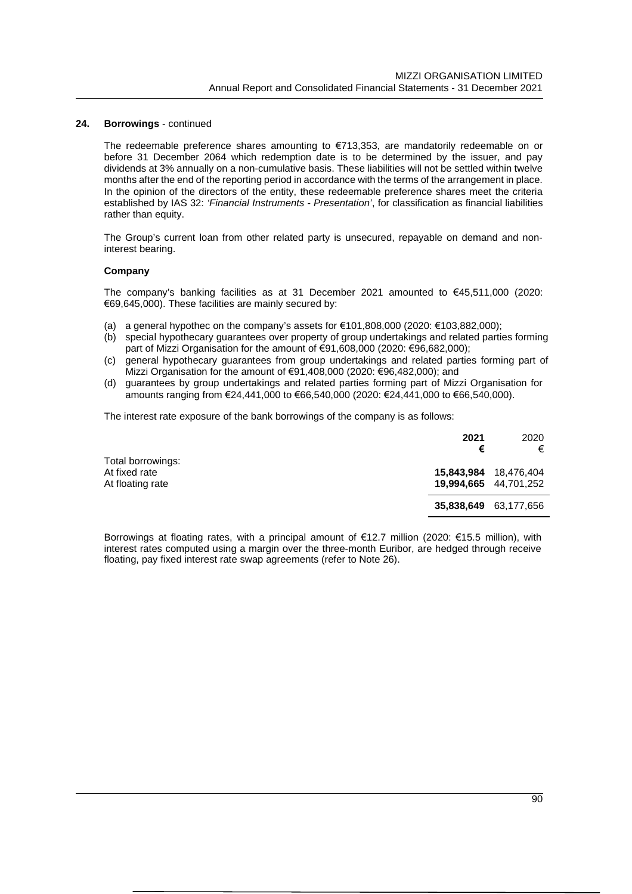The redeemable preference shares amounting to €713,353, are mandatorily redeemable on or before 31 December 2064 which redemption date is to be determined by the issuer, and pay dividends at 3% annually on a non-cumulative basis. These liabilities will not be settled within twelve months after the end of the reporting period in accordance with the terms of the arrangement in place. In the opinion of the directors of the entity, these redeemable preference shares meet the criteria established by IAS 32: *'Financial Instruments - Presentation'*, for classification as financial liabilities rather than equity.

The Group's current loan from other related party is unsecured, repayable on demand and noninterest bearing.

#### **Company**

The company's banking facilities as at 31 December 2021 amounted to  $\epsilon$ 45,511,000 (2020: €69,645,000). These facilities are mainly secured by:

- (a) a general hypothec on the company's assets for  $\epsilon$ 101,808,000 (2020:  $\epsilon$ 103,882,000);
- (b) special hypothecary guarantees over property of group undertakings and related parties forming part of Mizzi Organisation for the amount of €91,608,000 (2020: €96,682,000);
- (c) general hypothecary guarantees from group undertakings and related parties forming part of Mizzi Organisation for the amount of €91,408,000 (2020: €96,482,000); and
- (d) guarantees by group undertakings and related parties forming part of Mizzi Organisation for amounts ranging from €24,441,000 to €66,540,000 (2020: €24,441,000 to €66,540,000).

The interest rate exposure of the bank borrowings of the company is as follows:

|                                                        | 2021<br>€                                      | 2020<br>€ |
|--------------------------------------------------------|------------------------------------------------|-----------|
| Total borrowings:<br>At fixed rate<br>At floating rate | 15,843,984 18,476,404<br>19,994,665 44,701,252 |           |
|                                                        | <b>35,838,649</b> 63,177,656                   |           |

Borrowings at floating rates, with a principal amount of €12.7 million (2020: €15.5 million), with interest rates computed using a margin over the three-month Euribor, are hedged through receive floating, pay fixed interest rate swap agreements (refer to Note 26).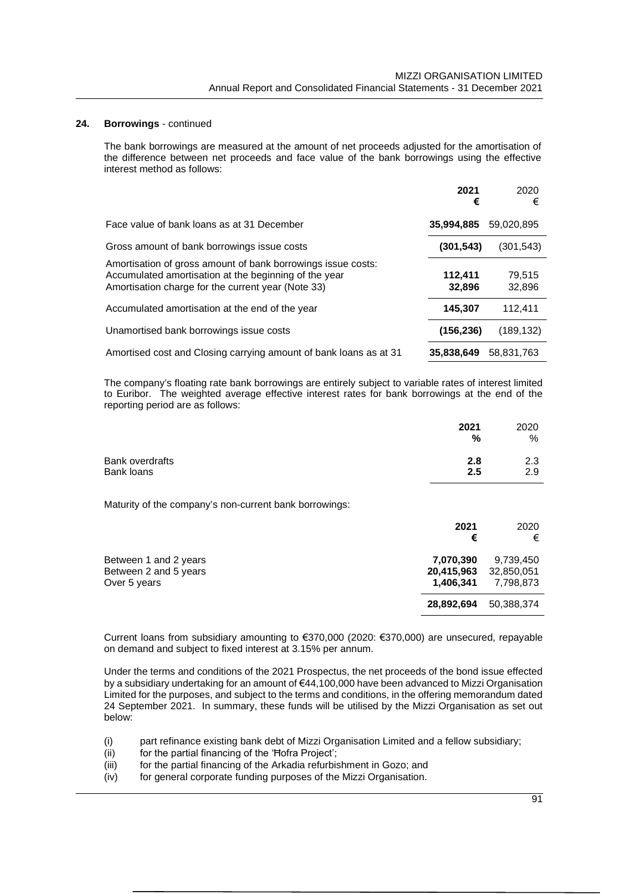The bank borrowings are measured at the amount of net proceeds adjusted for the amortisation of the difference between net proceeds and face value of the bank borrowings using the effective interest method as follows:

|                                                                                                                                                                             | 2021<br>€         | 2020<br>€        |
|-----------------------------------------------------------------------------------------------------------------------------------------------------------------------------|-------------------|------------------|
| Face value of bank loans as at 31 December                                                                                                                                  | 35,994,885        | 59.020.895       |
| Gross amount of bank borrowings issue costs                                                                                                                                 | (301, 543)        | (301, 543)       |
| Amortisation of gross amount of bank borrowings issue costs:<br>Accumulated amortisation at the beginning of the year<br>Amortisation charge for the current year (Note 33) | 112,411<br>32,896 | 79.515<br>32,896 |
| Accumulated amortisation at the end of the year                                                                                                                             | 145,307           | 112.411          |
| Unamortised bank borrowings issue costs                                                                                                                                     | (156, 236)        | (189, 132)       |
| Amortised cost and Closing carrying amount of bank loans as at 31                                                                                                           | 35,838,649        | 58,831,763       |

The company's floating rate bank borrowings are entirely subject to variable rates of interest limited to Euribor. The weighted average effective interest rates for bank borrowings at the end of the reporting period are as follows:

|                 | 2021 | 2020 |
|-----------------|------|------|
|                 | %    | %    |
| Bank overdrafts | 2.8  | 2.3  |
| Bank loans      | 2.5  | 2.9  |

Maturity of the company's non-current bank borrowings:

|                                                                | 2021<br>€                            | 2020<br>€                            |
|----------------------------------------------------------------|--------------------------------------|--------------------------------------|
| Between 1 and 2 years<br>Between 2 and 5 years<br>Over 5 years | 7,070,390<br>20,415,963<br>1.406.341 | 9,739,450<br>32,850,051<br>7,798,873 |
|                                                                | 28,892,694                           | 50,388,374                           |

Current loans from subsidiary amounting to €370,000 (2020: €370,000) are unsecured, repayable on demand and subject to fixed interest at 3.15% per annum.

Under the terms and conditions of the 2021 Prospectus, the net proceeds of the bond issue effected by a subsidiary undertaking for an amount of €44,100,000 have been advanced to Mizzi Organisation Limited for the purposes, and subject to the terms and conditions, in the offering memorandum dated 24 September 2021. In summary, these funds will be utilised by the Mizzi Organisation as set out below:

- (i) part refinance existing bank debt of Mizzi Organisation Limited and a fellow subsidiary;
- $(iii)$  for the partial financing of the 'Hofra Project';
- (iii) for the partial financing of the Arkadia refurbishment in Gozo; and
- (iv) for general corporate funding purposes of the Mizzi Organisation.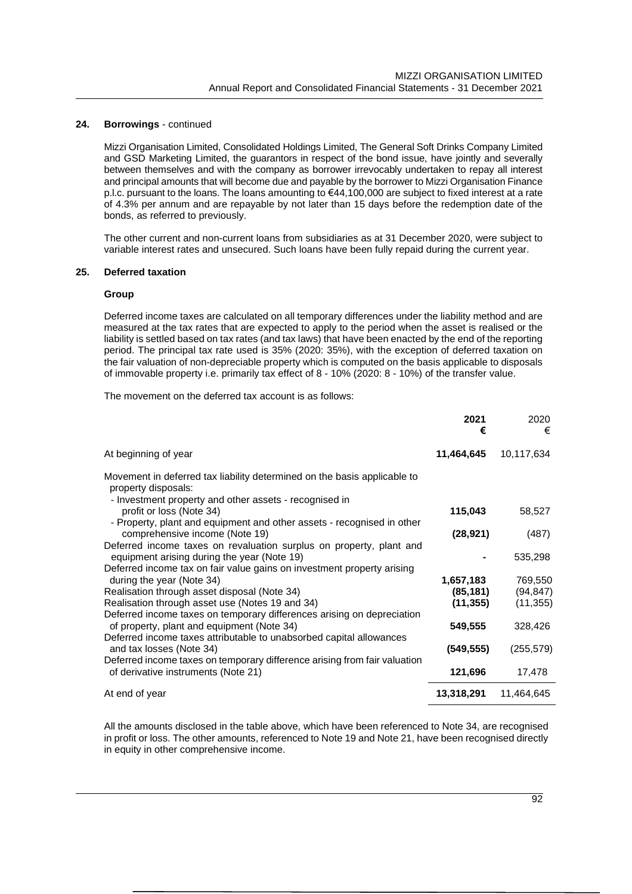Mizzi Organisation Limited, Consolidated Holdings Limited, The General Soft Drinks Company Limited and GSD Marketing Limited, the guarantors in respect of the bond issue, have jointly and severally between themselves and with the company as borrower irrevocably undertaken to repay all interest and principal amounts that will become due and payable by the borrower to Mizzi Organisation Finance p.l.c. pursuant to the loans. The loans amounting to €44,100,000 are subject to fixed interest at a rate of 4.3% per annum and are repayable by not later than 15 days before the redemption date of the bonds, as referred to previously.

The other current and non-current loans from subsidiaries as at 31 December 2020, were subject to variable interest rates and unsecured. Such loans have been fully repaid during the current year.

#### **25. Deferred taxation**

#### **Group**

Deferred income taxes are calculated on all temporary differences under the liability method and are measured at the tax rates that are expected to apply to the period when the asset is realised or the liability is settled based on tax rates (and tax laws) that have been enacted by the end of the reporting period. The principal tax rate used is 35% (2020: 35%), with the exception of deferred taxation on the fair valuation of non-depreciable property which is computed on the basis applicable to disposals of immovable property i.e. primarily tax effect of 8 - 10% (2020: 8 - 10%) of the transfer value.

The movement on the deferred tax account is as follows:

|                                                                                                                                                           | 2021<br>€  | 2020<br>€  |
|-----------------------------------------------------------------------------------------------------------------------------------------------------------|------------|------------|
| At beginning of year                                                                                                                                      | 11,464,645 | 10,117,634 |
| Movement in deferred tax liability determined on the basis applicable to<br>property disposals:<br>- Investment property and other assets - recognised in |            |            |
| profit or loss (Note 34)                                                                                                                                  | 115,043    | 58,527     |
| - Property, plant and equipment and other assets - recognised in other<br>comprehensive income (Note 19)                                                  | (28, 921)  | (487)      |
| Deferred income taxes on revaluation surplus on property, plant and<br>equipment arising during the year (Note 19)                                        |            | 535,298    |
| Deferred income tax on fair value gains on investment property arising<br>during the year (Note 34)                                                       | 1,657,183  | 769,550    |
| Realisation through asset disposal (Note 34)                                                                                                              | (85,181)   | (94, 847)  |
| Realisation through asset use (Notes 19 and 34)                                                                                                           | (11, 355)  | (11, 355)  |
| Deferred income taxes on temporary differences arising on depreciation<br>of property, plant and equipment (Note 34)                                      | 549,555    | 328,426    |
| Deferred income taxes attributable to unabsorbed capital allowances<br>and tax losses (Note 34)                                                           | (549, 555) | (255, 579) |
| Deferred income taxes on temporary difference arising from fair valuation<br>of derivative instruments (Note 21)                                          | 121,696    | 17,478     |
| At end of year                                                                                                                                            | 13,318,291 | 11,464,645 |

All the amounts disclosed in the table above, which have been referenced to Note 34, are recognised in profit or loss. The other amounts, referenced to Note 19 and Note 21, have been recognised directly in equity in other comprehensive income.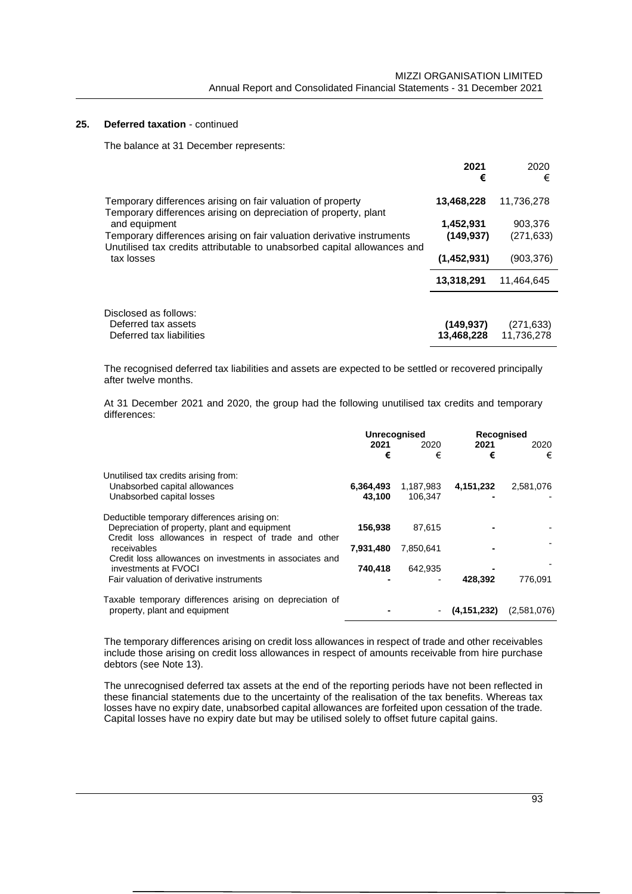### **25. Deferred taxation** - continued

The balance at 31 December represents:

|                                                                                                                                 | 2021<br>€   | 2020<br>€  |
|---------------------------------------------------------------------------------------------------------------------------------|-------------|------------|
| Temporary differences arising on fair valuation of property<br>Temporary differences arising on depreciation of property, plant | 13,468,228  | 11,736,278 |
| and equipment                                                                                                                   | 1,452,931   | 903,376    |
| Temporary differences arising on fair valuation derivative instruments                                                          | (149.937)   | (271, 633) |
| Unutilised tax credits attributable to unabsorbed capital allowances and                                                        |             |            |
| tax losses                                                                                                                      | (1,452,931) | (903,376)  |
|                                                                                                                                 | 13,318,291  | 11.464.645 |
|                                                                                                                                 |             |            |
| Disclosed as follows:                                                                                                           |             |            |
| Deferred tax assets                                                                                                             | (149, 937)  | (271, 633) |
| Deferred tax liabilities                                                                                                        | 13.468.228  | 11.736.278 |

The recognised deferred tax liabilities and assets are expected to be settled or recovered principally after twelve months.

At 31 December 2021 and 2020, the group had the following unutilised tax credits and temporary differences:

|                                                                                                       | <b>Unrecognised</b> |           | Recognised    |             |
|-------------------------------------------------------------------------------------------------------|---------------------|-----------|---------------|-------------|
|                                                                                                       | 2021                | 2020      | 2021          | 2020        |
|                                                                                                       | €                   | €         | €             | €           |
| Unutilised tax credits arising from:                                                                  |                     |           |               |             |
| Unabsorbed capital allowances                                                                         | 6,364,493           | 1,187,983 | 4, 151, 232   | 2,581,076   |
| Unabsorbed capital losses                                                                             | 43,100              | 106.347   |               |             |
| Deductible temporary differences arising on:                                                          |                     |           |               |             |
| Depreciation of property, plant and equipment<br>Credit loss allowances in respect of trade and other | 156.938             | 87.615    |               |             |
| receivables                                                                                           | 7,931,480           | 7,850,641 |               |             |
| Credit loss allowances on investments in associates and<br>investments at FVOCI                       | 740,418             | 642,935   |               |             |
| Fair valuation of derivative instruments                                                              |                     |           | 428,392       | 776,091     |
| Taxable temporary differences arising on depreciation of                                              |                     |           |               |             |
| property, plant and equipment                                                                         |                     |           | (4, 151, 232) | (2,581,076) |

The temporary differences arising on credit loss allowances in respect of trade and other receivables include those arising on credit loss allowances in respect of amounts receivable from hire purchase debtors (see Note 13).

The unrecognised deferred tax assets at the end of the reporting periods have not been reflected in these financial statements due to the uncertainty of the realisation of the tax benefits. Whereas tax losses have no expiry date, unabsorbed capital allowances are forfeited upon cessation of the trade. Capital losses have no expiry date but may be utilised solely to offset future capital gains.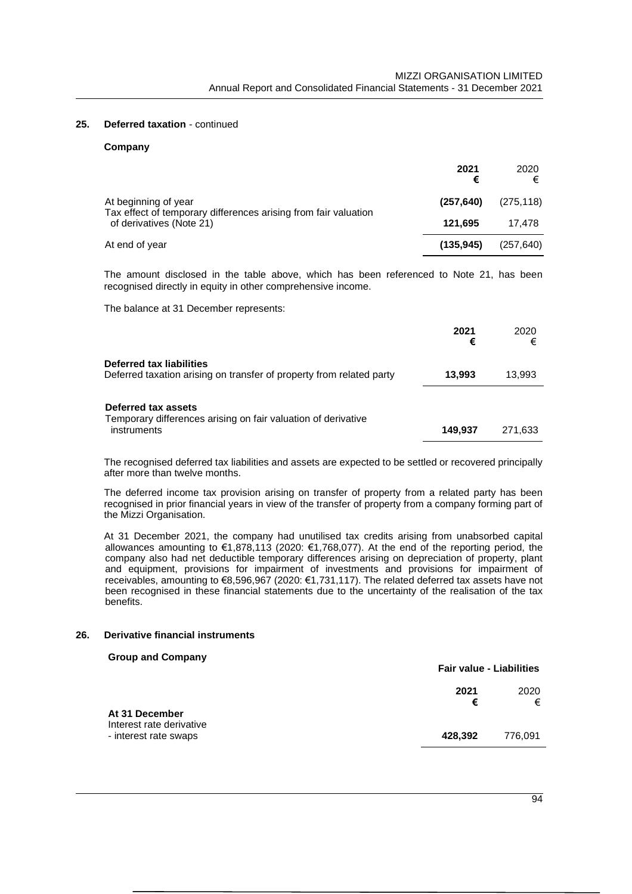#### **25. Deferred taxation** - continued

#### **Company**

|                                                                                         | 2021<br>€  | 2020<br>€  |
|-----------------------------------------------------------------------------------------|------------|------------|
| At beginning of year<br>Tax effect of temporary differences arising from fair valuation | (257, 640) | (275, 118) |
| of derivatives (Note 21)                                                                | 121.695    | 17.478     |
| At end of year                                                                          | (135.945)  | (257, 640) |

The amount disclosed in the table above, which has been referenced to Note 21, has been recognised directly in equity in other comprehensive income.

The balance at 31 December represents:

|                                                                                                     | 2021<br>€ | 2020<br>€ |
|-----------------------------------------------------------------------------------------------------|-----------|-----------|
| Deferred tax liabilities<br>Deferred taxation arising on transfer of property from related party    | 13,993    | 13.993    |
| Deferred tax assets<br>Temporary differences arising on fair valuation of derivative<br>instruments | 149.937   | 271.633   |

The recognised deferred tax liabilities and assets are expected to be settled or recovered principally after more than twelve months.

The deferred income tax provision arising on transfer of property from a related party has been recognised in prior financial years in view of the transfer of property from a company forming part of the Mizzi Organisation.

At 31 December 2021, the company had unutilised tax credits arising from unabsorbed capital allowances amounting to €1,878,113 (2020: €1,768,077). At the end of the reporting period, the company also had net deductible temporary differences arising on depreciation of property, plant and equipment, provisions for impairment of investments and provisions for impairment of receivables, amounting to €8,596,967 (2020: €1,731,117). The related deferred tax assets have not been recognised in these financial statements due to the uncertainty of the realisation of the tax benefits.

#### **26. Derivative financial instruments**

#### **Group and Company**

|                                                   |           | <b>Fair value - Liabilities</b> |  |
|---------------------------------------------------|-----------|---------------------------------|--|
| At 31 December                                    | 2021<br>€ | 2020<br>€                       |  |
| Interest rate derivative<br>- interest rate swaps | 428.392   | 776.091                         |  |
|                                                   |           |                                 |  |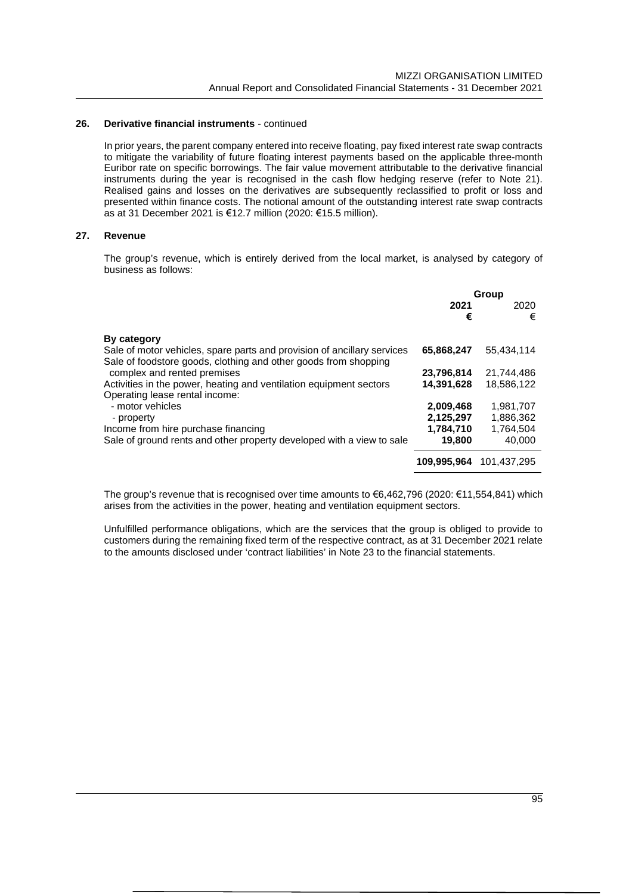### **26. Derivative financial instruments** - continued

In prior years, the parent company entered into receive floating, pay fixed interest rate swap contracts to mitigate the variability of future floating interest payments based on the applicable three-month Euribor rate on specific borrowings. The fair value movement attributable to the derivative financial instruments during the year is recognised in the cash flow hedging reserve (refer to Note 21). Realised gains and losses on the derivatives are subsequently reclassified to profit or loss and presented within finance costs. The notional amount of the outstanding interest rate swap contracts as at 31 December 2021 is €12.7 million (2020: €15.5 million).

#### **27. Revenue**

The group's revenue, which is entirely derived from the local market, is analysed by category of business as follows:

|                                                                                                                                            | Group       |             |  |
|--------------------------------------------------------------------------------------------------------------------------------------------|-------------|-------------|--|
|                                                                                                                                            | 2021<br>€   | 2020<br>€   |  |
| <b>By category</b>                                                                                                                         |             |             |  |
| Sale of motor vehicles, spare parts and provision of ancillary services<br>Sale of foodstore goods, clothing and other goods from shopping | 65,868,247  | 55.434.114  |  |
| complex and rented premises                                                                                                                | 23,796,814  | 21.744.486  |  |
| Activities in the power, heating and ventilation equipment sectors                                                                         | 14,391,628  | 18,586,122  |  |
| Operating lease rental income:                                                                                                             |             |             |  |
| - motor vehicles                                                                                                                           | 2,009,468   | 1,981,707   |  |
| - property                                                                                                                                 | 2,125,297   | 1,886,362   |  |
| Income from hire purchase financing                                                                                                        | 1,784,710   | 1,764,504   |  |
| Sale of ground rents and other property developed with a view to sale                                                                      | 19,800      | 40.000      |  |
|                                                                                                                                            | 109.995.964 | 101.437.295 |  |

The group's revenue that is recognised over time amounts to €6,462,796 (2020: €11,554,841) which arises from the activities in the power, heating and ventilation equipment sectors.

Unfulfilled performance obligations, which are the services that the group is obliged to provide to customers during the remaining fixed term of the respective contract, as at 31 December 2021 relate to the amounts disclosed under 'contract liabilities' in Note 23 to the financial statements.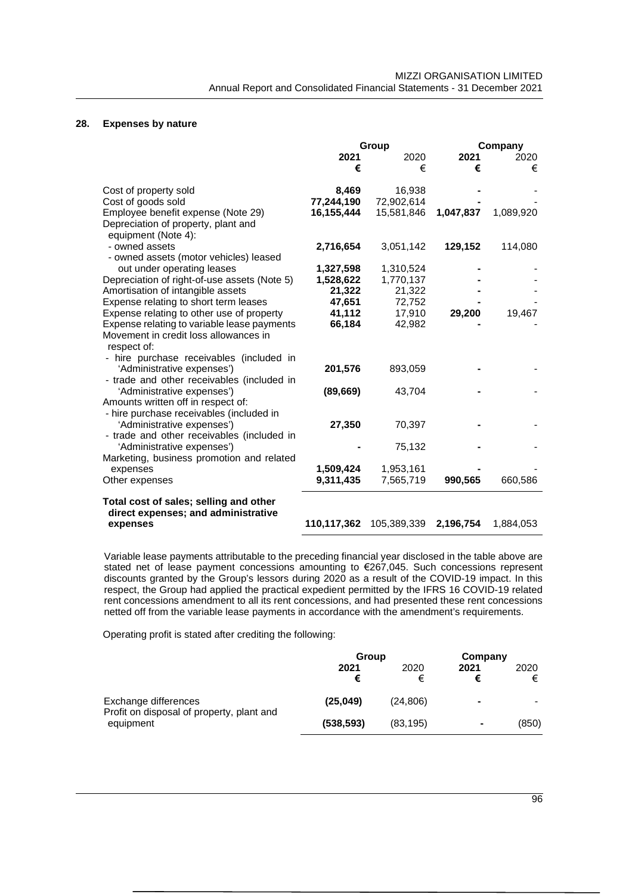# **28. Expenses by nature**

|                                              | Group       |             |           | Company   |
|----------------------------------------------|-------------|-------------|-----------|-----------|
|                                              | 2021        | 2020        | 2021      | 2020      |
|                                              | €           | €           | €         | €         |
|                                              |             |             |           |           |
| Cost of property sold                        | 8,469       | 16,938      |           |           |
| Cost of goods sold                           | 77,244,190  | 72,902,614  |           |           |
| Employee benefit expense (Note 29)           | 16,155,444  | 15,581,846  | 1,047,837 | 1,089,920 |
| Depreciation of property, plant and          |             |             |           |           |
| equipment (Note 4):                          |             |             |           |           |
| - owned assets                               | 2,716,654   | 3,051,142   | 129,152   | 114,080   |
| - owned assets (motor vehicles) leased       |             |             |           |           |
| out under operating leases                   | 1,327,598   | 1,310,524   |           |           |
| Depreciation of right-of-use assets (Note 5) | 1,528,622   | 1,770,137   |           |           |
| Amortisation of intangible assets            | 21,322      | 21,322      |           |           |
| Expense relating to short term leases        | 47,651      | 72,752      |           |           |
| Expense relating to other use of property    | 41,112      | 17,910      | 29,200    | 19,467    |
| Expense relating to variable lease payments  | 66,184      | 42,982      |           |           |
| Movement in credit loss allowances in        |             |             |           |           |
| respect of:                                  |             |             |           |           |
| - hire purchase receivables (included in     |             |             |           |           |
| 'Administrative expenses')                   | 201,576     | 893,059     |           |           |
| - trade and other receivables (included in   |             |             |           |           |
| 'Administrative expenses')                   | (89, 669)   | 43,704      |           |           |
| Amounts written off in respect of:           |             |             |           |           |
| - hire purchase receivables (included in     |             |             |           |           |
| 'Administrative expenses')                   | 27,350      | 70,397      |           |           |
| - trade and other receivables (included in   |             |             |           |           |
| 'Administrative expenses')                   |             | 75,132      |           |           |
| Marketing, business promotion and related    |             |             |           |           |
| expenses                                     | 1,509,424   | 1,953,161   |           |           |
| Other expenses                               | 9,311,435   | 7,565,719   | 990,565   | 660,586   |
| Total cost of sales; selling and other       |             |             |           |           |
| direct expenses; and administrative          |             |             |           |           |
| expenses                                     | 110,117,362 | 105,389,339 | 2,196,754 | 1,884,053 |

Variable lease payments attributable to the preceding financial year disclosed in the table above are stated net of lease payment concessions amounting to €267,045. Such concessions represent discounts granted by the Group's lessors during 2020 as a result of the COVID-19 impact. In this respect, the Group had applied the practical expedient permitted by the IFRS 16 COVID-19 related rent concessions amendment to all its rent concessions, and had presented these rent concessions netted off from the variable lease payments in accordance with the amendment's requirements.

Operating profit is stated after crediting the following:

|                                                                   | Group      |           | Company |           |
|-------------------------------------------------------------------|------------|-----------|---------|-----------|
|                                                                   | 2021       | 2020<br>€ | 2021    | 2020<br>€ |
| Exchange differences<br>Profit on disposal of property, plant and | (25, 049)  | (24.806)  | -       |           |
| equipment                                                         | (538, 593) | (83, 195) | ۰       | (850)     |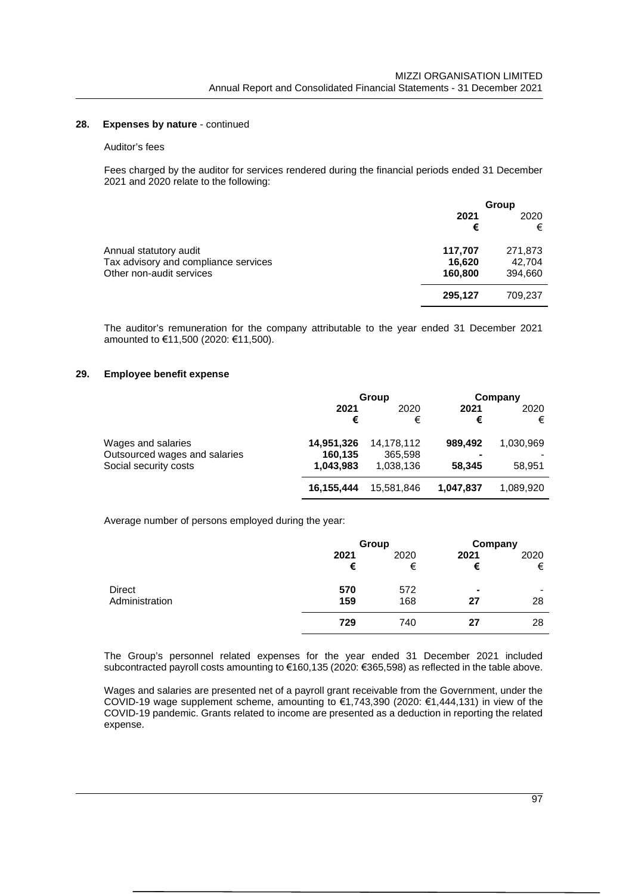#### 28. **Expenses by nature** - continued

#### Auditor's fees

Fees charged by the auditor for services rendered during the financial periods ended 31 December 2021 and 2020 relate to the following:

|                                                                                            |                              | Group                        |
|--------------------------------------------------------------------------------------------|------------------------------|------------------------------|
|                                                                                            | 2021<br>€                    | 2020<br>€                    |
| Annual statutory audit<br>Tax advisory and compliance services<br>Other non-audit services | 117,707<br>16,620<br>160,800 | 271,873<br>42.704<br>394,660 |
|                                                                                            | 295,127                      | 709,237                      |

The auditor's remuneration for the company attributable to the year ended 31 December 2021 amounted to €11,500 (2020: €11,500).

#### **29. Employee benefit expense**

|                               | Group      |            | Company   |           |
|-------------------------------|------------|------------|-----------|-----------|
|                               | 2021       | 2020       | 2021      | 2020      |
|                               | €          | €          | €         | €         |
| Wages and salaries            | 14,951,326 | 14,178,112 | 989.492   | 1,030,969 |
| Outsourced wages and salaries | 160,135    | 365,598    | -         |           |
| Social security costs         | 1,043,983  | 1,038,136  | 58.345    | 58,951    |
|                               | 16.155.444 | 15.581.846 | 1.047.837 | 1,089,920 |

Average number of persons employed during the year:

|                |           | Group     | Company   |           |
|----------------|-----------|-----------|-----------|-----------|
|                | 2021<br>€ | 2020<br>€ | 2021<br>€ | 2020<br>€ |
| <b>Direct</b>  | 570       | 572       |           | ۰         |
| Administration | 159       | 168       | 27        | 28        |
|                | 729       | 740       | 27        | 28        |

The Group's personnel related expenses for the year ended 31 December 2021 included subcontracted payroll costs amounting to €160,135 (2020: €365,598) as reflected in the table above.

Wages and salaries are presented net of a payroll grant receivable from the Government, under the COVID-19 wage supplement scheme, amounting to €1,743,390 (2020: €1,444,131) in view of the COVID-19 pandemic. Grants related to income are presented as a deduction in reporting the related expense.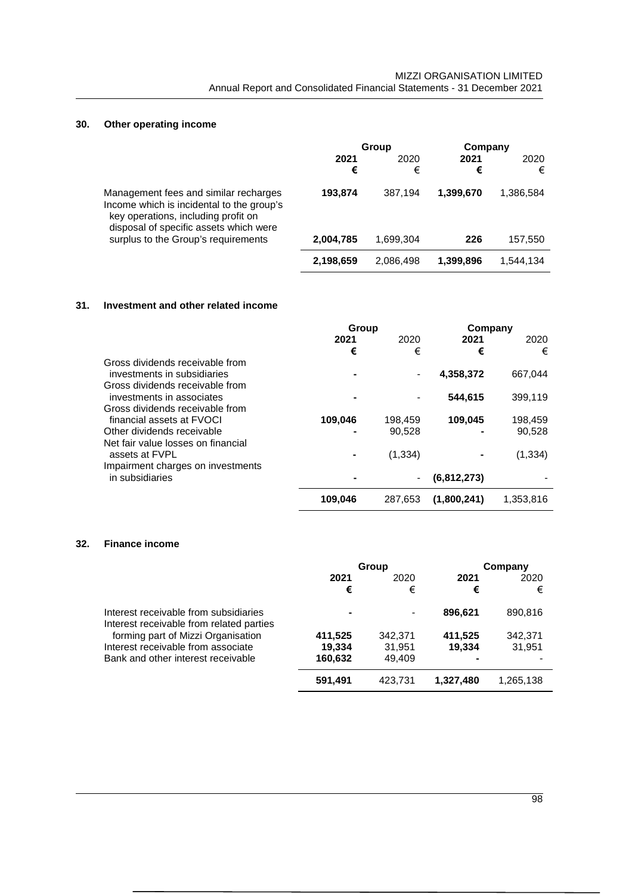# **30. Other operating income**

|                                                                                                                                                                     | Group     |           | Company   |           |
|---------------------------------------------------------------------------------------------------------------------------------------------------------------------|-----------|-----------|-----------|-----------|
|                                                                                                                                                                     | 2021<br>€ | 2020<br>€ | 2021<br>€ | 2020<br>€ |
| Management fees and similar recharges<br>Income which is incidental to the group's<br>key operations, including profit on<br>disposal of specific assets which were | 193.874   | 387.194   | 1,399,670 | 1,386,584 |
| surplus to the Group's requirements                                                                                                                                 | 2,004,785 | 1,699,304 | 226       | 157,550   |
|                                                                                                                                                                     | 2,198,659 | 2,086,498 | 1,399,896 | 1.544.134 |

### **31. Investment and other related income**

|                                                                                                   | Group   |                   | Company     |                   |
|---------------------------------------------------------------------------------------------------|---------|-------------------|-------------|-------------------|
|                                                                                                   | 2021    | 2020              | 2021        | 2020              |
|                                                                                                   | €       | €                 | €           | €                 |
| Gross dividends receivable from<br>investments in subsidiaries<br>Gross dividends receivable from |         |                   | 4,358,372   | 667.044           |
| investments in associates<br>Gross dividends receivable from                                      |         |                   | 544,615     | 399,119           |
| financial assets at FVOCL<br>Other dividends receivable                                           | 109,046 | 198,459<br>90.528 | 109.045     | 198,459<br>90.528 |
| Net fair value losses on financial<br>assets at FVPL                                              |         | (1, 334)          |             | (1, 334)          |
| Impairment charges on investments<br>in subsidiaries                                              |         | $\blacksquare$    | (6,812,273) |                   |
|                                                                                                   | 109.046 | 287.653           | (1,800,241) | 1.353.816         |

### **32. Finance income**

|                                                                                   | Group   |         |           | Company   |  |
|-----------------------------------------------------------------------------------|---------|---------|-----------|-----------|--|
|                                                                                   | 2021    | 2020    | 2021      | 2020      |  |
|                                                                                   | €       | €       | €         | €         |  |
| Interest receivable from subsidiaries<br>Interest receivable from related parties |         |         | 896.621   | 890,816   |  |
| forming part of Mizzi Organisation                                                | 411,525 | 342,371 | 411,525   | 342,371   |  |
| Interest receivable from associate                                                | 19.334  | 31.951  | 19.334    | 31,951    |  |
| Bank and other interest receivable                                                | 160,632 | 49.409  | -         |           |  |
|                                                                                   | 591,491 | 423,731 | 1,327,480 | 1,265,138 |  |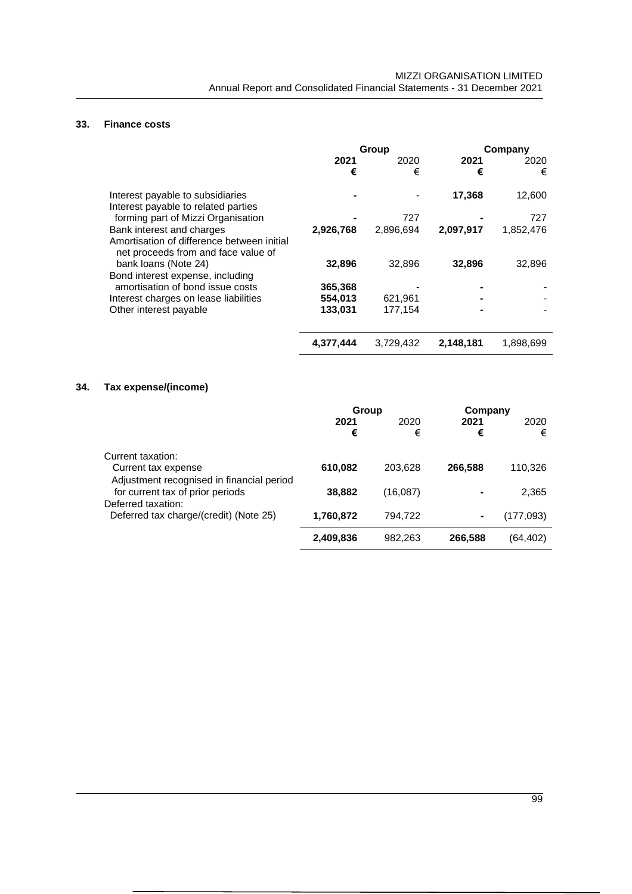# **33. Finance costs**

|                                                                                                                | Group     |           | Company   |           |
|----------------------------------------------------------------------------------------------------------------|-----------|-----------|-----------|-----------|
|                                                                                                                | 2021<br>€ | 2020<br>€ | 2021<br>€ | 2020<br>€ |
| Interest payable to subsidiaries<br>Interest payable to related parties                                        |           |           | 17,368    | 12,600    |
| forming part of Mizzi Organisation                                                                             |           | 727       |           | 727       |
| Bank interest and charges<br>Amortisation of difference between initial<br>net proceeds from and face value of | 2,926,768 | 2,896,694 | 2,097,917 | 1,852,476 |
| bank loans (Note 24)<br>Bond interest expense, including                                                       | 32,896    | 32,896    | 32,896    | 32,896    |
| amortisation of bond issue costs                                                                               | 365,368   |           |           |           |
| Interest charges on lease liabilities                                                                          | 554,013   | 621,961   |           |           |
| Other interest payable                                                                                         | 133,031   | 177,154   |           |           |
|                                                                                                                | 4,377,444 | 3,729,432 | 2,148,181 | 1,898,699 |

# **34. Tax expense/(income)**

|                                           | Group     |          | Company |           |
|-------------------------------------------|-----------|----------|---------|-----------|
|                                           | 2021      | 2020     | 2021    | 2020      |
|                                           | €         | €        | €       | €         |
| Current taxation:                         |           |          |         |           |
| Current tax expense                       | 610,082   | 203,628  | 266,588 | 110,326   |
| Adjustment recognised in financial period |           |          |         |           |
| for current tax of prior periods          | 38,882    | (16,087) |         | 2,365     |
| Deferred taxation:                        |           |          |         |           |
| Deferred tax charge/(credit) (Note 25)    | 1,760,872 | 794,722  | ۰       | (177,093) |
|                                           | 2,409,836 | 982.263  | 266.588 | (64.402)  |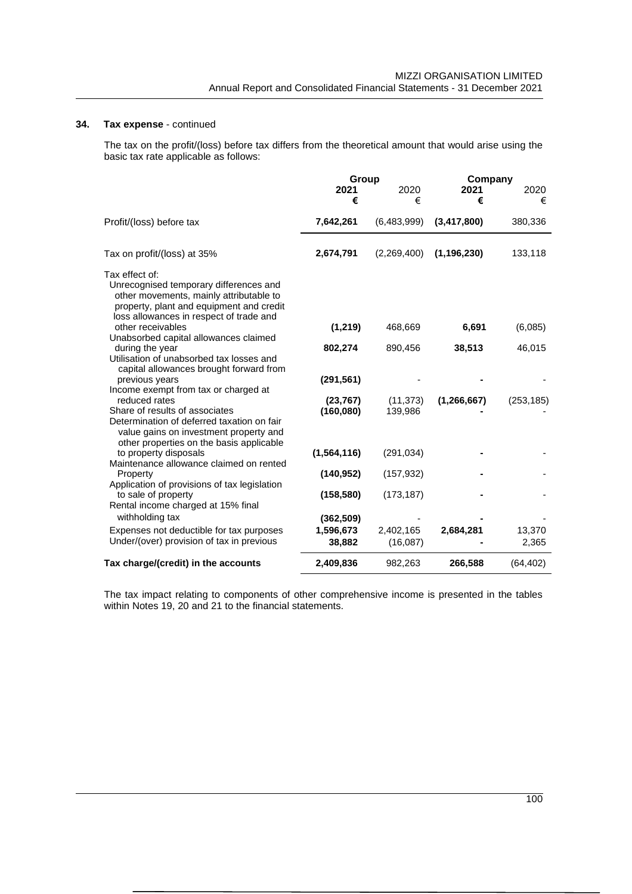### **34. Tax expense** - continued

The tax on the profit/(loss) before tax differs from the theoretical amount that would arise using the basic tax rate applicable as follows:

|                                                                                                                                                                                            | Group                  |                       | Company       |                 |
|--------------------------------------------------------------------------------------------------------------------------------------------------------------------------------------------|------------------------|-----------------------|---------------|-----------------|
|                                                                                                                                                                                            | 2021<br>€              | 2020<br>€             | 2021<br>€     | 2020<br>€       |
| Profit/(loss) before tax                                                                                                                                                                   | 7,642,261              | (6,483,999)           | (3, 417, 800) | 380,336         |
| Tax on profit/(loss) at 35%                                                                                                                                                                | 2,674,791              | (2,269,400)           | (1, 196, 230) | 133,118         |
| Tax effect of:<br>Unrecognised temporary differences and<br>other movements, mainly attributable to<br>property, plant and equipment and credit<br>loss allowances in respect of trade and |                        |                       |               |                 |
| other receivables                                                                                                                                                                          | (1, 219)               | 468,669               | 6,691         | (6,085)         |
| Unabsorbed capital allowances claimed<br>during the year<br>Utilisation of unabsorbed tax losses and<br>capital allowances brought forward from                                            | 802,274                | 890,456               | 38,513        | 46,015          |
| previous years<br>Income exempt from tax or charged at                                                                                                                                     | (291, 561)             |                       |               |                 |
| reduced rates<br>Share of results of associates<br>Determination of deferred taxation on fair<br>value gains on investment property and<br>other properties on the basis applicable        | (23, 767)<br>(160,080) | (11, 373)<br>139,986  | (1, 266, 667) | (253, 185)      |
| to property disposals                                                                                                                                                                      | (1, 564, 116)          | (291, 034)            |               |                 |
| Maintenance allowance claimed on rented<br>Property<br>Application of provisions of tax legislation                                                                                        | (140, 952)             | (157, 932)            |               |                 |
| to sale of property<br>Rental income charged at 15% final                                                                                                                                  | (158, 580)             | (173, 187)            |               |                 |
| withholding tax                                                                                                                                                                            | (362, 509)             |                       |               |                 |
| Expenses not deductible for tax purposes<br>Under/(over) provision of tax in previous                                                                                                      | 1,596,673<br>38,882    | 2,402,165<br>(16,087) | 2,684,281     | 13,370<br>2,365 |
| Tax charge/(credit) in the accounts                                                                                                                                                        | 2,409,836              | 982,263               | 266,588       | (64, 402)       |

The tax impact relating to components of other comprehensive income is presented in the tables within Notes 19, 20 and 21 to the financial statements.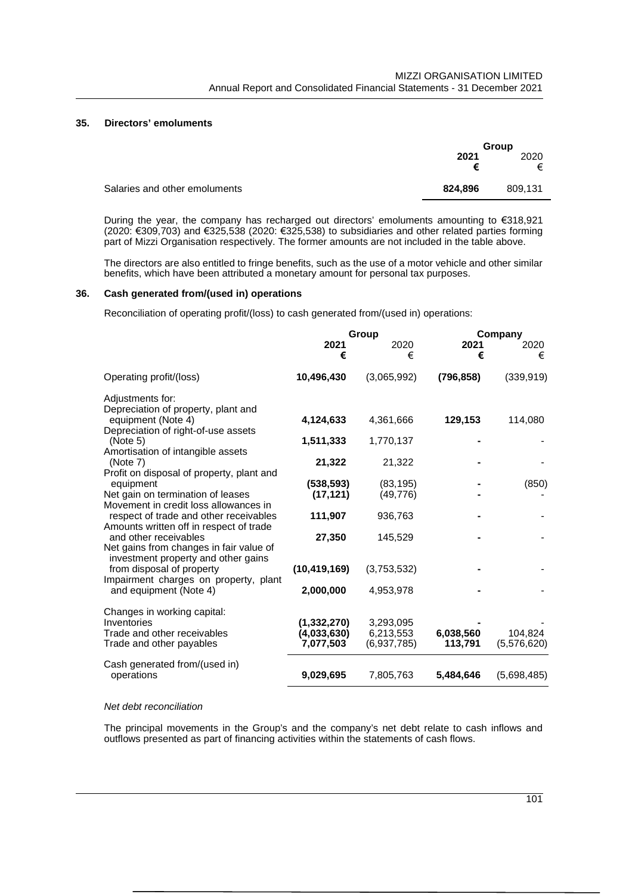## **35. Directors' emoluments**

|                               |         | Group   |  |
|-------------------------------|---------|---------|--|
|                               | 2021    | 2020    |  |
|                               | €       | €       |  |
| Salaries and other emoluments | 824.896 | 809.131 |  |
|                               |         |         |  |

During the year, the company has recharged out directors' emoluments amounting to €318,921 (2020: €309,703) and €325,538 (2020: €325,538) to subsidiaries and other related parties forming part of Mizzi Organisation respectively. The former amounts are not included in the table above.

The directors are also entitled to fringe benefits, such as the use of a motor vehicle and other similar benefits, which have been attributed a monetary amount for personal tax purposes.

#### **36. Cash generated from/(used in) operations**

Reconciliation of operating profit/(loss) to cash generated from/(used in) operations:

|                                                                                   | Group          |             |            | Company     |  |
|-----------------------------------------------------------------------------------|----------------|-------------|------------|-------------|--|
|                                                                                   | 2021<br>€      | 2020<br>€   | 2021<br>€  | 2020<br>€   |  |
| Operating profit/(loss)                                                           | 10,496,430     | (3,065,992) | (796, 858) | (339, 919)  |  |
| Adjustments for:<br>Depreciation of property, plant and                           |                |             |            |             |  |
| equipment (Note 4)<br>Depreciation of right-of-use assets                         | 4,124,633      | 4,361,666   | 129,153    | 114,080     |  |
| (Note 5)<br>Amortisation of intangible assets                                     | 1,511,333      | 1,770,137   |            |             |  |
| (Note 7)                                                                          | 21,322         | 21,322      |            |             |  |
| Profit on disposal of property, plant and<br>equipment                            | (538, 593)     | (83, 195)   |            | (850)       |  |
| Net gain on termination of leases<br>Movement in credit loss allowances in        | (17, 121)      | (49, 776)   |            |             |  |
| respect of trade and other receivables<br>Amounts written off in respect of trade | 111,907        | 936,763     |            |             |  |
| and other receivables                                                             | 27,350         | 145,529     |            |             |  |
| Net gains from changes in fair value of<br>investment property and other gains    |                |             |            |             |  |
| from disposal of property<br>Impairment charges on property, plant                | (10, 419, 169) | (3,753,532) |            |             |  |
| and equipment (Note 4)                                                            | 2,000,000      | 4,953,978   |            |             |  |
| Changes in working capital:                                                       |                |             |            |             |  |
| Inventories                                                                       | (1, 332, 270)  | 3,293,095   |            |             |  |
| Trade and other receivables                                                       | (4,033,630)    | 6,213,553   | 6,038,560  | 104,824     |  |
| Trade and other payables                                                          | 7,077,503      | (6,937,785) | 113,791    | (5,576,620) |  |
| Cash generated from/(used in)<br>operations                                       | 9,029,695      | 7,805,763   | 5,484,646  | (5,698,485) |  |
|                                                                                   |                |             |            |             |  |

### *Net debt reconciliation*

The principal movements in the Group's and the company's net debt relate to cash inflows and outflows presented as part of financing activities within the statements of cash flows.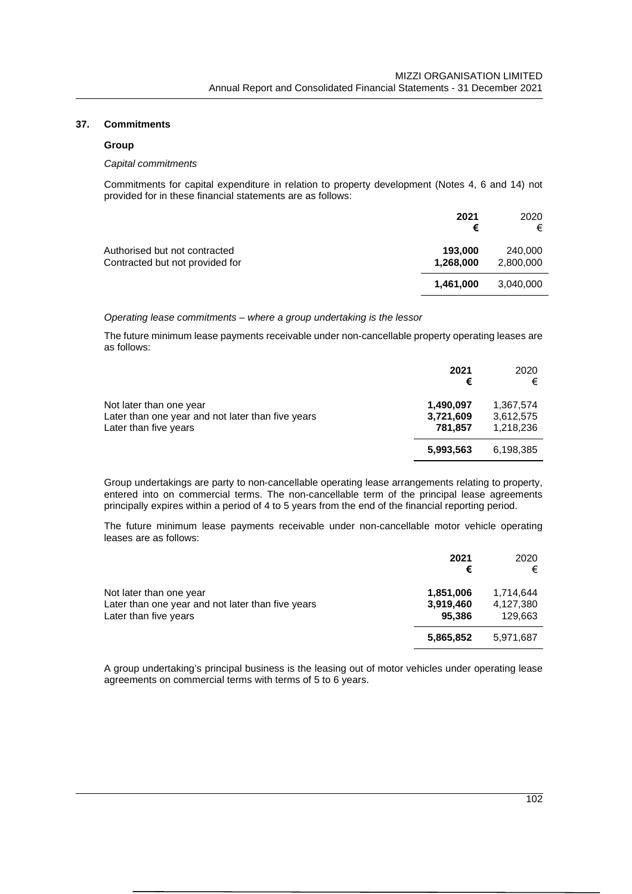### **37. Commitments**

### **Group**

#### *Capital commitments*

Commitments for capital expenditure in relation to property development (Notes 4, 6 and 14) not provided for in these financial statements are as follows:

|                                                                  | 2021<br>€            | 2020<br>€            |
|------------------------------------------------------------------|----------------------|----------------------|
| Authorised but not contracted<br>Contracted but not provided for | 193,000<br>1,268,000 | 240,000<br>2,800,000 |
|                                                                  | 1.461.000            | 3,040,000            |

#### *Operating lease commitments – where a group undertaking is the lessor*

The future minimum lease payments receivable under non-cancellable property operating leases are as follows:

|                                                                            | 2021<br>€            | 2020<br>€              |
|----------------------------------------------------------------------------|----------------------|------------------------|
| Not later than one year                                                    | 1,490,097            | 1,367,574              |
| Later than one year and not later than five years<br>Later than five years | 3,721,609<br>781,857 | 3.612.575<br>1,218,236 |
|                                                                            | 5,993,563            | 6,198,385              |

Group undertakings are party to non-cancellable operating lease arrangements relating to property, entered into on commercial terms. The non-cancellable term of the principal lease agreements principally expires within a period of 4 to 5 years from the end of the financial reporting period.

The future minimum lease payments receivable under non-cancellable motor vehicle operating leases are as follows:

|                                                                                                       | 2021<br>€                        | 2020<br>€                         |
|-------------------------------------------------------------------------------------------------------|----------------------------------|-----------------------------------|
| Not later than one year<br>Later than one year and not later than five years<br>Later than five years | 1,851,006<br>3,919,460<br>95,386 | 1.714.644<br>4,127,380<br>129.663 |
|                                                                                                       | 5,865,852                        | 5.971.687                         |

A group undertaking's principal business is the leasing out of motor vehicles under operating lease agreements on commercial terms with terms of 5 to 6 years.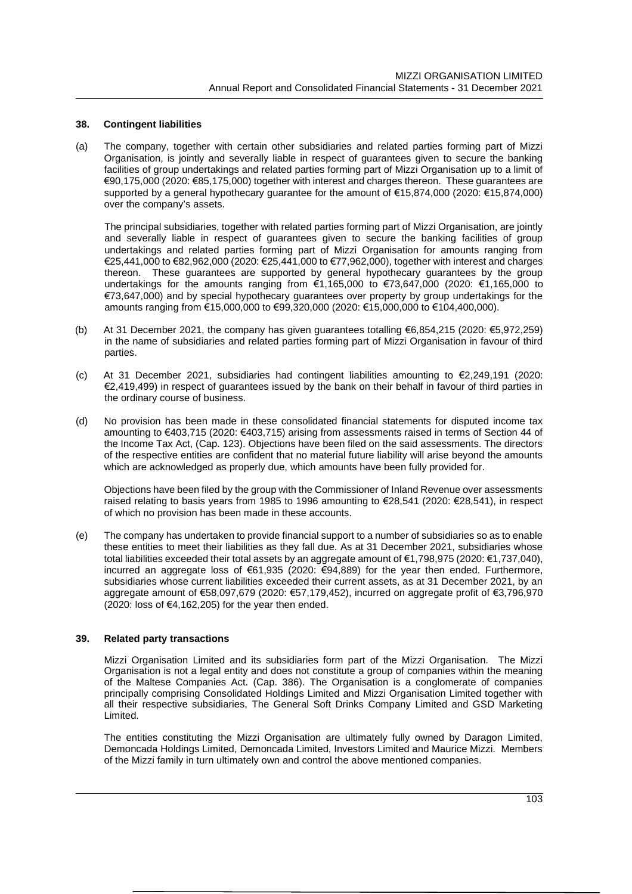#### **38. Contingent liabilities**

(a) The company, together with certain other subsidiaries and related parties forming part of Mizzi Organisation, is jointly and severally liable in respect of guarantees given to secure the banking facilities of group undertakings and related parties forming part of Mizzi Organisation up to a limit of €90,175,000 (2020: €85,175,000) together with interest and charges thereon. These guarantees are supported by a general hypothecary guarantee for the amount of €15,874,000 (2020: €15,874,000) over the company's assets.

The principal subsidiaries, together with related parties forming part of Mizzi Organisation, are jointly and severally liable in respect of guarantees given to secure the banking facilities of group undertakings and related parties forming part of Mizzi Organisation for amounts ranging from €25,441,000 to €82,962,000 (2020: €25,441,000 to €77,962,000), together with interest and charges thereon. These guarantees are supported by general hypothecary guarantees by the group undertakings for the amounts ranging from €1,165,000 to €73,647,000 (2020: €1,165,000 to €73,647,000) and by special hypothecary guarantees over property by group undertakings for the amounts ranging from €15,000,000 to €99,320,000 (2020: €15,000,000 to €104,400,000).

- (b) At 31 December 2021, the company has given guarantees totalling €6,854,215 (2020: €5,972,259) in the name of subsidiaries and related parties forming part of Mizzi Organisation in favour of third parties.
- (c) At 31 December 2021, subsidiaries had contingent liabilities amounting to €2,249,191 (2020: €2,419,499) in respect of guarantees issued by the bank on their behalf in favour of third parties in the ordinary course of business.
- (d) No provision has been made in these consolidated financial statements for disputed income tax amounting to €403,715 (2020: €403,715) arising from assessments raised in terms of Section 44 of the Income Tax Act, (Cap. 123). Objections have been filed on the said assessments. The directors of the respective entities are confident that no material future liability will arise beyond the amounts which are acknowledged as properly due, which amounts have been fully provided for.

Objections have been filed by the group with the Commissioner of Inland Revenue over assessments raised relating to basis years from 1985 to 1996 amounting to €28,541 (2020: €28,541), in respect of which no provision has been made in these accounts.

(e) The company has undertaken to provide financial support to a number of subsidiaries so as to enable these entities to meet their liabilities as they fall due. As at 31 December 2021, subsidiaries whose total liabilities exceeded their total assets by an aggregate amount of €1,798,975 (2020: €1,737,040), incurred an aggregate loss of €61,935 (2020: €94,889) for the year then ended. Furthermore, subsidiaries whose current liabilities exceeded their current assets, as at 31 December 2021, by an aggregate amount of €58,097,679 (2020: €57,179,452), incurred on aggregate profit of €3,796,970 (2020: loss of  $\epsilon$ 4,162,205) for the year then ended.

### **39. Related party transactions**

Mizzi Organisation Limited and its subsidiaries form part of the Mizzi Organisation. The Mizzi Organisation is not a legal entity and does not constitute a group of companies within the meaning of the Maltese Companies Act. (Cap. 386). The Organisation is a conglomerate of companies principally comprising Consolidated Holdings Limited and Mizzi Organisation Limited together with all their respective subsidiaries, The General Soft Drinks Company Limited and GSD Marketing Limited.

The entities constituting the Mizzi Organisation are ultimately fully owned by Daragon Limited, Demoncada Holdings Limited, Demoncada Limited, Investors Limited and Maurice Mizzi. Members of the Mizzi family in turn ultimately own and control the above mentioned companies.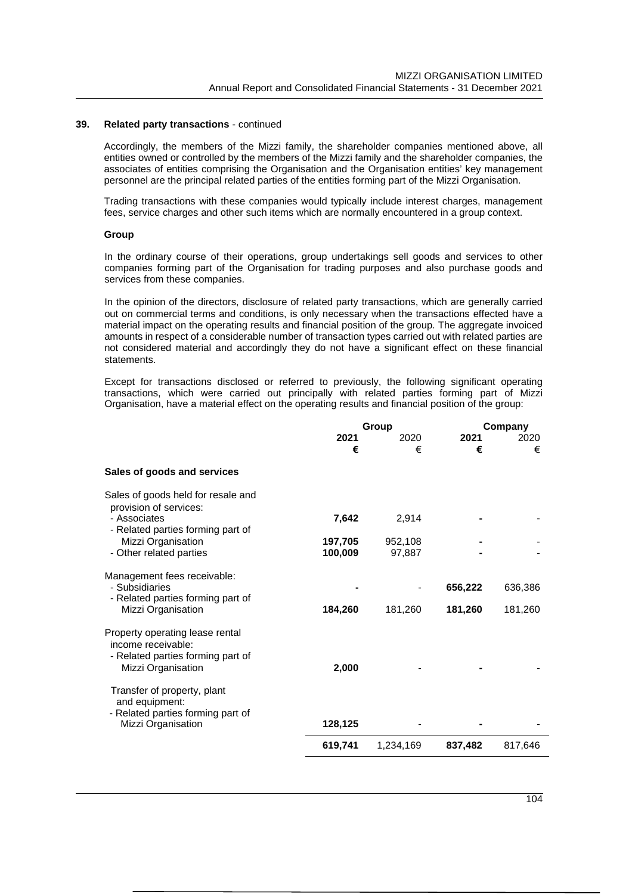#### **39. Related party transactions** - continued

Accordingly, the members of the Mizzi family, the shareholder companies mentioned above, all entities owned or controlled by the members of the Mizzi family and the shareholder companies, the associates of entities comprising the Organisation and the Organisation entities' key management personnel are the principal related parties of the entities forming part of the Mizzi Organisation.

Trading transactions with these companies would typically include interest charges, management fees, service charges and other such items which are normally encountered in a group context.

#### **Group**

In the ordinary course of their operations, group undertakings sell goods and services to other companies forming part of the Organisation for trading purposes and also purchase goods and services from these companies.

In the opinion of the directors, disclosure of related party transactions, which are generally carried out on commercial terms and conditions, is only necessary when the transactions effected have a material impact on the operating results and financial position of the group. The aggregate invoiced amounts in respect of a considerable number of transaction types carried out with related parties are not considered material and accordingly they do not have a significant effect on these financial statements.

Except for transactions disclosed or referred to previously, the following significant operating transactions, which were carried out principally with related parties forming part of Mizzi Organisation, have a material effect on the operating results and financial position of the group:

|                                                                                            | Group   |           |         | Company |  |
|--------------------------------------------------------------------------------------------|---------|-----------|---------|---------|--|
|                                                                                            | 2021    | 2020      | 2021    | 2020    |  |
|                                                                                            | €       | €         | €       | €       |  |
| Sales of goods and services                                                                |         |           |         |         |  |
| Sales of goods held for resale and<br>provision of services:                               |         |           |         |         |  |
| - Associates<br>- Related parties forming part of                                          | 7,642   | 2,914     |         |         |  |
| Mizzi Organisation                                                                         | 197,705 | 952,108   |         |         |  |
| - Other related parties                                                                    | 100,009 | 97,887    |         |         |  |
| Management fees receivable:                                                                |         |           |         |         |  |
| - Subsidiaries                                                                             |         |           | 656,222 | 636,386 |  |
| - Related parties forming part of<br>Mizzi Organisation                                    | 184,260 | 181,260   | 181,260 | 181,260 |  |
| Property operating lease rental<br>income receivable:<br>- Related parties forming part of |         |           |         |         |  |
| Mizzi Organisation                                                                         | 2,000   |           |         |         |  |
| Transfer of property, plant<br>and equipment:<br>- Related parties forming part of         |         |           |         |         |  |
| Mizzi Organisation                                                                         | 128,125 |           |         |         |  |
|                                                                                            | 619,741 | 1,234,169 | 837,482 | 817,646 |  |
|                                                                                            |         |           |         |         |  |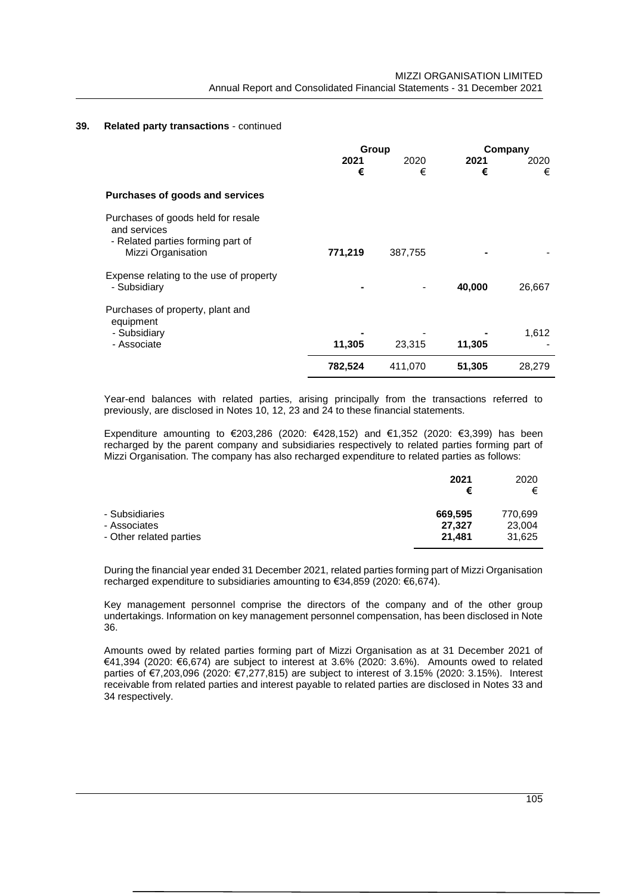### **39. Related party transactions** - continued

|                                                                                                               | Group     |           | Company   |           |
|---------------------------------------------------------------------------------------------------------------|-----------|-----------|-----------|-----------|
|                                                                                                               | 2021<br>€ | 2020<br>€ | 2021<br>€ | 2020<br>€ |
| Purchases of goods and services                                                                               |           |           |           |           |
| Purchases of goods held for resale<br>and services<br>- Related parties forming part of<br>Mizzi Organisation | 771,219   | 387,755   |           |           |
| Expense relating to the use of property<br>- Subsidiary                                                       |           |           | 40,000    | 26,667    |
| Purchases of property, plant and<br>equipment                                                                 |           |           |           |           |
| - Subsidiary<br>- Associate                                                                                   | 11,305    | 23,315    | 11,305    | 1,612     |
|                                                                                                               | 782,524   | 411,070   | 51,305    | 28,279    |

Year-end balances with related parties, arising principally from the transactions referred to previously, are disclosed in Notes 10, 12, 23 and 24 to these financial statements.

Expenditure amounting to €203,286 (2020: €428,152) and €1,352 (2020: €3,399) has been recharged by the parent company and subsidiaries respectively to related parties forming part of Mizzi Organisation. The company has also recharged expenditure to related parties as follows:

|                         | 2021<br>€ | 2020<br>€ |
|-------------------------|-----------|-----------|
| - Subsidiaries          | 669,595   | 770,699   |
| - Associates            | 27,327    | 23,004    |
| - Other related parties | 21.481    | 31.625    |

During the financial year ended 31 December 2021, related parties forming part of Mizzi Organisation recharged expenditure to subsidiaries amounting to €34,859 (2020: €6,674).

Key management personnel comprise the directors of the company and of the other group undertakings. Information on key management personnel compensation, has been disclosed in Note 36.

Amounts owed by related parties forming part of Mizzi Organisation as at 31 December 2021 of  $€41,394$  (2020:  $€6,674$ ) are subject to interest at 3.6% (2020: 3.6%). Amounts owed to related parties of €7,203,096 (2020: €7,277,815) are subject to interest of 3.15% (2020: 3.15%). Interest receivable from related parties and interest payable to related parties are disclosed in Notes 33 and 34 respectively.